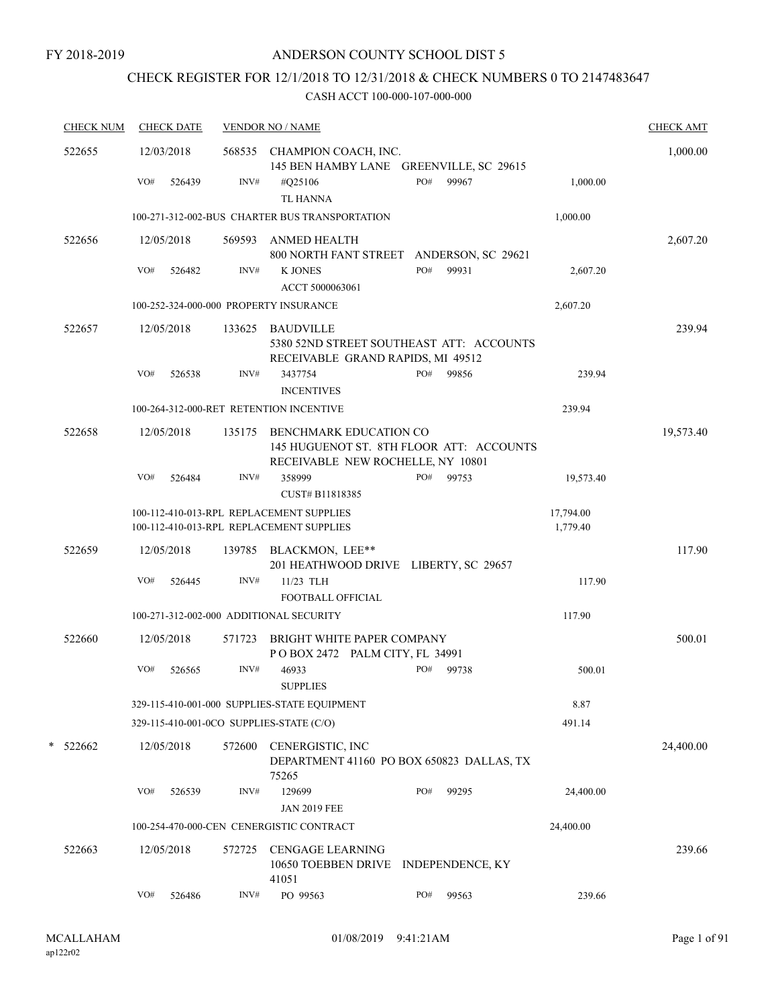# CHECK REGISTER FOR 12/1/2018 TO 12/31/2018 & CHECK NUMBERS 0 TO 2147483647

| <b>CHECK NUM</b> |     | <b>CHECK DATE</b> |        | <b>VENDOR NO / NAME</b>                                                                                 |     |       |                       | <b>CHECK AMT</b> |
|------------------|-----|-------------------|--------|---------------------------------------------------------------------------------------------------------|-----|-------|-----------------------|------------------|
| 522655           |     | 12/03/2018        |        | 568535 CHAMPION COACH, INC.<br>145 BEN HAMBY LANE GREENVILLE, SC 29615                                  |     |       |                       | 1,000.00         |
|                  | VO# | 526439            | INV#   | #Q25106<br><b>TL HANNA</b>                                                                              | PO# | 99967 | 1,000.00              |                  |
|                  |     |                   |        | 100-271-312-002-BUS CHARTER BUS TRANSPORTATION                                                          |     |       | 1,000.00              |                  |
| 522656           |     | 12/05/2018        | 569593 | ANMED HEALTH<br>800 NORTH FANT STREET ANDERSON, SC 29621                                                |     |       |                       | 2,607.20         |
|                  | VO# | 526482            | INV#   | <b>K JONES</b><br>ACCT 5000063061                                                                       | PO# | 99931 | 2,607.20              |                  |
|                  |     |                   |        | 100-252-324-000-000 PROPERTY INSURANCE                                                                  |     |       | 2,607.20              |                  |
| 522657           |     | 12/05/2018        |        | 133625 BAUDVILLE<br>5380 52ND STREET SOUTHEAST ATT: ACCOUNTS<br>RECEIVABLE GRAND RAPIDS, MI 49512       |     |       |                       | 239.94           |
|                  | VO# | 526538            | INV#   | 3437754<br><b>INCENTIVES</b>                                                                            | PO# | 99856 | 239.94                |                  |
|                  |     |                   |        | 100-264-312-000-RET RETENTION INCENTIVE                                                                 |     |       | 239.94                |                  |
| 522658           |     | 12/05/2018        | 135175 | BENCHMARK EDUCATION CO<br>145 HUGUENOT ST. 8TH FLOOR ATT: ACCOUNTS<br>RECEIVABLE NEW ROCHELLE, NY 10801 |     |       |                       | 19,573.40        |
|                  | VO# | 526484            | INV#   | 358999<br>CUST# B11818385                                                                               | PO# | 99753 | 19,573.40             |                  |
|                  |     |                   |        | 100-112-410-013-RPL REPLACEMENT SUPPLIES<br>100-112-410-013-RPL REPLACEMENT SUPPLIES                    |     |       | 17,794.00<br>1,779.40 |                  |
| 522659           |     | 12/05/2018        |        | 139785 BLACKMON, LEE**<br>201 HEATHWOOD DRIVE LIBERTY, SC 29657                                         |     |       |                       | 117.90           |
|                  | VO# | 526445            | INV#   | 11/23 TLH<br>FOOTBALL OFFICIAL                                                                          |     |       | 117.90                |                  |
|                  |     |                   |        | 100-271-312-002-000 ADDITIONAL SECURITY                                                                 |     |       | 117.90                |                  |
| 522660           |     | 12/05/2018        | 571723 | BRIGHT WHITE PAPER COMPANY<br>POBOX 2472 PALM CITY, FL 34991                                            |     |       |                       | 500.01           |
|                  | VO# | 526565            | INV#   | 46933<br><b>SUPPLIES</b>                                                                                | PO# | 99738 | 500.01                |                  |
|                  |     |                   |        | 329-115-410-001-000 SUPPLIES-STATE EQUIPMENT                                                            |     |       | 8.87                  |                  |
|                  |     |                   |        | 329-115-410-001-0CO SUPPLIES-STATE (C/O)                                                                |     |       | 491.14                |                  |
| *<br>522662      |     | 12/05/2018        | 572600 | CENERGISTIC, INC<br>DEPARTMENT 41160 PO BOX 650823 DALLAS, TX                                           |     |       |                       | 24,400.00        |
|                  | VO# | 526539            | INV#   | 75265<br>129699<br><b>JAN 2019 FEE</b>                                                                  | PO# | 99295 | 24,400.00             |                  |
|                  |     |                   |        | 100-254-470-000-CEN CENERGISTIC CONTRACT                                                                |     |       | 24,400.00             |                  |
| 522663           |     | 12/05/2018        | 572725 | <b>CENGAGE LEARNING</b><br>10650 TOEBBEN DRIVE INDEPENDENCE, KY<br>41051                                |     |       |                       | 239.66           |
|                  | VO# | 526486            | INV#   | PO 99563                                                                                                | PO# | 99563 | 239.66                |                  |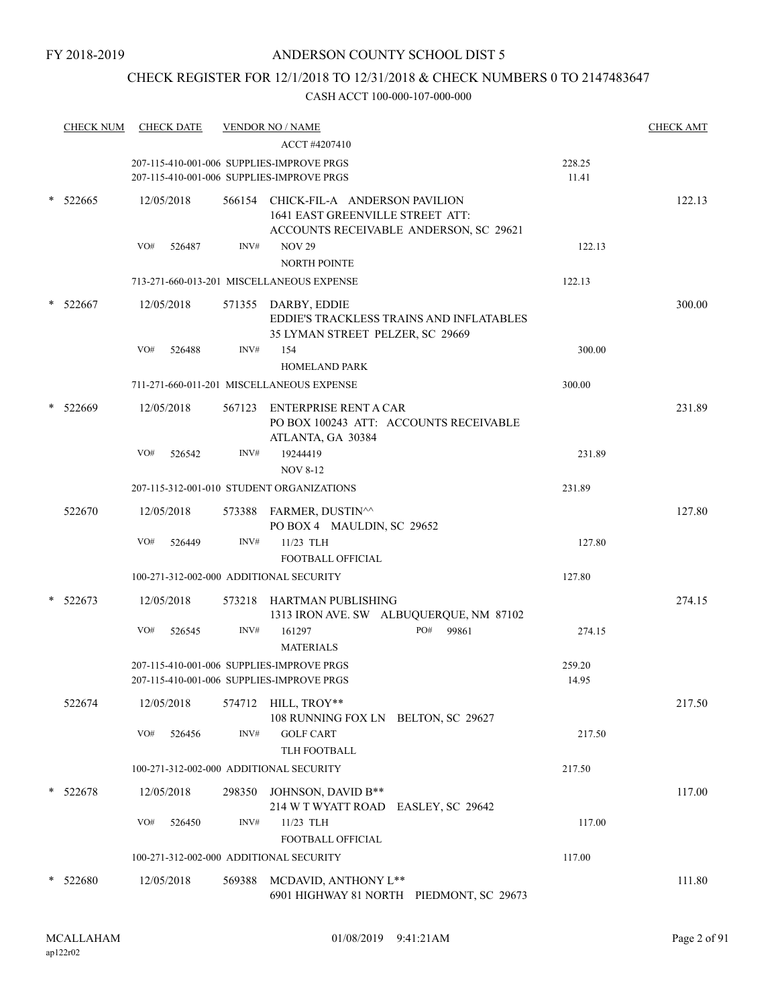# CHECK REGISTER FOR 12/1/2018 TO 12/31/2018 & CHECK NUMBERS 0 TO 2147483647

| <b>CHECK NUM</b> |     | <b>CHECK DATE</b> |        | <u>VENDOR NO / NAME</u>                                                                                            |                 | <b>CHECK AMT</b> |
|------------------|-----|-------------------|--------|--------------------------------------------------------------------------------------------------------------------|-----------------|------------------|
|                  |     |                   |        | ACCT #4207410                                                                                                      |                 |                  |
|                  |     |                   |        | 207-115-410-001-006 SUPPLIES-IMPROVE PRGS                                                                          | 228.25          |                  |
|                  |     |                   |        | 207-115-410-001-006 SUPPLIES-IMPROVE PRGS                                                                          | 11.41           |                  |
| 522665           |     | 12/05/2018        |        | 566154 CHICK-FIL-A ANDERSON PAVILION<br>1641 EAST GREENVILLE STREET ATT:<br>ACCOUNTS RECEIVABLE ANDERSON, SC 29621 |                 | 122.13           |
|                  | VO# | 526487            | INV#   | <b>NOV 29</b><br><b>NORTH POINTE</b>                                                                               | 122.13          |                  |
|                  |     |                   |        | 713-271-660-013-201 MISCELLANEOUS EXPENSE                                                                          | 122.13          |                  |
| 522667           |     | 12/05/2018        |        | 571355 DARBY, EDDIE<br>EDDIE'S TRACKLESS TRAINS AND INFLATABLES<br>35 LYMAN STREET PELZER, SC 29669                |                 | 300.00           |
|                  | VO# | 526488            | INV#   | 154<br><b>HOMELAND PARK</b>                                                                                        | 300.00          |                  |
|                  |     |                   |        | 711-271-660-011-201 MISCELLANEOUS EXPENSE                                                                          | 300.00          |                  |
| 522669           |     | 12/05/2018        |        | 567123 ENTERPRISE RENT A CAR<br>PO BOX 100243 ATT: ACCOUNTS RECEIVABLE<br>ATLANTA, GA 30384                        |                 | 231.89           |
|                  | VO# | 526542            | INV#   | 19244419<br><b>NOV 8-12</b>                                                                                        | 231.89          |                  |
|                  |     |                   |        | 207-115-312-001-010 STUDENT ORGANIZATIONS                                                                          | 231.89          |                  |
| 522670           |     | 12/05/2018        |        | 573388 FARMER, DUSTIN^^<br>PO BOX 4 MAULDIN, SC 29652                                                              |                 | 127.80           |
|                  | VO# | 526449            | INV#   | 11/23 TLH                                                                                                          | 127.80          |                  |
|                  |     |                   |        | FOOTBALL OFFICIAL                                                                                                  |                 |                  |
|                  |     |                   |        | 100-271-312-002-000 ADDITIONAL SECURITY                                                                            | 127.80          |                  |
| 522673           |     | 12/05/2018        | 573218 | HARTMAN PUBLISHING<br>1313 IRON AVE. SW ALBUQUERQUE, NM 87102                                                      |                 | 274.15           |
|                  | VO# | 526545            | INV#   | PO#<br>99861<br>161297<br><b>MATERIALS</b>                                                                         | 274.15          |                  |
|                  |     |                   |        | 207-115-410-001-006 SUPPLIES-IMPROVE PRGS<br>207-115-410-001-006 SUPPLIES-IMPROVE PRGS                             | 259.20<br>14.95 |                  |
| 522674           |     | 12/05/2018        |        | 574712 HILL, TROY**<br>108 RUNNING FOX LN BELTON, SC 29627                                                         |                 | 217.50           |
|                  | VO# | 526456            | INV#   | <b>GOLF CART</b><br>TLH FOOTBALL                                                                                   | 217.50          |                  |
|                  |     |                   |        | 100-271-312-002-000 ADDITIONAL SECURITY                                                                            | 217.50          |                  |
| 522678           |     | 12/05/2018        | 298350 | JOHNSON, DAVID B**<br>214 W T WYATT ROAD EASLEY, SC 29642                                                          |                 | 117.00           |
|                  | VO# | 526450            | INV#   | 11/23 TLH<br>FOOTBALL OFFICIAL                                                                                     | 117.00          |                  |
|                  |     |                   |        | 100-271-312-002-000 ADDITIONAL SECURITY                                                                            | 117.00          |                  |
| $*$ 522680       |     | 12/05/2018        |        | 569388 MCDAVID, ANTHONY L**<br>6901 HIGHWAY 81 NORTH PIEDMONT, SC 29673                                            |                 | 111.80           |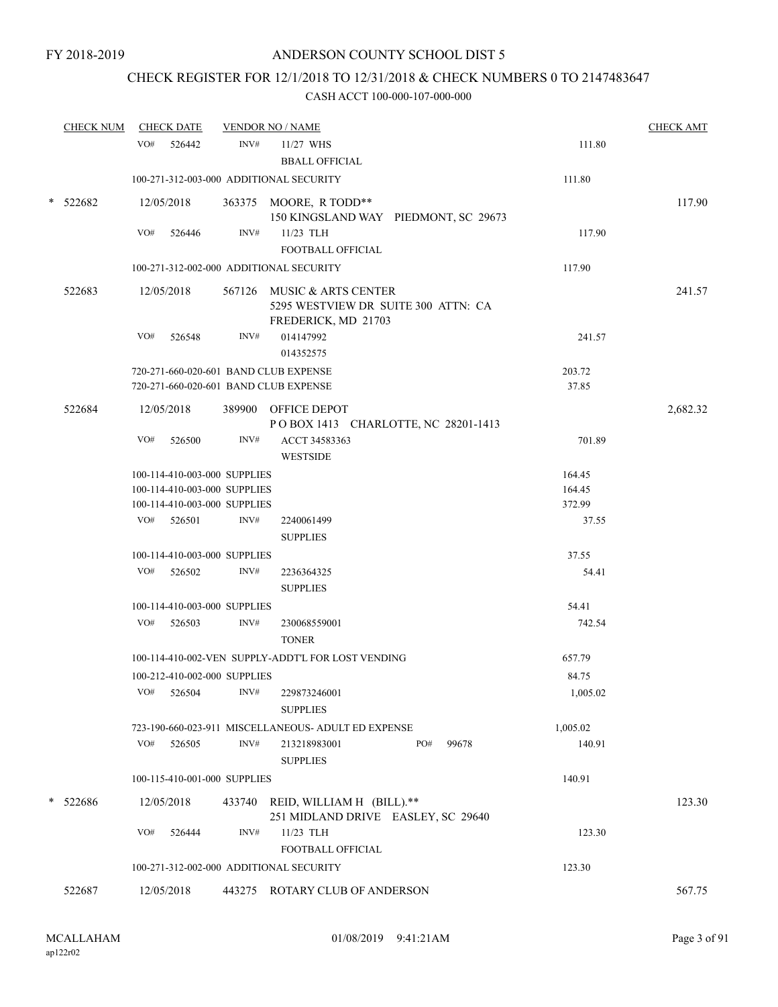# CHECK REGISTER FOR 12/1/2018 TO 12/31/2018 & CHECK NUMBERS 0 TO 2147483647

|        | <b>CHECK NUM</b> |     | <b>CHECK DATE</b>                          |      | <b>VENDOR NO / NAME</b>                                                                  |                                      |                 | <b>CHECK AMT</b> |
|--------|------------------|-----|--------------------------------------------|------|------------------------------------------------------------------------------------------|--------------------------------------|-----------------|------------------|
|        |                  | VO# | 526442                                     | INV# | 11/27 WHS<br><b>BBALL OFFICIAL</b>                                                       |                                      | 111.80          |                  |
|        |                  |     |                                            |      | 100-271-312-003-000 ADDITIONAL SECURITY                                                  |                                      | 111.80          |                  |
|        | $*$ 522682       |     | 12/05/2018                                 |      | 363375 MOORE, R TODD**                                                                   | 150 KINGSLAND WAY PIEDMONT, SC 29673 |                 | 117.90           |
|        |                  | VO# | 526446                                     | INV# | 11/23 TLH<br><b>FOOTBALL OFFICIAL</b>                                                    |                                      | 117.90          |                  |
|        |                  |     |                                            |      | 100-271-312-002-000 ADDITIONAL SECURITY                                                  |                                      | 117.90          |                  |
|        | 522683           |     | 12/05/2018                                 |      | 567126 MUSIC & ARTS CENTER<br>5295 WESTVIEW DR SUITE 300 ATTN: CA<br>FREDERICK, MD 21703 |                                      |                 | 241.57           |
|        |                  | VO# | 526548                                     | INV# | 014147992<br>014352575                                                                   |                                      | 241.57          |                  |
|        |                  |     |                                            |      | 720-271-660-020-601 BAND CLUB EXPENSE                                                    |                                      | 203.72          |                  |
|        |                  |     |                                            |      | 720-271-660-020-601 BAND CLUB EXPENSE                                                    |                                      | 37.85           |                  |
|        | 522684           |     | 12/05/2018                                 |      | 389900 OFFICE DEPOT<br>POBOX 1413 CHARLOTTE, NC 28201-1413                               |                                      |                 | 2,682.32         |
|        |                  | VO# | 526500                                     | INV# | ACCT 34583363<br><b>WESTSIDE</b>                                                         |                                      | 701.89          |                  |
|        |                  |     | 100-114-410-003-000 SUPPLIES               |      |                                                                                          |                                      | 164.45          |                  |
|        |                  |     | 100-114-410-003-000 SUPPLIES               |      |                                                                                          |                                      | 164.45          |                  |
|        |                  |     | 100-114-410-003-000 SUPPLIES<br>VO# 526501 | INV# | 2240061499                                                                               |                                      | 372.99<br>37.55 |                  |
|        |                  |     |                                            |      | <b>SUPPLIES</b>                                                                          |                                      |                 |                  |
|        |                  |     | 100-114-410-003-000 SUPPLIES               |      |                                                                                          |                                      | 37.55           |                  |
|        |                  | VO# | 526502                                     | INV# | 2236364325<br><b>SUPPLIES</b>                                                            |                                      | 54.41           |                  |
|        |                  |     | 100-114-410-003-000 SUPPLIES               |      |                                                                                          |                                      | 54.41           |                  |
|        |                  | VO# | 526503                                     | INV# | 230068559001<br><b>TONER</b>                                                             |                                      | 742.54          |                  |
|        |                  |     |                                            |      | 100-114-410-002-VEN SUPPLY-ADDT'L FOR LOST VENDING                                       |                                      | 657.79          |                  |
|        |                  |     | 100-212-410-002-000 SUPPLIES               |      |                                                                                          |                                      | 84.75           |                  |
|        |                  | VO# | 526504                                     | INV# | 229873246001<br><b>SUPPLIES</b>                                                          |                                      | 1,005.02        |                  |
|        |                  |     |                                            |      | 723-190-660-023-911 MISCELLANEOUS- ADULT ED EXPENSE                                      |                                      | 1,005.02        |                  |
|        |                  | VO# | 526505                                     | INV# | 213218983001<br><b>SUPPLIES</b>                                                          | PO#<br>99678                         | 140.91          |                  |
|        |                  |     | 100-115-410-001-000 SUPPLIES               |      |                                                                                          |                                      | 140.91          |                  |
| $\ast$ | 522686           |     | 12/05/2018                                 |      | 433740 REID, WILLIAM H (BILL).**<br>251 MIDLAND DRIVE EASLEY, SC 29640                   |                                      |                 | 123.30           |
|        |                  | VO# | 526444                                     | INV# | 11/23 TLH<br>FOOTBALL OFFICIAL                                                           |                                      | 123.30          |                  |
|        |                  |     |                                            |      | 100-271-312-002-000 ADDITIONAL SECURITY                                                  |                                      | 123.30          |                  |
|        | 522687           |     | 12/05/2018                                 |      | 443275 ROTARY CLUB OF ANDERSON                                                           |                                      |                 | 567.75           |
|        |                  |     |                                            |      |                                                                                          |                                      |                 |                  |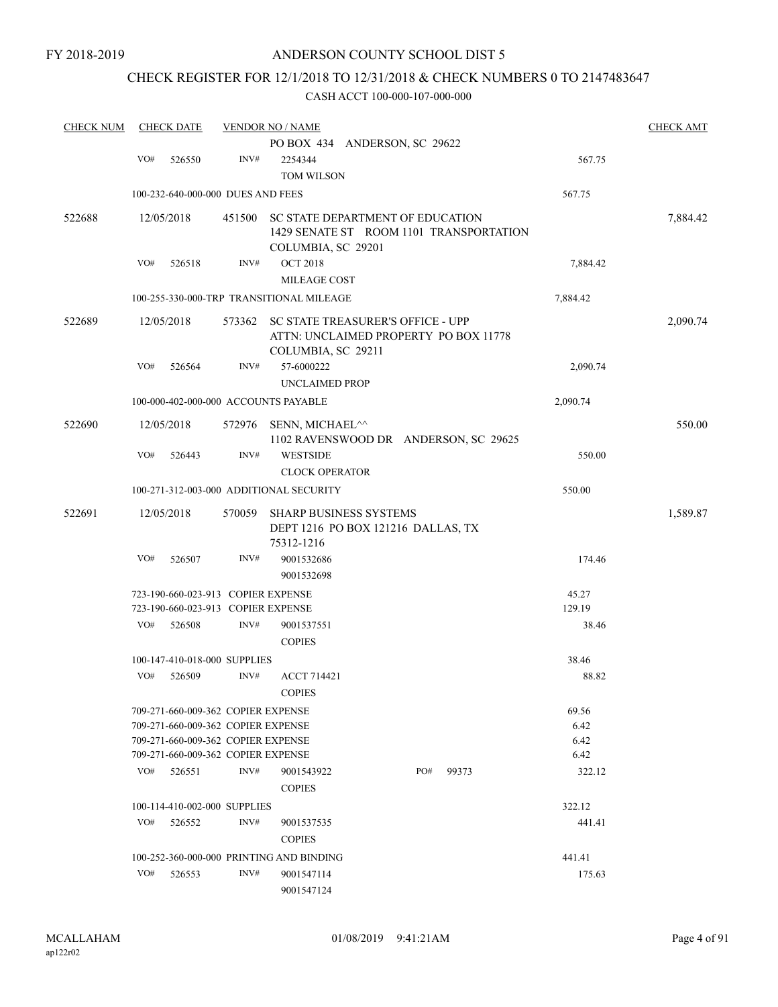# CHECK REGISTER FOR 12/1/2018 TO 12/31/2018 & CHECK NUMBERS 0 TO 2147483647

| <b>CHECK NUM</b> |     | <b>CHECK DATE</b>                  |        | <b>VENDOR NO / NAME</b>                  |     |       |          | <b>CHECK AMT</b> |
|------------------|-----|------------------------------------|--------|------------------------------------------|-----|-------|----------|------------------|
|                  |     |                                    |        | PO BOX 434 ANDERSON, SC 29622            |     |       |          |                  |
|                  | VO# | 526550                             | INV#   | 2254344                                  |     |       | 567.75   |                  |
|                  |     |                                    |        | TOM WILSON                               |     |       |          |                  |
|                  |     | 100-232-640-000-000 DUES AND FEES  |        |                                          |     |       | 567.75   |                  |
| 522688           |     | 12/05/2018                         | 451500 | SC STATE DEPARTMENT OF EDUCATION         |     |       |          | 7,884.42         |
|                  |     |                                    |        | 1429 SENATE ST ROOM 1101 TRANSPORTATION  |     |       |          |                  |
|                  |     |                                    |        | COLUMBIA, SC 29201                       |     |       |          |                  |
|                  | VO# | 526518                             | INV#   | <b>OCT 2018</b>                          |     |       | 7,884.42 |                  |
|                  |     |                                    |        | MILEAGE COST                             |     |       |          |                  |
|                  |     |                                    |        | 100-255-330-000-TRP TRANSITIONAL MILEAGE |     |       | 7,884.42 |                  |
| 522689           |     | 12/05/2018                         | 573362 | SC STATE TREASURER'S OFFICE - UPP        |     |       |          | 2,090.74         |
|                  |     |                                    |        | ATTN: UNCLAIMED PROPERTY PO BOX 11778    |     |       |          |                  |
|                  |     |                                    |        | COLUMBIA, SC 29211                       |     |       |          |                  |
|                  | VO# | 526564                             | INV#   | 57-6000222                               |     |       | 2,090.74 |                  |
|                  |     |                                    |        | <b>UNCLAIMED PROP</b>                    |     |       |          |                  |
|                  |     |                                    |        | 100-000-402-000-000 ACCOUNTS PAYABLE     |     |       | 2,090.74 |                  |
| 522690           |     | 12/05/2018                         | 572976 | SENN, MICHAEL^^                          |     |       |          | 550.00           |
|                  |     |                                    |        | 1102 RAVENSWOOD DR ANDERSON, SC 29625    |     |       |          |                  |
|                  | VO# | 526443                             | INV#   | <b>WESTSIDE</b>                          |     |       | 550.00   |                  |
|                  |     |                                    |        | <b>CLOCK OPERATOR</b>                    |     |       |          |                  |
|                  |     |                                    |        | 100-271-312-003-000 ADDITIONAL SECURITY  |     |       | 550.00   |                  |
| 522691           |     | 12/05/2018                         | 570059 | <b>SHARP BUSINESS SYSTEMS</b>            |     |       |          | 1,589.87         |
|                  |     |                                    |        | DEPT 1216 PO BOX 121216 DALLAS, TX       |     |       |          |                  |
|                  |     |                                    |        | 75312-1216                               |     |       |          |                  |
|                  | VO# | 526507                             | INV#   | 9001532686                               |     |       | 174.46   |                  |
|                  |     |                                    |        | 9001532698                               |     |       |          |                  |
|                  |     | 723-190-660-023-913 COPIER EXPENSE |        |                                          |     |       | 45.27    |                  |
|                  |     | 723-190-660-023-913 COPIER EXPENSE |        |                                          |     |       | 129.19   |                  |
|                  | VO# | 526508                             | INV#   | 9001537551                               |     |       | 38.46    |                  |
|                  |     |                                    |        | <b>COPIES</b>                            |     |       |          |                  |
|                  |     | 100-147-410-018-000 SUPPLIES       |        |                                          |     |       | 38.46    |                  |
|                  | VO# | 526509                             | INV#   | <b>ACCT 714421</b>                       |     |       | 88.82    |                  |
|                  |     |                                    |        | $\mbox{COPIES}$                          |     |       |          |                  |
|                  |     | 709-271-660-009-362 COPIER EXPENSE |        |                                          |     |       | 69.56    |                  |
|                  |     | 709-271-660-009-362 COPIER EXPENSE |        |                                          |     |       | 6.42     |                  |
|                  |     | 709-271-660-009-362 COPIER EXPENSE |        |                                          |     |       | 6.42     |                  |
|                  |     | 709-271-660-009-362 COPIER EXPENSE |        |                                          |     |       | 6.42     |                  |
|                  | VO# | 526551                             | INV#   | 9001543922                               | PO# | 99373 | 322.12   |                  |
|                  |     |                                    |        | <b>COPIES</b>                            |     |       |          |                  |
|                  |     | 100-114-410-002-000 SUPPLIES       |        |                                          |     |       | 322.12   |                  |
|                  | VO# | 526552                             | INV#   | 9001537535                               |     |       | 441.41   |                  |
|                  |     |                                    |        | <b>COPIES</b>                            |     |       |          |                  |
|                  |     |                                    |        | 100-252-360-000-000 PRINTING AND BINDING |     |       | 441.41   |                  |
|                  | VO# | 526553                             | INV#   | 9001547114                               |     |       | 175.63   |                  |
|                  |     |                                    |        | 9001547124                               |     |       |          |                  |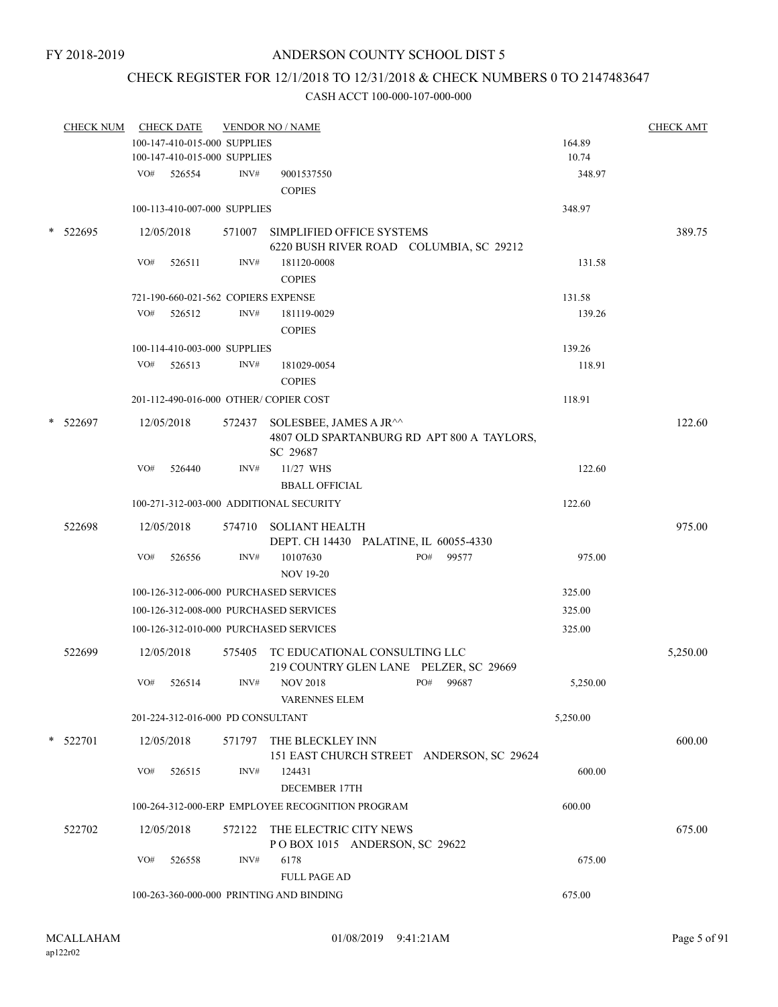# CHECK REGISTER FOR 12/1/2018 TO 12/31/2018 & CHECK NUMBERS 0 TO 2147483647

| <b>CHECK NUM</b> |     | <b>CHECK DATE</b>                   |        | <b>VENDOR NO / NAME</b>                                                                 |          | <b>CHECK AMT</b> |
|------------------|-----|-------------------------------------|--------|-----------------------------------------------------------------------------------------|----------|------------------|
|                  |     | 100-147-410-015-000 SUPPLIES        |        |                                                                                         | 164.89   |                  |
|                  |     | 100-147-410-015-000 SUPPLIES        |        |                                                                                         | 10.74    |                  |
|                  |     | VO# 526554                          | INV#   | 9001537550                                                                              | 348.97   |                  |
|                  |     |                                     |        | <b>COPIES</b>                                                                           |          |                  |
|                  |     | 100-113-410-007-000 SUPPLIES        |        |                                                                                         | 348.97   |                  |
| $*$ 522695       |     | 12/05/2018                          |        | 571007 SIMPLIFIED OFFICE SYSTEMS<br>6220 BUSH RIVER ROAD COLUMBIA, SC 29212             |          | 389.75           |
|                  | VO# | 526511                              | INV#   | 181120-0008                                                                             | 131.58   |                  |
|                  |     |                                     |        | <b>COPIES</b>                                                                           |          |                  |
|                  |     | 721-190-660-021-562 COPIERS EXPENSE |        |                                                                                         | 131.58   |                  |
|                  | VO# | 526512                              | INV#   | 181119-0029                                                                             | 139.26   |                  |
|                  |     |                                     |        | <b>COPIES</b>                                                                           |          |                  |
|                  |     | 100-114-410-003-000 SUPPLIES        |        |                                                                                         | 139.26   |                  |
|                  |     | $VO#$ 526513                        | INV#   | 181029-0054                                                                             | 118.91   |                  |
|                  |     |                                     |        | <b>COPIES</b>                                                                           |          |                  |
|                  |     |                                     |        | 201-112-490-016-000 OTHER/ COPIER COST                                                  | 118.91   |                  |
| $*$ 522697       |     | 12/05/2018                          |        | 572437 SOLESBEE, JAMES A JR^^<br>4807 OLD SPARTANBURG RD APT 800 A TAYLORS,<br>SC 29687 |          | 122.60           |
|                  | VO# | 526440                              | INV#   | 11/27 WHS                                                                               | 122.60   |                  |
|                  |     |                                     |        | <b>BBALL OFFICIAL</b>                                                                   |          |                  |
|                  |     |                                     |        | 100-271-312-003-000 ADDITIONAL SECURITY                                                 | 122.60   |                  |
| 522698           |     | 12/05/2018                          |        | 574710 SOLIANT HEALTH<br>DEPT. CH 14430 PALATINE, IL 60055-4330                         |          | 975.00           |
|                  | VO# | 526556                              | INV#   | PO# 99577<br>10107630                                                                   | 975.00   |                  |
|                  |     |                                     |        | <b>NOV 19-20</b>                                                                        |          |                  |
|                  |     |                                     |        | 100-126-312-006-000 PURCHASED SERVICES                                                  | 325.00   |                  |
|                  |     |                                     |        | 100-126-312-008-000 PURCHASED SERVICES                                                  | 325.00   |                  |
|                  |     |                                     |        | 100-126-312-010-000 PURCHASED SERVICES                                                  | 325.00   |                  |
| 522699           |     | 12/05/2018                          |        | 575405 TC EDUCATIONAL CONSULTING LLC<br>219 COUNTRY GLEN LANE PELZER, SC 29669          |          | 5,250.00         |
|                  | VO# | 526514                              | INV#   | <b>NOV 2018</b><br>PO# 99687<br><b>VARENNES ELEM</b>                                    | 5,250.00 |                  |
|                  |     | 201-224-312-016-000 PD CONSULTANT   |        |                                                                                         | 5,250.00 |                  |
| $*$ 522701       |     | 12/05/2018                          |        | 571797 THE BLECKLEY INN<br>151 EAST CHURCH STREET ANDERSON, SC 29624                    |          | 600.00           |
|                  | VO# | 526515                              | INV#   | 124431<br><b>DECEMBER 17TH</b>                                                          | 600.00   |                  |
|                  |     |                                     |        | 100-264-312-000-ERP EMPLOYEE RECOGNITION PROGRAM                                        | 600.00   |                  |
| 522702           |     | 12/05/2018                          | 572122 | THE ELECTRIC CITY NEWS<br>POBOX 1015 ANDERSON, SC 29622                                 |          | 675.00           |
|                  | VO# | 526558                              | INV#   | 6178<br><b>FULL PAGE AD</b>                                                             | 675.00   |                  |
|                  |     |                                     |        | 100-263-360-000-000 PRINTING AND BINDING                                                | 675.00   |                  |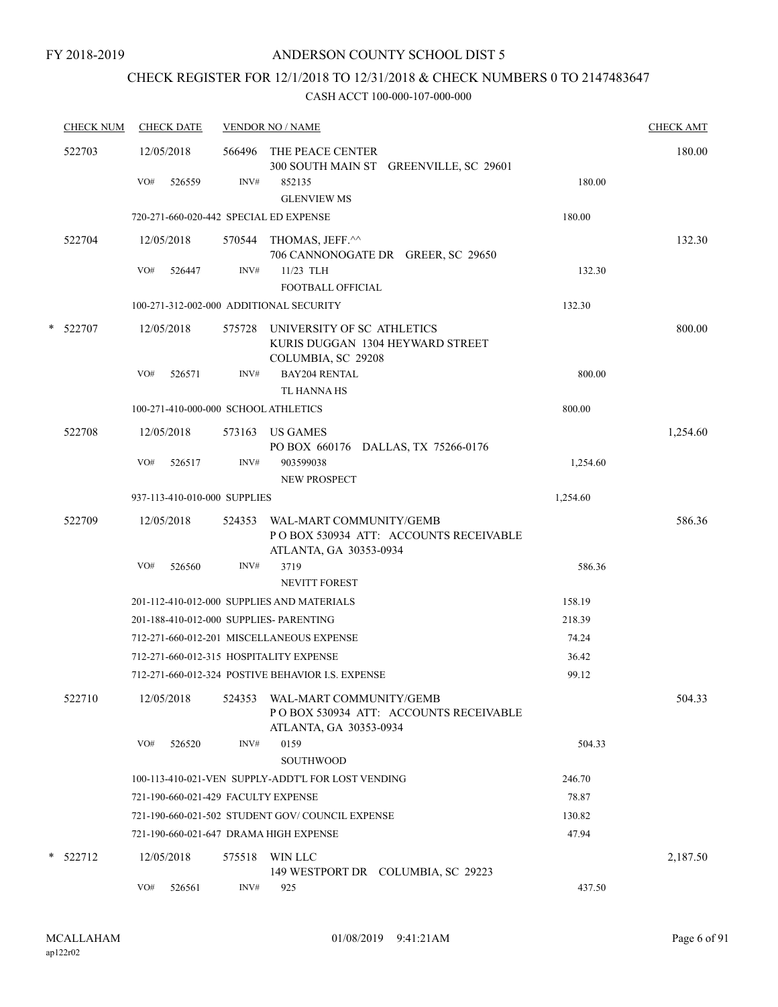# CHECK REGISTER FOR 12/1/2018 TO 12/31/2018 & CHECK NUMBERS 0 TO 2147483647

| <b>CHECK NUM</b> | <b>CHECK DATE</b>                       |        | <b>VENDOR NO / NAME</b>                                                                     |          | <b>CHECK AMT</b> |
|------------------|-----------------------------------------|--------|---------------------------------------------------------------------------------------------|----------|------------------|
| 522703           | 12/05/2018                              |        | 566496 THE PEACE CENTER<br>300 SOUTH MAIN ST GREENVILLE, SC 29601                           |          | 180.00           |
|                  | VO#<br>526559                           | INV#   | 852135<br><b>GLENVIEW MS</b>                                                                | 180.00   |                  |
|                  | 720-271-660-020-442 SPECIAL ED EXPENSE  |        |                                                                                             | 180.00   |                  |
| 522704           | 12/05/2018                              |        | 570544 THOMAS, JEFF.^^<br>706 CANNONOGATE DR GREER, SC 29650                                |          | 132.30           |
|                  | VO#<br>526447                           | INV#   | 11/23 TLH<br><b>FOOTBALL OFFICIAL</b>                                                       | 132.30   |                  |
|                  | 100-271-312-002-000 ADDITIONAL SECURITY |        |                                                                                             | 132.30   |                  |
| * 522707         | 12/05/2018                              |        | 575728 UNIVERSITY OF SC ATHLETICS<br>KURIS DUGGAN 1304 HEYWARD STREET<br>COLUMBIA, SC 29208 |          | 800.00           |
|                  | VO#<br>526571                           | INV#   | <b>BAY204 RENTAL</b><br>TL HANNA HS                                                         | 800.00   |                  |
|                  | 100-271-410-000-000 SCHOOL ATHLETICS    |        |                                                                                             | 800.00   |                  |
| 522708           | 12/05/2018                              |        | 573163 US GAMES<br>PO BOX 660176 DALLAS, TX 75266-0176                                      |          | 1,254.60         |
|                  | VO#<br>526517                           | INV#   | 903599038<br><b>NEW PROSPECT</b>                                                            | 1,254.60 |                  |
|                  | 937-113-410-010-000 SUPPLIES            |        |                                                                                             | 1,254.60 |                  |
| 522709           | 12/05/2018                              | 524353 | WAL-MART COMMUNITY/GEMB<br>PO BOX 530934 ATT: ACCOUNTS RECEIVABLE<br>ATLANTA, GA 30353-0934 |          | 586.36           |
|                  | VO#<br>526560                           | INV#   | 3719<br><b>NEVITT FOREST</b>                                                                | 586.36   |                  |
|                  |                                         |        | 201-112-410-012-000 SUPPLIES AND MATERIALS                                                  | 158.19   |                  |
|                  | 201-188-410-012-000 SUPPLIES- PARENTING |        |                                                                                             | 218.39   |                  |
|                  |                                         |        | 712-271-660-012-201 MISCELLANEOUS EXPENSE                                                   | 74.24    |                  |
|                  | 712-271-660-012-315 HOSPITALITY EXPENSE |        |                                                                                             | 36.42    |                  |
|                  |                                         |        | 712-271-660-012-324 POSTIVE BEHAVIOR I.S. EXPENSE                                           | 99.12    |                  |
| 522710           | 12/05/2018                              | 524353 | WAL-MART COMMUNITY/GEMB<br>POBOX 530934 ATT: ACCOUNTS RECEIVABLE<br>ATLANTA, GA 30353-0934  |          | 504.33           |
|                  | VO#<br>526520                           | INV#   | 0159<br><b>SOUTHWOOD</b>                                                                    | 504.33   |                  |
|                  |                                         |        | 100-113-410-021-VEN SUPPLY-ADDT'L FOR LOST VENDING                                          | 246.70   |                  |
|                  | 721-190-660-021-429 FACULTY EXPENSE     |        |                                                                                             | 78.87    |                  |
|                  |                                         |        | 721-190-660-021-502 STUDENT GOV/COUNCIL EXPENSE                                             | 130.82   |                  |
|                  | 721-190-660-021-647 DRAMA HIGH EXPENSE  |        |                                                                                             | 47.94    |                  |
| $*$ 522712       | 12/05/2018                              | 575518 | WIN LLC<br>149 WESTPORT DR COLUMBIA, SC 29223                                               |          | 2,187.50         |
|                  | VO#<br>526561                           | INV#   | 925                                                                                         | 437.50   |                  |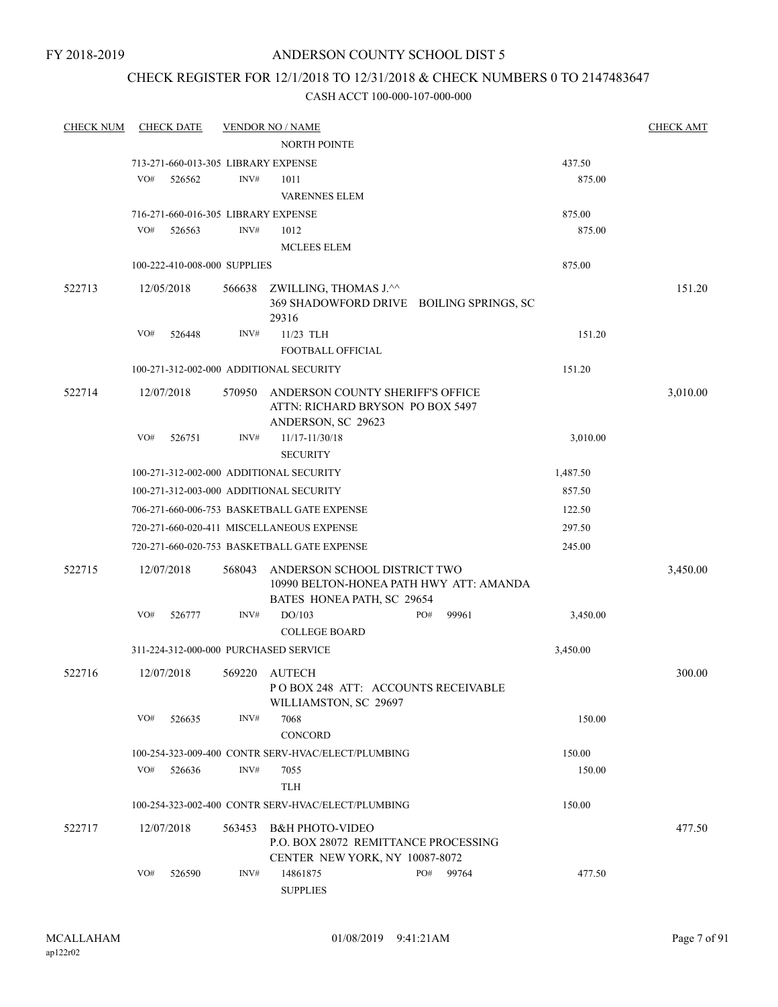# CHECK REGISTER FOR 12/1/2018 TO 12/31/2018 & CHECK NUMBERS 0 TO 2147483647

| <b>CHECK NUM</b> |     | <b>CHECK DATE</b>            |        | <b>VENDOR NO / NAME</b>                                                                               |     |       |          | <b>CHECK AMT</b> |
|------------------|-----|------------------------------|--------|-------------------------------------------------------------------------------------------------------|-----|-------|----------|------------------|
|                  |     |                              |        | <b>NORTH POINTE</b>                                                                                   |     |       |          |                  |
|                  |     |                              |        | 713-271-660-013-305 LIBRARY EXPENSE                                                                   |     |       | 437.50   |                  |
|                  | VO# | 526562                       | INV#   | 1011                                                                                                  |     |       | 875.00   |                  |
|                  |     |                              |        | <b>VARENNES ELEM</b>                                                                                  |     |       |          |                  |
|                  |     |                              |        | 716-271-660-016-305 LIBRARY EXPENSE                                                                   |     |       | 875.00   |                  |
|                  | VO# | 526563                       | INV#   | 1012                                                                                                  |     |       | 875.00   |                  |
|                  |     |                              |        | <b>MCLEES ELEM</b>                                                                                    |     |       |          |                  |
|                  |     | 100-222-410-008-000 SUPPLIES |        |                                                                                                       |     |       | 875.00   |                  |
| 522713           |     | 12/05/2018                   | 566638 | ZWILLING, THOMAS J.^^<br>369 SHADOWFORD DRIVE BOILING SPRINGS, SC<br>29316                            |     |       |          | 151.20           |
|                  | VO# | 526448                       | INV#   | 11/23 TLH                                                                                             |     |       | 151.20   |                  |
|                  |     |                              |        | FOOTBALL OFFICIAL                                                                                     |     |       |          |                  |
|                  |     |                              |        | 100-271-312-002-000 ADDITIONAL SECURITY                                                               |     |       | 151.20   |                  |
| 522714           |     | 12/07/2018                   | 570950 | ANDERSON COUNTY SHERIFF'S OFFICE<br>ATTN: RICHARD BRYSON PO BOX 5497<br>ANDERSON, SC 29623            |     |       |          | 3,010.00         |
|                  | VO# | 526751                       | INV#   | 11/17-11/30/18<br><b>SECURITY</b>                                                                     |     |       | 3,010.00 |                  |
|                  |     |                              |        | 100-271-312-002-000 ADDITIONAL SECURITY                                                               |     |       | 1,487.50 |                  |
|                  |     |                              |        | 100-271-312-003-000 ADDITIONAL SECURITY                                                               |     |       | 857.50   |                  |
|                  |     |                              |        | 706-271-660-006-753 BASKETBALL GATE EXPENSE                                                           |     |       | 122.50   |                  |
|                  |     |                              |        | 720-271-660-020-411 MISCELLANEOUS EXPENSE                                                             |     |       | 297.50   |                  |
|                  |     |                              |        | 720-271-660-020-753 BASKETBALL GATE EXPENSE                                                           |     |       | 245.00   |                  |
|                  |     |                              |        |                                                                                                       |     |       |          |                  |
| 522715           |     | 12/07/2018                   | 568043 | ANDERSON SCHOOL DISTRICT TWO<br>10990 BELTON-HONEA PATH HWY ATT: AMANDA<br>BATES HONEA PATH, SC 29654 |     |       |          | 3,450.00         |
|                  | VO# | 526777                       | INV#   | DO/103<br><b>COLLEGE BOARD</b>                                                                        | PO# | 99961 | 3,450.00 |                  |
|                  |     |                              |        | 311-224-312-000-000 PURCHASED SERVICE                                                                 |     |       | 3,450.00 |                  |
| 522716           |     | 12/07/2018                   | 569220 | AUTECH<br>PO BOX 248 ATT: ACCOUNTS RECEIVABLE<br>WILLIAMSTON, SC 29697                                |     |       |          | 300.00           |
|                  | VO# | 526635                       | INV#   | 7068<br>CONCORD                                                                                       |     |       | 150.00   |                  |
|                  |     |                              |        | 100-254-323-009-400 CONTR SERV-HVAC/ELECT/PLUMBING                                                    |     |       | 150.00   |                  |
|                  | VO# | 526636                       | INV#   | 7055                                                                                                  |     |       | 150.00   |                  |
|                  |     |                              |        | TLH                                                                                                   |     |       |          |                  |
|                  |     |                              |        | 100-254-323-002-400 CONTR SERV-HVAC/ELECT/PLUMBING                                                    |     |       | 150.00   |                  |
| 522717           |     |                              |        | <b>B&amp;H PHOTO-VIDEO</b>                                                                            |     |       |          |                  |
|                  |     | 12/07/2018                   | 563453 | P.O. BOX 28072 REMITTANCE PROCESSING<br>CENTER NEW YORK, NY 10087-8072                                |     |       |          | 477.50           |
|                  | VO# | 526590                       | INV#   | 14861875<br><b>SUPPLIES</b>                                                                           | PO# | 99764 | 477.50   |                  |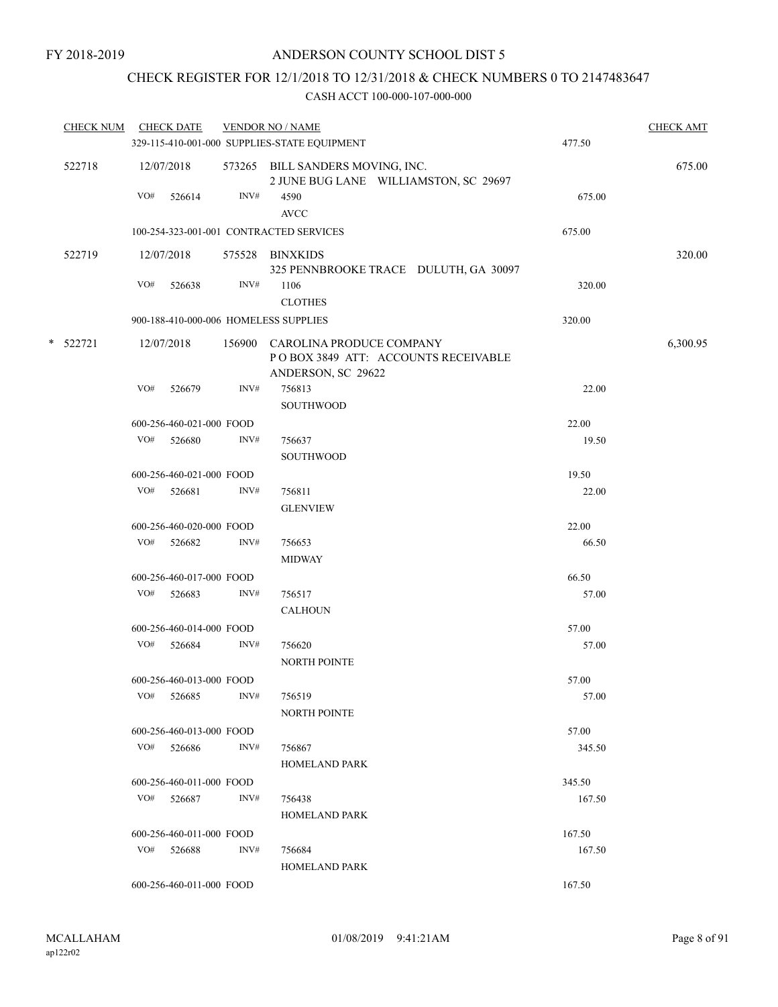# CHECK REGISTER FOR 12/1/2018 TO 12/31/2018 & CHECK NUMBERS 0 TO 2147483647

| CHECK NUM CHECK DATE |     |                          |      | <b>VENDOR NO / NAME</b>                                                                      |        | <b>CHECK AMT</b> |
|----------------------|-----|--------------------------|------|----------------------------------------------------------------------------------------------|--------|------------------|
|                      |     |                          |      | 329-115-410-001-000 SUPPLIES-STATE EQUIPMENT                                                 | 477.50 |                  |
| 522718               |     | 12/07/2018               |      | 573265 BILL SANDERS MOVING, INC.<br>2 JUNE BUG LANE WILLIAMSTON, SC 29697                    |        | 675.00           |
|                      | VO# | 526614                   | INV# | 4590<br><b>AVCC</b>                                                                          | 675.00 |                  |
|                      |     |                          |      | 100-254-323-001-001 CONTRACTED SERVICES                                                      | 675.00 |                  |
| 522719               |     | 12/07/2018               |      | 575528 BINXKIDS<br>325 PENNBROOKE TRACE DULUTH, GA 30097                                     |        | 320.00           |
|                      | VO# | 526638                   | INV# | 1106<br><b>CLOTHES</b>                                                                       | 320.00 |                  |
|                      |     |                          |      | 900-188-410-000-006 HOMELESS SUPPLIES                                                        | 320.00 |                  |
| * 522721             |     | 12/07/2018               |      | 156900 CAROLINA PRODUCE COMPANY<br>POBOX 3849 ATT: ACCOUNTS RECEIVABLE<br>ANDERSON, SC 29622 |        | 6,300.95         |
|                      | VO# | 526679                   | INV# | 756813<br><b>SOUTHWOOD</b>                                                                   | 22.00  |                  |
|                      |     | 600-256-460-021-000 FOOD |      |                                                                                              | 22.00  |                  |
|                      |     | VO# 526680               | INV# | 756637<br><b>SOUTHWOOD</b>                                                                   | 19.50  |                  |
|                      |     | 600-256-460-021-000 FOOD |      |                                                                                              | 19.50  |                  |
|                      |     | VO# 526681               | INV# | 756811<br><b>GLENVIEW</b>                                                                    | 22.00  |                  |
|                      |     | 600-256-460-020-000 FOOD |      |                                                                                              | 22.00  |                  |
|                      | VO# | 526682                   | INV# | 756653<br><b>MIDWAY</b>                                                                      | 66.50  |                  |
|                      |     | 600-256-460-017-000 FOOD |      |                                                                                              | 66.50  |                  |
|                      | VO# | 526683                   | INV# | 756517<br><b>CALHOUN</b>                                                                     | 57.00  |                  |
|                      |     | 600-256-460-014-000 FOOD |      |                                                                                              | 57.00  |                  |
|                      |     | VO# 526684               | INV# | 756620<br>NORTH POINTE                                                                       | 57.00  |                  |
|                      |     | 600-256-460-013-000 FOOD |      |                                                                                              | 57.00  |                  |
|                      | VO# | 526685                   | INV# | 756519<br><b>NORTH POINTE</b>                                                                | 57.00  |                  |
|                      |     | 600-256-460-013-000 FOOD |      |                                                                                              | 57.00  |                  |
|                      |     | VO# 526686               | INV# | 756867<br><b>HOMELAND PARK</b>                                                               | 345.50 |                  |
|                      |     | 600-256-460-011-000 FOOD |      |                                                                                              | 345.50 |                  |
|                      | VO# | 526687                   | INV# | 756438<br><b>HOMELAND PARK</b>                                                               | 167.50 |                  |
|                      |     | 600-256-460-011-000 FOOD |      |                                                                                              | 167.50 |                  |
|                      |     | VO# 526688               | INV# | 756684<br><b>HOMELAND PARK</b>                                                               | 167.50 |                  |
|                      |     | 600-256-460-011-000 FOOD |      |                                                                                              | 167.50 |                  |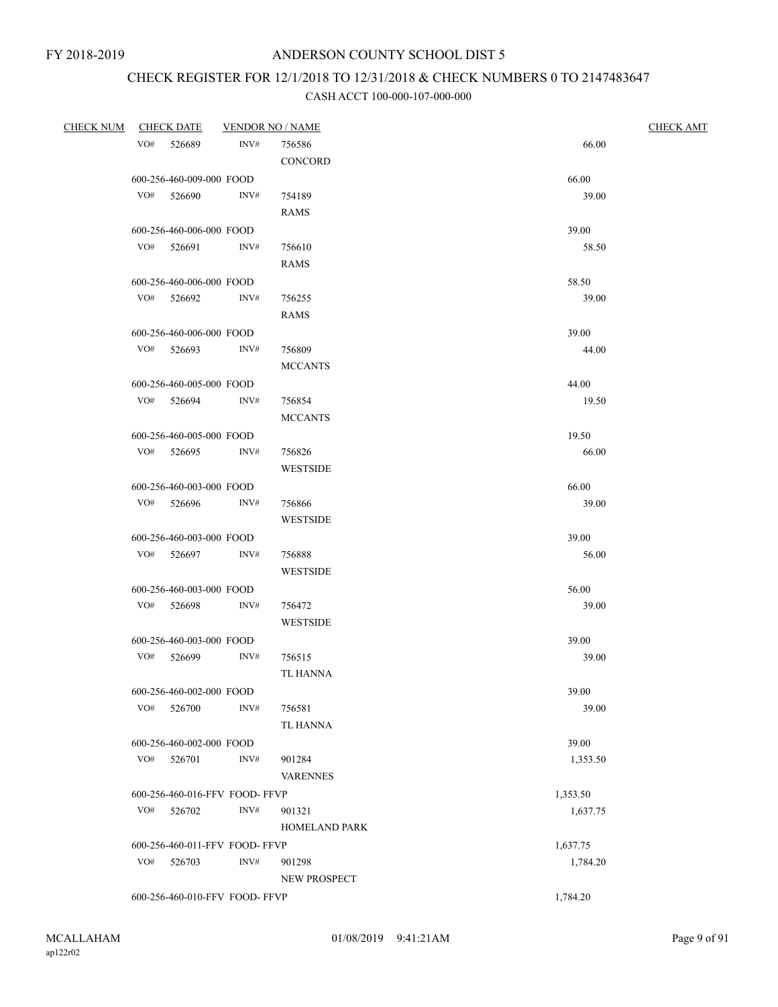# CHECK REGISTER FOR 12/1/2018 TO 12/31/2018 & CHECK NUMBERS 0 TO 2147483647

|     | CHECK NUM CHECK DATE           |      | <b>VENDOR NO / NAME</b> | <b>CHECK AMT</b> |
|-----|--------------------------------|------|-------------------------|------------------|
|     | VO# 526689                     | INV# | 756586                  | 66.00            |
|     |                                |      | CONCORD                 |                  |
|     | 600-256-460-009-000 FOOD       |      |                         | 66.00            |
|     | VO# 526690                     | INV# | 754189                  | 39.00            |
|     |                                |      | <b>RAMS</b>             |                  |
|     | 600-256-460-006-000 FOOD       |      |                         | 39.00            |
|     | VO# 526691                     | INV# | 756610                  | 58.50            |
|     |                                |      | <b>RAMS</b>             |                  |
|     | 600-256-460-006-000 FOOD       |      |                         | 58.50            |
|     | VO# 526692                     | INV# | 756255                  | 39.00            |
|     |                                |      | <b>RAMS</b>             |                  |
|     |                                |      |                         |                  |
|     | 600-256-460-006-000 FOOD       |      |                         | 39.00            |
|     | $VO#$ 526693                   | INV# | 756809                  | 44.00            |
|     |                                |      | <b>MCCANTS</b>          |                  |
|     | 600-256-460-005-000 FOOD       |      |                         | 44.00            |
|     | VO# 526694                     | INV# | 756854                  | 19.50            |
|     |                                |      | <b>MCCANTS</b>          |                  |
|     | 600-256-460-005-000 FOOD       |      |                         | 19.50            |
|     | VO# 526695                     | INV# | 756826                  | 66.00            |
|     |                                |      | <b>WESTSIDE</b>         |                  |
|     | 600-256-460-003-000 FOOD       |      |                         | 66.00            |
|     | VO# 526696                     | INV# | 756866                  | 39.00            |
|     |                                |      | <b>WESTSIDE</b>         |                  |
|     | 600-256-460-003-000 FOOD       |      |                         | 39.00            |
|     | VO# 526697                     | INV# | 756888                  | 56.00            |
|     |                                |      | <b>WESTSIDE</b>         |                  |
|     | 600-256-460-003-000 FOOD       |      |                         | 56.00            |
|     | VO# 526698                     | INV# | 756472                  | 39.00            |
|     |                                |      | <b>WESTSIDE</b>         |                  |
|     | 600-256-460-003-000 FOOD       |      |                         | 39.00            |
|     | VO# 526699                     | INV# | 756515                  | 39.00            |
|     |                                |      | <b>TL HANNA</b>         |                  |
|     | 600-256-460-002-000 FOOD       |      |                         | 39.00            |
|     | VO# 526700                     | INV# | 756581                  | 39.00            |
|     |                                |      | <b>TL HANNA</b>         |                  |
|     | 600-256-460-002-000 FOOD       |      |                         | 39.00            |
|     | $VO#$ 526701                   | INV# | 901284                  | 1,353.50         |
|     |                                |      | <b>VARENNES</b>         |                  |
|     | 600-256-460-016-FFV FOOD-FFVP  |      |                         | 1,353.50         |
|     | VO# 526702                     | INV# | 901321                  | 1,637.75         |
|     |                                |      | <b>HOMELAND PARK</b>    |                  |
|     | 600-256-460-011-FFV FOOD- FFVP |      |                         | 1,637.75         |
| VO# | 526703                         | INV# | 901298                  | 1,784.20         |
|     |                                |      | NEW PROSPECT            |                  |
|     | 600-256-460-010-FFV FOOD-FFVP  |      |                         | 1,784.20         |
|     |                                |      |                         |                  |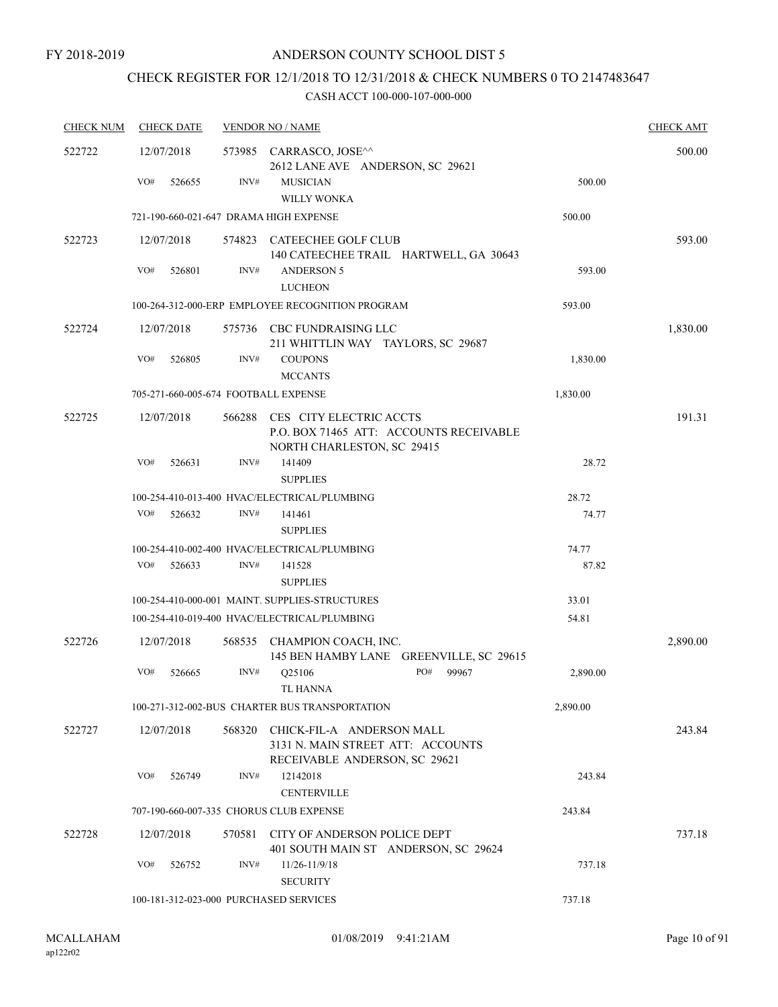# CHECK REGISTER FOR 12/1/2018 TO 12/31/2018 & CHECK NUMBERS 0 TO 2147483647

| <b>CHECK NUM</b> | <b>CHECK DATE</b>                       |        | <b>VENDOR NO / NAME</b>                                                                          |          | <b>CHECK AMT</b> |
|------------------|-----------------------------------------|--------|--------------------------------------------------------------------------------------------------|----------|------------------|
| 522722           | 12/07/2018                              |        | 573985 CARRASCO, JOSE^^<br>2612 LANE AVE ANDERSON, SC 29621                                      |          | 500.00           |
|                  | VO#<br>526655                           | INV#   | <b>MUSICIAN</b><br><b>WILLY WONKA</b>                                                            | 500.00   |                  |
|                  | 721-190-660-021-647 DRAMA HIGH EXPENSE  |        |                                                                                                  | 500.00   |                  |
| 522723           | 12/07/2018                              |        | 574823 CATEECHEE GOLF CLUB<br>140 CATEECHEE TRAIL HARTWELL, GA 30643                             |          | 593.00           |
|                  | VO#<br>526801                           | INV#   | <b>ANDERSON 5</b><br><b>LUCHEON</b>                                                              | 593.00   |                  |
|                  |                                         |        | 100-264-312-000-ERP EMPLOYEE RECOGNITION PROGRAM                                                 | 593.00   |                  |
| 522724           | 12/07/2018                              |        | 575736 CBC FUNDRAISING LLC<br>211 WHITTLIN WAY TAYLORS, SC 29687                                 |          | 1,830.00         |
|                  | VO#<br>526805                           | INV#   | <b>COUPONS</b><br><b>MCCANTS</b>                                                                 | 1,830.00 |                  |
|                  | 705-271-660-005-674 FOOTBALL EXPENSE    |        |                                                                                                  | 1,830.00 |                  |
| 522725           | 12/07/2018                              | 566288 | CES CITY ELECTRIC ACCTS<br>P.O. BOX 71465 ATT: ACCOUNTS RECEIVABLE<br>NORTH CHARLESTON, SC 29415 |          | 191.31           |
|                  | VO#<br>526631                           | INV#   | 141409<br><b>SUPPLIES</b>                                                                        | 28.72    |                  |
|                  |                                         |        | 100-254-410-013-400 HVAC/ELECTRICAL/PLUMBING                                                     | 28.72    |                  |
|                  | VO#<br>526632                           | INV#   | 141461<br><b>SUPPLIES</b>                                                                        | 74.77    |                  |
|                  |                                         |        | 100-254-410-002-400 HVAC/ELECTRICAL/PLUMBING                                                     | 74.77    |                  |
|                  | VO#<br>526633                           | INV#   | 141528<br><b>SUPPLIES</b>                                                                        | 87.82    |                  |
|                  |                                         |        | 100-254-410-000-001 MAINT. SUPPLIES-STRUCTURES                                                   | 33.01    |                  |
|                  |                                         |        | 100-254-410-019-400 HVAC/ELECTRICAL/PLUMBING                                                     | 54.81    |                  |
| 522726           | 12/07/2018                              |        | 568535 CHAMPION COACH, INC.<br>145 BEN HAMBY LANE GREENVILLE, SC 29615                           |          | 2,890.00         |
|                  | VO#<br>526665                           | INV#   | PO#<br>99967<br>Q25106<br>TL HANNA                                                               | 2,890.00 |                  |
|                  |                                         |        | 100-271-312-002-BUS CHARTER BUS TRANSPORTATION                                                   | 2,890.00 |                  |
| 522727           | 12/07/2018                              | 568320 | CHICK-FIL-A ANDERSON MALL<br>3131 N. MAIN STREET ATT: ACCOUNTS<br>RECEIVABLE ANDERSON, SC 29621  |          | 243.84           |
|                  | VO#<br>526749                           | INV#   | 12142018<br><b>CENTERVILLE</b>                                                                   | 243.84   |                  |
|                  | 707-190-660-007-335 CHORUS CLUB EXPENSE |        |                                                                                                  | 243.84   |                  |
| 522728           | 12/07/2018                              |        | 570581 CITY OF ANDERSON POLICE DEPT<br>401 SOUTH MAIN ST ANDERSON, SC 29624                      |          | 737.18           |
|                  | VO#<br>526752                           | INV#   | 11/26-11/9/18<br><b>SECURITY</b>                                                                 | 737.18   |                  |
|                  | 100-181-312-023-000 PURCHASED SERVICES  |        |                                                                                                  | 737.18   |                  |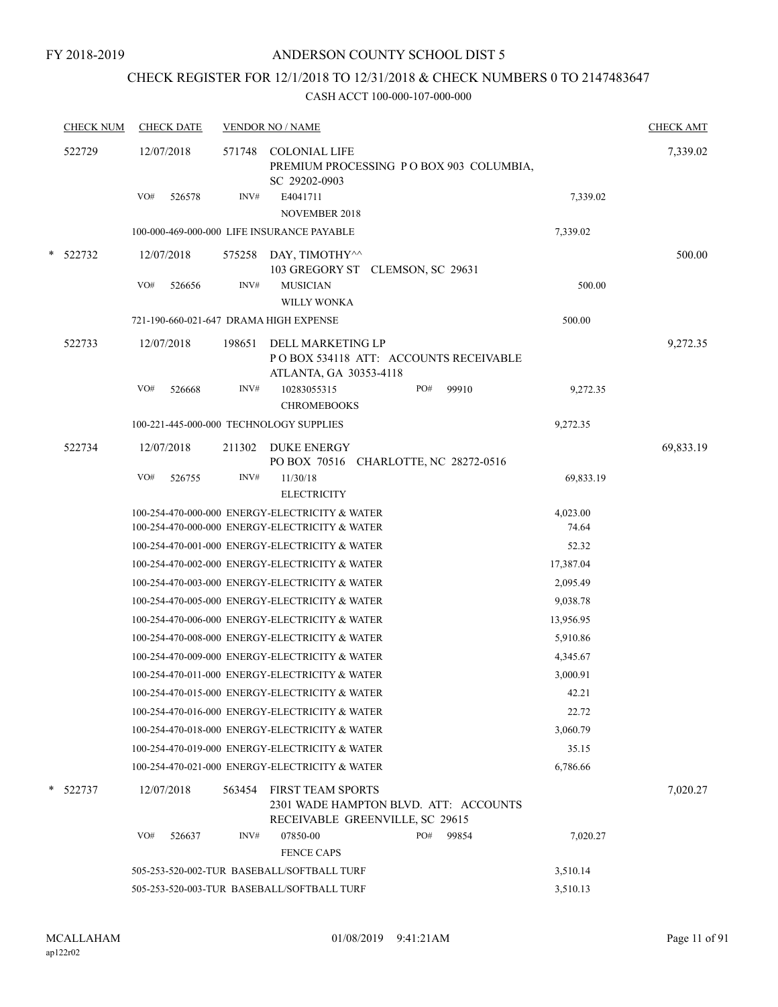# CHECK REGISTER FOR 12/1/2018 TO 12/31/2018 & CHECK NUMBERS 0 TO 2147483647

| <b>CHECK NUM</b> |     | <b>CHECK DATE</b> |        | <b>VENDOR NO / NAME</b>                                                                              |     |       |           | <b>CHECK AMT</b> |
|------------------|-----|-------------------|--------|------------------------------------------------------------------------------------------------------|-----|-------|-----------|------------------|
| 522729           |     | 12/07/2018        | 571748 | <b>COLONIAL LIFE</b><br>PREMIUM PROCESSING PO BOX 903 COLUMBIA,<br>SC 29202-0903                     |     |       |           | 7,339.02         |
|                  | VO# | 526578            | INV#   | E4041711<br>NOVEMBER 2018                                                                            |     |       | 7,339.02  |                  |
|                  |     |                   |        | 100-000-469-000-000 LIFE INSURANCE PAYABLE                                                           |     |       | 7,339.02  |                  |
| * 522732         |     | 12/07/2018        |        | 575258 DAY, TIMOTHY^^<br>103 GREGORY ST CLEMSON, SC 29631                                            |     |       |           | 500.00           |
|                  | VO# | 526656            | INV#   | <b>MUSICIAN</b><br><b>WILLY WONKA</b>                                                                |     |       | 500.00    |                  |
|                  |     |                   |        | 721-190-660-021-647 DRAMA HIGH EXPENSE                                                               |     |       | 500.00    |                  |
| 522733           |     | 12/07/2018        | 198651 | DELL MARKETING LP<br>POBOX 534118 ATT: ACCOUNTS RECEIVABLE<br>ATLANTA, GA 30353-4118                 |     |       |           | 9,272.35         |
|                  | VO# | 526668            | INV#   | 10283055315<br><b>CHROMEBOOKS</b>                                                                    | PO# | 99910 | 9,272.35  |                  |
|                  |     |                   |        | 100-221-445-000-000 TECHNOLOGY SUPPLIES                                                              |     |       | 9,272.35  |                  |
| 522734           |     | 12/07/2018        | 211302 | <b>DUKE ENERGY</b><br>PO BOX 70516 CHARLOTTE, NC 28272-0516                                          |     |       |           | 69,833.19        |
|                  | VO# | 526755            | INV#   | 11/30/18<br><b>ELECTRICITY</b>                                                                       |     |       | 69,833.19 |                  |
|                  |     |                   |        | 100-254-470-000-000 ENERGY-ELECTRICITY & WATER                                                       |     |       | 4,023.00  |                  |
|                  |     |                   |        | 100-254-470-000-000 ENERGY-ELECTRICITY & WATER                                                       |     |       | 74.64     |                  |
|                  |     |                   |        | 100-254-470-001-000 ENERGY-ELECTRICITY & WATER                                                       |     |       | 52.32     |                  |
|                  |     |                   |        | 100-254-470-002-000 ENERGY-ELECTRICITY & WATER                                                       |     |       | 17,387.04 |                  |
|                  |     |                   |        | 100-254-470-003-000 ENERGY-ELECTRICITY & WATER                                                       |     |       | 2,095.49  |                  |
|                  |     |                   |        | 100-254-470-005-000 ENERGY-ELECTRICITY & WATER                                                       |     |       | 9,038.78  |                  |
|                  |     |                   |        | 100-254-470-006-000 ENERGY-ELECTRICITY & WATER                                                       |     |       | 13,956.95 |                  |
|                  |     |                   |        | 100-254-470-008-000 ENERGY-ELECTRICITY & WATER                                                       |     |       | 5,910.86  |                  |
|                  |     |                   |        | 100-254-470-009-000 ENERGY-ELECTRICITY & WATER                                                       |     |       | 4,345.67  |                  |
|                  |     |                   |        | 100-254-470-011-000 ENERGY-ELECTRICITY & WATER                                                       |     |       | 3,000.91  |                  |
|                  |     |                   |        | 100-254-470-015-000 ENERGY-ELECTRICITY & WATER                                                       |     |       | 42.21     |                  |
|                  |     |                   |        | 100-254-470-016-000 ENERGY-ELECTRICITY & WATER                                                       |     |       | 22.72     |                  |
|                  |     |                   |        | 100-254-470-018-000 ENERGY-ELECTRICITY & WATER                                                       |     |       | 3,060.79  |                  |
|                  |     |                   |        | 100-254-470-019-000 ENERGY-ELECTRICITY & WATER                                                       |     |       | 35.15     |                  |
|                  |     |                   |        | 100-254-470-021-000 ENERGY-ELECTRICITY & WATER                                                       |     |       | 6,786.66  |                  |
| 522737           |     | 12/07/2018        | 563454 | <b>FIRST TEAM SPORTS</b><br>2301 WADE HAMPTON BLVD. ATT: ACCOUNTS<br>RECEIVABLE GREENVILLE, SC 29615 |     |       |           | 7,020.27         |
|                  | VO# | 526637            | INV#   | 07850-00<br><b>FENCE CAPS</b>                                                                        | PO# | 99854 | 7,020.27  |                  |
|                  |     |                   |        | 505-253-520-002-TUR BASEBALL/SOFTBALL TURF                                                           |     |       | 3,510.14  |                  |
|                  |     |                   |        | 505-253-520-003-TUR BASEBALL/SOFTBALL TURF                                                           |     |       | 3,510.13  |                  |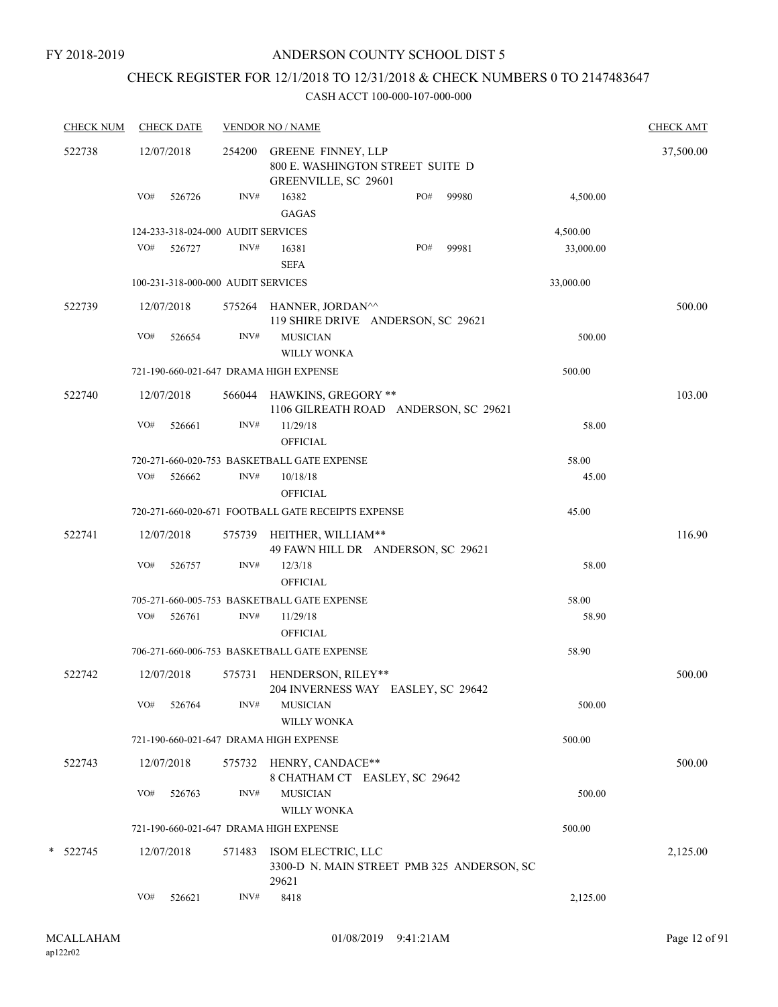# CHECK REGISTER FOR 12/1/2018 TO 12/31/2018 & CHECK NUMBERS 0 TO 2147483647

| <b>CHECK NUM</b> |     | <b>CHECK DATE</b> |                                    | <b>VENDOR NO / NAME</b>                                                               |     |       |           | <b>CHECK AMT</b> |
|------------------|-----|-------------------|------------------------------------|---------------------------------------------------------------------------------------|-----|-------|-----------|------------------|
| 522738           |     | 12/07/2018        | 254200                             | <b>GREENE FINNEY, LLP</b><br>800 E. WASHINGTON STREET SUITE D<br>GREENVILLE, SC 29601 |     |       |           | 37,500.00        |
|                  | VO# | 526726            | INV#                               | 16382<br><b>GAGAS</b>                                                                 | PO# | 99980 | 4,500.00  |                  |
|                  |     |                   | 124-233-318-024-000 AUDIT SERVICES |                                                                                       |     |       | 4,500.00  |                  |
|                  | VO# | 526727            | INV#                               | 16381<br><b>SEFA</b>                                                                  | PO# | 99981 | 33,000.00 |                  |
|                  |     |                   | 100-231-318-000-000 AUDIT SERVICES |                                                                                       |     |       | 33,000.00 |                  |
| 522739           |     | 12/07/2018        |                                    | 575264 HANNER, JORDAN^^<br>119 SHIRE DRIVE ANDERSON, SC 29621                         |     |       |           | 500.00           |
|                  | VO# | 526654            | INV#                               | <b>MUSICIAN</b><br><b>WILLY WONKA</b>                                                 |     |       | 500.00    |                  |
|                  |     |                   |                                    | 721-190-660-021-647 DRAMA HIGH EXPENSE                                                |     |       | 500.00    |                  |
| 522740           |     | 12/07/2018        |                                    | 566044 HAWKINS, GREGORY **<br>1106 GILREATH ROAD ANDERSON, SC 29621                   |     |       |           | 103.00           |
|                  | VO# | 526661            | INV#                               | 11/29/18<br><b>OFFICIAL</b>                                                           |     |       | 58.00     |                  |
|                  |     |                   |                                    | 720-271-660-020-753 BASKETBALL GATE EXPENSE                                           |     |       | 58.00     |                  |
|                  | VO# | 526662            | INV#                               | 10/18/18<br><b>OFFICIAL</b>                                                           |     |       | 45.00     |                  |
|                  |     |                   |                                    | 720-271-660-020-671 FOOTBALL GATE RECEIPTS EXPENSE                                    |     |       | 45.00     |                  |
| 522741           |     | 12/07/2018        | 575739                             | HEITHER, WILLIAM**<br>49 FAWN HILL DR ANDERSON, SC 29621                              |     |       |           | 116.90           |
|                  | VO# | 526757            | INV#                               | 12/3/18<br><b>OFFICIAL</b>                                                            |     |       | 58.00     |                  |
|                  |     |                   |                                    | 705-271-660-005-753 BASKETBALL GATE EXPENSE                                           |     |       | 58.00     |                  |
|                  | VO# | 526761            | INV#                               | 11/29/18<br><b>OFFICIAL</b>                                                           |     |       | 58.90     |                  |
|                  |     |                   |                                    | 706-271-660-006-753 BASKETBALL GATE EXPENSE                                           |     |       | 58.90     |                  |
| 522742           |     | 12/07/2018        | 575731                             | HENDERSON, RILEY**<br>204 INVERNESS WAY EASLEY, SC 29642                              |     |       |           | 500.00           |
|                  | VO# | 526764            | INV#                               | <b>MUSICIAN</b><br><b>WILLY WONKA</b>                                                 |     |       | 500.00    |                  |
|                  |     |                   |                                    | 721-190-660-021-647 DRAMA HIGH EXPENSE                                                |     |       | 500.00    |                  |
| 522743           |     | 12/07/2018        |                                    | 575732 HENRY, CANDACE**<br>8 CHATHAM CT EASLEY, SC 29642                              |     |       |           | 500.00           |
|                  | VO# | 526763            | INV#                               | <b>MUSICIAN</b><br><b>WILLY WONKA</b>                                                 |     |       | 500.00    |                  |
|                  |     |                   |                                    | 721-190-660-021-647 DRAMA HIGH EXPENSE                                                |     |       | 500.00    |                  |
| *<br>522745      |     | 12/07/2018        | 571483                             | ISOM ELECTRIC, LLC<br>3300-D N. MAIN STREET PMB 325 ANDERSON, SC<br>29621             |     |       |           | 2,125.00         |
|                  | VO# | 526621            | INV#                               | 8418                                                                                  |     |       | 2,125.00  |                  |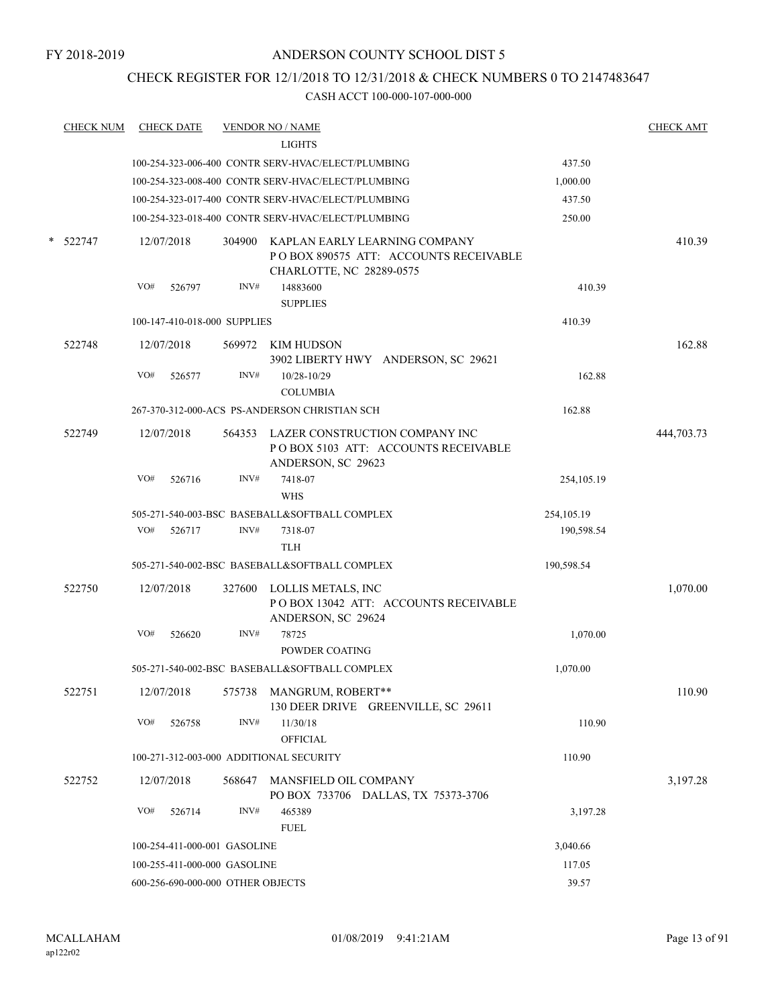# CHECK REGISTER FOR 12/1/2018 TO 12/31/2018 & CHECK NUMBERS 0 TO 2147483647

|   | <b>CHECK NUM</b> |     | <b>CHECK DATE</b> |                                   | <b>VENDOR NO / NAME</b>                                                                                   |              | <b>CHECK AMT</b> |
|---|------------------|-----|-------------------|-----------------------------------|-----------------------------------------------------------------------------------------------------------|--------------|------------------|
|   |                  |     |                   |                                   | <b>LIGHTS</b>                                                                                             |              |                  |
|   |                  |     |                   |                                   | 100-254-323-006-400 CONTR SERV-HVAC/ELECT/PLUMBING                                                        | 437.50       |                  |
|   |                  |     |                   |                                   | 100-254-323-008-400 CONTR SERV-HVAC/ELECT/PLUMBING                                                        | 1,000.00     |                  |
|   |                  |     |                   |                                   | 100-254-323-017-400 CONTR SERV-HVAC/ELECT/PLUMBING                                                        | 437.50       |                  |
|   |                  |     |                   |                                   | 100-254-323-018-400 CONTR SERV-HVAC/ELECT/PLUMBING                                                        | 250.00       |                  |
| * | 522747           |     | 12/07/2018        |                                   | 304900 KAPLAN EARLY LEARNING COMPANY<br>POBOX 890575 ATT: ACCOUNTS RECEIVABLE<br>CHARLOTTE, NC 28289-0575 |              | 410.39           |
|   |                  | VO# | 526797            | INV#                              | 14883600<br><b>SUPPLIES</b>                                                                               | 410.39       |                  |
|   |                  |     |                   | 100-147-410-018-000 SUPPLIES      |                                                                                                           | 410.39       |                  |
|   | 522748           |     | 12/07/2018        |                                   | 569972 KIM HUDSON<br>3902 LIBERTY HWY ANDERSON, SC 29621                                                  |              | 162.88           |
|   |                  | VO# | 526577            | INV#                              | 10/28-10/29<br><b>COLUMBIA</b>                                                                            | 162.88       |                  |
|   |                  |     |                   |                                   | 267-370-312-000-ACS PS-ANDERSON CHRISTIAN SCH                                                             | 162.88       |                  |
|   | 522749           |     | 12/07/2018        |                                   | 564353 LAZER CONSTRUCTION COMPANY INC<br>POBOX 5103 ATT: ACCOUNTS RECEIVABLE<br>ANDERSON, SC 29623        |              | 444,703.73       |
|   |                  | VO# | 526716            | INV#                              | 7418-07<br><b>WHS</b>                                                                                     | 254, 105. 19 |                  |
|   |                  |     |                   |                                   | 505-271-540-003-BSC BASEBALL&SOFTBALL COMPLEX                                                             | 254, 105. 19 |                  |
|   |                  | VO# | 526717            | INV#                              | 7318-07<br><b>TLH</b>                                                                                     | 190,598.54   |                  |
|   |                  |     |                   |                                   | 505-271-540-002-BSC BASEBALL&SOFTBALL COMPLEX                                                             | 190,598.54   |                  |
|   | 522750           |     | 12/07/2018        |                                   | 327600 LOLLIS METALS, INC<br>POBOX 13042 ATT: ACCOUNTS RECEIVABLE<br>ANDERSON, SC 29624                   |              | 1,070.00         |
|   |                  | VO# | 526620            | INV#                              | 78725<br>POWDER COATING                                                                                   | 1,070.00     |                  |
|   |                  |     |                   |                                   | 505-271-540-002-BSC BASEBALL&SOFTBALL COMPLEX                                                             | 1,070.00     |                  |
|   | 522751           |     |                   |                                   | 12/07/2018 575738 MANGRUM, ROBERT**<br>130 DEER DRIVE GREENVILLE, SC 29611                                |              | 110.90           |
|   |                  | VO# | 526758            | INV#                              | 11/30/18<br><b>OFFICIAL</b>                                                                               | 110.90       |                  |
|   |                  |     |                   |                                   | 100-271-312-003-000 ADDITIONAL SECURITY                                                                   | 110.90       |                  |
|   | 522752           |     | 12/07/2018        | 568647                            | MANSFIELD OIL COMPANY<br>PO BOX 733706 DALLAS, TX 75373-3706                                              |              | 3,197.28         |
|   |                  | VO# | 526714            | INV#                              | 465389<br><b>FUEL</b>                                                                                     | 3,197.28     |                  |
|   |                  |     |                   | 100-254-411-000-001 GASOLINE      |                                                                                                           | 3,040.66     |                  |
|   |                  |     |                   | 100-255-411-000-000 GASOLINE      |                                                                                                           | 117.05       |                  |
|   |                  |     |                   | 600-256-690-000-000 OTHER OBJECTS |                                                                                                           | 39.57        |                  |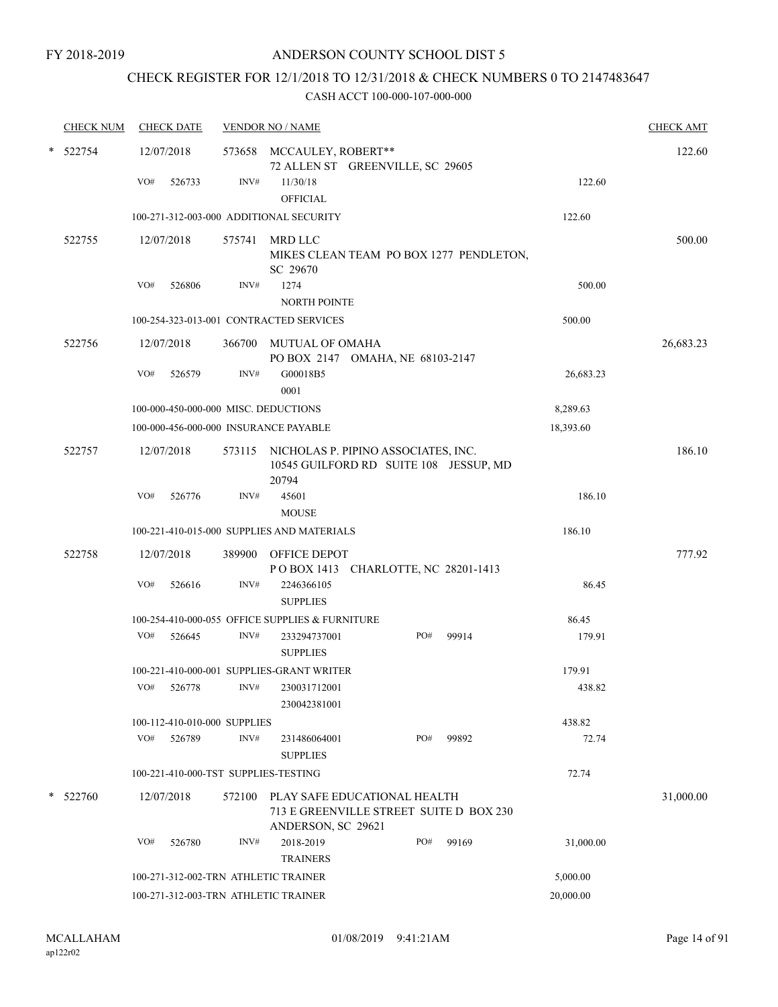# CHECK REGISTER FOR 12/1/2018 TO 12/31/2018 & CHECK NUMBERS 0 TO 2147483647

|        | <b>CHECK NUM</b> |     | <b>CHECK DATE</b>            |                | <b>VENDOR NO / NAME</b>                                                                       |     |                                         |           | <b>CHECK AMT</b> |
|--------|------------------|-----|------------------------------|----------------|-----------------------------------------------------------------------------------------------|-----|-----------------------------------------|-----------|------------------|
| $\ast$ | 522754           |     | 12/07/2018                   |                | 573658 MCCAULEY, ROBERT**<br>72 ALLEN ST GREENVILLE, SC 29605                                 |     |                                         |           | 122.60           |
|        |                  | VO# | 526733                       | $\text{INV}\#$ | 11/30/18                                                                                      |     |                                         | 122.60    |                  |
|        |                  |     |                              |                | <b>OFFICIAL</b><br>100-271-312-003-000 ADDITIONAL SECURITY                                    |     |                                         | 122.60    |                  |
|        | 522755           |     | 12/07/2018                   | 575741         | MRD LLC                                                                                       |     |                                         |           | 500.00           |
|        |                  |     |                              |                | SC 29670                                                                                      |     | MIKES CLEAN TEAM PO BOX 1277 PENDLETON, |           |                  |
|        |                  | VO# | 526806                       | INV#           | 1274<br><b>NORTH POINTE</b>                                                                   |     |                                         | 500.00    |                  |
|        |                  |     |                              |                | 100-254-323-013-001 CONTRACTED SERVICES                                                       |     |                                         | 500.00    |                  |
|        | 522756           |     | 12/07/2018                   |                | 366700 MUTUAL OF OMAHA<br>PO BOX 2147 OMAHA, NE 68103-2147                                    |     |                                         |           | 26,683.23        |
|        |                  | VO# | 526579                       | INV#           | G00018B5<br>0001                                                                              |     |                                         | 26,683.23 |                  |
|        |                  |     |                              |                | 100-000-450-000-000 MISC. DEDUCTIONS                                                          |     |                                         | 8,289.63  |                  |
|        |                  |     |                              |                | 100-000-456-000-000 INSURANCE PAYABLE                                                         |     |                                         | 18,393.60 |                  |
|        | 522757           |     | 12/07/2018                   |                | 573115 NICHOLAS P. PIPINO ASSOCIATES, INC.<br>10545 GUILFORD RD SUITE 108 JESSUP, MD<br>20794 |     |                                         |           | 186.10           |
|        |                  | VO# | 526776                       | INV#           | 45601                                                                                         |     |                                         | 186.10    |                  |
|        |                  |     |                              |                | <b>MOUSE</b>                                                                                  |     |                                         |           |                  |
|        |                  |     |                              |                | 100-221-410-015-000 SUPPLIES AND MATERIALS                                                    |     |                                         | 186.10    |                  |
|        | 522758           |     | 12/07/2018                   |                | 389900 OFFICE DEPOT<br>POBOX 1413 CHARLOTTE, NC 28201-1413                                    |     |                                         |           | 777.92           |
|        |                  | VO# | 526616                       | INV#           | 2246366105<br><b>SUPPLIES</b>                                                                 |     |                                         | 86.45     |                  |
|        |                  |     |                              |                | 100-254-410-000-055 OFFICE SUPPLIES & FURNITURE                                               |     |                                         | 86.45     |                  |
|        |                  | VO# | 526645                       | INV#           | 233294737001<br><b>SUPPLIES</b>                                                               | PO# | 99914                                   | 179.91    |                  |
|        |                  |     |                              |                | 100-221-410-000-001 SUPPLIES-GRANT WRITER                                                     |     |                                         | 179.91    |                  |
|        |                  | VO# | 526778                       | INV#           | 230031712001<br>230042381001                                                                  |     |                                         | 438.82    |                  |
|        |                  |     | 100-112-410-010-000 SUPPLIES |                |                                                                                               |     |                                         | 438.82    |                  |
|        |                  | VO# | 526789                       | INV#           | 231486064001<br><b>SUPPLIES</b>                                                               | PO# | 99892                                   | 72.74     |                  |
|        |                  |     |                              |                | 100-221-410-000-TST SUPPLIES-TESTING                                                          |     |                                         | 72.74     |                  |
| *      | 522760           |     | 12/07/2018                   | 572100         | PLAY SAFE EDUCATIONAL HEALTH<br>713 E GREENVILLE STREET SUITE D BOX 230<br>ANDERSON, SC 29621 |     |                                         |           | 31,000.00        |
|        |                  | VO# | 526780                       | INV#           | 2018-2019<br><b>TRAINERS</b>                                                                  | PO# | 99169                                   | 31,000.00 |                  |
|        |                  |     |                              |                | 100-271-312-002-TRN ATHLETIC TRAINER                                                          |     |                                         | 5,000.00  |                  |
|        |                  |     |                              |                | 100-271-312-003-TRN ATHLETIC TRAINER                                                          |     |                                         | 20,000.00 |                  |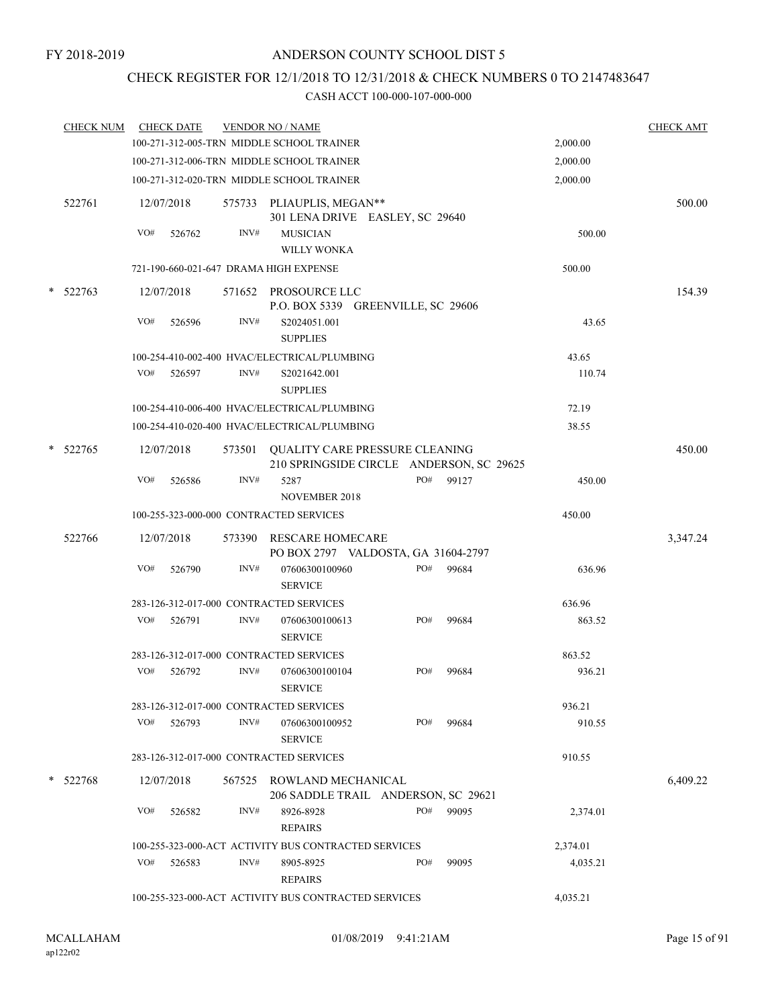# CHECK REGISTER FOR 12/1/2018 TO 12/31/2018 & CHECK NUMBERS 0 TO 2147483647

|        | <b>CHECK NUM</b> |     | <b>CHECK DATE</b> |        | <b>VENDOR NO / NAME</b>                                                    |     |       |          | <b>CHECK AMT</b> |
|--------|------------------|-----|-------------------|--------|----------------------------------------------------------------------------|-----|-------|----------|------------------|
|        |                  |     |                   |        | 100-271-312-005-TRN MIDDLE SCHOOL TRAINER                                  |     |       | 2,000.00 |                  |
|        |                  |     |                   |        | 100-271-312-006-TRN MIDDLE SCHOOL TRAINER                                  |     |       | 2,000.00 |                  |
|        |                  |     |                   |        | 100-271-312-020-TRN MIDDLE SCHOOL TRAINER                                  |     |       | 2,000.00 |                  |
|        | 522761           |     | 12/07/2018        |        | 575733 PLIAUPLIS, MEGAN**<br>301 LENA DRIVE EASLEY, SC 29640               |     |       |          | 500.00           |
|        |                  | VO# | 526762            | INV#   | <b>MUSICIAN</b>                                                            |     |       | 500.00   |                  |
|        |                  |     |                   |        | <b>WILLY WONKA</b>                                                         |     |       |          |                  |
|        |                  |     |                   |        | 721-190-660-021-647 DRAMA HIGH EXPENSE                                     |     |       | 500.00   |                  |
| $\ast$ | 522763           |     | 12/07/2018        |        | 571652 PROSOURCE LLC<br>P.O. BOX 5339 GREENVILLE, SC 29606                 |     |       |          | 154.39           |
|        |                  | VO# | 526596            | INV#   | S2024051.001<br><b>SUPPLIES</b>                                            |     |       | 43.65    |                  |
|        |                  |     |                   |        | 100-254-410-002-400 HVAC/ELECTRICAL/PLUMBING                               |     |       | 43.65    |                  |
|        |                  | VO# | 526597            | INV#   | S2021642.001<br><b>SUPPLIES</b>                                            |     |       | 110.74   |                  |
|        |                  |     |                   |        | 100-254-410-006-400 HVAC/ELECTRICAL/PLUMBING                               |     |       | 72.19    |                  |
|        |                  |     |                   |        | 100-254-410-020-400 HVAC/ELECTRICAL/PLUMBING                               |     |       | 38.55    |                  |
|        | $*$ 522765       |     | 12/07/2018        | 573501 | QUALITY CARE PRESSURE CLEANING<br>210 SPRINGSIDE CIRCLE ANDERSON, SC 29625 |     |       |          | 450.00           |
|        |                  | VO# | 526586            | INV#   | 5287<br><b>NOVEMBER 2018</b>                                               | PO# | 99127 | 450.00   |                  |
|        |                  |     |                   |        | 100-255-323-000-000 CONTRACTED SERVICES                                    |     |       | 450.00   |                  |
|        |                  |     |                   |        |                                                                            |     |       |          |                  |
|        | 522766           |     | 12/07/2018        | 573390 | <b>RESCARE HOMECARE</b><br>PO BOX 2797 VALDOSTA, GA 31604-2797             |     |       |          | 3,347.24         |
|        |                  | VO# | 526790            | INV#   | 07606300100960<br><b>SERVICE</b>                                           | PO# | 99684 | 636.96   |                  |
|        |                  |     |                   |        | 283-126-312-017-000 CONTRACTED SERVICES                                    |     |       | 636.96   |                  |
|        |                  | VO# | 526791            | INV#   | 07606300100613<br><b>SERVICE</b>                                           | PO# | 99684 | 863.52   |                  |
|        |                  |     |                   |        | 283-126-312-017-000 CONTRACTED SERVICES                                    |     |       | 863.52   |                  |
|        |                  | VO# | 526792            | INV#   | 07606300100104<br><b>SERVICE</b>                                           | PO# | 99684 | 936.21   |                  |
|        |                  |     |                   |        | 283-126-312-017-000 CONTRACTED SERVICES                                    |     |       | 936.21   |                  |
|        |                  | VO# | 526793            | INV#   | 07606300100952<br><b>SERVICE</b>                                           | PO# | 99684 | 910.55   |                  |
|        |                  |     |                   |        | 283-126-312-017-000 CONTRACTED SERVICES                                    |     |       | 910.55   |                  |
|        | * 522768         |     | 12/07/2018        |        | 567525 ROWLAND MECHANICAL<br>206 SADDLE TRAIL ANDERSON, SC 29621           |     |       |          | 6,409.22         |
|        |                  | VO# | 526582            | INV#   | 8926-8928<br><b>REPAIRS</b>                                                | PO# | 99095 | 2,374.01 |                  |
|        |                  |     |                   |        | 100-255-323-000-ACT ACTIVITY BUS CONTRACTED SERVICES                       |     |       | 2,374.01 |                  |
|        |                  | VO# | 526583            | INV#   | 8905-8925<br><b>REPAIRS</b>                                                | PO# | 99095 | 4,035.21 |                  |
|        |                  |     |                   |        | 100-255-323-000-ACT ACTIVITY BUS CONTRACTED SERVICES                       |     |       | 4,035.21 |                  |
|        |                  |     |                   |        |                                                                            |     |       |          |                  |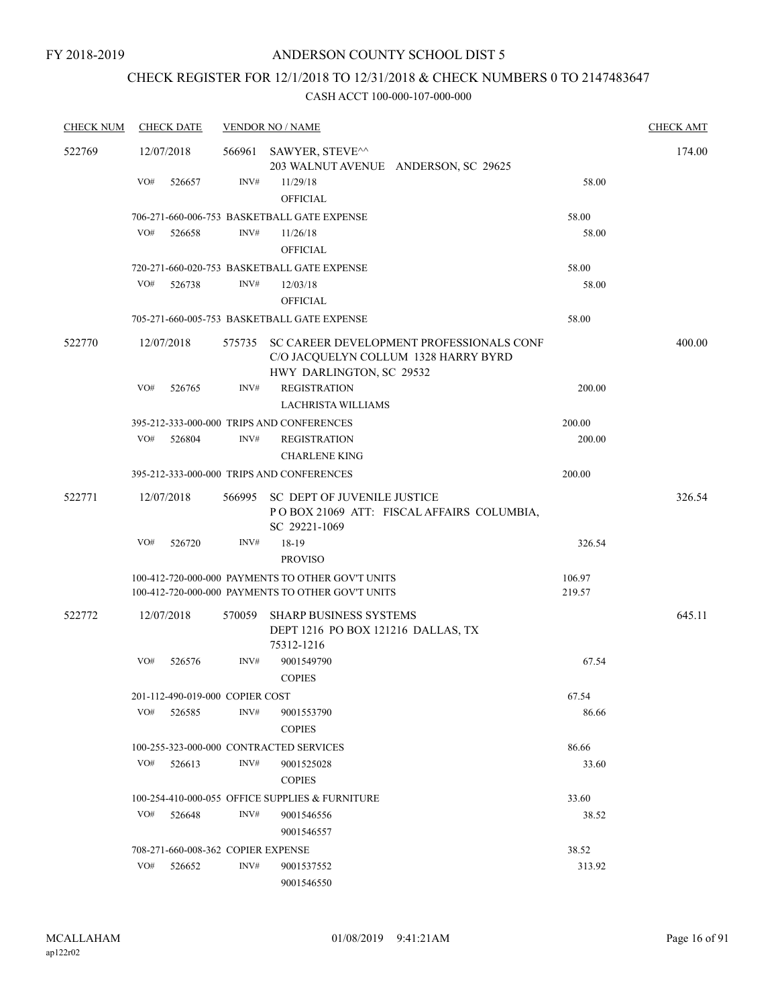# CHECK REGISTER FOR 12/1/2018 TO 12/31/2018 & CHECK NUMBERS 0 TO 2147483647

| <b>CHECK NUM</b> | <b>CHECK DATE</b>                       |        | <b>VENDOR NO / NAME</b>                                                                                             |                  | <b>CHECK AMT</b> |
|------------------|-----------------------------------------|--------|---------------------------------------------------------------------------------------------------------------------|------------------|------------------|
| 522769           | 12/07/2018                              |        | 566961 SAWYER, STEVE^^<br>203 WALNUT AVENUE ANDERSON, SC 29625                                                      |                  | 174.00           |
|                  | VO#<br>526657                           | INV#   | 11/29/18<br><b>OFFICIAL</b>                                                                                         | 58.00            |                  |
|                  |                                         |        | 706-271-660-006-753 BASKETBALL GATE EXPENSE                                                                         | 58.00            |                  |
|                  | VO#<br>526658                           | INV#   | 11/26/18<br><b>OFFICIAL</b>                                                                                         | 58.00            |                  |
|                  |                                         |        | 720-271-660-020-753 BASKETBALL GATE EXPENSE                                                                         | 58.00            |                  |
|                  | VO#<br>526738                           | INV#   | 12/03/18<br><b>OFFICIAL</b>                                                                                         | 58.00            |                  |
|                  |                                         |        | 705-271-660-005-753 BASKETBALL GATE EXPENSE                                                                         | 58.00            |                  |
| 522770           | 12/07/2018                              |        | 575735 SC CAREER DEVELOPMENT PROFESSIONALS CONF<br>C/O JACQUELYN COLLUM 1328 HARRY BYRD<br>HWY DARLINGTON, SC 29532 |                  | 400.00           |
|                  | VO#<br>526765                           | INV#   | <b>REGISTRATION</b><br><b>LACHRISTA WILLIAMS</b>                                                                    | 200.00           |                  |
|                  |                                         |        | 395-212-333-000-000 TRIPS AND CONFERENCES                                                                           | 200.00           |                  |
|                  | VO#<br>526804                           | INV#   | <b>REGISTRATION</b><br><b>CHARLENE KING</b>                                                                         | 200.00           |                  |
|                  |                                         |        | 395-212-333-000-000 TRIPS AND CONFERENCES                                                                           | 200.00           |                  |
| 522771           | 12/07/2018                              |        | 566995 SC DEPT OF JUVENILE JUSTICE<br>POBOX 21069 ATT: FISCAL AFFAIRS COLUMBIA,<br>SC 29221-1069                    |                  | 326.54           |
|                  | VO#<br>526720                           | INV#   | 18-19<br><b>PROVISO</b>                                                                                             | 326.54           |                  |
|                  |                                         |        | 100-412-720-000-000 PAYMENTS TO OTHER GOV'T UNITS<br>100-412-720-000-000 PAYMENTS TO OTHER GOV'T UNITS              | 106.97<br>219.57 |                  |
| 522772           | 12/07/2018                              | 570059 | SHARP BUSINESS SYSTEMS<br>DEPT 1216 PO BOX 121216 DALLAS, TX<br>75312-1216                                          |                  | 645.11           |
|                  | VO#<br>526576                           | INV#   | 9001549790<br><b>COPIES</b>                                                                                         | 67.54            |                  |
|                  | 201-112-490-019-000 COPIER COST         |        |                                                                                                                     | 67.54            |                  |
|                  | VO#<br>526585                           | INV#   | 9001553790<br><b>COPIES</b>                                                                                         | 86.66            |                  |
|                  | 100-255-323-000-000 CONTRACTED SERVICES |        |                                                                                                                     | 86.66            |                  |
|                  | VO#<br>526613                           | INV#   | 9001525028<br><b>COPIES</b>                                                                                         | 33.60            |                  |
|                  |                                         |        | 100-254-410-000-055 OFFICE SUPPLIES & FURNITURE                                                                     | 33.60            |                  |
|                  | VO#<br>526648                           | INV#   | 9001546556<br>9001546557                                                                                            | 38.52            |                  |
|                  | 708-271-660-008-362 COPIER EXPENSE      |        |                                                                                                                     | 38.52            |                  |
|                  | VO#<br>526652                           | INV#   | 9001537552<br>9001546550                                                                                            | 313.92           |                  |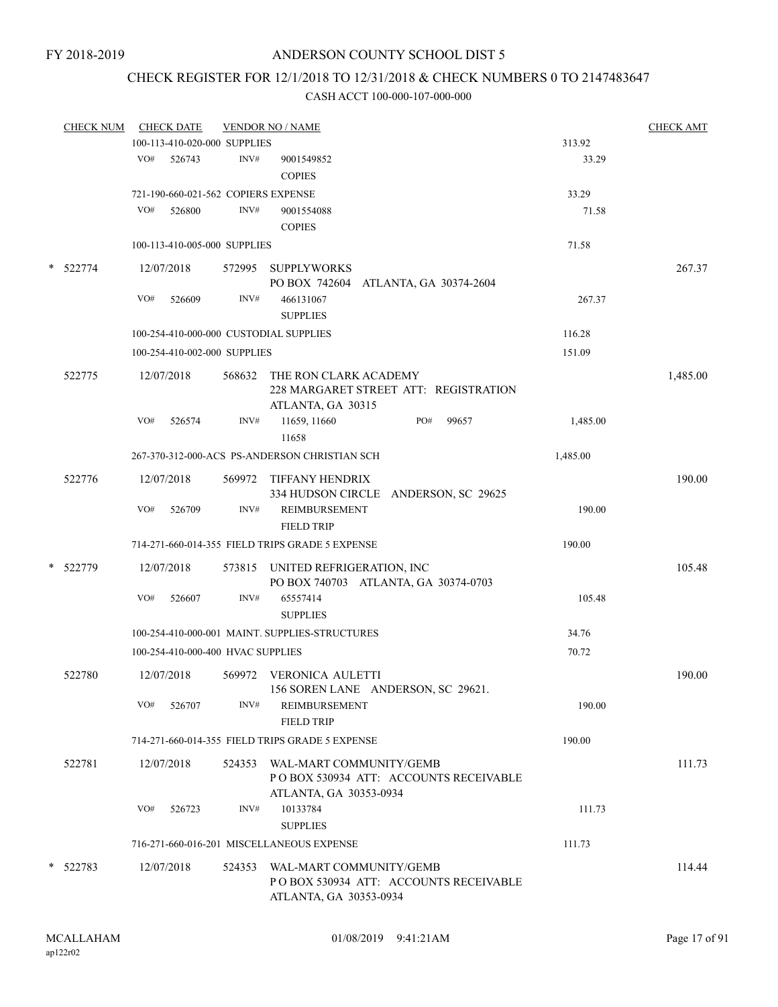# CHECK REGISTER FOR 12/1/2018 TO 12/31/2018 & CHECK NUMBERS 0 TO 2147483647

| <b>CHECK NUM</b> |     | <b>CHECK DATE</b>                 |        | <b>VENDOR NO / NAME</b>                                                             |          | <b>CHECK AMT</b> |
|------------------|-----|-----------------------------------|--------|-------------------------------------------------------------------------------------|----------|------------------|
|                  |     | 100-113-410-020-000 SUPPLIES      |        |                                                                                     | 313.92   |                  |
|                  | VO# | 526743                            | INV#   | 9001549852                                                                          | 33.29    |                  |
|                  |     |                                   |        | <b>COPIES</b>                                                                       |          |                  |
|                  |     |                                   |        | 721-190-660-021-562 COPIERS EXPENSE                                                 | 33.29    |                  |
|                  | VO# | 526800                            | INV#   | 9001554088                                                                          | 71.58    |                  |
|                  |     |                                   |        | <b>COPIES</b>                                                                       |          |                  |
|                  |     |                                   |        |                                                                                     |          |                  |
|                  |     | 100-113-410-005-000 SUPPLIES      |        |                                                                                     | 71.58    |                  |
| * 522774         |     | 12/07/2018                        |        | 572995 SUPPLYWORKS<br>PO BOX 742604 ATLANTA, GA 30374-2604                          |          | 267.37           |
|                  | VO# | 526609                            | INV#   | 466131067                                                                           | 267.37   |                  |
|                  |     |                                   |        | <b>SUPPLIES</b>                                                                     |          |                  |
|                  |     |                                   |        | 100-254-410-000-000 CUSTODIAL SUPPLIES                                              | 116.28   |                  |
|                  |     | 100-254-410-002-000 SUPPLIES      |        |                                                                                     | 151.09   |                  |
|                  |     |                                   |        |                                                                                     |          |                  |
| 522775           |     | 12/07/2018                        | 568632 | THE RON CLARK ACADEMY<br>228 MARGARET STREET ATT: REGISTRATION<br>ATLANTA, GA 30315 |          | 1,485.00         |
|                  | VO# | 526574                            | INV#   | 99657<br>11659, 11660<br>PO#<br>11658                                               | 1,485.00 |                  |
|                  |     |                                   |        | 267-370-312-000-ACS PS-ANDERSON CHRISTIAN SCH                                       | 1,485.00 |                  |
|                  |     |                                   |        |                                                                                     |          |                  |
| 522776           |     | 12/07/2018                        |        | 569972 TIFFANY HENDRIX<br>334 HUDSON CIRCLE ANDERSON, SC 29625                      |          | 190.00           |
|                  | VO# | 526709                            | INV#   | REIMBURSEMENT<br><b>FIELD TRIP</b>                                                  | 190.00   |                  |
|                  |     |                                   |        | 714-271-660-014-355 FIELD TRIPS GRADE 5 EXPENSE                                     | 190.00   |                  |
|                  |     |                                   |        |                                                                                     |          |                  |
| * 522779         |     | 12/07/2018                        |        | 573815 UNITED REFRIGERATION, INC<br>PO BOX 740703 ATLANTA, GA 30374-0703            |          | 105.48           |
|                  | VO# | 526607                            | INV#   | 65557414                                                                            | 105.48   |                  |
|                  |     |                                   |        |                                                                                     |          |                  |
|                  |     |                                   |        | <b>SUPPLIES</b>                                                                     |          |                  |
|                  |     |                                   |        | 100-254-410-000-001 MAINT. SUPPLIES-STRUCTURES                                      | 34.76    |                  |
|                  |     | 100-254-410-000-400 HVAC SUPPLIES |        |                                                                                     | 70.72    |                  |
| 522780           |     | 12/07/2018                        |        | 569972 VERONICA AULETTI<br>156 SOREN LANE ANDERSON, SC 29621.                       |          | 190.00           |
|                  | VO# | 526707                            | INV#   | REIMBURSEMENT<br><b>FIELD TRIP</b>                                                  | 190.00   |                  |
|                  |     |                                   |        | 714-271-660-014-355 FIELD TRIPS GRADE 5 EXPENSE                                     | 190.00   |                  |
|                  |     |                                   |        |                                                                                     |          |                  |
| 522781           |     | 12/07/2018                        |        | 524353 WAL-MART COMMUNITY/GEMB<br>POBOX 530934 ATT: ACCOUNTS RECEIVABLE             |          | 111.73           |
|                  | VO# | 526723                            | INV#   | ATLANTA, GA 30353-0934<br>10133784                                                  | 111.73   |                  |
|                  |     |                                   |        | <b>SUPPLIES</b>                                                                     |          |                  |
|                  |     |                                   |        | 716-271-660-016-201 MISCELLANEOUS EXPENSE                                           | 111.73   |                  |
| $*$ 522783       |     | 12/07/2018                        |        | 524353 WAL-MART COMMUNITY/GEMB                                                      |          | 114.44           |
|                  |     |                                   |        | PO BOX 530934 ATT: ACCOUNTS RECEIVABLE                                              |          |                  |
|                  |     |                                   |        | ATLANTA, GA 30353-0934                                                              |          |                  |
|                  |     |                                   |        |                                                                                     |          |                  |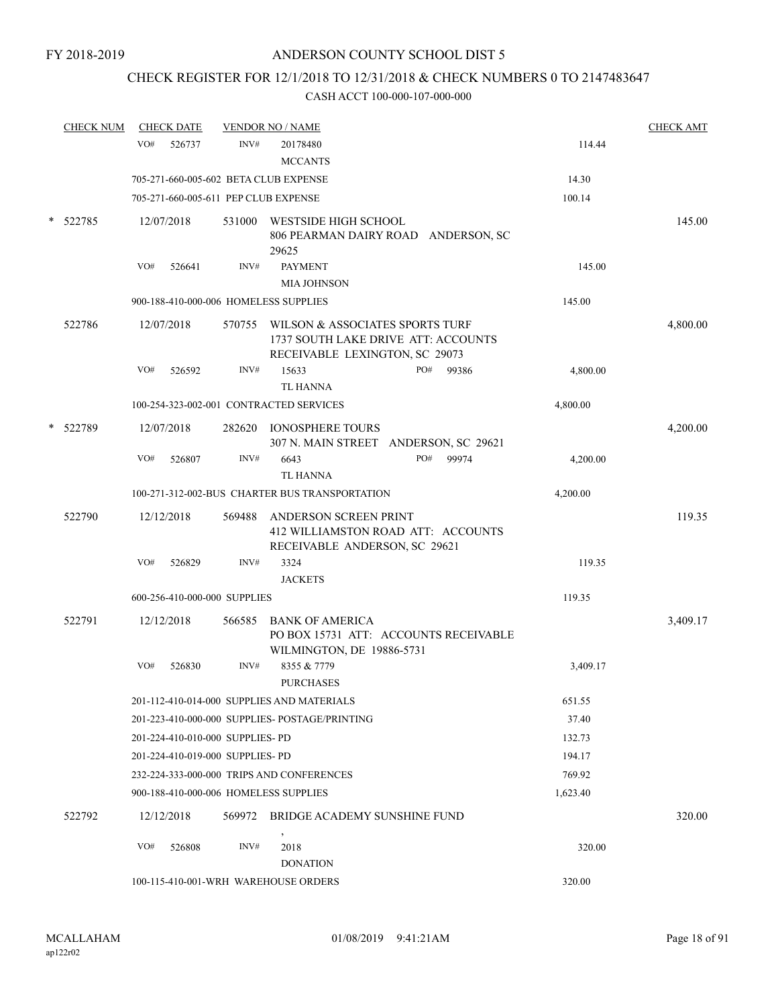# CHECK REGISTER FOR 12/1/2018 TO 12/31/2018 & CHECK NUMBERS 0 TO 2147483647

|        | <b>CHECK NUM</b> | <b>CHECK DATE</b>                       |        | <b>VENDOR NO / NAME</b>                                                                                         |          | <b>CHECK AMT</b> |
|--------|------------------|-----------------------------------------|--------|-----------------------------------------------------------------------------------------------------------------|----------|------------------|
|        |                  | VO#<br>526737                           | INV#   | 20178480<br><b>MCCANTS</b>                                                                                      | 114.44   |                  |
|        |                  | 705-271-660-005-602 BETA CLUB EXPENSE   |        |                                                                                                                 | 14.30    |                  |
|        |                  | 705-271-660-005-611 PEP CLUB EXPENSE    |        |                                                                                                                 | 100.14   |                  |
| $\ast$ | 522785           | 12/07/2018                              | 531000 | WESTSIDE HIGH SCHOOL<br>806 PEARMAN DAIRY ROAD ANDERSON, SC<br>29625                                            |          | 145.00           |
|        |                  | VO#<br>526641                           | INV#   | <b>PAYMENT</b><br><b>MIA JOHNSON</b>                                                                            | 145.00   |                  |
|        |                  | 900-188-410-000-006 HOMELESS SUPPLIES   |        |                                                                                                                 | 145.00   |                  |
|        | 522786           | 12/07/2018                              |        | 570755 WILSON & ASSOCIATES SPORTS TURF<br>1737 SOUTH LAKE DRIVE ATT: ACCOUNTS<br>RECEIVABLE LEXINGTON, SC 29073 |          | 4,800.00         |
|        |                  | VO#<br>526592                           | INV#   | PO#<br>15633<br>99386<br><b>TL HANNA</b>                                                                        | 4,800.00 |                  |
|        |                  | 100-254-323-002-001 CONTRACTED SERVICES |        |                                                                                                                 | 4,800.00 |                  |
|        | * 522789         | 12/07/2018                              | 282620 | <b>IONOSPHERE TOURS</b><br>307 N. MAIN STREET ANDERSON, SC 29621                                                |          | 4,200.00         |
|        |                  | VO#<br>526807                           | INV#   | 6643<br>PO#<br>99974<br><b>TL HANNA</b>                                                                         | 4,200.00 |                  |
|        |                  |                                         |        | 100-271-312-002-BUS CHARTER BUS TRANSPORTATION                                                                  | 4,200.00 |                  |
|        | 522790           | 12/12/2018                              | 569488 | ANDERSON SCREEN PRINT<br>412 WILLIAMSTON ROAD ATT: ACCOUNTS<br>RECEIVABLE ANDERSON, SC 29621                    |          | 119.35           |
|        |                  | VO#<br>526829                           | INV#   | 3324<br><b>JACKETS</b>                                                                                          | 119.35   |                  |
|        |                  | 600-256-410-000-000 SUPPLIES            |        |                                                                                                                 | 119.35   |                  |
|        | 522791           | 12/12/2018                              | 566585 | <b>BANK OF AMERICA</b><br>PO BOX 15731 ATT: ACCOUNTS RECEIVABLE<br>WILMINGTON, DE 19886-5731                    |          | 3,409.17         |
|        |                  | VO#<br>526830                           | INV#   | 8355 & 7779<br><b>PURCHASES</b>                                                                                 | 3,409.17 |                  |
|        |                  |                                         |        | 201-112-410-014-000 SUPPLIES AND MATERIALS                                                                      | 651.55   |                  |
|        |                  |                                         |        | 201-223-410-000-000 SUPPLIES- POSTAGE/PRINTING                                                                  | 37.40    |                  |
|        |                  | 201-224-410-010-000 SUPPLIES- PD        |        |                                                                                                                 | 132.73   |                  |
|        |                  | 201-224-410-019-000 SUPPLIES- PD        |        |                                                                                                                 | 194.17   |                  |
|        |                  |                                         |        | 232-224-333-000-000 TRIPS AND CONFERENCES                                                                       | 769.92   |                  |
|        |                  | 900-188-410-000-006 HOMELESS SUPPLIES   |        |                                                                                                                 | 1,623.40 |                  |
|        | 522792           | 12/12/2018                              | 569972 | BRIDGE ACADEMY SUNSHINE FUND                                                                                    |          | 320.00           |
|        |                  | VO#<br>526808                           | INV#   | $\,$<br>2018<br><b>DONATION</b>                                                                                 | 320.00   |                  |
|        |                  | 100-115-410-001-WRH WAREHOUSE ORDERS    |        |                                                                                                                 | 320.00   |                  |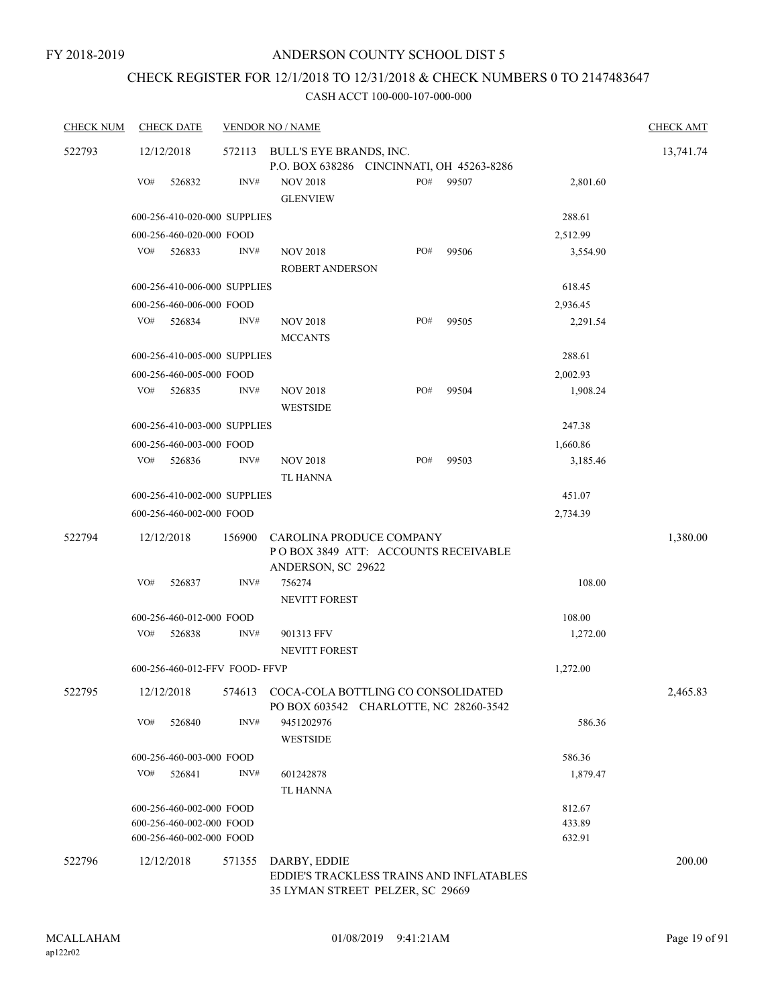# CHECK REGISTER FOR 12/1/2018 TO 12/31/2018 & CHECK NUMBERS 0 TO 2147483647

| <b>CHECK NUM</b> |     | <b>CHECK DATE</b>             |        | <b>VENDOR NO / NAME</b>                                                                      |     |       |          | <b>CHECK AMT</b> |
|------------------|-----|-------------------------------|--------|----------------------------------------------------------------------------------------------|-----|-------|----------|------------------|
| 522793           |     | 12/12/2018                    | 572113 | BULL'S EYE BRANDS, INC.<br>P.O. BOX 638286 CINCINNATI, OH 45263-8286                         |     |       |          | 13,741.74        |
|                  | VO# | 526832                        | INV#   | <b>NOV 2018</b><br><b>GLENVIEW</b>                                                           | PO# | 99507 | 2,801.60 |                  |
|                  |     | 600-256-410-020-000 SUPPLIES  |        |                                                                                              |     |       | 288.61   |                  |
|                  |     | 600-256-460-020-000 FOOD      |        |                                                                                              |     |       | 2,512.99 |                  |
|                  | VO# | 526833                        | INV#   | <b>NOV 2018</b><br>ROBERT ANDERSON                                                           | PO# | 99506 | 3,554.90 |                  |
|                  |     | 600-256-410-006-000 SUPPLIES  |        |                                                                                              |     |       | 618.45   |                  |
|                  |     | 600-256-460-006-000 FOOD      |        |                                                                                              |     |       | 2,936.45 |                  |
|                  | VO# | 526834                        | INV#   | <b>NOV 2018</b><br><b>MCCANTS</b>                                                            | PO# | 99505 | 2,291.54 |                  |
|                  |     | 600-256-410-005-000 SUPPLIES  |        |                                                                                              |     |       | 288.61   |                  |
|                  |     | 600-256-460-005-000 FOOD      |        |                                                                                              |     |       | 2,002.93 |                  |
|                  | VO# | 526835                        | INV#   | <b>NOV 2018</b><br><b>WESTSIDE</b>                                                           | PO# | 99504 | 1,908.24 |                  |
|                  |     | 600-256-410-003-000 SUPPLIES  |        |                                                                                              |     |       | 247.38   |                  |
|                  |     | 600-256-460-003-000 FOOD      |        |                                                                                              |     |       | 1,660.86 |                  |
|                  | VO# | 526836                        | INV#   | <b>NOV 2018</b><br>TL HANNA                                                                  | PO# | 99503 | 3,185.46 |                  |
|                  |     | 600-256-410-002-000 SUPPLIES  |        |                                                                                              |     |       | 451.07   |                  |
|                  |     | 600-256-460-002-000 FOOD      |        |                                                                                              |     |       | 2,734.39 |                  |
| 522794           |     | 12/12/2018                    | 156900 | CAROLINA PRODUCE COMPANY<br>POBOX 3849 ATT: ACCOUNTS RECEIVABLE<br>ANDERSON, SC 29622        |     |       |          | 1,380.00         |
|                  | VO# | 526837                        | INV#   | 756274<br><b>NEVITT FOREST</b>                                                               |     |       | 108.00   |                  |
|                  |     | 600-256-460-012-000 FOOD      |        |                                                                                              |     |       | 108.00   |                  |
|                  | VO# | 526838                        | INV#   | 901313 FFV<br><b>NEVITT FOREST</b>                                                           |     |       | 1,272.00 |                  |
|                  |     | 600-256-460-012-FFV FOOD-FFVP |        |                                                                                              |     |       | 1,272.00 |                  |
| 522795           |     | 12/12/2018                    |        | 574613 COCA-COLA BOTTLING CO CONSOLIDATED<br>PO BOX 603542 CHARLOTTE, NC 28260-3542          |     |       |          | 2,465.83         |
|                  | VO# | 526840                        | INV#   | 9451202976<br><b>WESTSIDE</b>                                                                |     |       | 586.36   |                  |
|                  |     | 600-256-460-003-000 FOOD      |        |                                                                                              |     |       | 586.36   |                  |
|                  | VO# | 526841                        | INV#   | 601242878<br>TL HANNA                                                                        |     |       | 1,879.47 |                  |
|                  |     | 600-256-460-002-000 FOOD      |        |                                                                                              |     |       | 812.67   |                  |
|                  |     | 600-256-460-002-000 FOOD      |        |                                                                                              |     |       | 433.89   |                  |
|                  |     | 600-256-460-002-000 FOOD      |        |                                                                                              |     |       | 632.91   |                  |
| 522796           |     | 12/12/2018                    | 571355 | DARBY, EDDIE<br>EDDIE'S TRACKLESS TRAINS AND INFLATABLES<br>35 LYMAN STREET PELZER, SC 29669 |     |       |          | 200.00           |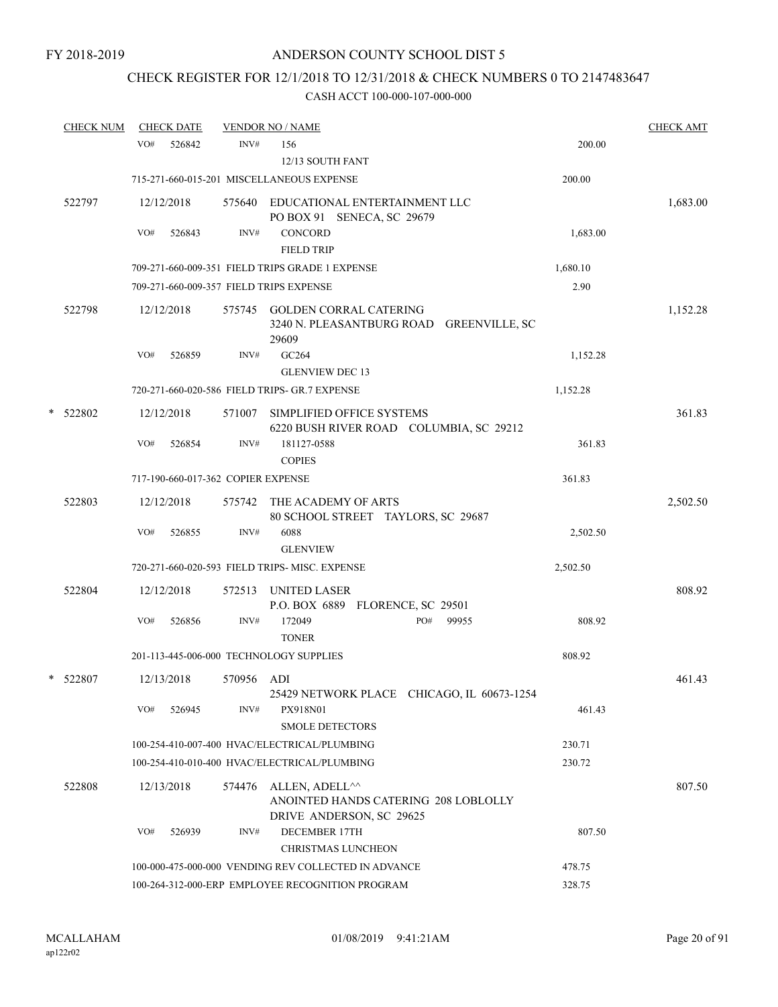# CHECK REGISTER FOR 12/1/2018 TO 12/31/2018 & CHECK NUMBERS 0 TO 2147483647

|   | <b>CHECK NUM</b> |     | <b>CHECK DATE</b> |                                    | <b>VENDOR NO / NAME</b>                                                            |          | <b>CHECK AMT</b> |
|---|------------------|-----|-------------------|------------------------------------|------------------------------------------------------------------------------------|----------|------------------|
|   |                  | VO# | 526842            | INV#                               | 156<br>12/13 SOUTH FANT                                                            | 200.00   |                  |
|   |                  |     |                   |                                    | 715-271-660-015-201 MISCELLANEOUS EXPENSE                                          | 200.00   |                  |
|   | 522797           |     | 12/12/2018        |                                    | 575640 EDUCATIONAL ENTERTAINMENT LLC<br>PO BOX 91 SENECA, SC 29679                 |          | 1,683.00         |
|   |                  | VO# | 526843            | INV#                               | <b>CONCORD</b><br><b>FIELD TRIP</b>                                                | 1,683.00 |                  |
|   |                  |     |                   |                                    | 709-271-660-009-351 FIELD TRIPS GRADE 1 EXPENSE                                    | 1,680.10 |                  |
|   |                  |     |                   |                                    | 709-271-660-009-357 FIELD TRIPS EXPENSE                                            | 2.90     |                  |
|   | 522798           |     | 12/12/2018        |                                    | 575745 GOLDEN CORRAL CATERING<br>3240 N. PLEASANTBURG ROAD GREENVILLE, SC<br>29609 |          | 1,152.28         |
|   |                  | VO# | 526859            | INV#                               | GC264<br><b>GLENVIEW DEC 13</b>                                                    | 1,152.28 |                  |
|   |                  |     |                   |                                    | 720-271-660-020-586 FIELD TRIPS- GR.7 EXPENSE                                      | 1,152.28 |                  |
| * | 522802           |     | 12/12/2018        | 571007                             | SIMPLIFIED OFFICE SYSTEMS<br>6220 BUSH RIVER ROAD COLUMBIA, SC 29212               |          | 361.83           |
|   |                  | VO# | 526854            | INV#                               | 181127-0588<br><b>COPIES</b>                                                       | 361.83   |                  |
|   |                  |     |                   | 717-190-660-017-362 COPIER EXPENSE |                                                                                    | 361.83   |                  |
|   | 522803           |     | 12/12/2018        | 575742                             | THE ACADEMY OF ARTS<br>80 SCHOOL STREET TAYLORS, SC 29687                          |          | 2,502.50         |
|   |                  | VO# | 526855            | INV#                               | 6088<br><b>GLENVIEW</b>                                                            | 2,502.50 |                  |
|   |                  |     |                   |                                    | 720-271-660-020-593 FIELD TRIPS- MISC. EXPENSE                                     | 2,502.50 |                  |
|   | 522804           |     | 12/12/2018        | 572513                             | UNITED LASER<br>P.O. BOX 6889 FLORENCE, SC 29501                                   |          | 808.92           |
|   |                  | VO# | 526856            | INV#                               | PO#<br>172049<br>99955<br><b>TONER</b>                                             | 808.92   |                  |
|   |                  |     |                   |                                    | 201-113-445-006-000 TECHNOLOGY SUPPLIES                                            | 808.92   |                  |
|   | * 522807         |     | 12/13/2018        | 570956 ADI                         | 25429 NETWORK PLACE CHICAGO, IL 60673-1254                                         |          | 461.43           |
|   |                  | VO# | 526945            | INV#                               | PX918N01<br><b>SMOLE DETECTORS</b>                                                 | 461.43   |                  |
|   |                  |     |                   |                                    | 100-254-410-007-400 HVAC/ELECTRICAL/PLUMBING                                       | 230.71   |                  |
|   |                  |     |                   |                                    | 100-254-410-010-400 HVAC/ELECTRICAL/PLUMBING                                       | 230.72   |                  |
|   | 522808           |     | 12/13/2018        | 574476                             | ALLEN, ADELL <sup>^^</sup><br>ANOINTED HANDS CATERING 208 LOBLOLLY                 |          | 807.50           |
|   |                  | VO# | 526939            | INV#                               | DRIVE ANDERSON, SC 29625<br><b>DECEMBER 17TH</b><br><b>CHRISTMAS LUNCHEON</b>      | 807.50   |                  |
|   |                  |     |                   |                                    | 100-000-475-000-000 VENDING REV COLLECTED IN ADVANCE                               | 478.75   |                  |
|   |                  |     |                   |                                    | 100-264-312-000-ERP EMPLOYEE RECOGNITION PROGRAM                                   | 328.75   |                  |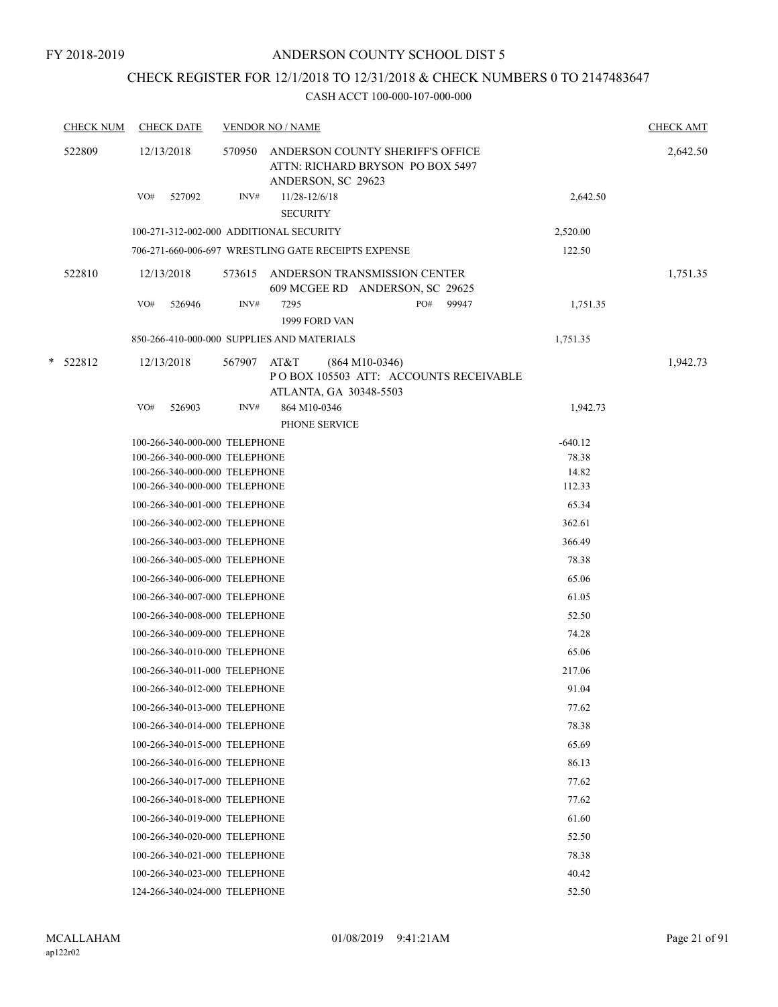# CHECK REGISTER FOR 12/1/2018 TO 12/31/2018 & CHECK NUMBERS 0 TO 2147483647

| <b>CHECK NUM</b> | <b>CHECK DATE</b>                                              |        | <b>VENDOR NO / NAME</b>                                                                     |                | <b>CHECK AMT</b> |
|------------------|----------------------------------------------------------------|--------|---------------------------------------------------------------------------------------------|----------------|------------------|
| 522809           | 12/13/2018                                                     | 570950 | ANDERSON COUNTY SHERIFF'S OFFICE<br>ATTN: RICHARD BRYSON PO BOX 5497<br>ANDERSON, SC 29623  |                | 2,642.50         |
|                  | VO#<br>527092                                                  | INV#   | 11/28-12/6/18<br><b>SECURITY</b>                                                            | 2,642.50       |                  |
|                  | 100-271-312-002-000 ADDITIONAL SECURITY                        |        |                                                                                             | 2,520.00       |                  |
|                  |                                                                |        | 706-271-660-006-697 WRESTLING GATE RECEIPTS EXPENSE                                         | 122.50         |                  |
| 522810           | 12/13/2018                                                     | 573615 | ANDERSON TRANSMISSION CENTER<br>609 MCGEE RD ANDERSON, SC 29625                             |                | 1,751.35         |
|                  | VO#<br>526946                                                  | INV#   | PO#<br>7295<br>99947<br>1999 FORD VAN                                                       | 1,751.35       |                  |
|                  |                                                                |        | 850-266-410-000-000 SUPPLIES AND MATERIALS                                                  | 1,751.35       |                  |
| $*$ 522812       | 12/13/2018                                                     | 567907 | AT&T<br>$(864 M10-0346)$<br>POBOX 105503 ATT: ACCOUNTS RECEIVABLE<br>ATLANTA, GA 30348-5503 |                | 1,942.73         |
|                  | VO#<br>526903                                                  | INV#   | 864 M10-0346                                                                                | 1,942.73       |                  |
|                  |                                                                |        | PHONE SERVICE                                                                               |                |                  |
|                  | 100-266-340-000-000 TELEPHONE                                  |        |                                                                                             | $-640.12$      |                  |
|                  | 100-266-340-000-000 TELEPHONE<br>100-266-340-000-000 TELEPHONE |        |                                                                                             | 78.38<br>14.82 |                  |
|                  | 100-266-340-000-000 TELEPHONE                                  |        |                                                                                             | 112.33         |                  |
|                  | 100-266-340-001-000 TELEPHONE                                  |        |                                                                                             | 65.34          |                  |
|                  | 100-266-340-002-000 TELEPHONE                                  |        |                                                                                             | 362.61         |                  |
|                  | 100-266-340-003-000 TELEPHONE                                  |        |                                                                                             | 366.49         |                  |
|                  | 100-266-340-005-000 TELEPHONE                                  |        |                                                                                             | 78.38          |                  |
|                  | 100-266-340-006-000 TELEPHONE                                  |        |                                                                                             | 65.06          |                  |
|                  | 100-266-340-007-000 TELEPHONE                                  |        |                                                                                             | 61.05          |                  |
|                  | 100-266-340-008-000 TELEPHONE                                  |        |                                                                                             | 52.50          |                  |
|                  | 100-266-340-009-000 TELEPHONE                                  |        |                                                                                             | 74.28          |                  |
|                  | 100-266-340-010-000 TELEPHONE                                  |        |                                                                                             | 65.06          |                  |
|                  | 100-266-340-011-000 TELEPHONE                                  |        |                                                                                             | 217.06         |                  |
|                  | 100-266-340-012-000 TELEPHONE                                  |        |                                                                                             | 91.04          |                  |
|                  | 100-266-340-013-000 TELEPHONE                                  |        |                                                                                             | 77.62          |                  |
|                  | 100-266-340-014-000 TELEPHONE                                  |        |                                                                                             | 78.38          |                  |
|                  | 100-266-340-015-000 TELEPHONE                                  |        |                                                                                             | 65.69          |                  |
|                  | 100-266-340-016-000 TELEPHONE                                  |        |                                                                                             | 86.13          |                  |
|                  | 100-266-340-017-000 TELEPHONE                                  |        |                                                                                             | 77.62          |                  |
|                  | 100-266-340-018-000 TELEPHONE                                  |        |                                                                                             | 77.62          |                  |
|                  | 100-266-340-019-000 TELEPHONE                                  |        |                                                                                             |                |                  |
|                  |                                                                |        |                                                                                             | 61.60<br>52.50 |                  |
|                  | 100-266-340-020-000 TELEPHONE                                  |        |                                                                                             |                |                  |
|                  | 100-266-340-021-000 TELEPHONE                                  |        |                                                                                             | 78.38          |                  |
|                  | 100-266-340-023-000 TELEPHONE                                  |        |                                                                                             | 40.42          |                  |
|                  | 124-266-340-024-000 TELEPHONE                                  |        |                                                                                             | 52.50          |                  |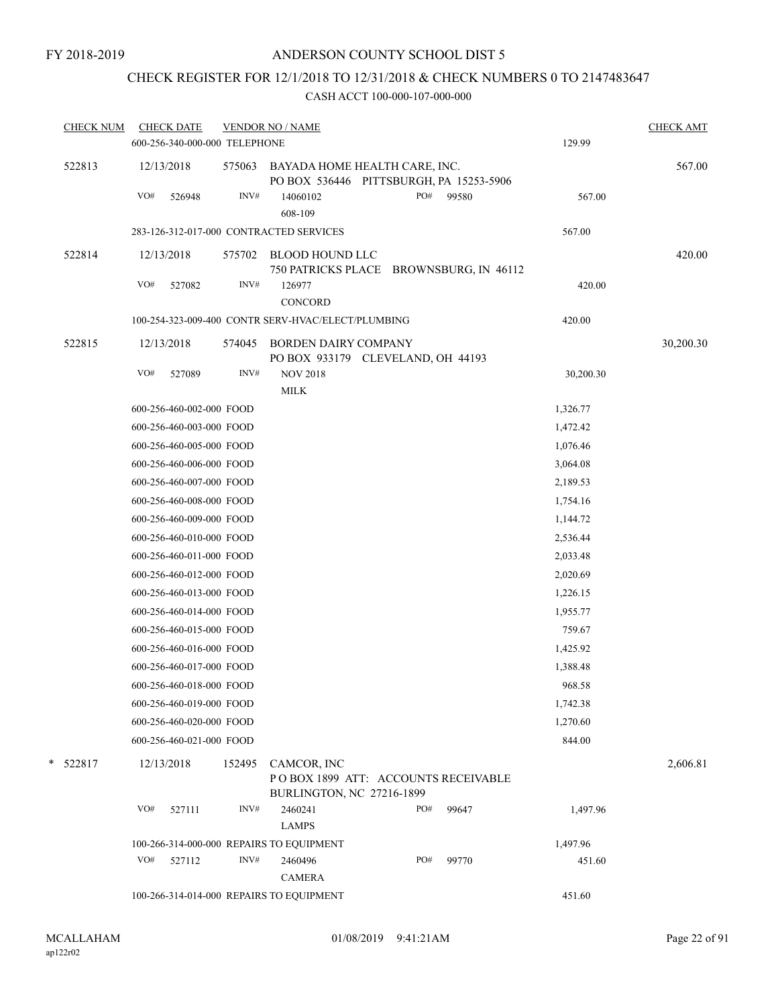# CHECK REGISTER FOR 12/1/2018 TO 12/31/2018 & CHECK NUMBERS 0 TO 2147483647

| <b>CHECK NUM</b> | <b>CHECK DATE</b> | 600-256-340-000-000 TELEPHONE | <b>VENDOR NO / NAME</b>                                                  |     |       | 129.99    | <b>CHECK AMT</b> |
|------------------|-------------------|-------------------------------|--------------------------------------------------------------------------|-----|-------|-----------|------------------|
| 522813           | 12/13/2018        | 575063                        | BAYADA HOME HEALTH CARE, INC.<br>PO BOX 536446 PITTSBURGH, PA 15253-5906 |     |       |           | 567.00           |
|                  | VO#<br>526948     | INV#                          | 14060102<br>608-109                                                      | PO# | 99580 | 567.00    |                  |
|                  |                   |                               | 283-126-312-017-000 CONTRACTED SERVICES                                  |     |       | 567.00    |                  |
| 522814           | 12/13/2018        | 575702                        | BLOOD HOUND LLC<br>750 PATRICKS PLACE BROWNSBURG, IN 46112               |     |       |           | 420.00           |
|                  | VO#<br>527082     | INV#                          | 126977<br><b>CONCORD</b>                                                 |     |       | 420.00    |                  |
|                  |                   |                               | 100-254-323-009-400 CONTR SERV-HVAC/ELECT/PLUMBING                       |     |       | 420.00    |                  |
| 522815           | 12/13/2018        | 574045                        | <b>BORDEN DAIRY COMPANY</b><br>PO BOX 933179 CLEVELAND, OH 44193         |     |       |           | 30,200.30        |
|                  | VO#<br>527089     | INV#                          | <b>NOV 2018</b>                                                          |     |       | 30,200.30 |                  |
|                  |                   |                               | <b>MILK</b>                                                              |     |       |           |                  |
|                  |                   | 600-256-460-002-000 FOOD      |                                                                          |     |       | 1,326.77  |                  |
|                  |                   | 600-256-460-003-000 FOOD      |                                                                          |     |       | 1,472.42  |                  |
|                  |                   | 600-256-460-005-000 FOOD      |                                                                          |     |       | 1,076.46  |                  |
|                  |                   | 600-256-460-006-000 FOOD      |                                                                          |     |       | 3,064.08  |                  |
|                  |                   | 600-256-460-007-000 FOOD      |                                                                          |     |       | 2,189.53  |                  |
|                  |                   | 600-256-460-008-000 FOOD      |                                                                          |     |       | 1,754.16  |                  |
|                  |                   | 600-256-460-009-000 FOOD      |                                                                          |     |       | 1,144.72  |                  |
|                  |                   | 600-256-460-010-000 FOOD      |                                                                          |     |       | 2,536.44  |                  |
|                  |                   | 600-256-460-011-000 FOOD      |                                                                          |     |       | 2,033.48  |                  |
|                  |                   | 600-256-460-012-000 FOOD      |                                                                          |     |       | 2,020.69  |                  |
|                  |                   | 600-256-460-013-000 FOOD      |                                                                          |     |       | 1,226.15  |                  |
|                  |                   | 600-256-460-014-000 FOOD      |                                                                          |     |       | 1,955.77  |                  |
|                  |                   | 600-256-460-015-000 FOOD      |                                                                          |     |       | 759.67    |                  |
|                  |                   | 600-256-460-016-000 FOOD      |                                                                          |     |       | 1,425.92  |                  |
|                  |                   | 600-256-460-017-000 FOOD      |                                                                          |     |       | 1,388.48  |                  |
|                  |                   | 600-256-460-018-000 FOOD      |                                                                          |     |       | 968.58    |                  |
|                  |                   | 600-256-460-019-000 FOOD      |                                                                          |     |       | 1,742.38  |                  |
|                  |                   | 600-256-460-020-000 FOOD      |                                                                          |     |       | 1,270.60  |                  |
|                  |                   | 600-256-460-021-000 FOOD      |                                                                          |     |       | 844.00    |                  |
| *<br>522817      | 12/13/2018        | 152495                        | CAMCOR, INC                                                              |     |       |           | 2,606.81         |
|                  |                   |                               | POBOX 1899 ATT: ACCOUNTS RECEIVABLE<br><b>BURLINGTON, NC 27216-1899</b>  |     |       |           |                  |
|                  | VO#<br>527111     | INV#                          | 2460241<br><b>LAMPS</b>                                                  | PO# | 99647 | 1,497.96  |                  |
|                  |                   |                               | 100-266-314-000-000 REPAIRS TO EQUIPMENT                                 |     |       | 1,497.96  |                  |
|                  | VO#<br>527112     | INV#                          | 2460496                                                                  | PO# | 99770 | 451.60    |                  |
|                  |                   |                               | <b>CAMERA</b>                                                            |     |       |           |                  |
|                  |                   |                               | 100-266-314-014-000 REPAIRS TO EQUIPMENT                                 |     |       | 451.60    |                  |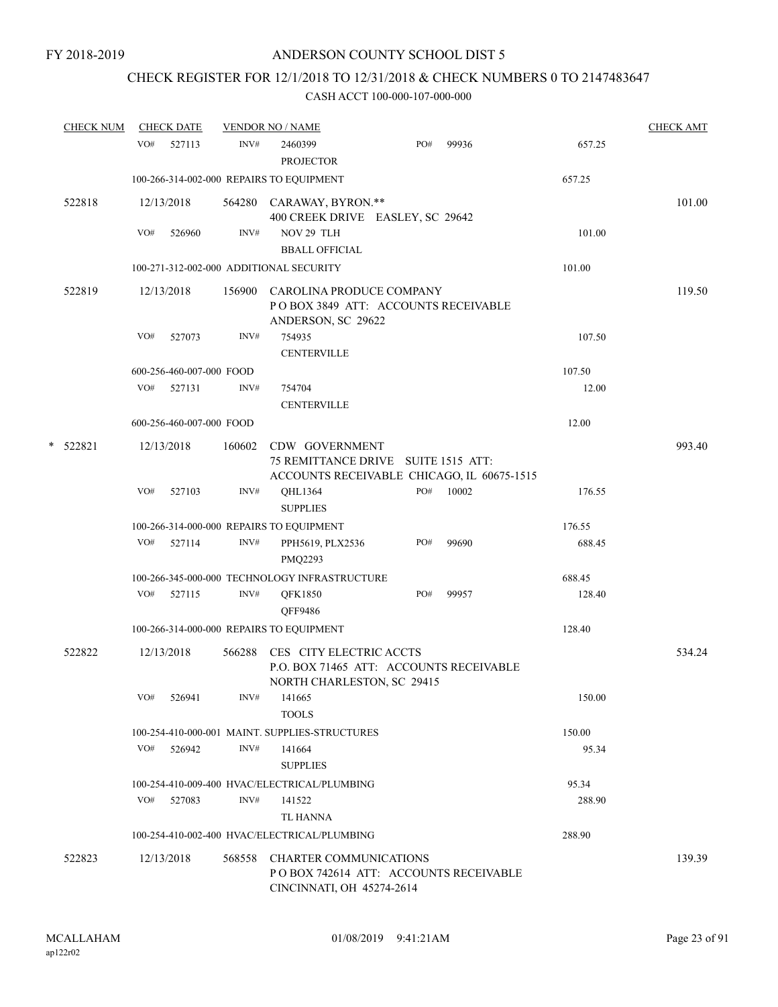# CHECK REGISTER FOR 12/1/2018 TO 12/31/2018 & CHECK NUMBERS 0 TO 2147483647

| <b>CHECK NUM</b> |     | <b>CHECK DATE</b>        |        | <b>VENDOR NO / NAME</b>                                                                              |     |       |        | <b>CHECK AMT</b> |
|------------------|-----|--------------------------|--------|------------------------------------------------------------------------------------------------------|-----|-------|--------|------------------|
|                  | VO# | 527113                   | INV#   | 2460399<br><b>PROJECTOR</b>                                                                          | PO# | 99936 | 657.25 |                  |
|                  |     |                          |        | 100-266-314-002-000 REPAIRS TO EQUIPMENT                                                             |     |       | 657.25 |                  |
| 522818           |     | 12/13/2018               |        | 564280 CARAWAY, BYRON.**<br>400 CREEK DRIVE EASLEY, SC 29642                                         |     |       |        | 101.00           |
|                  | VO# | 526960                   | INV#   | NOV 29 TLH<br><b>BBALL OFFICIAL</b>                                                                  |     |       | 101.00 |                  |
|                  |     |                          |        | 100-271-312-002-000 ADDITIONAL SECURITY                                                              |     |       | 101.00 |                  |
| 522819           |     | 12/13/2018               |        | 156900 CAROLINA PRODUCE COMPANY<br>POBOX 3849 ATT: ACCOUNTS RECEIVABLE<br>ANDERSON, SC 29622         |     |       |        | 119.50           |
|                  | VO# | 527073                   | INV#   | 754935<br><b>CENTERVILLE</b>                                                                         |     |       | 107.50 |                  |
|                  |     | 600-256-460-007-000 FOOD |        |                                                                                                      |     |       | 107.50 |                  |
|                  | VO# | 527131                   | INV#   | 754704<br><b>CENTERVILLE</b>                                                                         |     |       | 12.00  |                  |
|                  |     | 600-256-460-007-000 FOOD |        |                                                                                                      |     |       | 12.00  |                  |
| *<br>522821      |     | 12/13/2018               | 160602 | CDW GOVERNMENT<br>75 REMITTANCE DRIVE SUITE 1515 ATT:<br>ACCOUNTS RECEIVABLE CHICAGO, IL 60675-1515  |     |       |        | 993.40           |
|                  | VO# | 527103                   | INV#   | QHL1364<br><b>SUPPLIES</b>                                                                           | PO# | 10002 | 176.55 |                  |
|                  |     |                          |        | 100-266-314-000-000 REPAIRS TO EQUIPMENT                                                             |     |       | 176.55 |                  |
|                  | VO# | 527114                   | INV#   | PPH5619, PLX2536<br>PMQ2293                                                                          | PO# | 99690 | 688.45 |                  |
|                  |     |                          |        | 100-266-345-000-000 TECHNOLOGY INFRASTRUCTURE                                                        |     |       | 688.45 |                  |
|                  | VO# | 527115                   | INV#   | <b>QFK1850</b><br>QFF9486                                                                            | PO# | 99957 | 128.40 |                  |
|                  |     |                          |        | 100-266-314-000-000 REPAIRS TO EQUIPMENT                                                             |     |       | 128.40 |                  |
| 522822           |     | 12/13/2018               | 566288 | CES CITY ELECTRIC ACCTS<br>P.O. BOX 71465 ATT: ACCOUNTS RECEIVABLE<br>NORTH CHARLESTON, SC 29415     |     |       |        | 534.24           |
|                  | VO# | 526941                   | INV#   | 141665<br><b>TOOLS</b>                                                                               |     |       | 150.00 |                  |
|                  |     |                          |        | 100-254-410-000-001 MAINT. SUPPLIES-STRUCTURES                                                       |     |       | 150.00 |                  |
|                  | VO# | 526942                   | INV#   | 141664<br><b>SUPPLIES</b>                                                                            |     |       | 95.34  |                  |
|                  |     |                          |        | 100-254-410-009-400 HVAC/ELECTRICAL/PLUMBING                                                         |     |       | 95.34  |                  |
|                  | VO# | 527083                   | INV#   | 141522<br>TL HANNA                                                                                   |     |       | 288.90 |                  |
|                  |     |                          |        | 100-254-410-002-400 HVAC/ELECTRICAL/PLUMBING                                                         |     |       | 288.90 |                  |
| 522823           |     | 12/13/2018               | 568558 | <b>CHARTER COMMUNICATIONS</b><br>PO BOX 742614 ATT: ACCOUNTS RECEIVABLE<br>CINCINNATI, OH 45274-2614 |     |       |        | 139.39           |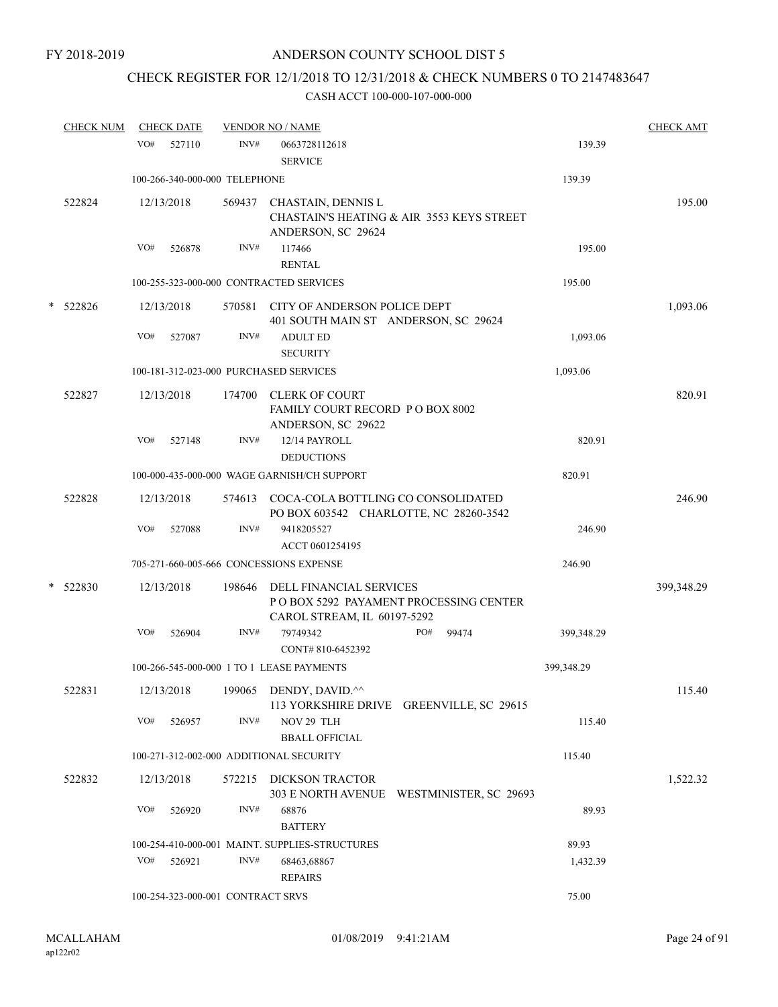# CHECK REGISTER FOR 12/1/2018 TO 12/31/2018 & CHECK NUMBERS 0 TO 2147483647

|   | <b>CHECK NUM</b> |     | <b>CHECK DATE</b>                 |        | <b>VENDOR NO / NAME</b>                                                             |                                           |            | <b>CHECK AMT</b> |
|---|------------------|-----|-----------------------------------|--------|-------------------------------------------------------------------------------------|-------------------------------------------|------------|------------------|
|   |                  | VO# | 527110                            | INV#   | 0663728112618<br><b>SERVICE</b>                                                     |                                           | 139.39     |                  |
|   |                  |     | 100-266-340-000-000 TELEPHONE     |        |                                                                                     |                                           | 139.39     |                  |
|   | 522824           |     | 12/13/2018                        | 569437 | CHASTAIN, DENNIS L<br>ANDERSON, SC 29624                                            | CHASTAIN'S HEATING & AIR 3553 KEYS STREET |            | 195.00           |
|   |                  | VO# | 526878                            | INV#   | 117466<br><b>RENTAL</b>                                                             |                                           | 195.00     |                  |
|   |                  |     |                                   |        | 100-255-323-000-000 CONTRACTED SERVICES                                             |                                           | 195.00     |                  |
| * | 522826           |     | 12/13/2018                        |        | 570581 CITY OF ANDERSON POLICE DEPT<br>401 SOUTH MAIN ST ANDERSON, SC 29624         |                                           |            | 1,093.06         |
|   |                  | VO# | 527087                            | INV#   | <b>ADULT ED</b><br><b>SECURITY</b>                                                  |                                           | 1,093.06   |                  |
|   |                  |     |                                   |        | 100-181-312-023-000 PURCHASED SERVICES                                              |                                           | 1,093.06   |                  |
|   | 522827           |     | 12/13/2018                        |        | 174700 CLERK OF COURT<br>FAMILY COURT RECORD P O BOX 8002<br>ANDERSON, SC 29622     |                                           |            | 820.91           |
|   |                  | VO# | 527148                            | INV#   | 12/14 PAYROLL<br><b>DEDUCTIONS</b>                                                  |                                           | 820.91     |                  |
|   |                  |     |                                   |        | 100-000-435-000-000 WAGE GARNISH/CH SUPPORT                                         |                                           | 820.91     |                  |
|   | 522828           |     | 12/13/2018                        |        | 574613 COCA-COLA BOTTLING CO CONSOLIDATED<br>PO BOX 603542 CHARLOTTE, NC 28260-3542 |                                           |            | 246.90           |
|   |                  | VO# | 527088                            | INV#   | 9418205527<br>ACCT 0601254195                                                       |                                           | 246.90     |                  |
|   |                  |     |                                   |        | 705-271-660-005-666 CONCESSIONS EXPENSE                                             |                                           | 246.90     |                  |
| * | 522830           |     | 12/13/2018                        | 198646 | DELL FINANCIAL SERVICES<br>CAROL STREAM, IL 60197-5292                              | PO BOX 5292 PAYAMENT PROCESSING CENTER    |            | 399,348.29       |
|   |                  | VO# | 526904                            | INV#   | 79749342<br>CONT#810-6452392                                                        | PO#<br>99474                              | 399,348.29 |                  |
|   |                  |     |                                   |        | 100-266-545-000-000 1 TO 1 LEASE PAYMENTS                                           |                                           | 399,348.29 |                  |
|   | 522831           |     | 12/13/2018                        |        | 199065 DENDY, DAVID.^^                                                              | 113 YORKSHIRE DRIVE GREENVILLE, SC 29615  |            | 115.40           |
|   |                  | VO# | 526957                            | INV#   | NOV 29 TLH<br><b>BBALL OFFICIAL</b>                                                 |                                           | 115.40     |                  |
|   |                  |     |                                   |        | 100-271-312-002-000 ADDITIONAL SECURITY                                             |                                           | 115.40     |                  |
|   | 522832           |     | 12/13/2018                        |        | 572215 DICKSON TRACTOR                                                              | 303 E NORTH AVENUE WESTMINISTER, SC 29693 |            | 1,522.32         |
|   |                  | VO# | 526920                            | INV#   | 68876<br><b>BATTERY</b>                                                             |                                           | 89.93      |                  |
|   |                  |     |                                   |        | 100-254-410-000-001 MAINT. SUPPLIES-STRUCTURES                                      |                                           | 89.93      |                  |
|   |                  | VO# | 526921                            | INV#   | 68463,68867<br><b>REPAIRS</b>                                                       |                                           | 1,432.39   |                  |
|   |                  |     | 100-254-323-000-001 CONTRACT SRVS |        |                                                                                     |                                           | 75.00      |                  |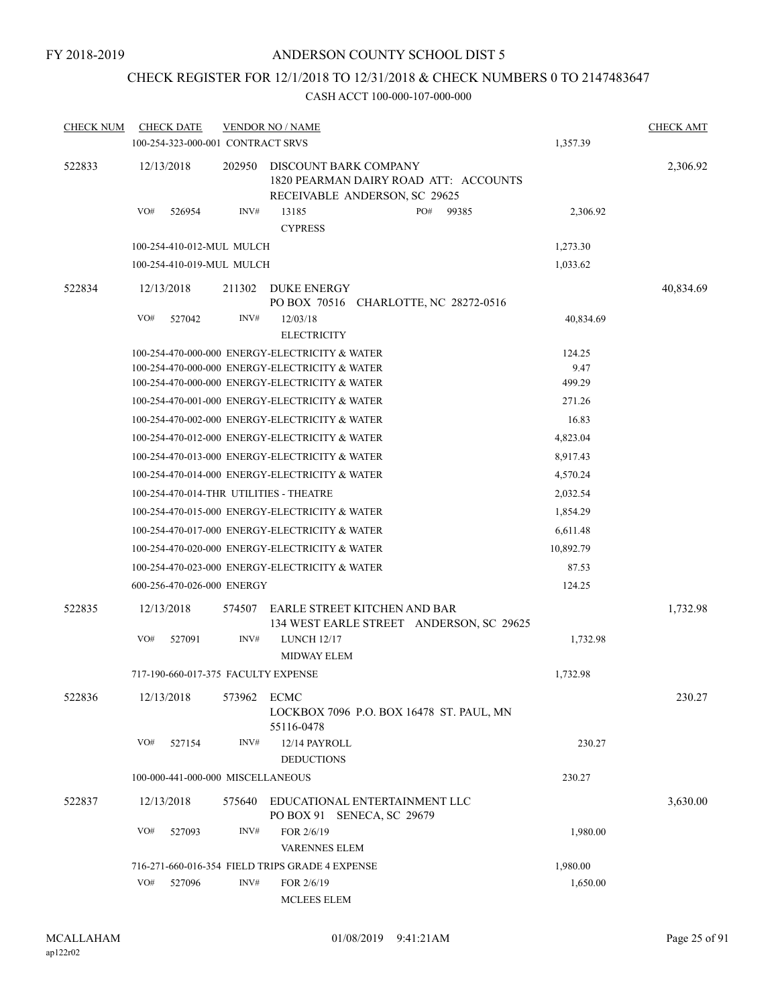# CHECK REGISTER FOR 12/1/2018 TO 12/31/2018 & CHECK NUMBERS 0 TO 2147483647

| <b>CHECK NUM</b> | <b>CHECK DATE</b>                   |        | <b>VENDOR NO / NAME</b>                                                                         |              |           |           | <b>CHECK AMT</b> |
|------------------|-------------------------------------|--------|-------------------------------------------------------------------------------------------------|--------------|-----------|-----------|------------------|
|                  | 100-254-323-000-001 CONTRACT SRVS   |        |                                                                                                 |              | 1,357.39  |           |                  |
| 522833           | 12/13/2018                          | 202950 | DISCOUNT BARK COMPANY<br>1820 PEARMAN DAIRY ROAD ATT: ACCOUNTS<br>RECEIVABLE ANDERSON, SC 29625 |              |           |           | 2,306.92         |
|                  | VO#<br>526954                       | INV#   | 13185<br><b>CYPRESS</b>                                                                         | PO#<br>99385 |           | 2,306.92  |                  |
|                  | 100-254-410-012-MUL MULCH           |        |                                                                                                 |              | 1,273.30  |           |                  |
|                  | 100-254-410-019-MUL MULCH           |        |                                                                                                 |              | 1,033.62  |           |                  |
| 522834           | 12/13/2018                          | 211302 | DUKE ENERGY<br>PO BOX 70516 CHARLOTTE, NC 28272-0516                                            |              |           |           | 40,834.69        |
|                  | VO#<br>527042                       | INV#   | 12/03/18<br><b>ELECTRICITY</b>                                                                  |              |           | 40,834.69 |                  |
|                  |                                     |        | 100-254-470-000-000 ENERGY-ELECTRICITY & WATER                                                  |              | 124.25    |           |                  |
|                  |                                     |        | 100-254-470-000-000 ENERGY-ELECTRICITY & WATER                                                  |              |           | 9.47      |                  |
|                  |                                     |        | 100-254-470-000-000 ENERGY-ELECTRICITY & WATER                                                  |              | 499.29    |           |                  |
|                  |                                     |        | 100-254-470-001-000 ENERGY-ELECTRICITY & WATER                                                  |              | 271.26    |           |                  |
|                  |                                     |        | 100-254-470-002-000 ENERGY-ELECTRICITY & WATER                                                  |              | 16.83     |           |                  |
|                  |                                     |        | 100-254-470-012-000 ENERGY-ELECTRICITY & WATER                                                  |              | 4,823.04  |           |                  |
|                  |                                     |        | 100-254-470-013-000 ENERGY-ELECTRICITY & WATER                                                  |              | 8,917.43  |           |                  |
|                  |                                     |        | 100-254-470-014-000 ENERGY-ELECTRICITY & WATER                                                  |              | 4,570.24  |           |                  |
|                  |                                     |        | 100-254-470-014-THR UTILITIES - THEATRE                                                         |              | 2,032.54  |           |                  |
|                  |                                     |        | 100-254-470-015-000 ENERGY-ELECTRICITY & WATER                                                  |              | 1,854.29  |           |                  |
|                  |                                     |        | 100-254-470-017-000 ENERGY-ELECTRICITY & WATER                                                  |              | 6,611.48  |           |                  |
|                  |                                     |        | 100-254-470-020-000 ENERGY-ELECTRICITY & WATER                                                  |              | 10,892.79 |           |                  |
|                  |                                     |        | 100-254-470-023-000 ENERGY-ELECTRICITY & WATER                                                  |              | 87.53     |           |                  |
|                  | 600-256-470-026-000 ENERGY          |        |                                                                                                 |              | 124.25    |           |                  |
| 522835           | 12/13/2018                          | 574507 | EARLE STREET KITCHEN AND BAR<br>134 WEST EARLE STREET ANDERSON, SC 29625                        |              |           |           | 1,732.98         |
|                  | VO#<br>527091                       | INV#   | <b>LUNCH 12/17</b><br><b>MIDWAY ELEM</b>                                                        |              |           | 1,732.98  |                  |
|                  | 717-190-660-017-375 FACULTY EXPENSE |        |                                                                                                 |              | 1,732.98  |           |                  |
| 522836           | 12/13/2018                          | 573962 | ECMC<br>LOCKBOX 7096 P.O. BOX 16478 ST. PAUL, MN<br>55116-0478                                  |              |           |           | 230.27           |
|                  | VO#<br>527154                       | INV#   | 12/14 PAYROLL<br><b>DEDUCTIONS</b>                                                              |              |           | 230.27    |                  |
|                  | 100-000-441-000-000 MISCELLANEOUS   |        |                                                                                                 |              | 230.27    |           |                  |
| 522837           | 12/13/2018                          | 575640 | EDUCATIONAL ENTERTAINMENT LLC<br>PO BOX 91 SENECA, SC 29679                                     |              |           |           | 3,630.00         |
|                  | VO#<br>527093                       | INV#   | FOR 2/6/19<br><b>VARENNES ELEM</b>                                                              |              |           | 1,980.00  |                  |
|                  |                                     |        | 716-271-660-016-354 FIELD TRIPS GRADE 4 EXPENSE                                                 |              | 1,980.00  |           |                  |
|                  | VO#<br>527096                       | INV#   | FOR 2/6/19<br><b>MCLEES ELEM</b>                                                                |              |           | 1,650.00  |                  |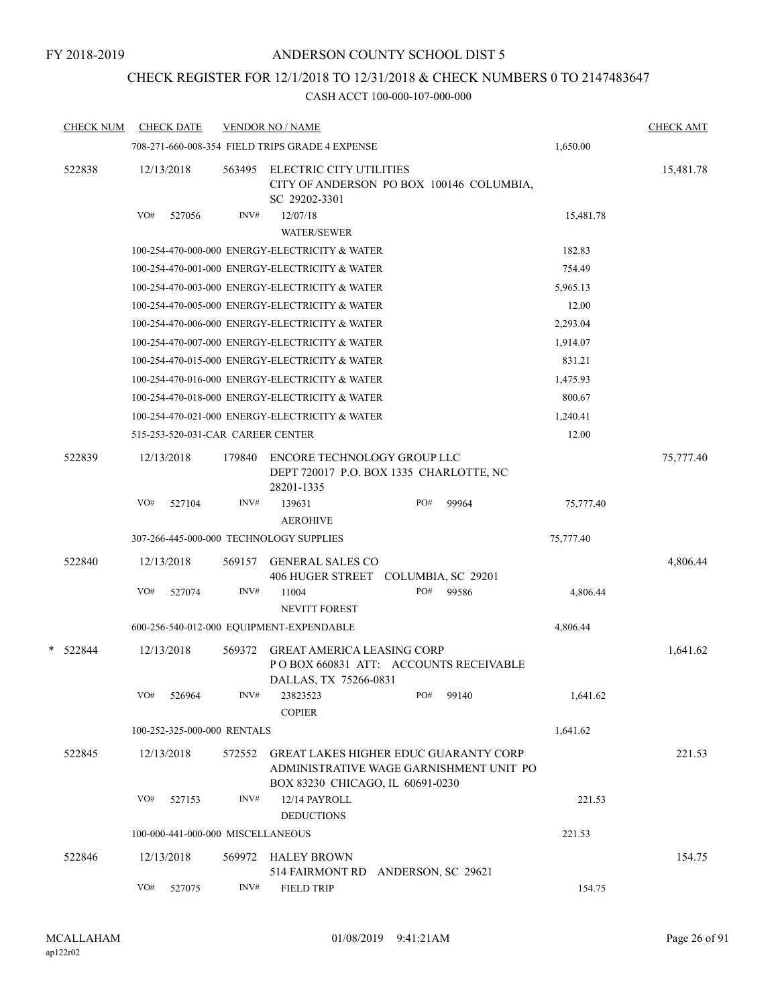# CHECK REGISTER FOR 12/1/2018 TO 12/31/2018 & CHECK NUMBERS 0 TO 2147483647

|   | <b>CHECK NUM</b> |     | <b>CHECK DATE</b>                 |        | <b>VENDOR NO / NAME</b>                                                                                                     |     |       |           | <b>CHECK AMT</b> |
|---|------------------|-----|-----------------------------------|--------|-----------------------------------------------------------------------------------------------------------------------------|-----|-------|-----------|------------------|
|   |                  |     |                                   |        | 708-271-660-008-354 FIELD TRIPS GRADE 4 EXPENSE                                                                             |     |       | 1,650.00  |                  |
|   | 522838           |     | 12/13/2018                        | 563495 | ELECTRIC CITY UTILITIES<br>CITY OF ANDERSON PO BOX 100146 COLUMBIA,<br>SC 29202-3301                                        |     |       |           | 15,481.78        |
|   |                  | VO# | 527056                            | INV#   | 12/07/18<br><b>WATER/SEWER</b>                                                                                              |     |       | 15,481.78 |                  |
|   |                  |     |                                   |        | 100-254-470-000-000 ENERGY-ELECTRICITY & WATER                                                                              |     |       | 182.83    |                  |
|   |                  |     |                                   |        | 100-254-470-001-000 ENERGY-ELECTRICITY & WATER                                                                              |     |       | 754.49    |                  |
|   |                  |     |                                   |        | 100-254-470-003-000 ENERGY-ELECTRICITY & WATER                                                                              |     |       | 5,965.13  |                  |
|   |                  |     |                                   |        | 100-254-470-005-000 ENERGY-ELECTRICITY & WATER                                                                              |     |       | 12.00     |                  |
|   |                  |     |                                   |        | 100-254-470-006-000 ENERGY-ELECTRICITY & WATER                                                                              |     |       | 2,293.04  |                  |
|   |                  |     |                                   |        | 100-254-470-007-000 ENERGY-ELECTRICITY & WATER                                                                              |     |       | 1,914.07  |                  |
|   |                  |     |                                   |        | 100-254-470-015-000 ENERGY-ELECTRICITY & WATER                                                                              |     |       | 831.21    |                  |
|   |                  |     |                                   |        | 100-254-470-016-000 ENERGY-ELECTRICITY & WATER                                                                              |     |       | 1,475.93  |                  |
|   |                  |     |                                   |        | 100-254-470-018-000 ENERGY-ELECTRICITY & WATER                                                                              |     |       | 800.67    |                  |
|   |                  |     |                                   |        | 100-254-470-021-000 ENERGY-ELECTRICITY & WATER                                                                              |     |       | 1,240.41  |                  |
|   |                  |     | 515-253-520-031-CAR CAREER CENTER |        |                                                                                                                             |     |       | 12.00     |                  |
|   | 522839           |     | 12/13/2018                        | 179840 | ENCORE TECHNOLOGY GROUP LLC<br>DEPT 720017 P.O. BOX 1335 CHARLOTTE, NC<br>28201-1335                                        |     |       |           | 75,777.40        |
|   |                  | VO# | 527104                            | INV#   | 139631<br><b>AEROHIVE</b>                                                                                                   | PO# | 99964 | 75,777.40 |                  |
|   |                  |     |                                   |        | 307-266-445-000-000 TECHNOLOGY SUPPLIES                                                                                     |     |       | 75,777.40 |                  |
|   | 522840           |     | 12/13/2018                        | 569157 | <b>GENERAL SALES CO</b>                                                                                                     |     |       |           | 4,806.44         |
|   |                  |     |                                   |        | 406 HUGER STREET COLUMBIA, SC 29201                                                                                         |     |       |           |                  |
|   |                  | VO# | 527074                            | INV#   | 11004<br><b>NEVITT FOREST</b>                                                                                               | PO# | 99586 | 4,806.44  |                  |
|   |                  |     |                                   |        | 600-256-540-012-000 EQUIPMENT-EXPENDABLE                                                                                    |     |       | 4,806.44  |                  |
| * | 522844           |     | 12/13/2018                        | 569372 | <b>GREAT AMERICA LEASING CORP</b><br>POBOX 660831 ATT: ACCOUNTS RECEIVABLE<br>DALLAS, TX 75266-0831                         |     |       |           | 1,641.62         |
|   |                  | VO# | 526964                            | INV#   | 23823523<br><b>COPIER</b>                                                                                                   | PO# | 99140 | 1,641.62  |                  |
|   |                  |     | 100-252-325-000-000 RENTALS       |        |                                                                                                                             |     |       | 1,641.62  |                  |
|   | 522845           |     | 12/13/2018                        | 572552 | <b>GREAT LAKES HIGHER EDUC GUARANTY CORP</b><br>ADMINISTRATIVE WAGE GARNISHMENT UNIT PO<br>BOX 83230 CHICAGO, IL 60691-0230 |     |       |           | 221.53           |
|   |                  | VO# | 527153                            | INV#   | 12/14 PAYROLL<br><b>DEDUCTIONS</b>                                                                                          |     |       | 221.53    |                  |
|   |                  |     | 100-000-441-000-000 MISCELLANEOUS |        |                                                                                                                             |     |       | 221.53    |                  |
|   | 522846           |     | 12/13/2018                        | 569972 | <b>HALEY BROWN</b><br>514 FAIRMONT RD ANDERSON, SC 29621                                                                    |     |       |           | 154.75           |
|   |                  | VO# | 527075                            | INV#   | <b>FIELD TRIP</b>                                                                                                           |     |       | 154.75    |                  |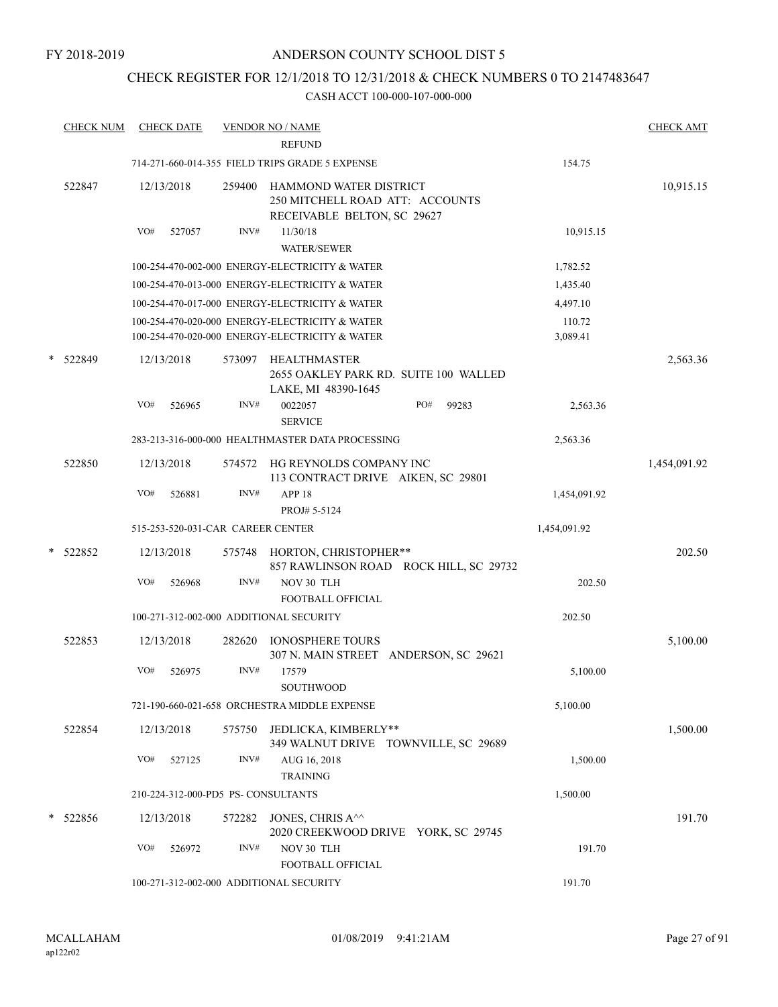FY 2018-2019

# ANDERSON COUNTY SCHOOL DIST 5

# CHECK REGISTER FOR 12/1/2018 TO 12/31/2018 & CHECK NUMBERS 0 TO 2147483647

|   | <b>CHECK NUM</b> |     | <b>CHECK DATE</b>                  |                | <b>VENDOR NO / NAME</b><br><b>REFUND</b>                                                         |              |                    | <b>CHECK AMT</b> |
|---|------------------|-----|------------------------------------|----------------|--------------------------------------------------------------------------------------------------|--------------|--------------------|------------------|
|   |                  |     |                                    |                | 714-271-660-014-355 FIELD TRIPS GRADE 5 EXPENSE                                                  |              | 154.75             |                  |
|   | 522847           |     | 12/13/2018                         | 259400         | HAMMOND WATER DISTRICT<br>250 MITCHELL ROAD ATT: ACCOUNTS<br>RECEIVABLE BELTON, SC 29627         |              |                    | 10,915.15        |
|   |                  | VO# | 527057                             | INV#           | 11/30/18<br><b>WATER/SEWER</b>                                                                   |              | 10,915.15          |                  |
|   |                  |     |                                    |                | 100-254-470-002-000 ENERGY-ELECTRICITY & WATER                                                   |              | 1,782.52           |                  |
|   |                  |     |                                    |                | 100-254-470-013-000 ENERGY-ELECTRICITY & WATER                                                   |              | 1,435.40           |                  |
|   |                  |     |                                    |                | 100-254-470-017-000 ENERGY-ELECTRICITY & WATER                                                   |              | 4,497.10           |                  |
|   |                  |     |                                    |                | 100-254-470-020-000 ENERGY-ELECTRICITY & WATER<br>100-254-470-020-000 ENERGY-ELECTRICITY & WATER |              | 110.72<br>3,089.41 |                  |
| * | 522849           | VO# | 12/13/2018<br>526965               | 573097<br>INV# | <b>HEALTHMASTER</b><br>2655 OAKLEY PARK RD. SUITE 100 WALLED<br>LAKE, MI 48390-1645<br>0022057   | PO#<br>99283 | 2,563.36           | 2,563.36         |
|   |                  |     |                                    |                | <b>SERVICE</b>                                                                                   |              |                    |                  |
|   |                  |     |                                    |                | 283-213-316-000-000 HEALTHMASTER DATA PROCESSING                                                 |              | 2,563.36           |                  |
|   | 522850           |     | 12/13/2018                         | 574572         | HG REYNOLDS COMPANY INC<br>113 CONTRACT DRIVE AIKEN, SC 29801                                    |              |                    | 1,454,091.92     |
|   |                  | VO# | 526881                             | INV#           | APP <sub>18</sub><br>PROJ# 5-5124                                                                |              | 1,454,091.92       |                  |
|   |                  |     | 515-253-520-031-CAR CAREER CENTER  |                |                                                                                                  |              | 1,454,091.92       |                  |
| * | 522852           |     | 12/13/2018                         |                | 575748 HORTON, CHRISTOPHER**<br>857 RAWLINSON ROAD ROCK HILL, SC 29732                           |              |                    | 202.50           |
|   |                  | VO# | 526968                             | INV#           | NOV 30 TLH<br><b>FOOTBALL OFFICIAL</b>                                                           |              | 202.50             |                  |
|   |                  |     |                                    |                | 100-271-312-002-000 ADDITIONAL SECURITY                                                          |              | 202.50             |                  |
|   | 522853           |     | 12/13/2018                         | 282620         | <b>IONOSPHERE TOURS</b><br>307 N. MAIN STREET ANDERSON, SC 29621                                 |              |                    | 5,100.00         |
|   |                  | VO# | 526975                             | INV#           | 17579<br>SOUTHWOOD                                                                               |              | 5,100.00           |                  |
|   |                  |     |                                    |                | 721-190-660-021-658 ORCHESTRA MIDDLE EXPENSE                                                     |              | 5,100.00           |                  |
|   |                  |     |                                    |                |                                                                                                  |              |                    |                  |
|   | 522854           |     | 12/13/2018                         | 575750         | JEDLICKA, KIMBERLY**<br>349 WALNUT DRIVE TOWNVILLE, SC 29689                                     |              |                    | 1,500.00         |
|   |                  | VO# | 527125                             | INV#           | AUG 16, 2018<br><b>TRAINING</b>                                                                  |              | 1,500.00           |                  |
|   |                  |     | 210-224-312-000-PD5 PS-CONSULTANTS |                |                                                                                                  |              | 1,500.00           |                  |
| * | 522856           |     | 12/13/2018                         | 572282         | JONES, CHRIS A^^                                                                                 |              |                    | 191.70           |
|   |                  | VO# | 526972                             | INV#           | 2020 CREEKWOOD DRIVE YORK, SC 29745<br>NOV 30 TLH                                                |              | 191.70             |                  |
|   |                  |     |                                    |                | FOOTBALL OFFICIAL                                                                                |              | 191.70             |                  |
|   |                  |     |                                    |                | 100-271-312-002-000 ADDITIONAL SECURITY                                                          |              |                    |                  |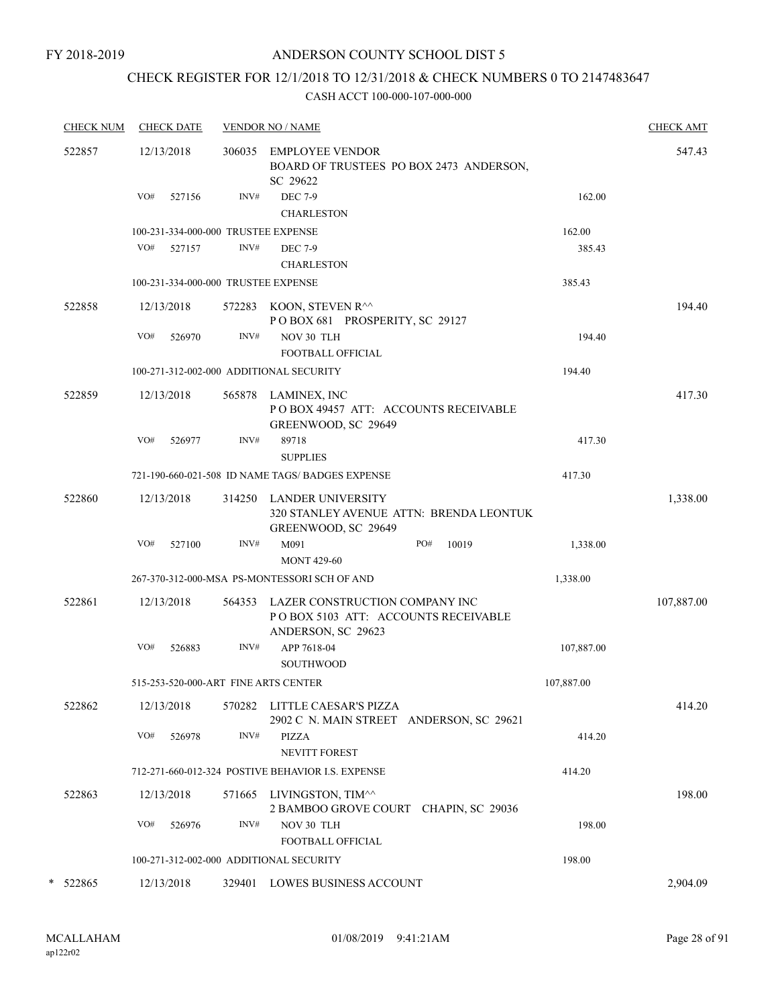# CHECK REGISTER FOR 12/1/2018 TO 12/31/2018 & CHECK NUMBERS 0 TO 2147483647

| <b>CHECK NUM</b> | <b>CHECK DATE</b>                       |      | <b>VENDOR NO / NAME</b>                                                                             |              |            | <b>CHECK AMT</b> |
|------------------|-----------------------------------------|------|-----------------------------------------------------------------------------------------------------|--------------|------------|------------------|
| 522857           | 12/13/2018                              |      | 306035 EMPLOYEE VENDOR<br>BOARD OF TRUSTEES PO BOX 2473 ANDERSON,<br>SC 29622                       |              |            | 547.43           |
|                  | VO#<br>527156                           | INV# | <b>DEC 7-9</b><br><b>CHARLESTON</b>                                                                 |              | 162.00     |                  |
|                  | 100-231-334-000-000 TRUSTEE EXPENSE     |      |                                                                                                     |              | 162.00     |                  |
|                  | VO# 527157                              | INV# | <b>DEC 7-9</b><br><b>CHARLESTON</b>                                                                 |              | 385.43     |                  |
|                  | 100-231-334-000-000 TRUSTEE EXPENSE     |      |                                                                                                     |              | 385.43     |                  |
| 522858           | 12/13/2018                              |      | 572283 KOON, STEVEN R^^<br>POBOX 681 PROSPERITY, SC 29127                                           |              |            | 194.40           |
|                  | VO#<br>526970                           | INV# | NOV 30 TLH<br><b>FOOTBALL OFFICIAL</b>                                                              |              | 194.40     |                  |
|                  | 100-271-312-002-000 ADDITIONAL SECURITY |      |                                                                                                     |              | 194.40     |                  |
| 522859           | 12/13/2018                              |      | 565878 LAMINEX, INC<br>POBOX 49457 ATT: ACCOUNTS RECEIVABLE<br>GREENWOOD, SC 29649                  |              |            | 417.30           |
|                  | VO#<br>526977                           | INV# | 89718<br><b>SUPPLIES</b>                                                                            |              | 417.30     |                  |
|                  |                                         |      | 721-190-660-021-508 ID NAME TAGS/ BADGES EXPENSE                                                    |              | 417.30     |                  |
| 522860           | 12/13/2018                              |      | 314250 LANDER UNIVERSITY<br>320 STANLEY AVENUE ATTN: BRENDA LEONTUK<br>GREENWOOD, SC 29649          |              |            | 1,338.00         |
|                  | VO#<br>527100                           | INV# | M091<br><b>MONT 429-60</b>                                                                          | 10019<br>PO# | 1,338.00   |                  |
|                  |                                         |      | 267-370-312-000-MSA PS-MONTESSORI SCH OF AND                                                        |              | 1,338.00   |                  |
| 522861           | 12/13/2018                              |      | 564353 LAZER CONSTRUCTION COMPANY INC<br>PO BOX 5103 ATT: ACCOUNTS RECEIVABLE<br>ANDERSON, SC 29623 |              |            | 107,887.00       |
|                  | VO#<br>526883                           | INV# | APP 7618-04<br><b>SOUTHWOOD</b>                                                                     |              | 107,887.00 |                  |
|                  | 515-253-520-000-ART FINE ARTS CENTER    |      |                                                                                                     |              | 107,887.00 |                  |
| 522862           | 12/13/2018                              |      | 570282 LITTLE CAESAR'S PIZZA<br>2902 C N. MAIN STREET ANDERSON, SC 29621                            |              |            | 414.20           |
|                  | VO#<br>526978                           | INV# | PIZZA<br>NEVITT FOREST                                                                              |              | 414.20     |                  |
|                  |                                         |      | 712-271-660-012-324 POSTIVE BEHAVIOR I.S. EXPENSE                                                   |              | 414.20     |                  |
| 522863           | 12/13/2018                              |      | 571665 LIVINGSTON, TIM^^<br>2 BAMBOO GROVE COURT CHAPIN, SC 29036                                   |              |            | 198.00           |
|                  | VO#<br>526976                           | INV# | NOV 30 TLH<br><b>FOOTBALL OFFICIAL</b>                                                              |              | 198.00     |                  |
|                  | 100-271-312-002-000 ADDITIONAL SECURITY |      |                                                                                                     |              | 198.00     |                  |
| 522865           | 12/13/2018                              |      | 329401 LOWES BUSINESS ACCOUNT                                                                       |              |            | 2,904.09         |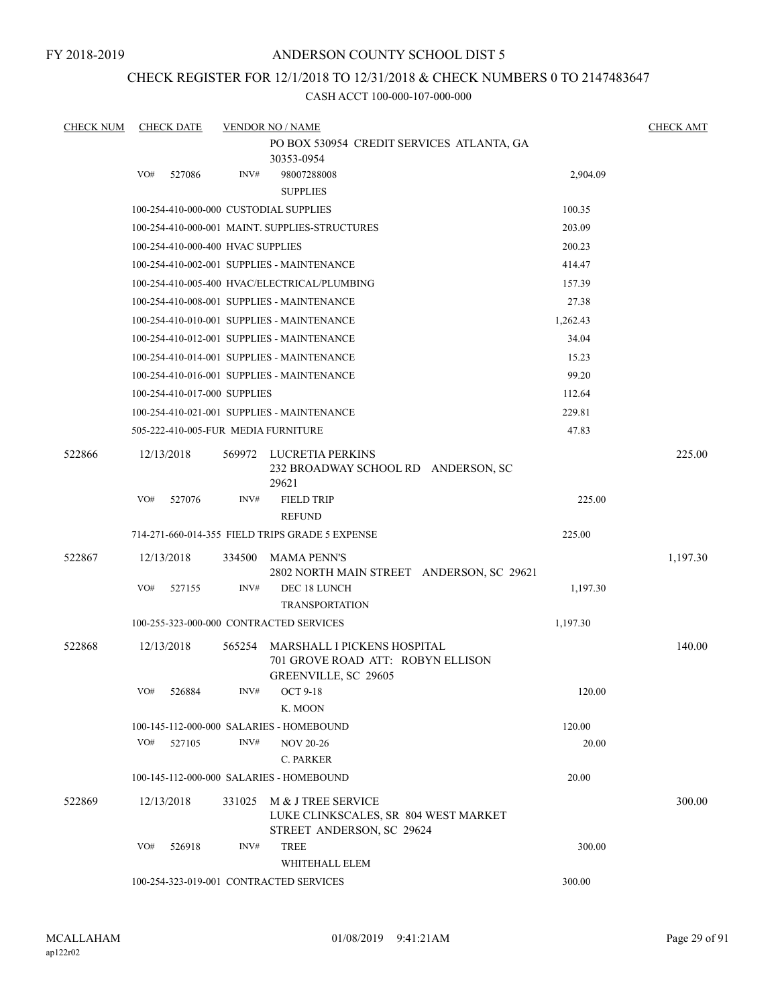FY 2018-2019

#### ANDERSON COUNTY SCHOOL DIST 5

### CHECK REGISTER FOR 12/1/2018 TO 12/31/2018 & CHECK NUMBERS 0 TO 2147483647

| <b>CHECK NUM</b> |            | <b>CHECK DATE</b>                 |        | <b>VENDOR NO / NAME</b><br>PO BOX 530954 CREDIT SERVICES ATLANTA, GA                            |          | <b>CHECK AMT</b> |
|------------------|------------|-----------------------------------|--------|-------------------------------------------------------------------------------------------------|----------|------------------|
|                  | VO#        | 527086                            | INV#   | 30353-0954<br>98007288008                                                                       | 2,904.09 |                  |
|                  |            |                                   |        | <b>SUPPLIES</b>                                                                                 |          |                  |
|                  |            |                                   |        | 100-254-410-000-000 CUSTODIAL SUPPLIES                                                          | 100.35   |                  |
|                  |            |                                   |        | 100-254-410-000-001 MAINT. SUPPLIES-STRUCTURES                                                  | 203.09   |                  |
|                  |            | 100-254-410-000-400 HVAC SUPPLIES |        |                                                                                                 | 200.23   |                  |
|                  |            |                                   |        | 100-254-410-002-001 SUPPLIES - MAINTENANCE                                                      | 414.47   |                  |
|                  |            |                                   |        | 100-254-410-005-400 HVAC/ELECTRICAL/PLUMBING                                                    | 157.39   |                  |
|                  |            |                                   |        | 100-254-410-008-001 SUPPLIES - MAINTENANCE                                                      | 27.38    |                  |
|                  |            |                                   |        | 100-254-410-010-001 SUPPLIES - MAINTENANCE                                                      | 1,262.43 |                  |
|                  |            |                                   |        | 100-254-410-012-001 SUPPLIES - MAINTENANCE                                                      | 34.04    |                  |
|                  |            |                                   |        | 100-254-410-014-001 SUPPLIES - MAINTENANCE                                                      | 15.23    |                  |
|                  |            |                                   |        | 100-254-410-016-001 SUPPLIES - MAINTENANCE                                                      | 99.20    |                  |
|                  |            | 100-254-410-017-000 SUPPLIES      |        |                                                                                                 | 112.64   |                  |
|                  |            |                                   |        | 100-254-410-021-001 SUPPLIES - MAINTENANCE                                                      | 229.81   |                  |
|                  |            |                                   |        | 505-222-410-005-FUR MEDIA FURNITURE                                                             | 47.83    |                  |
| 522866           | 12/13/2018 |                                   | 569972 | LUCRETIA PERKINS<br>232 BROADWAY SCHOOL RD ANDERSON, SC<br>29621                                |          | 225.00           |
|                  | VO#        | 527076                            | INV#   | <b>FIELD TRIP</b><br><b>REFUND</b>                                                              | 225.00   |                  |
|                  |            |                                   |        | 714-271-660-014-355 FIELD TRIPS GRADE 5 EXPENSE                                                 | 225.00   |                  |
| 522867           | 12/13/2018 |                                   | 334500 | <b>MAMA PENN'S</b>                                                                              |          | 1,197.30         |
|                  |            |                                   |        | 2802 NORTH MAIN STREET ANDERSON, SC 29621                                                       |          |                  |
|                  | VO#        | 527155                            | INV#   | DEC 18 LUNCH<br><b>TRANSPORTATION</b>                                                           | 1,197.30 |                  |
|                  |            |                                   |        | 100-255-323-000-000 CONTRACTED SERVICES                                                         | 1,197.30 |                  |
| 522868           | 12/13/2018 |                                   | 565254 | MARSHALL I PICKENS HOSPITAL<br>701 GROVE ROAD ATT: ROBYN ELLISON<br><b>GREENVILLE, SC 29605</b> |          | 140.00           |
|                  | VO# 526884 |                                   | INV#   | OCT 9-18<br>K. MOON                                                                             | 120.00   |                  |
|                  |            |                                   |        | 100-145-112-000-000 SALARIES - HOMEBOUND                                                        | 120.00   |                  |
|                  | VO#        | 527105                            | INV#   | <b>NOV 20-26</b><br>C. PARKER                                                                   | 20.00    |                  |
|                  |            |                                   |        | 100-145-112-000-000 SALARIES - HOMEBOUND                                                        | 20.00    |                  |
| 522869           | 12/13/2018 |                                   | 331025 | M & J TREE SERVICE<br>LUKE CLINKSCALES, SR 804 WEST MARKET<br>STREET ANDERSON, SC 29624         |          | 300.00           |
|                  | VO#        | 526918                            | INV#   | <b>TREE</b><br>WHITEHALL ELEM                                                                   | 300.00   |                  |
|                  |            |                                   |        | 100-254-323-019-001 CONTRACTED SERVICES                                                         | 300.00   |                  |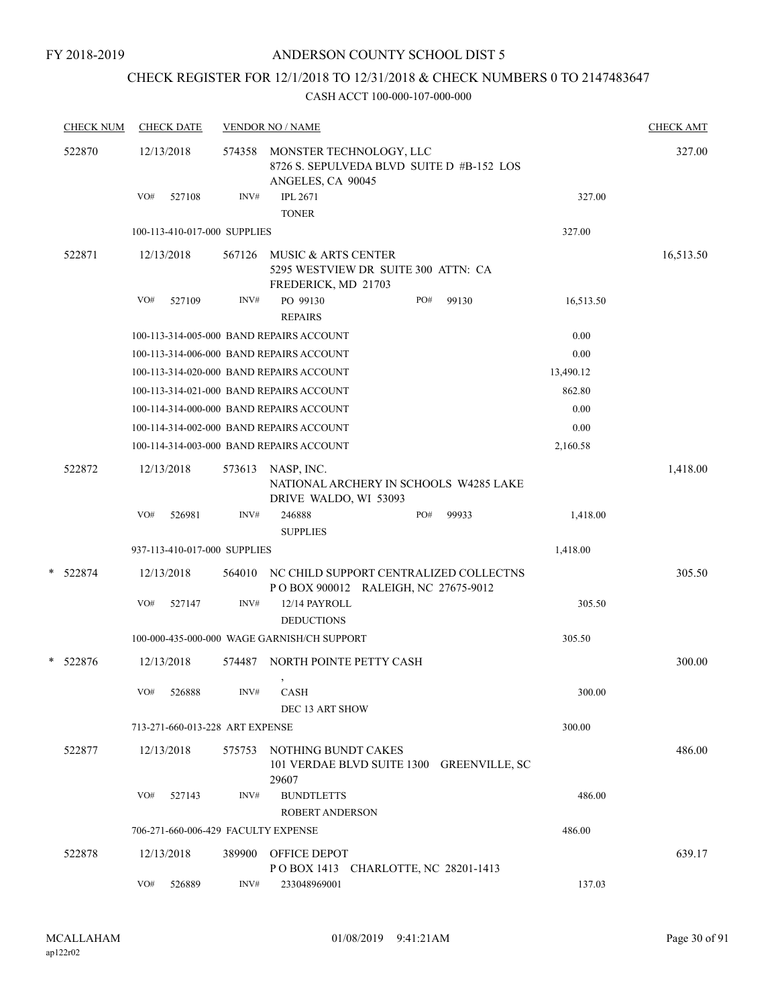# CHECK REGISTER FOR 12/1/2018 TO 12/31/2018 & CHECK NUMBERS 0 TO 2147483647

| <b>CHECK NUM</b> |     | <b>CHECK DATE</b>               |        | <b>VENDOR NO / NAME</b>                             |                                                                               |       |           | <b>CHECK AMT</b> |
|------------------|-----|---------------------------------|--------|-----------------------------------------------------|-------------------------------------------------------------------------------|-------|-----------|------------------|
| 522870           |     | 12/13/2018                      | 574358 | MONSTER TECHNOLOGY, LLC<br>ANGELES, CA 90045        | 8726 S. SEPULVEDA BLVD SUITE D #B-152 LOS                                     |       |           | 327.00           |
|                  | VO# | 527108                          | INV#   | <b>IPL 2671</b><br><b>TONER</b>                     |                                                                               |       | 327.00    |                  |
|                  |     | 100-113-410-017-000 SUPPLIES    |        |                                                     |                                                                               |       | 327.00    |                  |
| 522871           |     | 12/13/2018                      | 567126 | MUSIC & ARTS CENTER<br>FREDERICK, MD 21703          | 5295 WESTVIEW DR SUITE 300 ATTN: CA                                           |       |           | 16,513.50        |
|                  | VO# | 527109                          | INV#   | PO 99130                                            | PO#                                                                           | 99130 | 16,513.50 |                  |
|                  |     |                                 |        | <b>REPAIRS</b>                                      |                                                                               |       |           |                  |
|                  |     |                                 |        | 100-113-314-005-000 BAND REPAIRS ACCOUNT            |                                                                               |       | 0.00      |                  |
|                  |     |                                 |        | 100-113-314-006-000 BAND REPAIRS ACCOUNT            |                                                                               |       | 0.00      |                  |
|                  |     |                                 |        | 100-113-314-020-000 BAND REPAIRS ACCOUNT            |                                                                               |       | 13,490.12 |                  |
|                  |     |                                 |        | 100-113-314-021-000 BAND REPAIRS ACCOUNT            |                                                                               |       | 862.80    |                  |
|                  |     |                                 |        | 100-114-314-000-000 BAND REPAIRS ACCOUNT            |                                                                               |       | 0.00      |                  |
|                  |     |                                 |        | 100-114-314-002-000 BAND REPAIRS ACCOUNT            |                                                                               |       | 0.00      |                  |
|                  |     |                                 |        | 100-114-314-003-000 BAND REPAIRS ACCOUNT            |                                                                               |       | 2,160.58  |                  |
| 522872           |     | 12/13/2018                      | 573613 | NASP, INC.<br>DRIVE WALDO, WI 53093                 | NATIONAL ARCHERY IN SCHOOLS W4285 LAKE                                        |       |           | 1,418.00         |
|                  | VO# | 526981                          | INV#   | 246888<br><b>SUPPLIES</b>                           | PO#                                                                           | 99933 | 1,418.00  |                  |
|                  |     | 937-113-410-017-000 SUPPLIES    |        |                                                     |                                                                               |       | 1,418.00  |                  |
| * 522874         |     | 12/13/2018                      | 564010 |                                                     | NC CHILD SUPPORT CENTRALIZED COLLECTNS<br>POBOX 900012 RALEIGH, NC 27675-9012 |       |           | 305.50           |
|                  | VO# | 527147                          | INV#   | 12/14 PAYROLL<br><b>DEDUCTIONS</b>                  |                                                                               |       | 305.50    |                  |
|                  |     |                                 |        | 100-000-435-000-000 WAGE GARNISH/CH SUPPORT         |                                                                               |       | 305.50    |                  |
| * 522876         |     | 12/13/2018                      | 574487 | NORTH POINTE PETTY CASH<br>$\overline{\phantom{a}}$ |                                                                               |       |           | 300.00           |
|                  | VO# | 526888                          | INV#   | <b>CASH</b><br>DEC 13 ART SHOW                      |                                                                               |       | 300.00    |                  |
|                  |     | 713-271-660-013-228 ART EXPENSE |        |                                                     |                                                                               |       | 300.00    |                  |
| 522877           |     | 12/13/2018                      | 575753 | NOTHING BUNDT CAKES<br>29607                        | 101 VERDAE BLVD SUITE 1300 GREENVILLE, SC                                     |       |           | 486.00           |
|                  | VO# | 527143                          | INV#   | <b>BUNDTLETTS</b><br><b>ROBERT ANDERSON</b>         |                                                                               |       | 486.00    |                  |
|                  |     |                                 |        | 706-271-660-006-429 FACULTY EXPENSE                 |                                                                               |       | 486.00    |                  |
| 522878           |     | 12/13/2018                      |        | 389900 OFFICE DEPOT                                 | POBOX 1413 CHARLOTTE, NC 28201-1413                                           |       |           | 639.17           |
|                  | VO# | 526889                          | INV#   | 233048969001                                        |                                                                               |       | 137.03    |                  |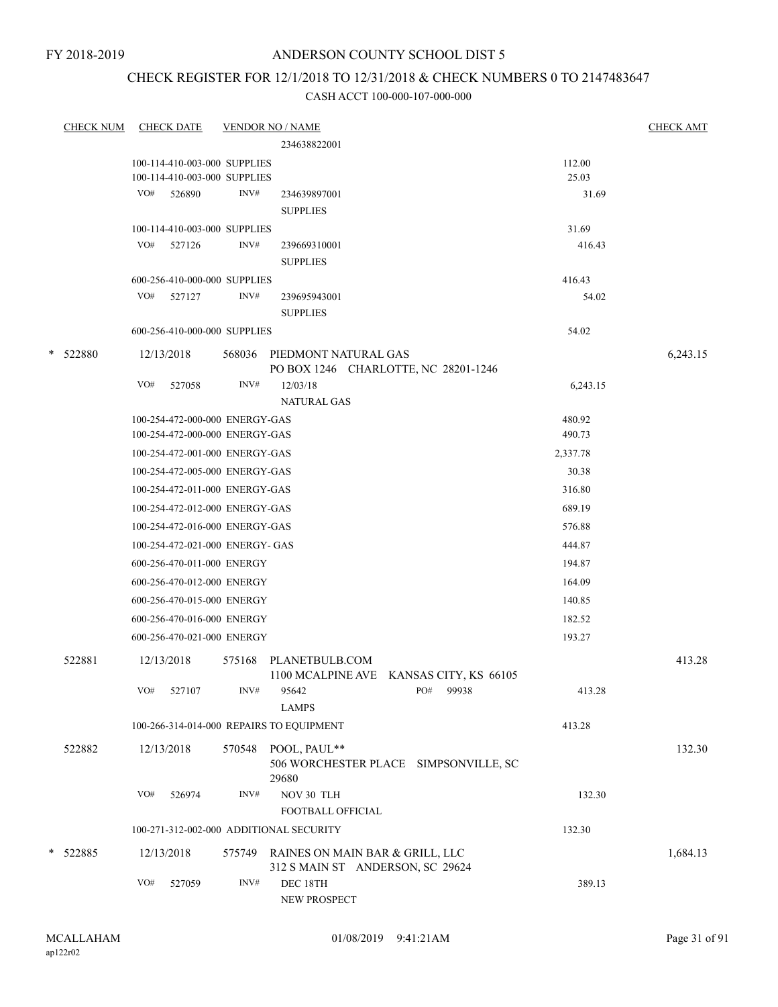# CHECK REGISTER FOR 12/1/2018 TO 12/31/2018 & CHECK NUMBERS 0 TO 2147483647

|   | <b>CHECK NUM</b> |     | <b>CHECK DATE</b>                                                |        | <b>VENDOR NO / NAME</b>                  |                  | <b>CHECK AMT</b> |
|---|------------------|-----|------------------------------------------------------------------|--------|------------------------------------------|------------------|------------------|
|   |                  |     |                                                                  |        | 234638822001                             |                  |                  |
|   |                  |     | 100-114-410-003-000 SUPPLIES                                     |        |                                          | 112.00           |                  |
|   |                  |     | 100-114-410-003-000 SUPPLIES                                     |        |                                          | 25.03            |                  |
|   |                  |     | VO# 526890                                                       | INV#   | 234639897001                             | 31.69            |                  |
|   |                  |     |                                                                  |        | <b>SUPPLIES</b>                          |                  |                  |
|   |                  |     | 100-114-410-003-000 SUPPLIES                                     |        |                                          | 31.69            |                  |
|   |                  |     | VO# 527126                                                       | INV#   | 239669310001                             | 416.43           |                  |
|   |                  |     |                                                                  |        | <b>SUPPLIES</b>                          |                  |                  |
|   |                  |     | 600-256-410-000-000 SUPPLIES                                     |        |                                          | 416.43           |                  |
|   |                  |     | VO# 527127                                                       | INV#   | 239695943001                             | 54.02            |                  |
|   |                  |     |                                                                  |        | <b>SUPPLIES</b>                          |                  |                  |
|   |                  |     | 600-256-410-000-000 SUPPLIES                                     |        |                                          | 54.02            |                  |
| * | 522880           |     | 12/13/2018                                                       |        | 568036 PIEDMONT NATURAL GAS              |                  | 6,243.15         |
|   |                  |     |                                                                  |        | PO BOX 1246 CHARLOTTE, NC 28201-1246     |                  |                  |
|   |                  | VO# | 527058                                                           | INV#   | 12/03/18                                 | 6,243.15         |                  |
|   |                  |     |                                                                  |        | <b>NATURAL GAS</b>                       |                  |                  |
|   |                  |     | 100-254-472-000-000 ENERGY-GAS<br>100-254-472-000-000 ENERGY-GAS |        |                                          | 480.92<br>490.73 |                  |
|   |                  |     | 100-254-472-001-000 ENERGY-GAS                                   |        |                                          | 2,337.78         |                  |
|   |                  |     | 100-254-472-005-000 ENERGY-GAS                                   |        |                                          | 30.38            |                  |
|   |                  |     |                                                                  |        |                                          |                  |                  |
|   |                  |     | 100-254-472-011-000 ENERGY-GAS                                   |        |                                          | 316.80           |                  |
|   |                  |     | 100-254-472-012-000 ENERGY-GAS                                   |        |                                          | 689.19           |                  |
|   |                  |     | 100-254-472-016-000 ENERGY-GAS                                   |        |                                          | 576.88           |                  |
|   |                  |     | 100-254-472-021-000 ENERGY- GAS                                  |        |                                          | 444.87           |                  |
|   |                  |     | 600-256-470-011-000 ENERGY                                       |        |                                          | 194.87           |                  |
|   |                  |     | 600-256-470-012-000 ENERGY                                       |        |                                          | 164.09           |                  |
|   |                  |     | 600-256-470-015-000 ENERGY                                       |        |                                          | 140.85           |                  |
|   |                  |     | 600-256-470-016-000 ENERGY                                       |        |                                          | 182.52           |                  |
|   |                  |     | 600-256-470-021-000 ENERGY                                       |        |                                          | 193.27           |                  |
|   | 522881           |     | 12/13/2018                                                       |        | 575168 PLANETBULB.COM                    |                  | 413.28           |
|   |                  |     |                                                                  |        | 1100 MCALPINE AVE KANSAS CITY, KS 66105  |                  |                  |
|   |                  |     | VO# 527107                                                       |        | PO# 99938<br>$INV#$ 95642                | 413.28           |                  |
|   |                  |     |                                                                  |        | <b>LAMPS</b>                             |                  |                  |
|   |                  |     |                                                                  |        | 100-266-314-014-000 REPAIRS TO EQUIPMENT | 413.28           |                  |
|   | 522882           |     | 12/13/2018                                                       | 570548 | POOL, PAUL**                             |                  | 132.30           |
|   |                  |     |                                                                  |        | 506 WORCHESTER PLACE SIMPSONVILLE, SC    |                  |                  |
|   |                  |     |                                                                  |        | 29680                                    |                  |                  |
|   |                  | VO# | 526974                                                           | INV#   | NOV 30 TLH                               | 132.30           |                  |
|   |                  |     |                                                                  |        | FOOTBALL OFFICIAL                        |                  |                  |
|   |                  |     |                                                                  |        | 100-271-312-002-000 ADDITIONAL SECURITY  | 132.30           |                  |
|   | * 522885         |     | 12/13/2018                                                       | 575749 | RAINES ON MAIN BAR & GRILL, LLC          |                  | 1,684.13         |
|   |                  |     |                                                                  |        | 312 S MAIN ST ANDERSON, SC 29624         |                  |                  |
|   |                  | VO# | 527059                                                           | INV#   | DEC 18TH                                 | 389.13           |                  |
|   |                  |     |                                                                  |        | NEW PROSPECT                             |                  |                  |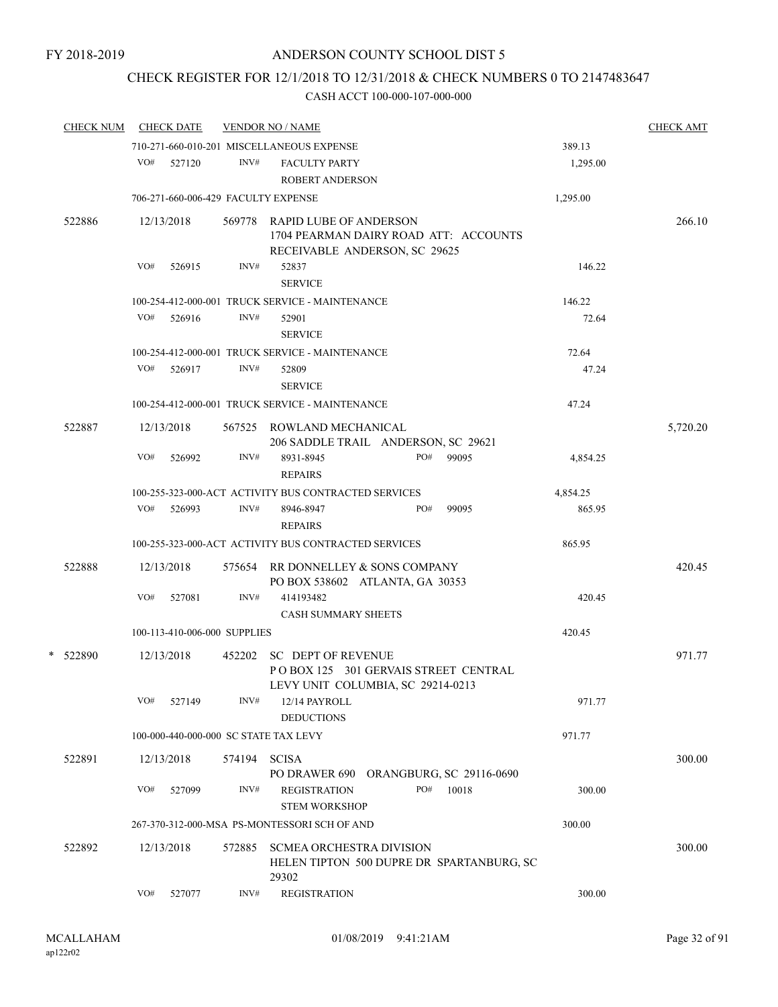# CHECK REGISTER FOR 12/1/2018 TO 12/31/2018 & CHECK NUMBERS 0 TO 2147483647

| <b>CHECK NUM</b> |     | <b>CHECK DATE</b>                   |        | <b>VENDOR NO / NAME</b>                                                                                 |          | <b>CHECK AMT</b> |
|------------------|-----|-------------------------------------|--------|---------------------------------------------------------------------------------------------------------|----------|------------------|
|                  |     |                                     |        | 710-271-660-010-201 MISCELLANEOUS EXPENSE                                                               | 389.13   |                  |
|                  | VO# | 527120                              | INV#   | <b>FACULTY PARTY</b><br><b>ROBERT ANDERSON</b>                                                          | 1,295.00 |                  |
|                  |     | 706-271-660-006-429 FACULTY EXPENSE |        |                                                                                                         | 1,295.00 |                  |
| 522886           |     | 12/13/2018                          |        | 569778 RAPID LUBE OF ANDERSON<br>1704 PEARMAN DAIRY ROAD ATT: ACCOUNTS<br>RECEIVABLE ANDERSON, SC 29625 |          | 266.10           |
|                  | VO# | 526915                              | INV#   | 52837<br><b>SERVICE</b>                                                                                 | 146.22   |                  |
|                  |     |                                     |        | 100-254-412-000-001 TRUCK SERVICE - MAINTENANCE                                                         | 146.22   |                  |
|                  | VO# | 526916                              | INV#   | 52901<br><b>SERVICE</b>                                                                                 | 72.64    |                  |
|                  |     |                                     |        | 100-254-412-000-001 TRUCK SERVICE - MAINTENANCE                                                         | 72.64    |                  |
|                  | VO# | 526917                              | INV#   | 52809<br><b>SERVICE</b>                                                                                 | 47.24    |                  |
|                  |     |                                     |        | 100-254-412-000-001 TRUCK SERVICE - MAINTENANCE                                                         | 47.24    |                  |
| 522887           |     | 12/13/2018                          |        | 567525 ROWLAND MECHANICAL<br>206 SADDLE TRAIL ANDERSON, SC 29621                                        |          | 5,720.20         |
|                  | VO# | 526992                              | INV#   | 8931-8945<br>PO#<br>99095<br><b>REPAIRS</b>                                                             | 4,854.25 |                  |
|                  |     |                                     |        | 100-255-323-000-ACT ACTIVITY BUS CONTRACTED SERVICES                                                    | 4,854.25 |                  |
|                  |     | VO# 526993                          | INV#   | PO#<br>99095<br>8946-8947<br><b>REPAIRS</b>                                                             | 865.95   |                  |
|                  |     |                                     |        | 100-255-323-000-ACT ACTIVITY BUS CONTRACTED SERVICES                                                    | 865.95   |                  |
| 522888           |     | 12/13/2018                          |        | 575654 RR DONNELLEY & SONS COMPANY<br>PO BOX 538602 ATLANTA, GA 30353                                   |          | 420.45           |
|                  | VO# | 527081                              | INV#   | 414193482<br><b>CASH SUMMARY SHEETS</b>                                                                 | 420.45   |                  |
|                  |     | 100-113-410-006-000 SUPPLIES        |        |                                                                                                         | 420.45   |                  |
|                  |     |                                     |        |                                                                                                         |          |                  |
| * 522890         |     | 12/13/2018                          |        | 452202 SC DEPT OF REVENUE<br>POBOX 125 301 GERVAIS STREET CENTRAL<br>LEVY UNIT COLUMBIA, SC 29214-0213  |          | 971.77           |
|                  | VO# | 527149                              | INV#   | 12/14 PAYROLL<br><b>DEDUCTIONS</b>                                                                      | 971.77   |                  |
|                  |     |                                     |        | 100-000-440-000-000 SC STATE TAX LEVY                                                                   | 971.77   |                  |
| 522891           |     | 12/13/2018                          | 574194 | <b>SCISA</b><br>PO DRAWER 690 ORANGBURG, SC 29116-0690                                                  |          | 300.00           |
|                  | VO# | 527099                              | INV#   | <b>REGISTRATION</b><br>PO#<br>10018<br><b>STEM WORKSHOP</b>                                             | 300.00   |                  |
|                  |     |                                     |        | 267-370-312-000-MSA PS-MONTESSORI SCH OF AND                                                            | 300.00   |                  |
| 522892           |     | 12/13/2018                          | 572885 | <b>SCMEA ORCHESTRA DIVISION</b><br>HELEN TIPTON 500 DUPRE DR SPARTANBURG, SC<br>29302                   |          | 300.00           |
|                  | VO# | 527077                              | INV#   | <b>REGISTRATION</b>                                                                                     | 300.00   |                  |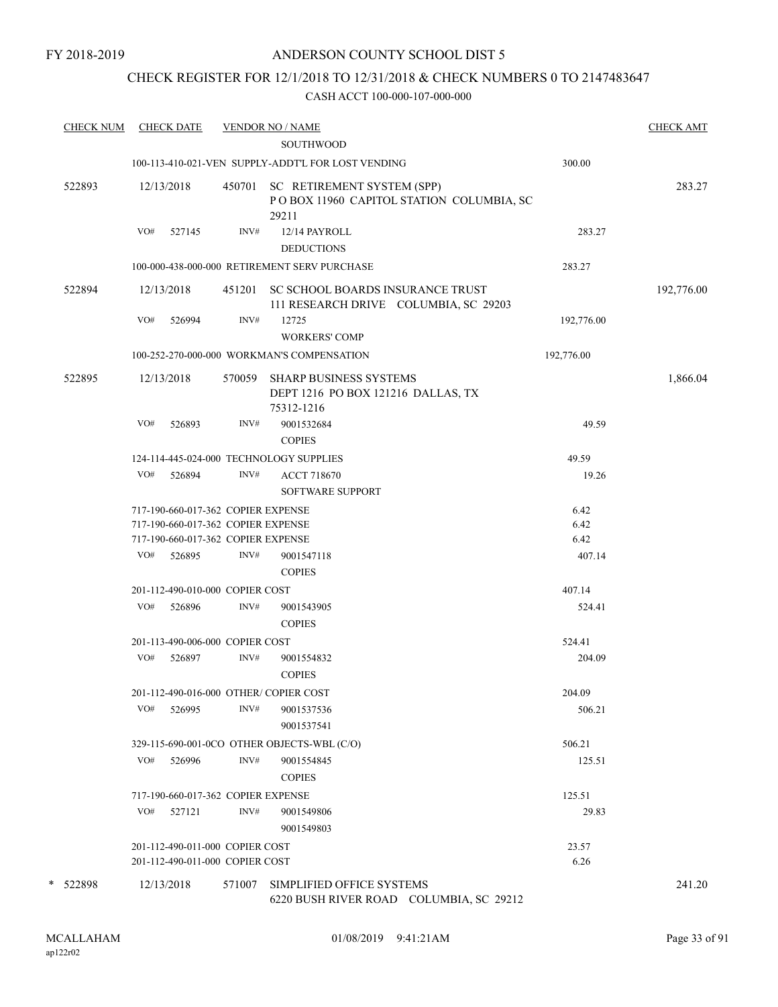# CHECK REGISTER FOR 12/1/2018 TO 12/31/2018 & CHECK NUMBERS 0 TO 2147483647

|          | <b>CHECK NUM</b> |     | <b>CHECK DATE</b>                  |        | <b>VENDOR NO / NAME</b><br><b>SOUTHWOOD</b>                                            |            | <b>CHECK AMT</b> |
|----------|------------------|-----|------------------------------------|--------|----------------------------------------------------------------------------------------|------------|------------------|
|          |                  |     |                                    |        | 100-113-410-021-VEN SUPPLY-ADDT'L FOR LOST VENDING                                     | 300.00     |                  |
| 522893   |                  |     | 12/13/2018                         |        | 450701 SC RETIREMENT SYSTEM (SPP)<br>POBOX 11960 CAPITOL STATION COLUMBIA, SC<br>29211 |            | 283.27           |
|          |                  | VO# | 527145                             | INV#   | 12/14 PAYROLL<br><b>DEDUCTIONS</b>                                                     | 283.27     |                  |
|          |                  |     |                                    |        | 100-000-438-000-000 RETIREMENT SERV PURCHASE                                           | 283.27     |                  |
| 522894   |                  |     | 12/13/2018                         |        | 451201 SC SCHOOL BOARDS INSURANCE TRUST<br>111 RESEARCH DRIVE COLUMBIA, SC 29203       |            | 192,776.00       |
|          |                  | VO# | 526994                             | INV#   | 12725<br><b>WORKERS' COMP</b>                                                          | 192,776.00 |                  |
|          |                  |     |                                    |        | 100-252-270-000-000 WORKMAN'S COMPENSATION                                             | 192,776.00 |                  |
| 522895   |                  |     | 12/13/2018                         | 570059 | <b>SHARP BUSINESS SYSTEMS</b><br>DEPT 1216 PO BOX 121216 DALLAS, TX<br>75312-1216      |            | 1,866.04         |
|          |                  | VO# | 526893                             | INV#   | 9001532684<br><b>COPIES</b>                                                            | 49.59      |                  |
|          |                  |     |                                    |        | 124-114-445-024-000 TECHNOLOGY SUPPLIES                                                | 49.59      |                  |
|          |                  | VO# | 526894                             | INV#   | <b>ACCT 718670</b><br><b>SOFTWARE SUPPORT</b>                                          | 19.26      |                  |
|          |                  |     | 717-190-660-017-362 COPIER EXPENSE |        |                                                                                        | 6.42       |                  |
|          |                  |     | 717-190-660-017-362 COPIER EXPENSE |        |                                                                                        | 6.42       |                  |
|          |                  |     | 717-190-660-017-362 COPIER EXPENSE |        |                                                                                        | 6.42       |                  |
|          |                  | VO# | 526895                             | INV#   | 9001547118<br><b>COPIES</b>                                                            | 407.14     |                  |
|          |                  |     | 201-112-490-010-000 COPIER COST    |        |                                                                                        | 407.14     |                  |
|          |                  | VO# | 526896                             | INV#   | 9001543905<br><b>COPIES</b>                                                            | 524.41     |                  |
|          |                  |     | 201-113-490-006-000 COPIER COST    |        |                                                                                        | 524.41     |                  |
|          |                  | VO# | 526897                             | INV#   | 9001554832<br><b>COPIES</b>                                                            | 204.09     |                  |
|          |                  |     |                                    |        | 201-112-490-016-000 OTHER/ COPIER COST                                                 | 204.09     |                  |
|          |                  | VO# | 526995                             | INV#   | 9001537536<br>9001537541                                                               | 506.21     |                  |
|          |                  |     |                                    |        | 329-115-690-001-0CO OTHER OBJECTS-WBL (C/O)                                            | 506.21     |                  |
|          |                  | VO# | 526996                             | INV#   | 9001554845<br><b>COPIES</b>                                                            | 125.51     |                  |
|          |                  |     | 717-190-660-017-362 COPIER EXPENSE |        |                                                                                        | 125.51     |                  |
|          |                  | VO# | 527121                             | INV#   | 9001549806<br>9001549803                                                               | 29.83      |                  |
|          |                  |     | 201-112-490-011-000 COPIER COST    |        |                                                                                        | 23.57      |                  |
|          |                  |     | 201-112-490-011-000 COPIER COST    |        |                                                                                        | 6.26       |                  |
| * 522898 |                  |     | 12/13/2018                         | 571007 | SIMPLIFIED OFFICE SYSTEMS<br>6220 BUSH RIVER ROAD COLUMBIA, SC 29212                   |            | 241.20           |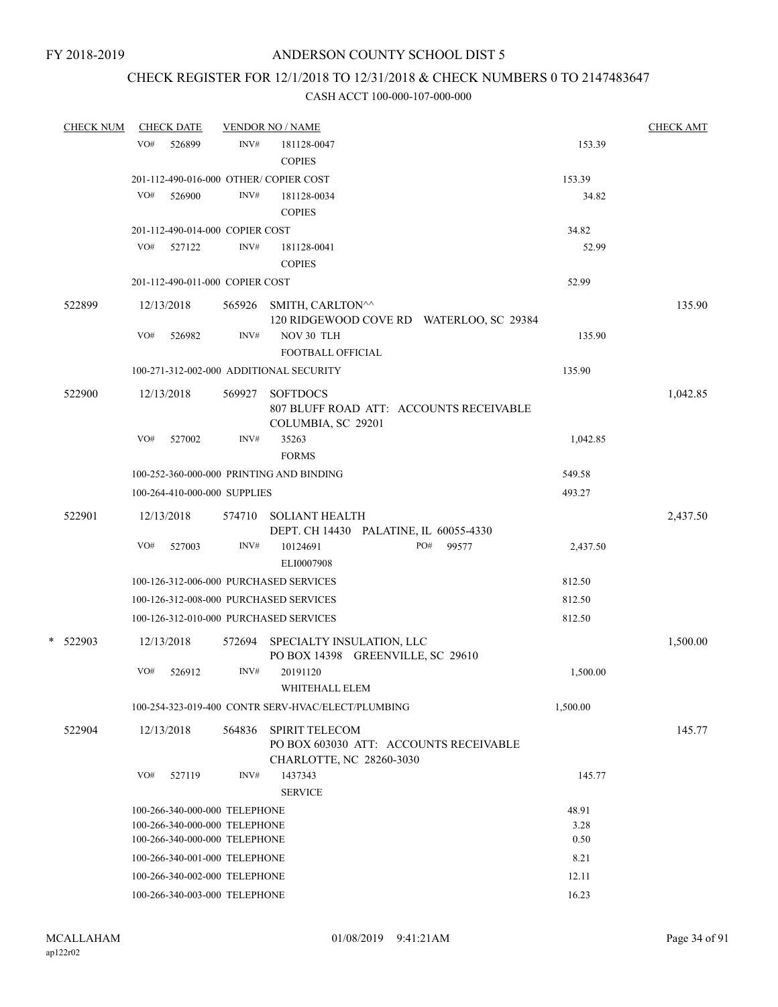# CHECK REGISTER FOR 12/1/2018 TO 12/31/2018 & CHECK NUMBERS 0 TO 2147483647

| <b>CHECK NUM</b> | <b>CHECK DATE</b> |                                                                | <b>VENDOR NO / NAME</b>                            |                                                        |               | <b>CHECK AMT</b> |
|------------------|-------------------|----------------------------------------------------------------|----------------------------------------------------|--------------------------------------------------------|---------------|------------------|
|                  | VO#<br>526899     | INV#                                                           | 181128-0047                                        |                                                        | 153.39        |                  |
|                  |                   |                                                                | <b>COPIES</b>                                      |                                                        |               |                  |
|                  |                   | 201-112-490-016-000 OTHER/COPIER COST                          |                                                    |                                                        | 153.39        |                  |
|                  | VO#<br>526900     | INV#                                                           | 181128-0034                                        |                                                        | 34.82         |                  |
|                  |                   |                                                                | <b>COPIES</b>                                      |                                                        |               |                  |
|                  |                   | 201-112-490-014-000 COPIER COST                                |                                                    |                                                        | 34.82         |                  |
|                  | VO#<br>527122     | INV#                                                           | 181128-0041                                        |                                                        | 52.99         |                  |
|                  |                   |                                                                | <b>COPIES</b>                                      |                                                        |               |                  |
|                  |                   | 201-112-490-011-000 COPIER COST                                |                                                    |                                                        | 52.99         |                  |
| 522899           | 12/13/2018        |                                                                | 565926 SMITH, CARLTON^^                            | 120 RIDGEWOOD COVE RD WATERLOO, SC 29384               |               | 135.90           |
|                  | VO#<br>526982     | INV#                                                           | NOV 30 TLH                                         |                                                        | 135.90        |                  |
|                  |                   |                                                                | FOOTBALL OFFICIAL                                  |                                                        |               |                  |
|                  |                   |                                                                | 100-271-312-002-000 ADDITIONAL SECURITY            |                                                        | 135.90        |                  |
|                  |                   |                                                                |                                                    |                                                        |               |                  |
| 522900           | 12/13/2018        | 569927                                                         | <b>SOFTDOCS</b>                                    |                                                        |               | 1,042.85         |
|                  |                   |                                                                | COLUMBIA, SC 29201                                 | 807 BLUFF ROAD ATT: ACCOUNTS RECEIVABLE                |               |                  |
|                  | VO#<br>527002     | INV#                                                           | 35263                                              |                                                        | 1,042.85      |                  |
|                  |                   |                                                                | <b>FORMS</b>                                       |                                                        |               |                  |
|                  |                   |                                                                | 100-252-360-000-000 PRINTING AND BINDING           |                                                        | 549.58        |                  |
|                  |                   | 100-264-410-000-000 SUPPLIES                                   |                                                    |                                                        | 493.27        |                  |
|                  |                   |                                                                |                                                    |                                                        |               |                  |
| 522901           | 12/13/2018        | 574710                                                         | <b>SOLIANT HEALTH</b>                              |                                                        |               | 2,437.50         |
|                  | VO#<br>527003     | INV#                                                           | 10124691                                           | DEPT. CH 14430 PALATINE, IL 60055-4330<br>99577<br>PO# | 2,437.50      |                  |
|                  |                   |                                                                | ELI0007908                                         |                                                        |               |                  |
|                  |                   |                                                                | 100-126-312-006-000 PURCHASED SERVICES             |                                                        | 812.50        |                  |
|                  |                   |                                                                | 100-126-312-008-000 PURCHASED SERVICES             |                                                        | 812.50        |                  |
|                  |                   |                                                                |                                                    |                                                        |               |                  |
|                  |                   |                                                                | 100-126-312-010-000 PURCHASED SERVICES             |                                                        | 812.50        |                  |
| * 522903         | 12/13/2018        | 572694                                                         | SPECIALTY INSULATION, LLC                          |                                                        |               | 1,500.00         |
|                  |                   |                                                                |                                                    | PO BOX 14398 GREENVILLE, SC 29610                      |               |                  |
|                  | VO#<br>526912     | INV#                                                           | 20191120                                           |                                                        | 1,500.00      |                  |
|                  |                   |                                                                | WHITEHALL ELEM                                     |                                                        |               |                  |
|                  |                   |                                                                | 100-254-323-019-400 CONTR SERV-HVAC/ELECT/PLUMBING |                                                        | 1,500.00      |                  |
| 522904           | 12/13/2018        | 564836                                                         | <b>SPIRIT TELECOM</b>                              |                                                        |               | 145.77           |
|                  |                   |                                                                |                                                    | PO BOX 603030 ATT: ACCOUNTS RECEIVABLE                 |               |                  |
|                  |                   |                                                                | CHARLOTTE, NC 28260-3030                           |                                                        |               |                  |
|                  | VO#<br>527119     | INV#                                                           | 1437343                                            |                                                        | 145.77        |                  |
|                  |                   |                                                                | <b>SERVICE</b>                                     |                                                        |               |                  |
|                  |                   | 100-266-340-000-000 TELEPHONE<br>100-266-340-000-000 TELEPHONE |                                                    |                                                        | 48.91<br>3.28 |                  |
|                  |                   | 100-266-340-000-000 TELEPHONE                                  |                                                    |                                                        | 0.50          |                  |
|                  |                   | 100-266-340-001-000 TELEPHONE                                  |                                                    |                                                        | 8.21          |                  |
|                  |                   | 100-266-340-002-000 TELEPHONE                                  |                                                    |                                                        | 12.11         |                  |
|                  |                   | 100-266-340-003-000 TELEPHONE                                  |                                                    |                                                        | 16.23         |                  |
|                  |                   |                                                                |                                                    |                                                        |               |                  |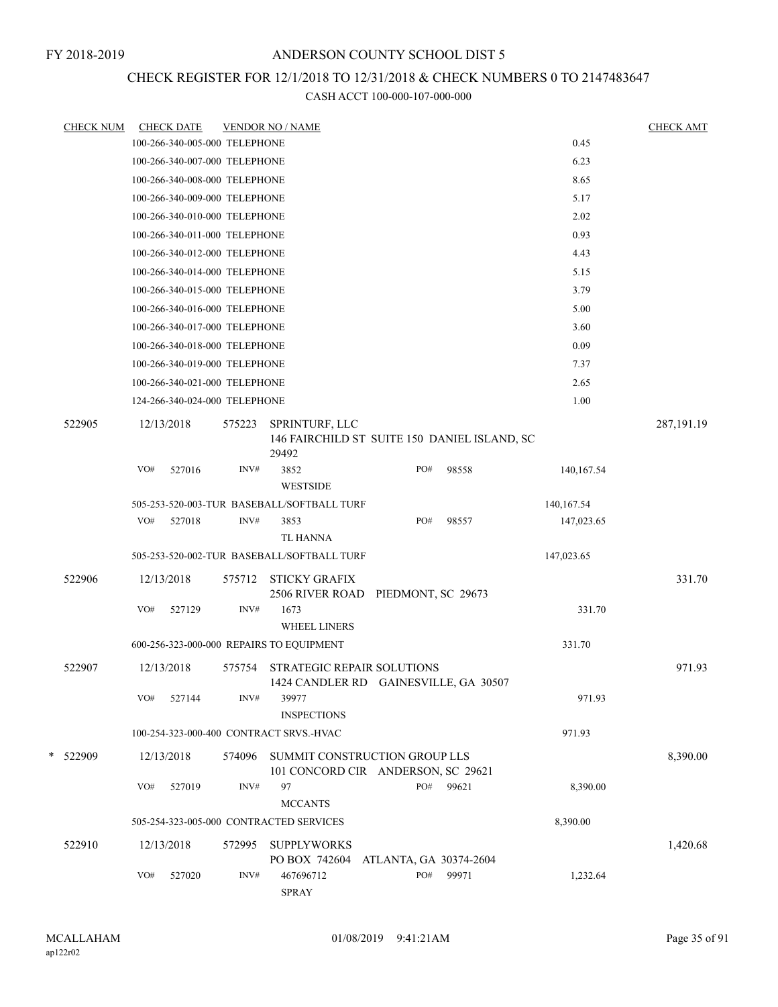# CHECK REGISTER FOR 12/1/2018 TO 12/31/2018 & CHECK NUMBERS 0 TO 2147483647

| <b>CHECK NUM</b> |     | <b>CHECK DATE</b>             |        | <b>VENDOR NO / NAME</b>                                                    |                        |                                              |            | <b>CHECK AMT</b> |
|------------------|-----|-------------------------------|--------|----------------------------------------------------------------------------|------------------------|----------------------------------------------|------------|------------------|
|                  |     | 100-266-340-005-000 TELEPHONE |        |                                                                            |                        |                                              | 0.45       |                  |
|                  |     | 100-266-340-007-000 TELEPHONE |        |                                                                            |                        |                                              | 6.23       |                  |
|                  |     | 100-266-340-008-000 TELEPHONE |        |                                                                            |                        |                                              | 8.65       |                  |
|                  |     | 100-266-340-009-000 TELEPHONE |        |                                                                            |                        |                                              | 5.17       |                  |
|                  |     | 100-266-340-010-000 TELEPHONE |        |                                                                            |                        |                                              | 2.02       |                  |
|                  |     | 100-266-340-011-000 TELEPHONE |        |                                                                            |                        |                                              | 0.93       |                  |
|                  |     | 100-266-340-012-000 TELEPHONE |        |                                                                            |                        |                                              | 4.43       |                  |
|                  |     | 100-266-340-014-000 TELEPHONE |        |                                                                            |                        |                                              | 5.15       |                  |
|                  |     | 100-266-340-015-000 TELEPHONE |        |                                                                            |                        |                                              | 3.79       |                  |
|                  |     | 100-266-340-016-000 TELEPHONE |        |                                                                            |                        |                                              | 5.00       |                  |
|                  |     | 100-266-340-017-000 TELEPHONE |        |                                                                            |                        |                                              | 3.60       |                  |
|                  |     | 100-266-340-018-000 TELEPHONE |        |                                                                            |                        |                                              | 0.09       |                  |
|                  |     | 100-266-340-019-000 TELEPHONE |        |                                                                            |                        |                                              | 7.37       |                  |
|                  |     | 100-266-340-021-000 TELEPHONE |        |                                                                            |                        |                                              | 2.65       |                  |
|                  |     | 124-266-340-024-000 TELEPHONE |        |                                                                            |                        |                                              | 1.00       |                  |
| 522905           |     | 12/13/2018                    | 575223 | SPRINTURF, LLC<br>29492                                                    |                        | 146 FAIRCHILD ST SUITE 150 DANIEL ISLAND, SC |            | 287,191.19       |
|                  | VO# | 527016                        | INV#   | 3852<br><b>WESTSIDE</b>                                                    | PO#                    | 98558                                        | 140,167.54 |                  |
|                  |     |                               |        | 505-253-520-003-TUR BASEBALL/SOFTBALL TURF                                 |                        |                                              | 140,167.54 |                  |
|                  | VO# | 527018                        | INV#   | 3853                                                                       | PO#                    | 98557                                        | 147,023.65 |                  |
|                  |     |                               |        | TL HANNA                                                                   |                        |                                              |            |                  |
|                  |     |                               |        | 505-253-520-002-TUR BASEBALL/SOFTBALL TURF                                 |                        |                                              | 147,023.65 |                  |
| 522906           |     | 12/13/2018                    | 575712 | <b>STICKY GRAFIX</b><br>2506 RIVER ROAD PIEDMONT, SC 29673                 |                        |                                              |            | 331.70           |
|                  | VO# | 527129                        | INV#   | 1673<br><b>WHEEL LINERS</b>                                                |                        |                                              | 331.70     |                  |
|                  |     |                               |        | 600-256-323-000-000 REPAIRS TO EQUIPMENT                                   |                        |                                              | 331.70     |                  |
| 522907           |     | 12/13/2018                    | 575754 | <b>STRATEGIC REPAIR SOLUTIONS</b><br>1424 CANDLER RD GAINESVILLE, GA 30507 |                        |                                              |            | 971.93           |
|                  | VO# | 527144                        | INV#   | 39977<br><b>INSPECTIONS</b>                                                |                        |                                              | 971.93     |                  |
|                  |     |                               |        | 100-254-323-000-400 CONTRACT SRVS.-HVAC                                    |                        |                                              | 971.93     |                  |
| * 522909         |     | 12/13/2018                    | 574096 | SUMMIT CONSTRUCTION GROUP LLS<br>101 CONCORD CIR ANDERSON, SC 29621        |                        |                                              |            | 8,390.00         |
|                  | VO# | 527019                        | INV#   | 97<br><b>MCCANTS</b>                                                       | PO#                    | 99621                                        | 8,390.00   |                  |
|                  |     |                               |        | 505-254-323-005-000 CONTRACTED SERVICES                                    |                        |                                              | 8,390.00   |                  |
| 522910           |     | 12/13/2018                    | 572995 | <b>SUPPLYWORKS</b><br>PO BOX 742604                                        | ATLANTA, GA 30374-2604 |                                              |            | 1,420.68         |
|                  | VO# | 527020                        | INV#   | 467696712<br><b>SPRAY</b>                                                  | PO#                    | 99971                                        | 1,232.64   |                  |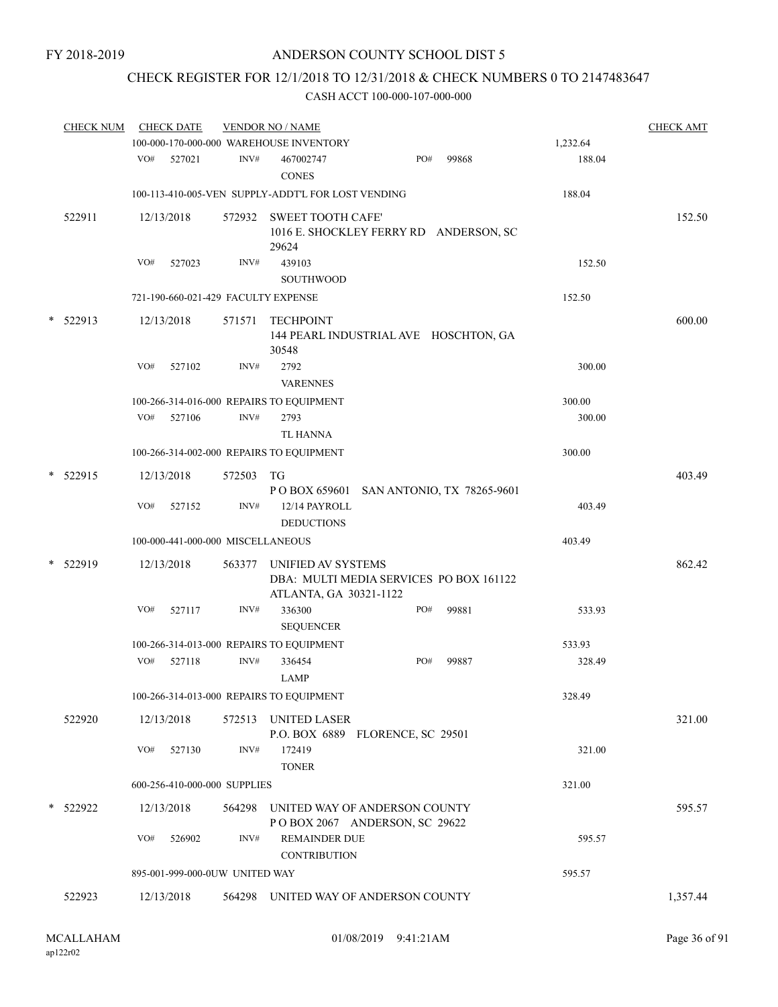# CHECK REGISTER FOR 12/1/2018 TO 12/31/2018 & CHECK NUMBERS 0 TO 2147483647

| <b>CHECK NUM</b> |                                        |        |                                                                                                                     |                                    |                                                                                                                                                                                                                                                                                                                                                                                                                                                                      |                                                                                                                                                                               |                                                                                                                                                                        | <b>CHECK AMT</b>                                                                                                                                                        |
|------------------|----------------------------------------|--------|---------------------------------------------------------------------------------------------------------------------|------------------------------------|----------------------------------------------------------------------------------------------------------------------------------------------------------------------------------------------------------------------------------------------------------------------------------------------------------------------------------------------------------------------------------------------------------------------------------------------------------------------|-------------------------------------------------------------------------------------------------------------------------------------------------------------------------------|------------------------------------------------------------------------------------------------------------------------------------------------------------------------|-------------------------------------------------------------------------------------------------------------------------------------------------------------------------|
|                  |                                        |        |                                                                                                                     |                                    |                                                                                                                                                                                                                                                                                                                                                                                                                                                                      |                                                                                                                                                                               | 1,232.64                                                                                                                                                               |                                                                                                                                                                         |
|                  | VO#                                    | 527021 | INV#                                                                                                                | 467002747<br><b>CONES</b>          |                                                                                                                                                                                                                                                                                                                                                                                                                                                                      | 99868                                                                                                                                                                         | 188.04                                                                                                                                                                 |                                                                                                                                                                         |
|                  |                                        |        |                                                                                                                     |                                    |                                                                                                                                                                                                                                                                                                                                                                                                                                                                      |                                                                                                                                                                               | 188.04                                                                                                                                                                 |                                                                                                                                                                         |
| 522911           |                                        |        |                                                                                                                     |                                    |                                                                                                                                                                                                                                                                                                                                                                                                                                                                      |                                                                                                                                                                               |                                                                                                                                                                        | 152.50                                                                                                                                                                  |
|                  | VO#                                    | 527023 | INV#                                                                                                                | 439103<br>SOUTHWOOD                |                                                                                                                                                                                                                                                                                                                                                                                                                                                                      |                                                                                                                                                                               | 152.50                                                                                                                                                                 |                                                                                                                                                                         |
|                  |                                        |        |                                                                                                                     |                                    |                                                                                                                                                                                                                                                                                                                                                                                                                                                                      |                                                                                                                                                                               | 152.50                                                                                                                                                                 |                                                                                                                                                                         |
|                  |                                        |        | 571571                                                                                                              | <b>TECHPOINT</b><br>30548          |                                                                                                                                                                                                                                                                                                                                                                                                                                                                      |                                                                                                                                                                               |                                                                                                                                                                        | 600.00                                                                                                                                                                  |
|                  | VO#                                    | 527102 | INV#                                                                                                                | 2792<br><b>VARENNES</b>            |                                                                                                                                                                                                                                                                                                                                                                                                                                                                      |                                                                                                                                                                               | 300.00                                                                                                                                                                 |                                                                                                                                                                         |
|                  |                                        |        |                                                                                                                     |                                    |                                                                                                                                                                                                                                                                                                                                                                                                                                                                      |                                                                                                                                                                               | 300.00                                                                                                                                                                 |                                                                                                                                                                         |
|                  | VO#                                    | 527106 | INV#                                                                                                                | 2793                               |                                                                                                                                                                                                                                                                                                                                                                                                                                                                      |                                                                                                                                                                               | 300.00                                                                                                                                                                 |                                                                                                                                                                         |
|                  |                                        |        |                                                                                                                     | <b>TL HANNA</b>                    |                                                                                                                                                                                                                                                                                                                                                                                                                                                                      |                                                                                                                                                                               |                                                                                                                                                                        |                                                                                                                                                                         |
|                  |                                        |        |                                                                                                                     |                                    |                                                                                                                                                                                                                                                                                                                                                                                                                                                                      |                                                                                                                                                                               | 300.00                                                                                                                                                                 |                                                                                                                                                                         |
|                  |                                        |        | 572503                                                                                                              |                                    |                                                                                                                                                                                                                                                                                                                                                                                                                                                                      |                                                                                                                                                                               |                                                                                                                                                                        | 403.49                                                                                                                                                                  |
|                  | VO#                                    | 527152 | INV#                                                                                                                | 12/14 PAYROLL<br><b>DEDUCTIONS</b> |                                                                                                                                                                                                                                                                                                                                                                                                                                                                      |                                                                                                                                                                               | 403.49                                                                                                                                                                 |                                                                                                                                                                         |
|                  |                                        |        |                                                                                                                     |                                    |                                                                                                                                                                                                                                                                                                                                                                                                                                                                      |                                                                                                                                                                               | 403.49                                                                                                                                                                 |                                                                                                                                                                         |
|                  |                                        |        | 563377                                                                                                              |                                    |                                                                                                                                                                                                                                                                                                                                                                                                                                                                      |                                                                                                                                                                               |                                                                                                                                                                        | 862.42                                                                                                                                                                  |
|                  | VO#                                    | 527117 | INV#                                                                                                                | 336300                             |                                                                                                                                                                                                                                                                                                                                                                                                                                                                      | 99881                                                                                                                                                                         | 533.93                                                                                                                                                                 |                                                                                                                                                                         |
|                  |                                        |        |                                                                                                                     |                                    |                                                                                                                                                                                                                                                                                                                                                                                                                                                                      |                                                                                                                                                                               | 533.93                                                                                                                                                                 |                                                                                                                                                                         |
|                  | VO#                                    | 527118 | INV#                                                                                                                | 336454<br><b>LAMP</b>              |                                                                                                                                                                                                                                                                                                                                                                                                                                                                      | 99887                                                                                                                                                                         | 328.49                                                                                                                                                                 |                                                                                                                                                                         |
|                  |                                        |        |                                                                                                                     |                                    |                                                                                                                                                                                                                                                                                                                                                                                                                                                                      |                                                                                                                                                                               | 328.49                                                                                                                                                                 |                                                                                                                                                                         |
| 522920           |                                        |        |                                                                                                                     |                                    |                                                                                                                                                                                                                                                                                                                                                                                                                                                                      |                                                                                                                                                                               |                                                                                                                                                                        | 321.00                                                                                                                                                                  |
|                  | VO#                                    | 527130 | INV#                                                                                                                | 172419<br><b>TONER</b>             |                                                                                                                                                                                                                                                                                                                                                                                                                                                                      |                                                                                                                                                                               | 321.00                                                                                                                                                                 |                                                                                                                                                                         |
|                  |                                        |        |                                                                                                                     |                                    |                                                                                                                                                                                                                                                                                                                                                                                                                                                                      |                                                                                                                                                                               | 321.00                                                                                                                                                                 |                                                                                                                                                                         |
|                  |                                        |        |                                                                                                                     |                                    |                                                                                                                                                                                                                                                                                                                                                                                                                                                                      |                                                                                                                                                                               |                                                                                                                                                                        | 595.57                                                                                                                                                                  |
|                  | VO#                                    | 526902 | INV#                                                                                                                |                                    |                                                                                                                                                                                                                                                                                                                                                                                                                                                                      |                                                                                                                                                                               | 595.57                                                                                                                                                                 |                                                                                                                                                                         |
|                  |                                        |        |                                                                                                                     |                                    |                                                                                                                                                                                                                                                                                                                                                                                                                                                                      |                                                                                                                                                                               | 595.57                                                                                                                                                                 |                                                                                                                                                                         |
| 522923           |                                        |        |                                                                                                                     |                                    |                                                                                                                                                                                                                                                                                                                                                                                                                                                                      |                                                                                                                                                                               |                                                                                                                                                                        | 1,357.44                                                                                                                                                                |
|                  | 522913<br>522915<br>522919<br>* 522922 |        | <b>CHECK DATE</b><br>12/13/2018<br>12/13/2018<br>12/13/2018<br>12/13/2018<br>12/13/2018<br>12/13/2018<br>12/13/2018 |                                    | <b>VENDOR NO / NAME</b><br>100-000-170-000-000 WAREHOUSE INVENTORY<br>572932<br>29624<br>721-190-660-021-429 FACULTY EXPENSE<br>100-266-314-016-000 REPAIRS TO EQUIPMENT<br>100-266-314-002-000 REPAIRS TO EQUIPMENT<br>TG<br>100-000-441-000-000 MISCELLANEOUS<br><b>SEQUENCER</b><br>100-266-314-013-000 REPAIRS TO EQUIPMENT<br>100-266-314-013-000 REPAIRS TO EQUIPMENT<br>572513 UNITED LASER<br>600-256-410-000-000 SUPPLIES<br>895-001-999-000-0UW UNITED WAY | 100-113-410-005-VEN SUPPLY-ADDT'L FOR LOST VENDING<br><b>SWEET TOOTH CAFE'</b><br>UNIFIED AV SYSTEMS<br>ATLANTA, GA 30321-1122<br><b>REMAINDER DUE</b><br><b>CONTRIBUTION</b> | PO#<br>PO#<br>PO#<br>P.O. BOX 6889 FLORENCE, SC 29501<br>564298 UNITED WAY OF ANDERSON COUNTY<br>POBOX 2067 ANDERSON, SC 29622<br>564298 UNITED WAY OF ANDERSON COUNTY | 1016 E. SHOCKLEY FERRY RD ANDERSON, SC<br>144 PEARL INDUSTRIAL AVE HOSCHTON, GA<br>P O BOX 659601 SAN ANTONIO, TX 78265-9601<br>DBA: MULTI MEDIA SERVICES PO BOX 161122 |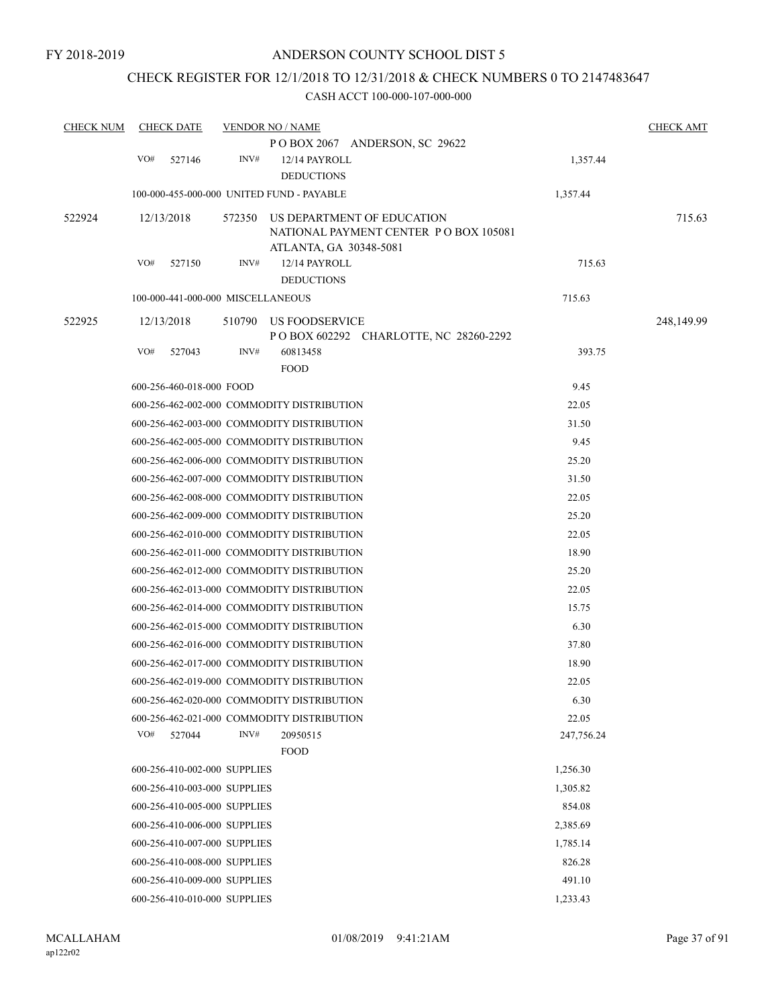## CHECK REGISTER FOR 12/1/2018 TO 12/31/2018 & CHECK NUMBERS 0 TO 2147483647

| <b>CHECK NUM</b> |     | <b>CHECK DATE</b>                 |        | <b>VENDOR NO / NAME</b>                    |                                         |            | <b>CHECK AMT</b> |
|------------------|-----|-----------------------------------|--------|--------------------------------------------|-----------------------------------------|------------|------------------|
|                  |     |                                   |        |                                            | POBOX 2067 ANDERSON, SC 29622           |            |                  |
|                  | VO# | 527146                            | INV#   | 12/14 PAYROLL                              |                                         | 1,357.44   |                  |
|                  |     |                                   |        | <b>DEDUCTIONS</b>                          |                                         |            |                  |
|                  |     |                                   |        | 100-000-455-000-000 UNITED FUND - PAYABLE  |                                         | 1,357.44   |                  |
| 522924           |     | 12/13/2018                        | 572350 |                                            | US DEPARTMENT OF EDUCATION              |            | 715.63           |
|                  |     |                                   |        |                                            | NATIONAL PAYMENT CENTER PO BOX 105081   |            |                  |
|                  | VO# | 527150                            | INV#   | ATLANTA, GA 30348-5081<br>12/14 PAYROLL    |                                         | 715.63     |                  |
|                  |     |                                   |        | <b>DEDUCTIONS</b>                          |                                         |            |                  |
|                  |     | 100-000-441-000-000 MISCELLANEOUS |        |                                            |                                         | 715.63     |                  |
|                  |     |                                   |        |                                            |                                         |            |                  |
| 522925           |     | 12/13/2018                        | 510790 | US FOODSERVICE                             | P O BOX 602292 CHARLOTTE, NC 28260-2292 |            | 248,149.99       |
|                  | VO# | 527043                            | INV#   | 60813458                                   |                                         | 393.75     |                  |
|                  |     |                                   |        | <b>FOOD</b>                                |                                         |            |                  |
|                  |     | 600-256-460-018-000 FOOD          |        |                                            |                                         | 9.45       |                  |
|                  |     |                                   |        | 600-256-462-002-000 COMMODITY DISTRIBUTION |                                         | 22.05      |                  |
|                  |     |                                   |        | 600-256-462-003-000 COMMODITY DISTRIBUTION |                                         | 31.50      |                  |
|                  |     |                                   |        | 600-256-462-005-000 COMMODITY DISTRIBUTION |                                         | 9.45       |                  |
|                  |     |                                   |        | 600-256-462-006-000 COMMODITY DISTRIBUTION |                                         | 25.20      |                  |
|                  |     |                                   |        | 600-256-462-007-000 COMMODITY DISTRIBUTION |                                         | 31.50      |                  |
|                  |     |                                   |        | 600-256-462-008-000 COMMODITY DISTRIBUTION |                                         | 22.05      |                  |
|                  |     |                                   |        | 600-256-462-009-000 COMMODITY DISTRIBUTION |                                         | 25.20      |                  |
|                  |     |                                   |        | 600-256-462-010-000 COMMODITY DISTRIBUTION |                                         | 22.05      |                  |
|                  |     |                                   |        | 600-256-462-011-000 COMMODITY DISTRIBUTION |                                         | 18.90      |                  |
|                  |     |                                   |        | 600-256-462-012-000 COMMODITY DISTRIBUTION |                                         | 25.20      |                  |
|                  |     |                                   |        | 600-256-462-013-000 COMMODITY DISTRIBUTION |                                         | 22.05      |                  |
|                  |     |                                   |        | 600-256-462-014-000 COMMODITY DISTRIBUTION |                                         | 15.75      |                  |
|                  |     |                                   |        | 600-256-462-015-000 COMMODITY DISTRIBUTION |                                         | 6.30       |                  |
|                  |     |                                   |        | 600-256-462-016-000 COMMODITY DISTRIBUTION |                                         | 37.80      |                  |
|                  |     |                                   |        | 600-256-462-017-000 COMMODITY DISTRIBUTION |                                         | 18.90      |                  |
|                  |     |                                   |        | 600-256-462-019-000 COMMODITY DISTRIBUTION |                                         | 22.05      |                  |
|                  |     |                                   |        | 600-256-462-020-000 COMMODITY DISTRIBUTION |                                         | 6.30       |                  |
|                  |     |                                   |        | 600-256-462-021-000 COMMODITY DISTRIBUTION |                                         | 22.05      |                  |
|                  | VO# | 527044                            | INV#   | 20950515                                   |                                         | 247,756.24 |                  |
|                  |     |                                   |        | <b>FOOD</b>                                |                                         |            |                  |
|                  |     | 600-256-410-002-000 SUPPLIES      |        |                                            |                                         | 1,256.30   |                  |
|                  |     | 600-256-410-003-000 SUPPLIES      |        |                                            |                                         | 1,305.82   |                  |
|                  |     | 600-256-410-005-000 SUPPLIES      |        |                                            |                                         | 854.08     |                  |
|                  |     | 600-256-410-006-000 SUPPLIES      |        |                                            |                                         | 2,385.69   |                  |
|                  |     | 600-256-410-007-000 SUPPLIES      |        |                                            |                                         | 1,785.14   |                  |
|                  |     | 600-256-410-008-000 SUPPLIES      |        |                                            |                                         | 826.28     |                  |
|                  |     | 600-256-410-009-000 SUPPLIES      |        |                                            |                                         | 491.10     |                  |
|                  |     | 600-256-410-010-000 SUPPLIES      |        |                                            |                                         | 1,233.43   |                  |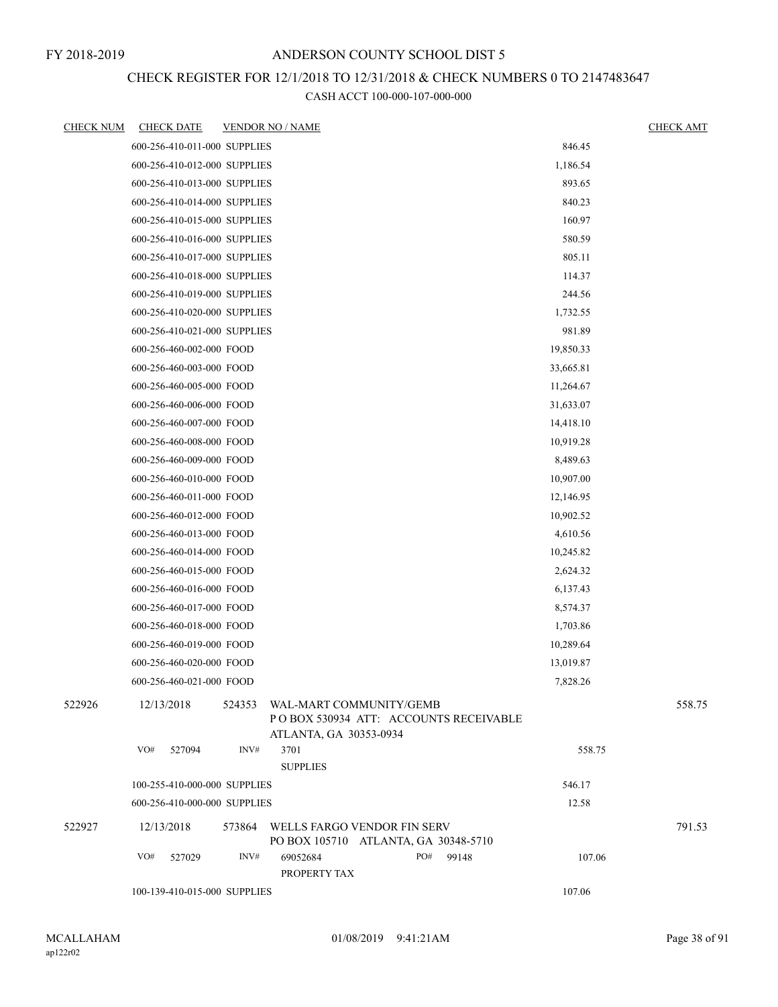## CHECK REGISTER FOR 12/1/2018 TO 12/31/2018 & CHECK NUMBERS 0 TO 2147483647

| <b>CHECK NUM</b> | <b>CHECK DATE</b>            | <b>VENDOR NO / NAME</b> |                                                                            |     |                                        |           | <b>CHECK AMT</b> |
|------------------|------------------------------|-------------------------|----------------------------------------------------------------------------|-----|----------------------------------------|-----------|------------------|
|                  | 600-256-410-011-000 SUPPLIES |                         |                                                                            |     |                                        | 846.45    |                  |
|                  | 600-256-410-012-000 SUPPLIES |                         |                                                                            |     |                                        | 1,186.54  |                  |
|                  | 600-256-410-013-000 SUPPLIES |                         |                                                                            |     |                                        | 893.65    |                  |
|                  | 600-256-410-014-000 SUPPLIES |                         |                                                                            |     |                                        | 840.23    |                  |
|                  | 600-256-410-015-000 SUPPLIES |                         |                                                                            |     |                                        | 160.97    |                  |
|                  | 600-256-410-016-000 SUPPLIES |                         |                                                                            |     |                                        | 580.59    |                  |
|                  | 600-256-410-017-000 SUPPLIES |                         |                                                                            |     |                                        | 805.11    |                  |
|                  | 600-256-410-018-000 SUPPLIES |                         |                                                                            |     |                                        | 114.37    |                  |
|                  | 600-256-410-019-000 SUPPLIES |                         |                                                                            |     |                                        | 244.56    |                  |
|                  | 600-256-410-020-000 SUPPLIES |                         |                                                                            |     |                                        | 1,732.55  |                  |
|                  | 600-256-410-021-000 SUPPLIES |                         |                                                                            |     |                                        | 981.89    |                  |
|                  | 600-256-460-002-000 FOOD     |                         |                                                                            |     |                                        | 19,850.33 |                  |
|                  | 600-256-460-003-000 FOOD     |                         |                                                                            |     |                                        | 33,665.81 |                  |
|                  | 600-256-460-005-000 FOOD     |                         |                                                                            |     |                                        | 11,264.67 |                  |
|                  | 600-256-460-006-000 FOOD     |                         |                                                                            |     |                                        | 31,633.07 |                  |
|                  | 600-256-460-007-000 FOOD     |                         |                                                                            |     |                                        | 14,418.10 |                  |
|                  | 600-256-460-008-000 FOOD     |                         |                                                                            |     |                                        | 10,919.28 |                  |
|                  | 600-256-460-009-000 FOOD     |                         |                                                                            |     |                                        | 8,489.63  |                  |
|                  | 600-256-460-010-000 FOOD     |                         |                                                                            |     |                                        | 10,907.00 |                  |
|                  | 600-256-460-011-000 FOOD     |                         |                                                                            |     |                                        | 12,146.95 |                  |
|                  | 600-256-460-012-000 FOOD     |                         |                                                                            |     |                                        | 10,902.52 |                  |
|                  | 600-256-460-013-000 FOOD     |                         |                                                                            |     |                                        | 4,610.56  |                  |
|                  | 600-256-460-014-000 FOOD     |                         |                                                                            |     |                                        | 10,245.82 |                  |
|                  | 600-256-460-015-000 FOOD     |                         |                                                                            |     |                                        | 2,624.32  |                  |
|                  | 600-256-460-016-000 FOOD     |                         |                                                                            |     |                                        | 6,137.43  |                  |
|                  | 600-256-460-017-000 FOOD     |                         |                                                                            |     |                                        | 8,574.37  |                  |
|                  | 600-256-460-018-000 FOOD     |                         |                                                                            |     |                                        | 1,703.86  |                  |
|                  | 600-256-460-019-000 FOOD     |                         |                                                                            |     |                                        | 10,289.64 |                  |
|                  | 600-256-460-020-000 FOOD     |                         |                                                                            |     |                                        | 13,019.87 |                  |
|                  | 600-256-460-021-000 FOOD     |                         |                                                                            |     |                                        | 7,828.26  |                  |
| 522926           | 12/13/2018                   |                         | 524353 WAL-MART COMMUNITY/GEMB<br>ATLANTA, GA 30353-0934                   |     | PO BOX 530934 ATT: ACCOUNTS RECEIVABLE |           | 558.75           |
|                  | VO#<br>527094                | INV#                    | 3701                                                                       |     |                                        | 558.75    |                  |
|                  |                              |                         | <b>SUPPLIES</b>                                                            |     |                                        |           |                  |
|                  | 100-255-410-000-000 SUPPLIES |                         |                                                                            |     |                                        | 546.17    |                  |
|                  | 600-256-410-000-000 SUPPLIES |                         |                                                                            |     |                                        | 12.58     |                  |
| 522927           | 12/13/2018                   |                         | 573864 WELLS FARGO VENDOR FIN SERV<br>PO BOX 105710 ATLANTA, GA 30348-5710 |     |                                        |           | 791.53           |
|                  | VO#<br>527029                | INV#                    | 69052684<br>PROPERTY TAX                                                   | PO# | 99148                                  | 107.06    |                  |
|                  | 100-139-410-015-000 SUPPLIES |                         |                                                                            |     |                                        | 107.06    |                  |
|                  |                              |                         |                                                                            |     |                                        |           |                  |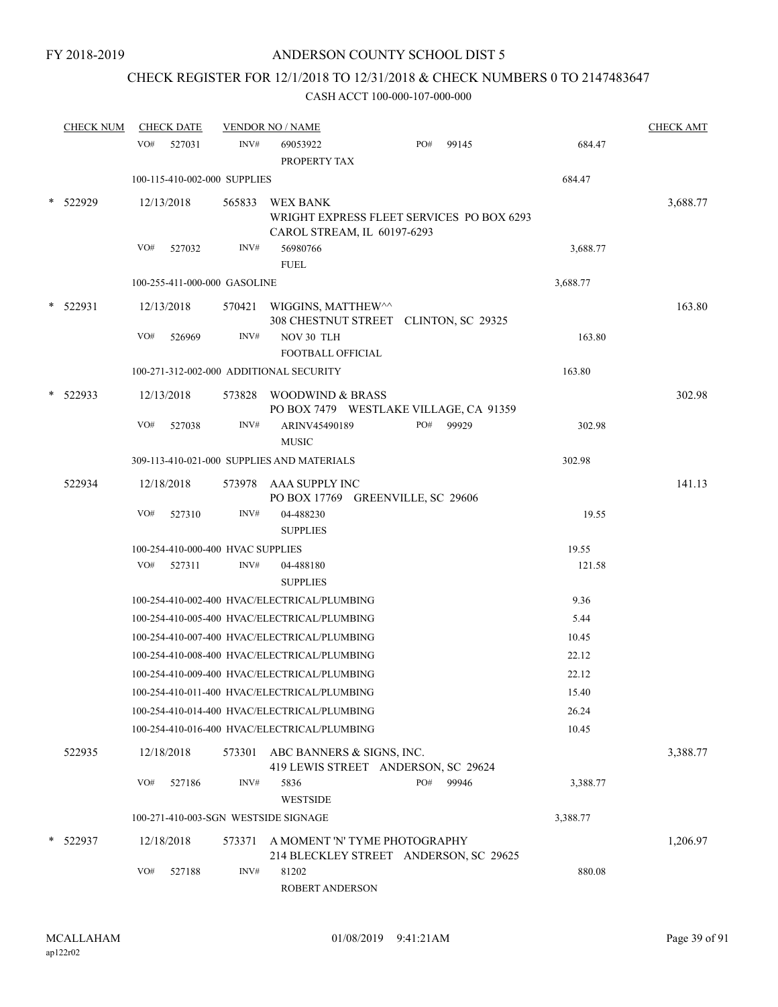# CHECK REGISTER FOR 12/1/2018 TO 12/31/2018 & CHECK NUMBERS 0 TO 2147483647

|        | <b>CHECK NUM</b> |     | <b>CHECK DATE</b>                 |        | <b>VENDOR NO / NAME</b>                                                                     |     |       |          | <b>CHECK AMT</b> |
|--------|------------------|-----|-----------------------------------|--------|---------------------------------------------------------------------------------------------|-----|-------|----------|------------------|
|        |                  | VO# | 527031                            | INV#   | 69053922<br>PROPERTY TAX                                                                    | PO# | 99145 | 684.47   |                  |
|        |                  |     | 100-115-410-002-000 SUPPLIES      |        |                                                                                             |     |       | 684.47   |                  |
|        | 522929           |     | 12/13/2018                        | 565833 | <b>WEX BANK</b><br>WRIGHT EXPRESS FLEET SERVICES PO BOX 6293<br>CAROL STREAM, IL 60197-6293 |     |       |          | 3,688.77         |
|        |                  | VO# | 527032                            | INV#   | 56980766<br><b>FUEL</b>                                                                     |     |       | 3,688.77 |                  |
|        |                  |     | 100-255-411-000-000 GASOLINE      |        |                                                                                             |     |       | 3,688.77 |                  |
| $\ast$ | 522931           |     | 12/13/2018                        |        | 570421 WIGGINS, MATTHEW<br>308 CHESTNUT STREET CLINTON, SC 29325                            |     |       |          | 163.80           |
|        |                  | VO# | 526969                            | INV#   | NOV 30 TLH<br><b>FOOTBALL OFFICIAL</b>                                                      |     |       | 163.80   |                  |
|        |                  |     |                                   |        | 100-271-312-002-000 ADDITIONAL SECURITY                                                     |     |       | 163.80   |                  |
|        | 522933           |     | 12/13/2018                        | 573828 | WOODWIND & BRASS<br>PO BOX 7479 WESTLAKE VILLAGE, CA 91359                                  |     |       |          | 302.98           |
|        |                  | VO# | 527038                            | INV#   | ARINV45490189<br><b>MUSIC</b>                                                               | PO# | 99929 | 302.98   |                  |
|        |                  |     |                                   |        | 309-113-410-021-000 SUPPLIES AND MATERIALS                                                  |     |       | 302.98   |                  |
|        | 522934           |     | 12/18/2018                        |        | 573978 AAA SUPPLY INC<br>PO BOX 17769 GREENVILLE, SC 29606                                  |     |       |          | 141.13           |
|        |                  | VO# | 527310                            | INV#   | 04-488230<br><b>SUPPLIES</b>                                                                |     |       | 19.55    |                  |
|        |                  |     | 100-254-410-000-400 HVAC SUPPLIES |        |                                                                                             |     |       | 19.55    |                  |
|        |                  |     | VO# 527311                        | INV#   | 04-488180<br><b>SUPPLIES</b>                                                                |     |       | 121.58   |                  |
|        |                  |     |                                   |        | 100-254-410-002-400 HVAC/ELECTRICAL/PLUMBING                                                |     |       | 9.36     |                  |
|        |                  |     |                                   |        | 100-254-410-005-400 HVAC/ELECTRICAL/PLUMBING                                                |     |       | 5.44     |                  |
|        |                  |     |                                   |        | 100-254-410-007-400 HVAC/ELECTRICAL/PLUMBING                                                |     |       | 10.45    |                  |
|        |                  |     |                                   |        | 100-254-410-008-400 HVAC/ELECTRICAL/PLUMBING                                                |     |       | 22.12    |                  |
|        |                  |     |                                   |        | 100-254-410-009-400 HVAC/ELECTRICAL/PLUMBING                                                |     |       | 22.12    |                  |
|        |                  |     |                                   |        | 100-254-410-011-400 HVAC/ELECTRICAL/PLUMBING                                                |     |       | 15.40    |                  |
|        |                  |     |                                   |        | 100-254-410-014-400 HVAC/ELECTRICAL/PLUMBING                                                |     |       | 26.24    |                  |
|        |                  |     |                                   |        | 100-254-410-016-400 HVAC/ELECTRICAL/PLUMBING                                                |     |       | 10.45    |                  |
|        | 522935           |     | 12/18/2018                        | 573301 | ABC BANNERS & SIGNS, INC.<br>419 LEWIS STREET ANDERSON, SC 29624                            |     |       |          | 3,388.77         |
|        |                  | VO# | 527186                            | INV#   | 5836<br>WESTSIDE                                                                            | PO# | 99946 | 3,388.77 |                  |
|        |                  |     |                                   |        | 100-271-410-003-SGN WESTSIDE SIGNAGE                                                        |     |       | 3,388.77 |                  |
|        | 522937           |     | 12/18/2018                        | 573371 | A MOMENT 'N' TYME PHOTOGRAPHY<br>214 BLECKLEY STREET ANDERSON, SC 29625                     |     |       |          | 1,206.97         |
|        |                  | VO# | 527188                            | INV#   | 81202<br>ROBERT ANDERSON                                                                    |     |       | 880.08   |                  |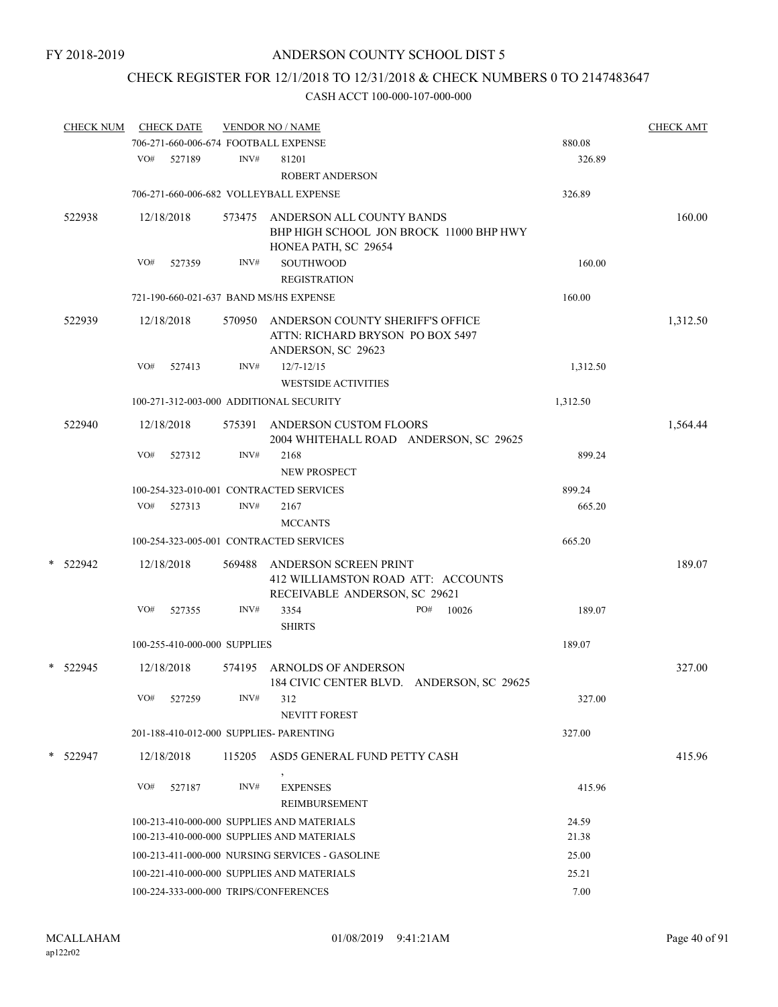# CHECK REGISTER FOR 12/1/2018 TO 12/31/2018 & CHECK NUMBERS 0 TO 2147483647

|   | <b>CHECK NUM</b> |     | <b>CHECK DATE</b>            |        | <b>VENDOR NO / NAME</b>                                                                      |     |       |                | <b>CHECK AMT</b> |
|---|------------------|-----|------------------------------|--------|----------------------------------------------------------------------------------------------|-----|-------|----------------|------------------|
|   |                  |     |                              |        | 706-271-660-006-674 FOOTBALL EXPENSE                                                         |     |       | 880.08         |                  |
|   |                  | VO# | 527189                       | INV#   | 81201<br><b>ROBERT ANDERSON</b>                                                              |     |       | 326.89         |                  |
|   |                  |     |                              |        | 706-271-660-006-682 VOLLEYBALL EXPENSE                                                       |     |       | 326.89         |                  |
|   | 522938           |     | 12/18/2018                   | 573475 | ANDERSON ALL COUNTY BANDS<br>BHP HIGH SCHOOL JON BROCK 11000 BHP HWY<br>HONEA PATH, SC 29654 |     |       |                | 160.00           |
|   |                  | VO# | 527359                       | INV#   | <b>SOUTHWOOD</b><br><b>REGISTRATION</b>                                                      |     |       | 160.00         |                  |
|   |                  |     |                              |        | 721-190-660-021-637 BAND MS/HS EXPENSE                                                       |     |       | 160.00         |                  |
|   | 522939           |     | 12/18/2018                   | 570950 | ANDERSON COUNTY SHERIFF'S OFFICE<br>ATTN: RICHARD BRYSON PO BOX 5497<br>ANDERSON, SC 29623   |     |       |                | 1,312.50         |
|   |                  | VO# | 527413                       | INV#   | $12/7 - 12/15$<br><b>WESTSIDE ACTIVITIES</b>                                                 |     |       | 1,312.50       |                  |
|   |                  |     |                              |        | 100-271-312-003-000 ADDITIONAL SECURITY                                                      |     |       | 1,312.50       |                  |
|   | 522940           |     | 12/18/2018                   |        | 575391 ANDERSON CUSTOM FLOORS<br>2004 WHITEHALL ROAD ANDERSON, SC 29625                      |     |       |                | 1,564.44         |
|   |                  | VO# | 527312                       | INV#   | 2168<br><b>NEW PROSPECT</b>                                                                  |     |       | 899.24         |                  |
|   |                  |     |                              |        | 100-254-323-010-001 CONTRACTED SERVICES                                                      |     |       | 899.24         |                  |
|   |                  | VO# | 527313                       | INV#   | 2167                                                                                         |     |       | 665.20         |                  |
|   |                  |     |                              |        | <b>MCCANTS</b>                                                                               |     |       |                |                  |
|   |                  |     |                              |        | 100-254-323-005-001 CONTRACTED SERVICES                                                      |     |       | 665.20         |                  |
| * | 522942           |     | 12/18/2018                   | 569488 | ANDERSON SCREEN PRINT<br>412 WILLIAMSTON ROAD ATT: ACCOUNTS<br>RECEIVABLE ANDERSON, SC 29621 |     |       |                | 189.07           |
|   |                  | VO# | 527355                       | INV#   | 3354<br><b>SHIRTS</b>                                                                        | PO# | 10026 | 189.07         |                  |
|   |                  |     | 100-255-410-000-000 SUPPLIES |        |                                                                                              |     |       | 189.07         |                  |
|   | * 522945         |     | 12/18/2018                   | 574195 | ARNOLDS OF ANDERSON<br>184 CIVIC CENTER BLVD. ANDERSON, SC 29625                             |     |       |                | 327.00           |
|   |                  | VO# | 527259                       | INV#   | 312<br><b>NEVITT FOREST</b>                                                                  |     |       | 327.00         |                  |
|   |                  |     |                              |        | 201-188-410-012-000 SUPPLIES- PARENTING                                                      |     |       | 327.00         |                  |
|   | $*$ 522947       |     | 12/18/2018                   | 115205 | ASD5 GENERAL FUND PETTY CASH                                                                 |     |       |                | 415.96           |
|   |                  | VO# | 527187                       | INV#   | <b>EXPENSES</b><br>REIMBURSEMENT                                                             |     |       | 415.96         |                  |
|   |                  |     |                              |        | 100-213-410-000-000 SUPPLIES AND MATERIALS<br>100-213-410-000-000 SUPPLIES AND MATERIALS     |     |       | 24.59<br>21.38 |                  |
|   |                  |     |                              |        | 100-213-411-000-000 NURSING SERVICES - GASOLINE                                              |     |       | 25.00          |                  |
|   |                  |     |                              |        | 100-221-410-000-000 SUPPLIES AND MATERIALS                                                   |     |       | 25.21          |                  |
|   |                  |     |                              |        | 100-224-333-000-000 TRIPS/CONFERENCES                                                        |     |       | 7.00           |                  |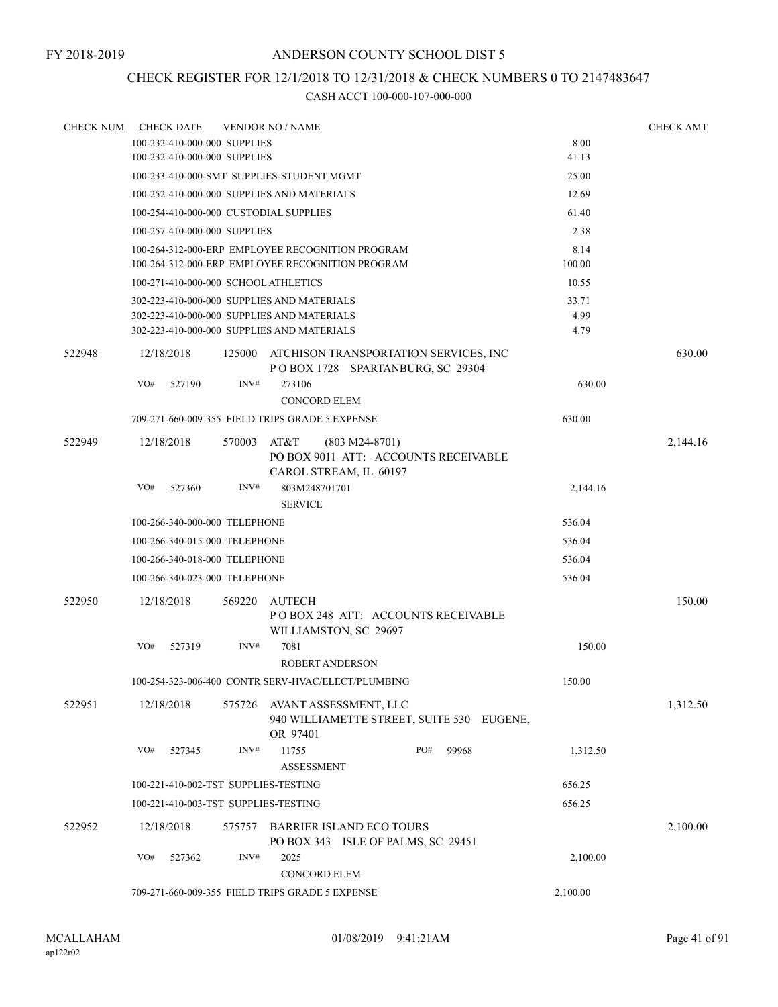## CHECK REGISTER FOR 12/1/2018 TO 12/31/2018 & CHECK NUMBERS 0 TO 2147483647

| <b>CHECK NUM</b> | <b>CHECK DATE</b>                               |        | <b>VENDOR NO / NAME</b>                                                                    |          |              | <b>CHECK AMT</b> |
|------------------|-------------------------------------------------|--------|--------------------------------------------------------------------------------------------|----------|--------------|------------------|
|                  | 100-232-410-000-000 SUPPLIES                    |        |                                                                                            |          | 8.00         |                  |
|                  | 100-232-410-000-000 SUPPLIES                    |        |                                                                                            |          | 41.13        |                  |
|                  |                                                 |        | 100-233-410-000-SMT SUPPLIES-STUDENT MGMT                                                  |          | 25.00        |                  |
|                  |                                                 |        | 100-252-410-000-000 SUPPLIES AND MATERIALS                                                 |          | 12.69        |                  |
|                  | 100-254-410-000-000 CUSTODIAL SUPPLIES          |        |                                                                                            |          | 61.40        |                  |
|                  | 100-257-410-000-000 SUPPLIES                    |        |                                                                                            |          | 2.38         |                  |
|                  |                                                 |        | 100-264-312-000-ERP EMPLOYEE RECOGNITION PROGRAM                                           |          | 8.14         |                  |
|                  |                                                 |        | 100-264-312-000-ERP EMPLOYEE RECOGNITION PROGRAM                                           |          | 100.00       |                  |
|                  | 100-271-410-000-000 SCHOOL ATHLETICS            |        |                                                                                            |          | 10.55        |                  |
|                  |                                                 |        | 302-223-410-000-000 SUPPLIES AND MATERIALS                                                 |          | 33.71        |                  |
|                  |                                                 |        | 302-223-410-000-000 SUPPLIES AND MATERIALS<br>302-223-410-000-000 SUPPLIES AND MATERIALS   |          | 4.99<br>4.79 |                  |
|                  |                                                 |        |                                                                                            |          |              |                  |
| 522948           | 12/18/2018                                      | 125000 | ATCHISON TRANSPORTATION SERVICES, INC<br>POBOX 1728 SPARTANBURG, SC 29304                  |          |              | 630.00           |
|                  | VO#<br>527190                                   | INV#   | 273106                                                                                     |          | 630.00       |                  |
|                  |                                                 |        | <b>CONCORD ELEM</b>                                                                        |          |              |                  |
|                  |                                                 |        | 709-271-660-009-355 FIELD TRIPS GRADE 5 EXPENSE                                            |          | 630.00       |                  |
| 522949           | 12/18/2018                                      | 570003 | AT&T<br>$(803 M24-8701)$<br>PO BOX 9011 ATT: ACCOUNTS RECEIVABLE<br>CAROL STREAM, IL 60197 |          |              | 2,144.16         |
|                  | VO#<br>527360                                   | INV#   | 803M248701701<br><b>SERVICE</b>                                                            |          | 2,144.16     |                  |
|                  | 100-266-340-000-000 TELEPHONE                   |        |                                                                                            |          | 536.04       |                  |
|                  | 100-266-340-015-000 TELEPHONE                   |        |                                                                                            |          | 536.04       |                  |
|                  | 100-266-340-018-000 TELEPHONE                   |        |                                                                                            |          | 536.04       |                  |
|                  | 100-266-340-023-000 TELEPHONE                   |        |                                                                                            |          | 536.04       |                  |
| 522950           | 12/18/2018                                      | 569220 | AUTECH<br>PO BOX 248 ATT: ACCOUNTS RECEIVABLE                                              |          |              | 150.00           |
|                  |                                                 |        | WILLIAMSTON, SC 29697                                                                      |          |              |                  |
|                  | VO#<br>527319                                   | INV#   | 7081<br><b>ROBERT ANDERSON</b>                                                             |          | 150.00       |                  |
|                  |                                                 |        | 100-254-323-006-400 CONTR SERV-HVAC/ELECT/PLUMBING                                         |          | 150.00       |                  |
| 522951           | 12/18/2018                                      |        | 575726 AVANT ASSESSMENT, LLC<br>940 WILLIAMETTE STREET, SUITE 530 EUGENE,<br>OR 97401      |          |              | 1,312.50         |
|                  | VO#<br>527345                                   | INV#   | PO#<br>11755<br><b>ASSESSMENT</b>                                                          | 99968    | 1,312.50     |                  |
|                  | 100-221-410-002-TST SUPPLIES-TESTING            |        |                                                                                            |          | 656.25       |                  |
|                  | 100-221-410-003-TST SUPPLIES-TESTING            |        |                                                                                            |          | 656.25       |                  |
|                  |                                                 |        |                                                                                            |          |              |                  |
| 522952           | 12/18/2018                                      | 575757 | BARRIER ISLAND ECO TOURS<br>PO BOX 343 ISLE OF PALMS, SC 29451                             |          |              | 2,100.00         |
|                  | VO#<br>527362                                   | INV#   | 2025<br><b>CONCORD ELEM</b>                                                                |          | 2,100.00     |                  |
|                  | 709-271-660-009-355 FIELD TRIPS GRADE 5 EXPENSE |        |                                                                                            | 2,100.00 |              |                  |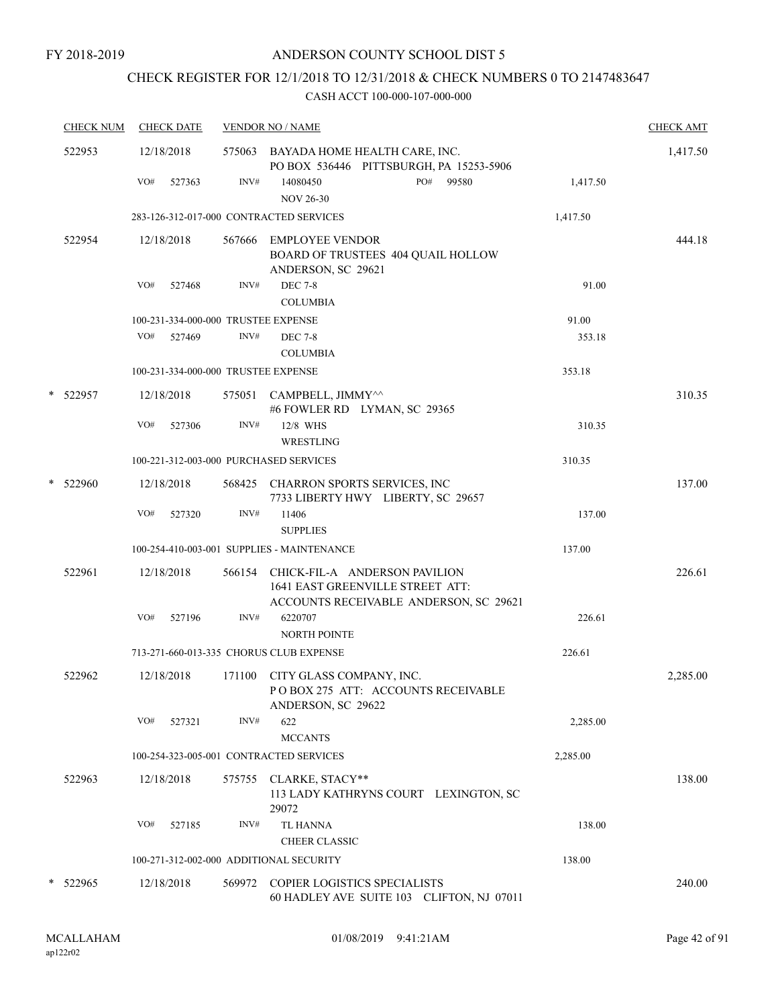# CHECK REGISTER FOR 12/1/2018 TO 12/31/2018 & CHECK NUMBERS 0 TO 2147483647

| <b>CHECK NUM</b> | <b>CHECK DATE</b>                       |        | <b>VENDOR NO / NAME</b>                                                                                            |          | <b>CHECK AMT</b> |
|------------------|-----------------------------------------|--------|--------------------------------------------------------------------------------------------------------------------|----------|------------------|
| 522953           | 12/18/2018                              |        | 575063 BAYADA HOME HEALTH CARE, INC.<br>PO BOX 536446 PITTSBURGH, PA 15253-5906                                    |          | 1,417.50         |
|                  | VO#<br>527363                           | INV#   | PO# 99580<br>14080450<br><b>NOV 26-30</b>                                                                          | 1,417.50 |                  |
|                  | 283-126-312-017-000 CONTRACTED SERVICES |        |                                                                                                                    | 1,417.50 |                  |
| 522954           | 12/18/2018                              |        | 567666 EMPLOYEE VENDOR<br>BOARD OF TRUSTEES 404 QUAIL HOLLOW<br>ANDERSON, SC 29621                                 |          | 444.18           |
|                  | VO#<br>527468                           | INV#   | <b>DEC 7-8</b><br><b>COLUMBIA</b>                                                                                  | 91.00    |                  |
|                  | 100-231-334-000-000 TRUSTEE EXPENSE     |        |                                                                                                                    | 91.00    |                  |
|                  | VO#<br>527469                           | INV#   | <b>DEC 7-8</b><br><b>COLUMBIA</b>                                                                                  | 353.18   |                  |
|                  | 100-231-334-000-000 TRUSTEE EXPENSE     |        |                                                                                                                    | 353.18   |                  |
| * 522957         | 12/18/2018                              |        | 575051 CAMPBELL, JIMMY^^<br>#6 FOWLER RD LYMAN, SC 29365                                                           |          | 310.35           |
|                  | VO#<br>527306                           | INV#   | 12/8 WHS<br>WRESTLING                                                                                              | 310.35   |                  |
|                  | 100-221-312-003-000 PURCHASED SERVICES  |        |                                                                                                                    | 310.35   |                  |
| * 522960         | 12/18/2018                              |        | 568425 CHARRON SPORTS SERVICES, INC<br>7733 LIBERTY HWY LIBERTY, SC 29657                                          |          | 137.00           |
|                  | VO#<br>527320                           | INV#   | 11406<br><b>SUPPLIES</b>                                                                                           | 137.00   |                  |
|                  |                                         |        | 100-254-410-003-001 SUPPLIES - MAINTENANCE                                                                         | 137.00   |                  |
| 522961           | 12/18/2018                              |        | 566154 CHICK-FIL-A ANDERSON PAVILION<br>1641 EAST GREENVILLE STREET ATT:<br>ACCOUNTS RECEIVABLE ANDERSON, SC 29621 |          | 226.61           |
|                  | VO#<br>527196                           | INV#   | 6220707<br><b>NORTH POINTE</b>                                                                                     | 226.61   |                  |
|                  | 713-271-660-013-335 CHORUS CLUB EXPENSE |        |                                                                                                                    | 226.61   |                  |
| 522962           | 12/18/2018                              | 171100 | CITY GLASS COMPANY, INC.<br>PO BOX 275 ATT: ACCOUNTS RECEIVABLE<br>ANDERSON, SC 29622                              |          | 2,285.00         |
|                  | VO#<br>527321                           | INV#   | 622<br><b>MCCANTS</b>                                                                                              | 2,285.00 |                  |
|                  | 100-254-323-005-001 CONTRACTED SERVICES |        |                                                                                                                    | 2,285.00 |                  |
| 522963           | 12/18/2018                              |        | 575755 CLARKE, STACY**<br>113 LADY KATHRYNS COURT LEXINGTON, SC<br>29072                                           |          | 138.00           |
|                  | VO#<br>527185                           | INV#   | TL HANNA<br><b>CHEER CLASSIC</b>                                                                                   | 138.00   |                  |
|                  | 100-271-312-002-000 ADDITIONAL SECURITY |        |                                                                                                                    | 138.00   |                  |
| * 522965         | 12/18/2018                              | 569972 | COPIER LOGISTICS SPECIALISTS<br>60 HADLEY AVE SUITE 103 CLIFTON, NJ 07011                                          |          | 240.00           |
|                  |                                         |        |                                                                                                                    |          |                  |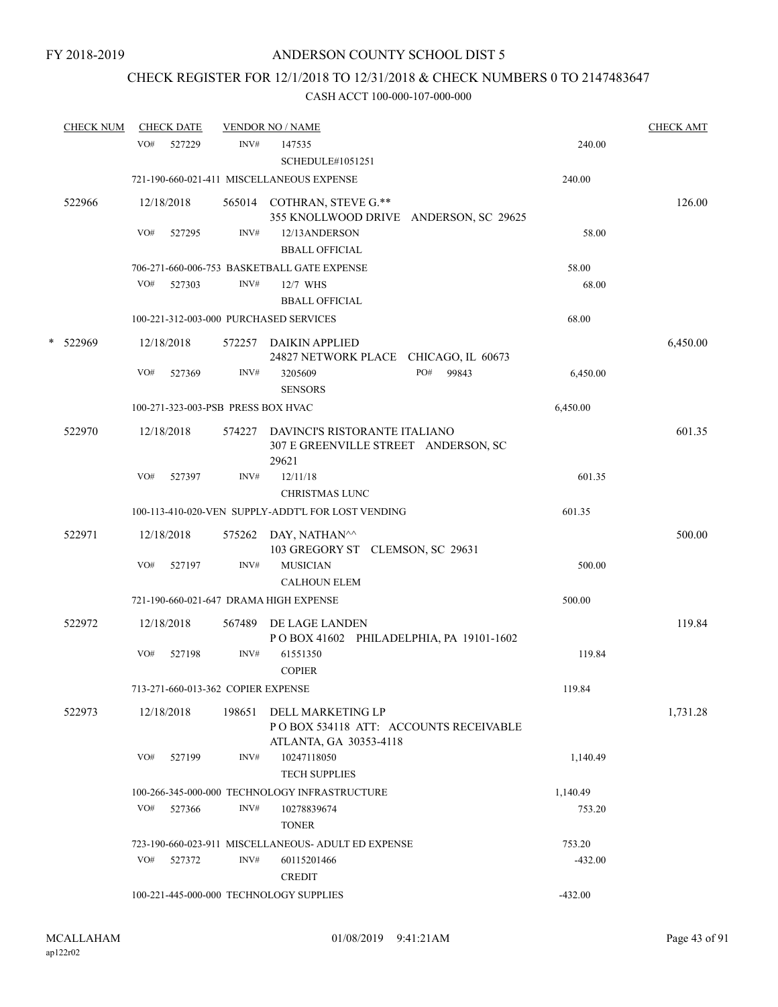# CHECK REGISTER FOR 12/1/2018 TO 12/31/2018 & CHECK NUMBERS 0 TO 2147483647

|   | <b>CHECK NUM</b> |     | <b>CHECK DATE</b>                  |        | <b>VENDOR NO / NAME</b>                                                              |              |           | <b>CHECK AMT</b> |
|---|------------------|-----|------------------------------------|--------|--------------------------------------------------------------------------------------|--------------|-----------|------------------|
|   |                  | VO# | 527229                             | INV#   | 147535<br><b>SCHEDULE#1051251</b>                                                    |              | 240.00    |                  |
|   |                  |     |                                    |        | 721-190-660-021-411 MISCELLANEOUS EXPENSE                                            |              | 240.00    |                  |
|   | 522966           |     | 12/18/2018                         |        | 565014 COTHRAN, STEVE G.**<br>355 KNOLLWOOD DRIVE ANDERSON, SC 29625                 |              |           | 126.00           |
|   |                  | VO# | 527295                             | INV#   | 12/13ANDERSON<br><b>BBALL OFFICIAL</b>                                               |              | 58.00     |                  |
|   |                  |     |                                    |        | 706-271-660-006-753 BASKETBALL GATE EXPENSE                                          |              | 58.00     |                  |
|   |                  | VO# | 527303                             | INV#   | 12/7 WHS<br><b>BBALL OFFICIAL</b>                                                    |              | 68.00     |                  |
|   |                  |     |                                    |        | 100-221-312-003-000 PURCHASED SERVICES                                               |              | 68.00     |                  |
| * | 522969           |     | 12/18/2018                         | 572257 | DAIKIN APPLIED<br>24827 NETWORK PLACE CHICAGO, IL 60673                              |              |           | 6,450.00         |
|   |                  | VO# | 527369                             | INV#   | 3205609<br><b>SENSORS</b>                                                            | PO#<br>99843 | 6,450.00  |                  |
|   |                  |     | 100-271-323-003-PSB PRESS BOX HVAC |        |                                                                                      |              | 6,450.00  |                  |
|   | 522970           |     | 12/18/2018                         | 574227 | DAVINCI'S RISTORANTE ITALIANO<br>307 E GREENVILLE STREET ANDERSON, SC<br>29621       |              |           | 601.35           |
|   |                  | VO# | 527397                             | INV#   | 12/11/18<br><b>CHRISTMAS LUNC</b>                                                    |              | 601.35    |                  |
|   |                  |     |                                    |        | 100-113-410-020-VEN SUPPLY-ADDT'L FOR LOST VENDING                                   |              | 601.35    |                  |
|   | 522971           |     | 12/18/2018                         |        | 575262 DAY, NATHAN <sup>^^</sup><br>103 GREGORY ST CLEMSON, SC 29631                 |              |           | 500.00           |
|   |                  | VO# | 527197                             | INV#   | <b>MUSICIAN</b><br><b>CALHOUN ELEM</b>                                               |              | 500.00    |                  |
|   |                  |     |                                    |        | 721-190-660-021-647 DRAMA HIGH EXPENSE                                               |              | 500.00    |                  |
|   | 522972           |     | 12/18/2018                         |        | 567489 DE LAGE LANDEN<br>POBOX 41602 PHILADELPHIA, PA 19101-1602                     |              |           | 119.84           |
|   |                  | VO# | 527198                             | INV#   | 61551350<br><b>COPIER</b>                                                            |              | 119.84    |                  |
|   |                  |     | 713-271-660-013-362 COPIER EXPENSE |        |                                                                                      |              | 119.84    |                  |
|   | 522973           |     | 12/18/2018                         | 198651 | DELL MARKETING LP<br>POBOX 534118 ATT: ACCOUNTS RECEIVABLE<br>ATLANTA, GA 30353-4118 |              |           | 1,731.28         |
|   |                  | VO# | 527199                             | INV#   | 10247118050<br><b>TECH SUPPLIES</b>                                                  |              | 1,140.49  |                  |
|   |                  |     |                                    |        | 100-266-345-000-000 TECHNOLOGY INFRASTRUCTURE                                        |              | 1,140.49  |                  |
|   |                  | VO# | 527366                             | INV#   | 10278839674<br><b>TONER</b>                                                          |              | 753.20    |                  |
|   |                  |     |                                    |        | 723-190-660-023-911 MISCELLANEOUS- ADULT ED EXPENSE                                  |              | 753.20    |                  |
|   |                  | VO# | 527372                             | INV#   | 60115201466<br><b>CREDIT</b>                                                         |              | $-432.00$ |                  |
|   |                  |     |                                    |        | 100-221-445-000-000 TECHNOLOGY SUPPLIES                                              |              | $-432.00$ |                  |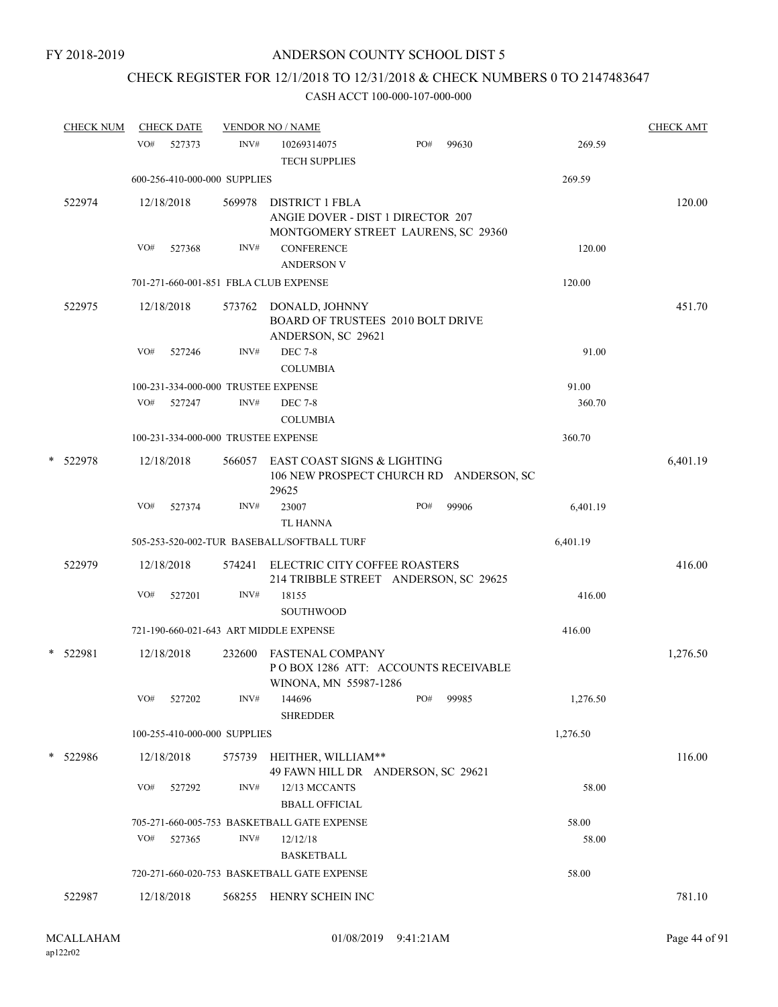# CHECK REGISTER FOR 12/1/2018 TO 12/31/2018 & CHECK NUMBERS 0 TO 2147483647

|   | <b>CHECK NUM</b> |     | <b>CHECK DATE</b>                   |        | <b>VENDOR NO / NAME</b>                                                                            |     |       |          | <b>CHECK AMT</b> |
|---|------------------|-----|-------------------------------------|--------|----------------------------------------------------------------------------------------------------|-----|-------|----------|------------------|
|   |                  | VO# | 527373                              | INV#   | 10269314075<br><b>TECH SUPPLIES</b>                                                                | PO# | 99630 | 269.59   |                  |
|   |                  |     | 600-256-410-000-000 SUPPLIES        |        |                                                                                                    |     |       | 269.59   |                  |
|   | 522974           |     | 12/18/2018                          | 569978 | <b>DISTRICT 1 FBLA</b><br>ANGIE DOVER - DIST 1 DIRECTOR 207<br>MONTGOMERY STREET LAURENS, SC 29360 |     |       |          | 120.00           |
|   |                  | VO# | 527368                              | INV#   | <b>CONFERENCE</b><br><b>ANDERSON V</b>                                                             |     |       | 120.00   |                  |
|   |                  |     |                                     |        | 701-271-660-001-851 FBLA CLUB EXPENSE                                                              |     |       | 120.00   |                  |
|   | 522975           |     | 12/18/2018                          | 573762 | DONALD, JOHNNY<br><b>BOARD OF TRUSTEES 2010 BOLT DRIVE</b><br>ANDERSON, SC 29621                   |     |       |          | 451.70           |
|   |                  | VO# | 527246                              | INV#   | <b>DEC 7-8</b><br><b>COLUMBIA</b>                                                                  |     |       | 91.00    |                  |
|   |                  |     | 100-231-334-000-000 TRUSTEE EXPENSE |        |                                                                                                    |     |       | 91.00    |                  |
|   |                  | VO# | 527247                              | INV#   | <b>DEC 7-8</b><br><b>COLUMBIA</b>                                                                  |     |       | 360.70   |                  |
|   |                  |     | 100-231-334-000-000 TRUSTEE EXPENSE |        |                                                                                                    |     |       | 360.70   |                  |
| * | 522978           |     | 12/18/2018                          | 566057 | EAST COAST SIGNS & LIGHTING<br>106 NEW PROSPECT CHURCH RD ANDERSON, SC<br>29625                    |     |       |          | 6,401.19         |
|   |                  | VO# | 527374                              | INV#   | 23007<br><b>TL HANNA</b>                                                                           | PO# | 99906 | 6,401.19 |                  |
|   |                  |     |                                     |        | 505-253-520-002-TUR BASEBALL/SOFTBALL TURF                                                         |     |       | 6,401.19 |                  |
|   | 522979           |     | 12/18/2018                          | 574241 | ELECTRIC CITY COFFEE ROASTERS<br>214 TRIBBLE STREET ANDERSON, SC 29625                             |     |       |          | 416.00           |
|   |                  | VO# | 527201                              | INV#   | 18155<br><b>SOUTHWOOD</b>                                                                          |     |       | 416.00   |                  |
|   |                  |     |                                     |        | 721-190-660-021-643 ART MIDDLE EXPENSE                                                             |     |       | 416.00   |                  |
| * | 522981           |     | 12/18/2018                          | 232600 | <b>FASTENAL COMPANY</b><br>POBOX 1286 ATT: ACCOUNTS RECEIVABLE                                     |     |       |          | 1,276.50         |
|   |                  | VO# | 527202                              | INV#   | WINONA, MN 55987-1286<br>144696<br><b>SHREDDER</b>                                                 | PO# | 99985 | 1,276.50 |                  |
|   |                  |     | 100-255-410-000-000 SUPPLIES        |        |                                                                                                    |     |       | 1,276.50 |                  |
|   | * 522986         |     | 12/18/2018                          | 575739 | HEITHER, WILLIAM**<br>49 FAWN HILL DR ANDERSON, SC 29621                                           |     |       |          | 116.00           |
|   |                  | VO# | 527292                              | INV#   | 12/13 MCCANTS<br><b>BBALL OFFICIAL</b>                                                             |     |       | 58.00    |                  |
|   |                  |     |                                     |        | 705-271-660-005-753 BASKETBALL GATE EXPENSE                                                        |     |       | 58.00    |                  |
|   |                  | VO# | 527365                              | INV#   | 12/12/18<br><b>BASKETBALL</b>                                                                      |     |       | 58.00    |                  |
|   |                  |     |                                     |        | 720-271-660-020-753 BASKETBALL GATE EXPENSE                                                        |     |       | 58.00    |                  |
|   | 522987           |     | 12/18/2018                          |        | 568255 HENRY SCHEIN INC                                                                            |     |       |          | 781.10           |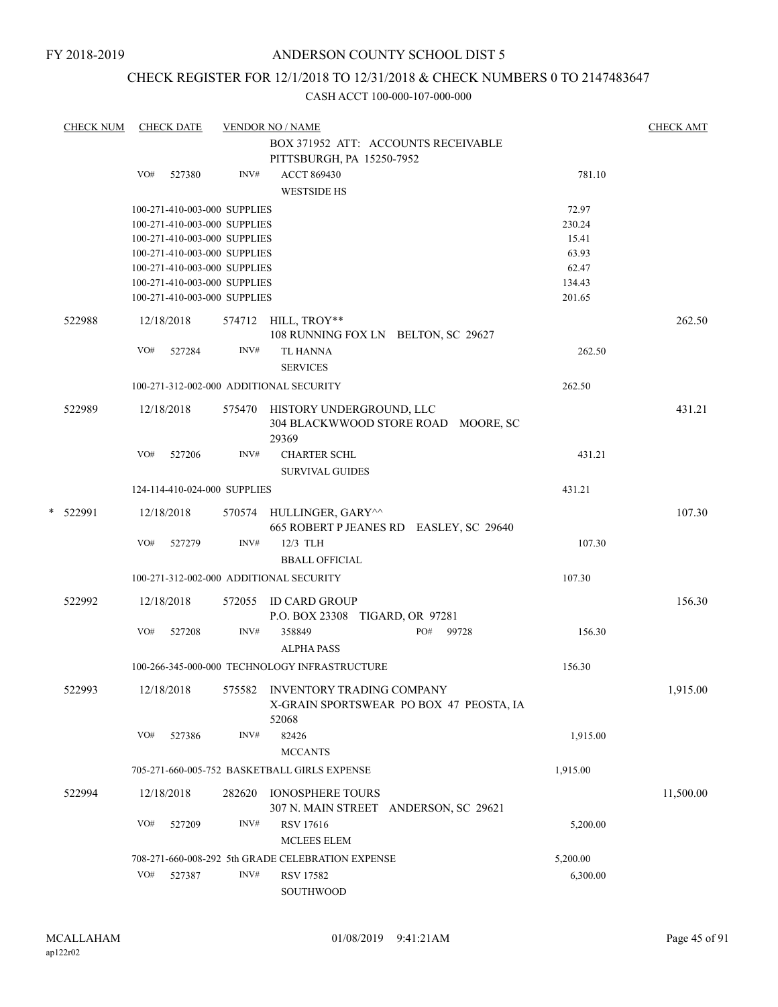## CHECK REGISTER FOR 12/1/2018 TO 12/31/2018 & CHECK NUMBERS 0 TO 2147483647

| <b>CHECK NUM</b> |     | <b>CHECK DATE</b> |                              | <b>VENDOR NO / NAME</b>                                          |                                         |          | <b>CHECK AMT</b> |
|------------------|-----|-------------------|------------------------------|------------------------------------------------------------------|-----------------------------------------|----------|------------------|
|                  |     |                   |                              | BOX 371952 ATT: ACCOUNTS RECEIVABLE                              |                                         |          |                  |
|                  |     |                   |                              | PITTSBURGH, PA 15250-7952                                        |                                         |          |                  |
|                  | VO# | 527380            | INV#                         | <b>ACCT 869430</b>                                               |                                         | 781.10   |                  |
|                  |     |                   |                              | <b>WESTSIDE HS</b>                                               |                                         |          |                  |
|                  |     |                   | 100-271-410-003-000 SUPPLIES |                                                                  |                                         | 72.97    |                  |
|                  |     |                   | 100-271-410-003-000 SUPPLIES |                                                                  |                                         | 230.24   |                  |
|                  |     |                   | 100-271-410-003-000 SUPPLIES |                                                                  |                                         | 15.41    |                  |
|                  |     |                   | 100-271-410-003-000 SUPPLIES |                                                                  |                                         | 63.93    |                  |
|                  |     |                   | 100-271-410-003-000 SUPPLIES |                                                                  |                                         | 62.47    |                  |
|                  |     |                   | 100-271-410-003-000 SUPPLIES |                                                                  |                                         | 134.43   |                  |
|                  |     |                   | 100-271-410-003-000 SUPPLIES |                                                                  |                                         | 201.65   |                  |
| 522988           |     | 12/18/2018        |                              | 574712 HILL, TROY**<br>108 RUNNING FOX LN BELTON, SC 29627       |                                         |          | 262.50           |
|                  | VO# | 527284            | INV#                         | <b>TL HANNA</b>                                                  |                                         | 262.50   |                  |
|                  |     |                   |                              | <b>SERVICES</b>                                                  |                                         |          |                  |
|                  |     |                   |                              |                                                                  |                                         |          |                  |
|                  |     |                   |                              | 100-271-312-002-000 ADDITIONAL SECURITY                          |                                         | 262.50   |                  |
| 522989           |     | 12/18/2018        |                              | 575470 HISTORY UNDERGROUND, LLC<br>29369                         | 304 BLACKWWOOD STORE ROAD MOORE, SC     |          | 431.21           |
|                  | VO# | 527206            | INV#                         | <b>CHARTER SCHL</b><br><b>SURVIVAL GUIDES</b>                    |                                         | 431.21   |                  |
|                  |     |                   | 124-114-410-024-000 SUPPLIES |                                                                  |                                         | 431.21   |                  |
|                  |     |                   |                              |                                                                  |                                         |          |                  |
| * 522991         |     | 12/18/2018        |                              | 570574 HULLINGER, GARY^^                                         | 665 ROBERT P JEANES RD EASLEY, SC 29640 |          | 107.30           |
|                  | VO# | 527279            | INV#                         | 12/3 TLH                                                         |                                         | 107.30   |                  |
|                  |     |                   |                              | <b>BBALL OFFICIAL</b>                                            |                                         |          |                  |
|                  |     |                   |                              | 100-271-312-002-000 ADDITIONAL SECURITY                          |                                         | 107.30   |                  |
| 522992           |     | 12/18/2018        |                              | 572055 ID CARD GROUP                                             |                                         |          | 156.30           |
|                  |     |                   |                              | P.O. BOX 23308 TIGARD, OR 97281                                  |                                         |          |                  |
|                  | VO# | 527208            | INV#                         | 358849                                                           | PO# 99728                               | 156.30   |                  |
|                  |     |                   |                              | <b>ALPHA PASS</b>                                                |                                         |          |                  |
|                  |     |                   |                              | 100-266-345-000-000 TECHNOLOGY INFRASTRUCTURE                    |                                         | 156.30   |                  |
|                  |     |                   |                              |                                                                  |                                         |          |                  |
| 522993           |     | 12/18/2018        |                              | 575582 INVENTORY TRADING COMPANY<br>52068                        | X-GRAIN SPORTSWEAR PO BOX 47 PEOSTA, IA |          | 1,915.00         |
|                  | VO# | 527386            | INV#                         | 82426<br><b>MCCANTS</b>                                          |                                         | 1,915.00 |                  |
|                  |     |                   |                              | 705-271-660-005-752 BASKETBALL GIRLS EXPENSE                     |                                         | 1,915.00 |                  |
|                  |     |                   |                              |                                                                  |                                         |          |                  |
| 522994           |     | 12/18/2018        | 282620                       | <b>IONOSPHERE TOURS</b><br>307 N. MAIN STREET ANDERSON, SC 29621 |                                         |          | 11,500.00        |
|                  | VO# | 527209            | INV#                         | <b>RSV 17616</b>                                                 |                                         | 5,200.00 |                  |
|                  |     |                   |                              | <b>MCLEES ELEM</b>                                               |                                         |          |                  |
|                  |     |                   |                              | 708-271-660-008-292 5th GRADE CELEBRATION EXPENSE                |                                         | 5,200.00 |                  |
|                  | VO# | 527387            | INV#                         | <b>RSV 17582</b>                                                 |                                         | 6,300.00 |                  |
|                  |     |                   |                              | SOUTHWOOD                                                        |                                         |          |                  |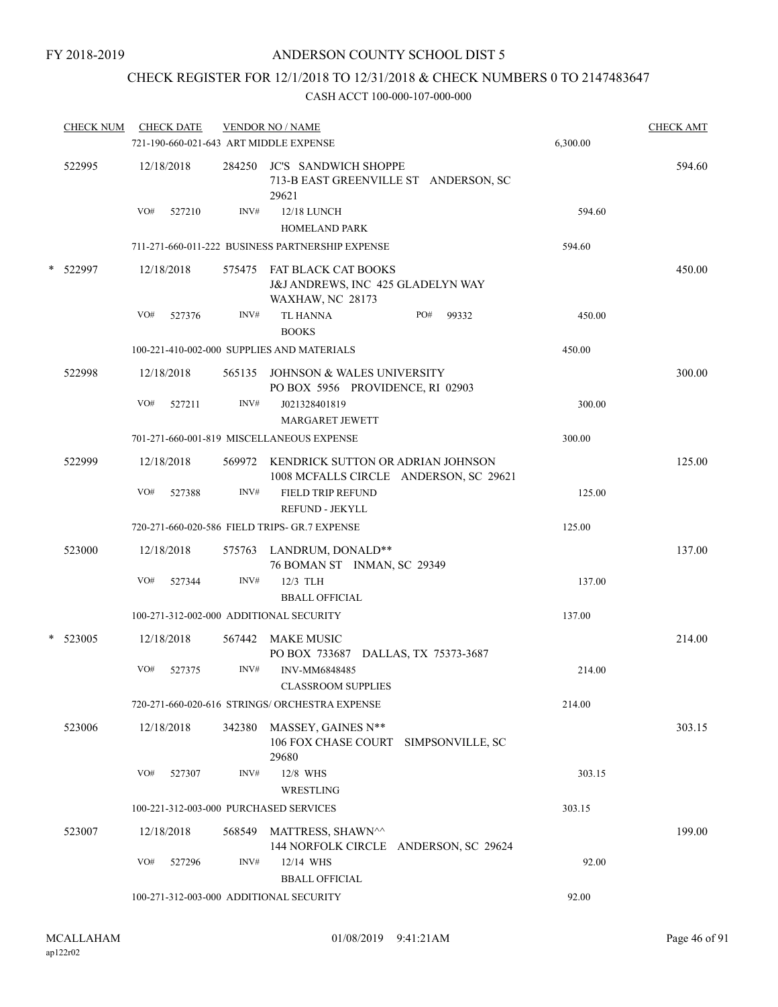# CHECK REGISTER FOR 12/1/2018 TO 12/31/2018 & CHECK NUMBERS 0 TO 2147483647

|        | <b>CHECK NUM</b> |     | <b>CHECK DATE</b> |        | <b>VENDOR NO / NAME</b><br>721-190-660-021-643 ART MIDDLE EXPENSE                          | 6,300.00 | <b>CHECK AMT</b> |
|--------|------------------|-----|-------------------|--------|--------------------------------------------------------------------------------------------|----------|------------------|
|        | 522995           |     | 12/18/2018        |        | 284250 JC'S SANDWICH SHOPPE<br>713-B EAST GREENVILLE ST ANDERSON, SC<br>29621              |          | 594.60           |
|        |                  | VO# | 527210            | INV#   | <b>12/18 LUNCH</b><br><b>HOMELAND PARK</b>                                                 | 594.60   |                  |
|        |                  |     |                   |        | 711-271-660-011-222 BUSINESS PARTNERSHIP EXPENSE                                           | 594.60   |                  |
| *      | 522997           |     | 12/18/2018        |        | 575475 FAT BLACK CAT BOOKS<br>J&J ANDREWS, INC 425 GLADELYN WAY<br><b>WAXHAW, NC 28173</b> |          | 450.00           |
|        |                  | VO# | 527376            | INV#   | TL HANNA<br>PO#<br>99332<br><b>BOOKS</b>                                                   | 450.00   |                  |
|        |                  |     |                   |        | 100-221-410-002-000 SUPPLIES AND MATERIALS                                                 | 450.00   |                  |
|        | 522998           |     | 12/18/2018        |        | 565135 JOHNSON & WALES UNIVERSITY<br>PO BOX 5956 PROVIDENCE, RI 02903                      |          | 300.00           |
|        |                  | VO# | 527211            | INV#   | J021328401819<br><b>MARGARET JEWETT</b>                                                    | 300.00   |                  |
|        |                  |     |                   |        | 701-271-660-001-819 MISCELLANEOUS EXPENSE                                                  | 300.00   |                  |
|        | 522999           |     | 12/18/2018        |        | 569972 KENDRICK SUTTON OR ADRIAN JOHNSON<br>1008 MCFALLS CIRCLE ANDERSON, SC 29621         |          | 125.00           |
|        |                  | VO# | 527388            | INV#   | <b>FIELD TRIP REFUND</b><br>REFUND - JEKYLL                                                | 125.00   |                  |
|        |                  |     |                   |        | 720-271-660-020-586 FIELD TRIPS- GR.7 EXPENSE                                              | 125.00   |                  |
|        | 523000           |     | 12/18/2018        |        | 575763 LANDRUM, DONALD**<br>76 BOMAN ST INMAN, SC 29349                                    |          | 137.00           |
|        |                  | VO# | 527344            | INV#   | 12/3 TLH<br><b>BBALL OFFICIAL</b>                                                          | 137.00   |                  |
|        |                  |     |                   |        | 100-271-312-002-000 ADDITIONAL SECURITY                                                    | 137.00   |                  |
| $\ast$ | 523005           |     | 12/18/2018        | 567442 | <b>MAKE MUSIC</b><br>PO BOX 733687 DALLAS, TX 75373-3687                                   |          | 214.00           |
|        |                  | VO# | 527375            | INV#   | INV-MM6848485<br><b>CLASSROOM SUPPLIES</b>                                                 | 214.00   |                  |
|        |                  |     |                   |        | 720-271-660-020-616 STRINGS/ ORCHESTRA EXPENSE                                             | 214.00   |                  |
|        | 523006           |     | 12/18/2018        | 342380 | MASSEY, GAINES N**<br>106 FOX CHASE COURT SIMPSONVILLE, SC<br>29680                        |          | 303.15           |
|        |                  | VO# | 527307            | INV#   | 12/8 WHS<br>WRESTLING                                                                      | 303.15   |                  |
|        |                  |     |                   |        | 100-221-312-003-000 PURCHASED SERVICES                                                     | 303.15   |                  |
|        | 523007           |     | 12/18/2018        | 568549 | MATTRESS, SHAWN^^<br>144 NORFOLK CIRCLE ANDERSON, SC 29624                                 |          | 199.00           |
|        |                  | VO# | 527296            | INV#   | 12/14 WHS<br><b>BBALL OFFICIAL</b>                                                         | 92.00    |                  |
|        |                  |     |                   |        | 100-271-312-003-000 ADDITIONAL SECURITY                                                    | 92.00    |                  |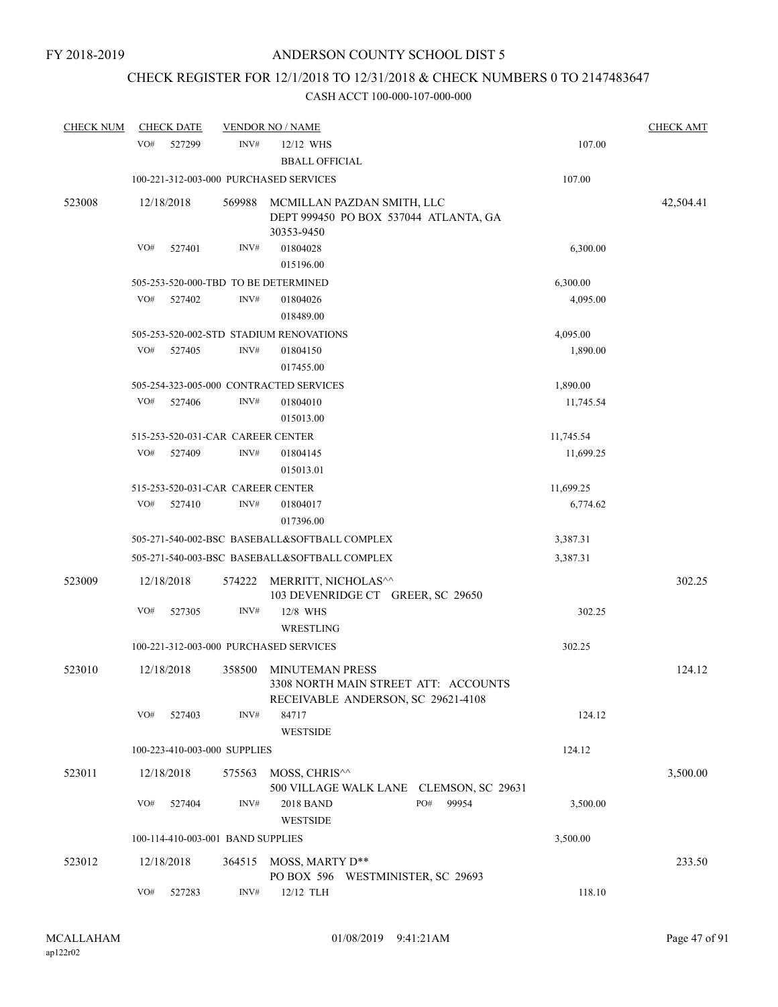# CHECK REGISTER FOR 12/1/2018 TO 12/31/2018 & CHECK NUMBERS 0 TO 2147483647

| <b>CHECK NUM</b> | <b>CHECK DATE</b>                       |        | <b>VENDOR NO / NAME</b>                                                                              |           | <b>CHECK AMT</b> |
|------------------|-----------------------------------------|--------|------------------------------------------------------------------------------------------------------|-----------|------------------|
|                  | VO#<br>527299                           | INV#   | 12/12 WHS<br><b>BBALL OFFICIAL</b>                                                                   | 107.00    |                  |
|                  | 100-221-312-003-000 PURCHASED SERVICES  |        |                                                                                                      | 107.00    |                  |
| 523008           | 12/18/2018                              | 569988 | MCMILLAN PAZDAN SMITH, LLC<br>DEPT 999450 PO BOX 537044 ATLANTA, GA<br>30353-9450                    |           | 42,504.41        |
|                  | VO#<br>527401                           | INV#   | 01804028<br>015196.00                                                                                | 6,300.00  |                  |
|                  | 505-253-520-000-TBD TO BE DETERMINED    |        |                                                                                                      | 6,300.00  |                  |
|                  | VO#<br>527402                           | INV#   | 01804026<br>018489.00                                                                                | 4,095.00  |                  |
|                  |                                         |        | 505-253-520-002-STD STADIUM RENOVATIONS                                                              | 4,095.00  |                  |
|                  | VO#<br>527405                           | INV#   | 01804150<br>017455.00                                                                                | 1,890.00  |                  |
|                  | 505-254-323-005-000 CONTRACTED SERVICES |        |                                                                                                      | 1,890.00  |                  |
|                  | VO#<br>527406                           | INV#   | 01804010<br>015013.00                                                                                | 11,745.54 |                  |
|                  | 515-253-520-031-CAR CAREER CENTER       |        |                                                                                                      | 11,745.54 |                  |
|                  | VO#<br>527409                           | INV#   | 01804145<br>015013.01                                                                                | 11,699.25 |                  |
|                  | 515-253-520-031-CAR CAREER CENTER       |        |                                                                                                      | 11,699.25 |                  |
|                  | VO#<br>527410                           | INV#   | 01804017<br>017396.00                                                                                | 6,774.62  |                  |
|                  |                                         |        | 505-271-540-002-BSC BASEBALL&SOFTBALL COMPLEX                                                        | 3,387.31  |                  |
|                  |                                         |        | 505-271-540-003-BSC BASEBALL&SOFTBALL COMPLEX                                                        | 3,387.31  |                  |
| 523009           | 12/18/2018                              | 574222 | MERRITT, NICHOLAS^^<br>103 DEVENRIDGE CT GREER, SC 29650                                             |           | 302.25           |
|                  | VO#<br>527305                           | INV#   | 12/8 WHS<br>WRESTLING                                                                                | 302.25    |                  |
|                  | 100-221-312-003-000 PURCHASED SERVICES  |        |                                                                                                      | 302.25    |                  |
| 523010           | 12/18/2018                              | 358500 | <b>MINUTEMAN PRESS</b><br>3308 NORTH MAIN STREET ATT: ACCOUNTS<br>RECEIVABLE ANDERSON, SC 29621-4108 |           | 124.12           |
|                  | VO#<br>527403                           | INV#   | 84717<br>WESTSIDE                                                                                    | 124.12    |                  |
|                  | 100-223-410-003-000 SUPPLIES            |        |                                                                                                      | 124.12    |                  |
| 523011           | 12/18/2018                              | 575563 | MOSS, CHRIS^^<br>500 VILLAGE WALK LANE CLEMSON, SC 29631                                             |           | 3,500.00         |
|                  | VO#<br>527404                           | INV#   | PO#<br>2018 BAND<br>99954<br><b>WESTSIDE</b>                                                         | 3,500.00  |                  |
|                  | 100-114-410-003-001 BAND SUPPLIES       |        |                                                                                                      | 3,500.00  |                  |
| 523012           | 12/18/2018                              | 364515 | MOSS, MARTY D**<br>PO BOX 596 WESTMINISTER, SC 29693                                                 |           | 233.50           |
|                  | VO#<br>527283                           | INV#   | 12/12 TLH                                                                                            | 118.10    |                  |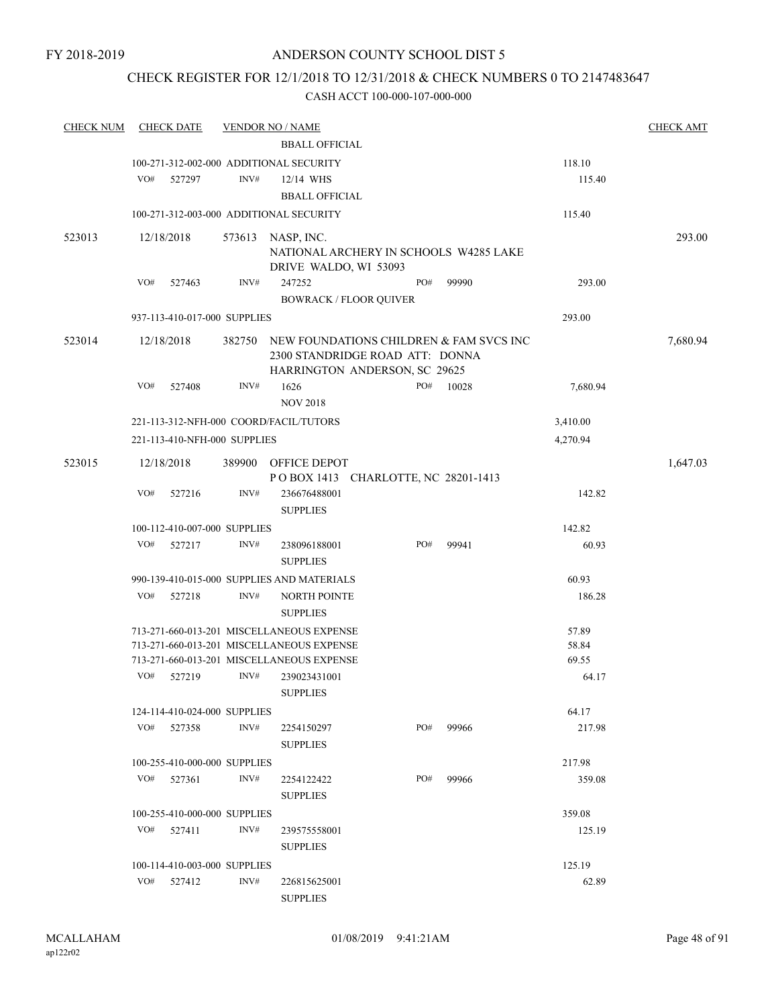## CHECK REGISTER FOR 12/1/2018 TO 12/31/2018 & CHECK NUMBERS 0 TO 2147483647

| <b>CHECK NUM</b> |     | <b>CHECK DATE</b>            |        | <b>VENDOR NO / NAME</b>                                                                                     |  |     |       |          | <b>CHECK AMT</b> |
|------------------|-----|------------------------------|--------|-------------------------------------------------------------------------------------------------------------|--|-----|-------|----------|------------------|
|                  |     |                              |        | <b>BBALL OFFICIAL</b>                                                                                       |  |     |       |          |                  |
|                  |     |                              |        | 100-271-312-002-000 ADDITIONAL SECURITY                                                                     |  |     |       | 118.10   |                  |
|                  | VO# | 527297                       | INV#   | 12/14 WHS                                                                                                   |  |     |       | 115.40   |                  |
|                  |     |                              |        | <b>BBALL OFFICIAL</b>                                                                                       |  |     |       |          |                  |
|                  |     |                              |        | 100-271-312-003-000 ADDITIONAL SECURITY                                                                     |  |     |       | 115.40   |                  |
| 523013           |     | 12/18/2018                   |        | 573613 NASP, INC.                                                                                           |  |     |       |          | 293.00           |
|                  |     |                              |        | NATIONAL ARCHERY IN SCHOOLS W4285 LAKE<br>DRIVE WALDO, WI 53093                                             |  |     |       |          |                  |
|                  | VO# | 527463                       | INV#   | 247252                                                                                                      |  | PO# | 99990 | 293.00   |                  |
|                  |     |                              |        | <b>BOWRACK / FLOOR QUIVER</b>                                                                               |  |     |       |          |                  |
|                  |     | 937-113-410-017-000 SUPPLIES |        |                                                                                                             |  |     |       | 293.00   |                  |
| 523014           |     | 12/18/2018                   | 382750 | NEW FOUNDATIONS CHILDREN & FAM SVCS INC<br>2300 STANDRIDGE ROAD ATT: DONNA<br>HARRINGTON ANDERSON, SC 29625 |  |     |       |          | 7,680.94         |
|                  | VO# | 527408                       | INV#   | 1626<br><b>NOV 2018</b>                                                                                     |  | PO# | 10028 | 7,680.94 |                  |
|                  |     |                              |        | 221-113-312-NFH-000 COORD/FACIL/TUTORS                                                                      |  |     |       | 3,410.00 |                  |
|                  |     | 221-113-410-NFH-000 SUPPLIES |        |                                                                                                             |  |     |       | 4,270.94 |                  |
| 523015           |     | 12/18/2018                   | 389900 | OFFICE DEPOT                                                                                                |  |     |       |          | 1,647.03         |
|                  |     |                              |        | POBOX 1413 CHARLOTTE, NC 28201-1413                                                                         |  |     |       |          |                  |
|                  | VO# | 527216                       | INV#   | 236676488001<br><b>SUPPLIES</b>                                                                             |  |     |       | 142.82   |                  |
|                  |     | 100-112-410-007-000 SUPPLIES |        |                                                                                                             |  |     |       | 142.82   |                  |
|                  | VO# | 527217                       | INV#   | 238096188001                                                                                                |  | PO# | 99941 | 60.93    |                  |
|                  |     |                              |        | <b>SUPPLIES</b>                                                                                             |  |     |       |          |                  |
|                  |     |                              |        | 990-139-410-015-000 SUPPLIES AND MATERIALS                                                                  |  |     |       | 60.93    |                  |
|                  | VO# | 527218                       | INV#   | <b>NORTH POINTE</b><br><b>SUPPLIES</b>                                                                      |  |     |       | 186.28   |                  |
|                  |     |                              |        | 713-271-660-013-201 MISCELLANEOUS EXPENSE                                                                   |  |     |       | 57.89    |                  |
|                  |     |                              |        | 713-271-660-013-201 MISCELLANEOUS EXPENSE                                                                   |  |     |       | 58.84    |                  |
|                  |     |                              |        | 713-271-660-013-201 MISCELLANEOUS EXPENSE                                                                   |  |     |       | 69.55    |                  |
|                  | VO# | 527219                       | INV#   | 239023431001<br><b>SUPPLIES</b>                                                                             |  |     |       | 64.17    |                  |
|                  |     | 124-114-410-024-000 SUPPLIES |        |                                                                                                             |  |     |       | 64.17    |                  |
|                  | VO# | 527358                       | INV#   | 2254150297<br><b>SUPPLIES</b>                                                                               |  | PO# | 99966 | 217.98   |                  |
|                  |     | 100-255-410-000-000 SUPPLIES |        |                                                                                                             |  |     |       | 217.98   |                  |
|                  | VO# | 527361                       | INV#   | 2254122422                                                                                                  |  | PO# | 99966 | 359.08   |                  |
|                  |     |                              |        | <b>SUPPLIES</b>                                                                                             |  |     |       |          |                  |
|                  |     | 100-255-410-000-000 SUPPLIES |        |                                                                                                             |  |     |       | 359.08   |                  |
|                  | VO# | 527411                       | INV#   | 239575558001<br><b>SUPPLIES</b>                                                                             |  |     |       | 125.19   |                  |
|                  |     | 100-114-410-003-000 SUPPLIES |        |                                                                                                             |  |     |       | 125.19   |                  |
|                  | VO# | 527412                       | INV#   | 226815625001<br><b>SUPPLIES</b>                                                                             |  |     |       | 62.89    |                  |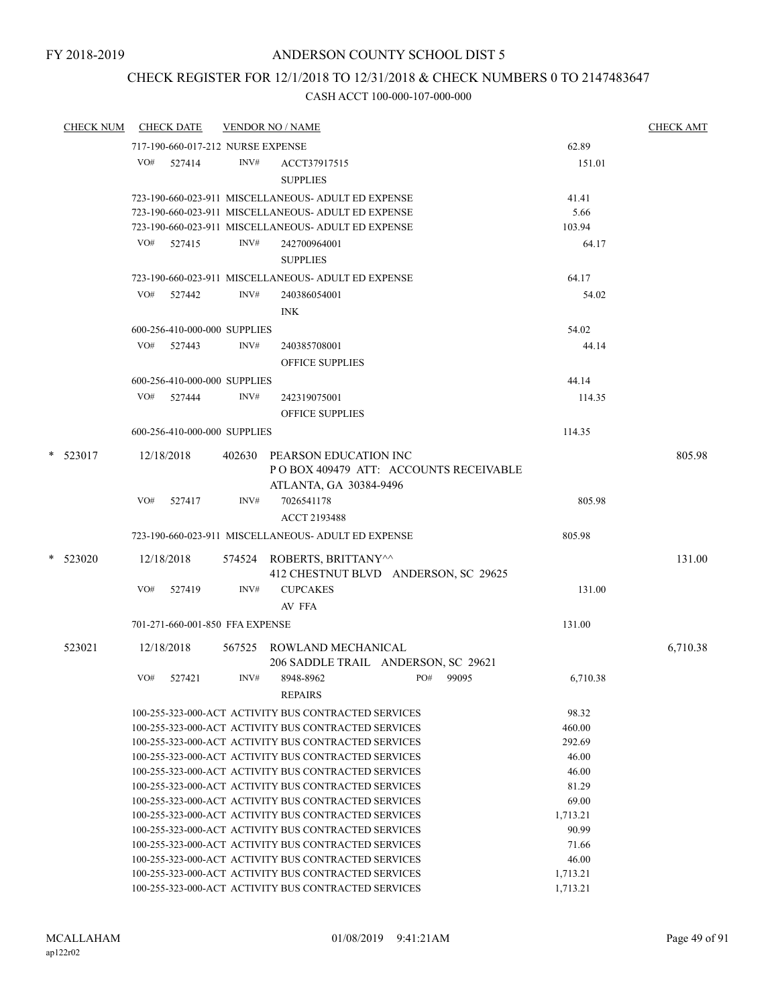# CHECK REGISTER FOR 12/1/2018 TO 12/31/2018 & CHECK NUMBERS 0 TO 2147483647

| <b>CHECK NUM</b> |     | <b>CHECK DATE</b>                 |      | <b>VENDOR NO / NAME</b>                                                                                      |     |       |                | <b>CHECK AMT</b> |
|------------------|-----|-----------------------------------|------|--------------------------------------------------------------------------------------------------------------|-----|-------|----------------|------------------|
|                  |     | 717-190-660-017-212 NURSE EXPENSE |      |                                                                                                              |     |       | 62.89          |                  |
|                  |     | VO# 527414                        | INV# | ACCT37917515                                                                                                 |     |       | 151.01         |                  |
|                  |     |                                   |      | <b>SUPPLIES</b>                                                                                              |     |       |                |                  |
|                  |     |                                   |      | 723-190-660-023-911 MISCELLANEOUS- ADULT ED EXPENSE                                                          |     |       | 41.41          |                  |
|                  |     |                                   |      | 723-190-660-023-911 MISCELLANEOUS- ADULT ED EXPENSE                                                          |     |       | 5.66           |                  |
|                  |     |                                   |      | 723-190-660-023-911 MISCELLANEOUS- ADULT ED EXPENSE                                                          |     |       | 103.94         |                  |
|                  | VO# | 527415                            | INV# | 242700964001                                                                                                 |     |       | 64.17          |                  |
|                  |     |                                   |      | <b>SUPPLIES</b>                                                                                              |     |       |                |                  |
|                  |     |                                   |      | 723-190-660-023-911 MISCELLANEOUS- ADULT ED EXPENSE                                                          |     |       | 64.17          |                  |
|                  |     |                                   | INV# |                                                                                                              |     |       |                |                  |
|                  |     | VO# 527442                        |      | 240386054001                                                                                                 |     |       | 54.02          |                  |
|                  |     |                                   |      | <b>INK</b>                                                                                                   |     |       |                |                  |
|                  |     | 600-256-410-000-000 SUPPLIES      |      |                                                                                                              |     |       | 54.02          |                  |
|                  |     | VO# 527443                        | INV# | 240385708001                                                                                                 |     |       | 44.14          |                  |
|                  |     |                                   |      | <b>OFFICE SUPPLIES</b>                                                                                       |     |       |                |                  |
|                  |     | 600-256-410-000-000 SUPPLIES      |      |                                                                                                              |     |       | 44.14          |                  |
|                  |     | VO# 527444                        | INV# | 242319075001                                                                                                 |     |       | 114.35         |                  |
|                  |     |                                   |      | <b>OFFICE SUPPLIES</b>                                                                                       |     |       |                |                  |
|                  |     | 600-256-410-000-000 SUPPLIES      |      |                                                                                                              |     |       | 114.35         |                  |
|                  |     |                                   |      |                                                                                                              |     |       |                |                  |
| $*$ 523017       |     | 12/18/2018                        |      | 402630 PEARSON EDUCATION INC                                                                                 |     |       |                | 805.98           |
|                  |     |                                   |      | POBOX 409479 ATT: ACCOUNTS RECEIVABLE                                                                        |     |       |                |                  |
|                  |     |                                   |      | ATLANTA, GA 30384-9496                                                                                       |     |       |                |                  |
|                  | VO# | 527417                            | INV# | 7026541178                                                                                                   |     |       | 805.98         |                  |
|                  |     |                                   |      | <b>ACCT 2193488</b>                                                                                          |     |       |                |                  |
|                  |     |                                   |      | 723-190-660-023-911 MISCELLANEOUS- ADULT ED EXPENSE                                                          |     |       | 805.98         |                  |
| $*$ 523020       |     | 12/18/2018                        |      | 574524 ROBERTS, BRITTANY^^                                                                                   |     |       |                | 131.00           |
|                  |     |                                   |      | 412 CHESTNUT BLVD ANDERSON, SC 29625                                                                         |     |       |                |                  |
|                  | VO# | 527419                            | INV# | <b>CUPCAKES</b>                                                                                              |     |       | 131.00         |                  |
|                  |     |                                   |      | AV FFA                                                                                                       |     |       |                |                  |
|                  |     | 701-271-660-001-850 FFA EXPENSE   |      |                                                                                                              |     |       | 131.00         |                  |
|                  |     |                                   |      |                                                                                                              |     |       |                |                  |
| 523021           |     | 12/18/2018                        |      | 567525 ROWLAND MECHANICAL                                                                                    |     |       |                | 6,710.38         |
|                  |     |                                   |      | 206 SADDLE TRAIL ANDERSON, SC 29621                                                                          |     |       |                |                  |
|                  | VO# | 527421                            | INV# | 8948-8962                                                                                                    | PO# | 99095 | 6,710.38       |                  |
|                  |     |                                   |      | <b>REPAIRS</b>                                                                                               |     |       |                |                  |
|                  |     |                                   |      | 100-255-323-000-ACT ACTIVITY BUS CONTRACTED SERVICES                                                         |     |       | 98.32          |                  |
|                  |     |                                   |      | 100-255-323-000-ACT ACTIVITY BUS CONTRACTED SERVICES                                                         |     |       | 460.00         |                  |
|                  |     |                                   |      | 100-255-323-000-ACT ACTIVITY BUS CONTRACTED SERVICES                                                         |     |       | 292.69         |                  |
|                  |     |                                   |      | 100-255-323-000-ACT ACTIVITY BUS CONTRACTED SERVICES                                                         |     |       | 46.00          |                  |
|                  |     |                                   |      | 100-255-323-000-ACT ACTIVITY BUS CONTRACTED SERVICES<br>100-255-323-000-ACT ACTIVITY BUS CONTRACTED SERVICES |     |       | 46.00<br>81.29 |                  |
|                  |     |                                   |      | 100-255-323-000-ACT ACTIVITY BUS CONTRACTED SERVICES                                                         |     |       | 69.00          |                  |
|                  |     |                                   |      | 100-255-323-000-ACT ACTIVITY BUS CONTRACTED SERVICES                                                         |     |       | 1,713.21       |                  |
|                  |     |                                   |      | 100-255-323-000-ACT ACTIVITY BUS CONTRACTED SERVICES                                                         |     |       | 90.99          |                  |
|                  |     |                                   |      | 100-255-323-000-ACT ACTIVITY BUS CONTRACTED SERVICES                                                         |     |       | 71.66          |                  |
|                  |     |                                   |      | 100-255-323-000-ACT ACTIVITY BUS CONTRACTED SERVICES                                                         |     |       | 46.00          |                  |
|                  |     |                                   |      | 100-255-323-000-ACT ACTIVITY BUS CONTRACTED SERVICES                                                         |     |       | 1,713.21       |                  |
|                  |     |                                   |      | 100-255-323-000-ACT ACTIVITY BUS CONTRACTED SERVICES                                                         |     |       | 1,713.21       |                  |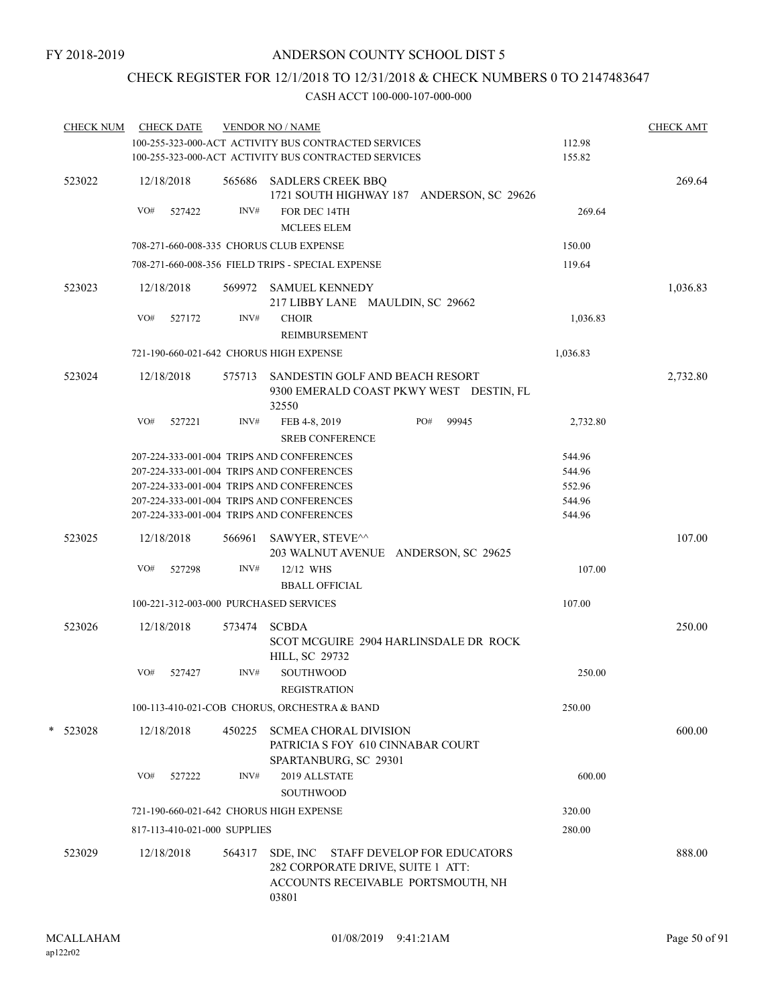## CHECK REGISTER FOR 12/1/2018 TO 12/31/2018 & CHECK NUMBERS 0 TO 2147483647

| <b>CHECK NUM</b> |     | <b>CHECK DATE</b>            |        | <b>VENDOR NO / NAME</b><br>100-255-323-000-ACT ACTIVITY BUS CONTRACTED SERVICES                                 | 112.98   | <b>CHECK AMT</b> |
|------------------|-----|------------------------------|--------|-----------------------------------------------------------------------------------------------------------------|----------|------------------|
|                  |     |                              |        | 100-255-323-000-ACT ACTIVITY BUS CONTRACTED SERVICES                                                            | 155.82   |                  |
| 523022           | VO# | 12/18/2018<br>527422         | INV#   | 565686 SADLERS CREEK BBQ<br>1721 SOUTH HIGHWAY 187 ANDERSON, SC 29626<br>FOR DEC 14TH                           | 269.64   | 269.64           |
|                  |     |                              |        | <b>MCLEES ELEM</b>                                                                                              |          |                  |
|                  |     |                              |        | 708-271-660-008-335 CHORUS CLUB EXPENSE                                                                         | 150.00   |                  |
|                  |     |                              |        | 708-271-660-008-356 FIELD TRIPS - SPECIAL EXPENSE                                                               | 119.64   |                  |
| 523023           |     | 12/18/2018                   | 569972 | <b>SAMUEL KENNEDY</b><br>217 LIBBY LANE MAULDIN, SC 29662                                                       |          | 1,036.83         |
|                  | VO# | 527172                       | INV#   | <b>CHOIR</b><br>REIMBURSEMENT                                                                                   | 1,036.83 |                  |
|                  |     |                              |        | 721-190-660-021-642 CHORUS HIGH EXPENSE                                                                         | 1,036.83 |                  |
| 523024           |     | 12/18/2018                   | 575713 | SANDESTIN GOLF AND BEACH RESORT<br>9300 EMERALD COAST PKWY WEST DESTIN, FL<br>32550                             |          | 2,732.80         |
|                  | VO# | 527221                       | INV#   | PO#<br>99945<br>FEB 4-8, 2019<br><b>SREB CONFERENCE</b>                                                         | 2,732.80 |                  |
|                  |     |                              |        | 207-224-333-001-004 TRIPS AND CONFERENCES                                                                       | 544.96   |                  |
|                  |     |                              |        | 207-224-333-001-004 TRIPS AND CONFERENCES                                                                       | 544.96   |                  |
|                  |     |                              |        | 207-224-333-001-004 TRIPS AND CONFERENCES                                                                       | 552.96   |                  |
|                  |     |                              |        | 207-224-333-001-004 TRIPS AND CONFERENCES                                                                       | 544.96   |                  |
|                  |     |                              |        | 207-224-333-001-004 TRIPS AND CONFERENCES                                                                       | 544.96   |                  |
| 523025           |     | 12/18/2018                   | 566961 | SAWYER, STEVE^^<br>203 WALNUT AVENUE ANDERSON, SC 29625                                                         |          | 107.00           |
|                  | VO# | 527298                       | INV#   | 12/12 WHS                                                                                                       | 107.00   |                  |
|                  |     |                              |        | <b>BBALL OFFICIAL</b>                                                                                           |          |                  |
|                  |     |                              |        | 100-221-312-003-000 PURCHASED SERVICES                                                                          | 107.00   |                  |
| 523026           |     | 12/18/2018                   | 573474 | <b>SCBDA</b><br>SCOT MCGUIRE 2904 HARLINSDALE DR ROCK<br><b>HILL, SC 29732</b>                                  |          | 250.00           |
|                  | VO# | 527427                       | INV#   | <b>SOUTHWOOD</b><br><b>REGISTRATION</b>                                                                         | 250.00   |                  |
|                  |     |                              |        | 100-113-410-021-COB CHORUS, ORCHESTRA & BAND                                                                    | 250.00   |                  |
| $*$ 523028       |     | 12/18/2018                   | 450225 | <b>SCMEA CHORAL DIVISION</b><br>PATRICIA S FOY 610 CINNABAR COURT<br>SPARTANBURG, SC 29301                      |          | 600.00           |
|                  | VO# | 527222                       | INV#   | 2019 ALLSTATE<br><b>SOUTHWOOD</b>                                                                               | 600.00   |                  |
|                  |     |                              |        | 721-190-660-021-642 CHORUS HIGH EXPENSE                                                                         | 320.00   |                  |
|                  |     | 817-113-410-021-000 SUPPLIES |        |                                                                                                                 | 280.00   |                  |
| 523029           |     | 12/18/2018                   | 564317 | SDE, INC STAFF DEVELOP FOR EDUCATORS<br>282 CORPORATE DRIVE, SUITE 1 ATT:<br>ACCOUNTS RECEIVABLE PORTSMOUTH, NH |          | 888.00           |
|                  |     |                              |        | 03801                                                                                                           |          |                  |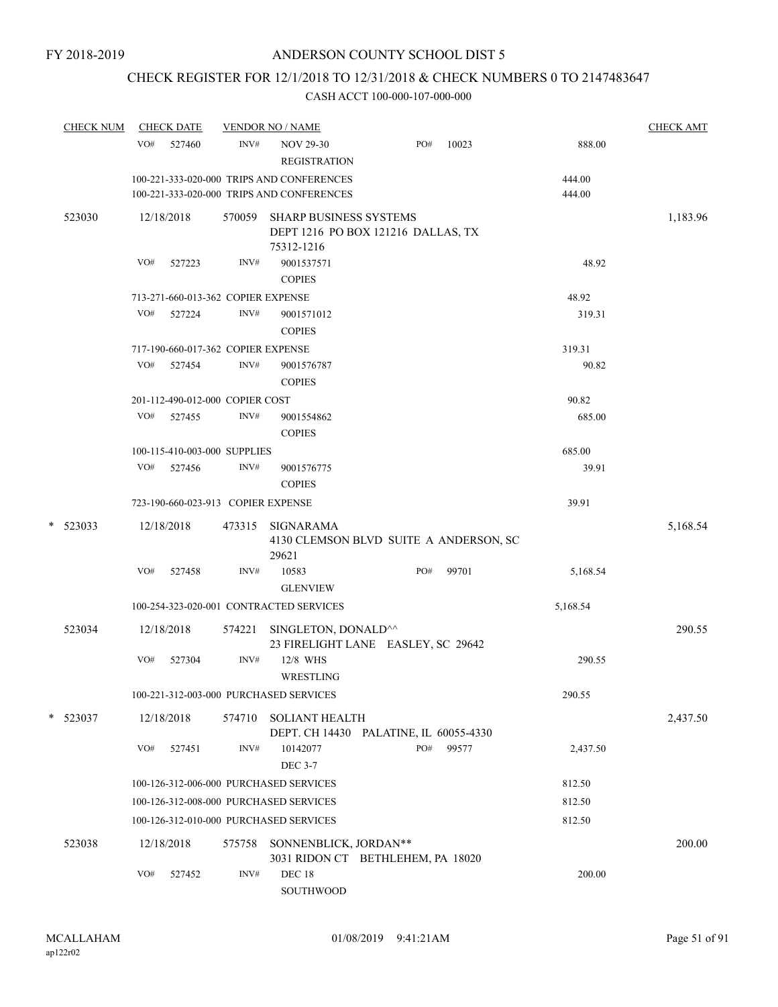# CHECK REGISTER FOR 12/1/2018 TO 12/31/2018 & CHECK NUMBERS 0 TO 2147483647

| <b>CHECK NUM</b> | <b>CHECK DATE</b>                  |        |        | <b>VENDOR NO / NAME</b>                                                                |     |       |                  | <b>CHECK AMT</b> |
|------------------|------------------------------------|--------|--------|----------------------------------------------------------------------------------------|-----|-------|------------------|------------------|
|                  | VO#                                | 527460 | INV#   | <b>NOV 29-30</b><br><b>REGISTRATION</b>                                                | PO# | 10023 | 888.00           |                  |
|                  |                                    |        |        | 100-221-333-020-000 TRIPS AND CONFERENCES<br>100-221-333-020-000 TRIPS AND CONFERENCES |     |       | 444.00<br>444.00 |                  |
| 523030           | 12/18/2018                         |        |        | 570059 SHARP BUSINESS SYSTEMS<br>DEPT 1216 PO BOX 121216 DALLAS, TX                    |     |       |                  | 1,183.96         |
|                  | VO#                                | 527223 | INV#   | 75312-1216<br>9001537571<br><b>COPIES</b>                                              |     |       | 48.92            |                  |
|                  | 713-271-660-013-362 COPIER EXPENSE |        |        |                                                                                        |     |       | 48.92            |                  |
|                  | VO#                                | 527224 | INV#   | 9001571012<br><b>COPIES</b>                                                            |     |       | 319.31           |                  |
|                  | 717-190-660-017-362 COPIER EXPENSE |        |        |                                                                                        |     |       | 319.31           |                  |
|                  | VO#                                | 527454 | INV#   | 9001576787<br><b>COPIES</b>                                                            |     |       | 90.82            |                  |
|                  | 201-112-490-012-000 COPIER COST    |        |        |                                                                                        |     |       | 90.82            |                  |
|                  | VO#                                | 527455 | INV#   | 9001554862<br><b>COPIES</b>                                                            |     |       | 685.00           |                  |
|                  | 100-115-410-003-000 SUPPLIES       |        |        |                                                                                        |     |       | 685.00           |                  |
|                  | VO#                                | 527456 | INV#   | 9001576775<br><b>COPIES</b>                                                            |     |       | 39.91            |                  |
|                  |                                    |        |        | 723-190-660-023-913 COPIER EXPENSE                                                     |     |       | 39.91            |                  |
| $*$ 523033       | 12/18/2018                         |        | 473315 | SIGNARAMA<br>4130 CLEMSON BLVD SUITE A ANDERSON, SC<br>29621                           |     |       |                  | 5,168.54         |
|                  | VO#                                | 527458 | INV#   | 10583<br><b>GLENVIEW</b>                                                               | PO# | 99701 | 5,168.54         |                  |
|                  |                                    |        |        | 100-254-323-020-001 CONTRACTED SERVICES                                                |     |       | 5,168.54         |                  |
| 523034           | 12/18/2018                         |        | 574221 | SINGLETON, DONALD^^<br>23 FIRELIGHT LANE EASLEY, SC 29642                              |     |       |                  | 290.55           |
|                  | VO#                                | 527304 | INV#   | 12/8 WHS<br>WRESTLING                                                                  |     |       | 290.55           |                  |
|                  |                                    |        |        | 100-221-312-003-000 PURCHASED SERVICES                                                 |     |       | 290.55           |                  |
| * 523037         | 12/18/2018                         |        | 574710 | <b>SOLIANT HEALTH</b><br>DEPT. CH 14430 PALATINE, IL 60055-4330                        |     |       |                  | 2,437.50         |
|                  | VO#                                | 527451 | INV#   | 10142077<br><b>DEC 3-7</b>                                                             | PO# | 99577 | 2,437.50         |                  |
|                  |                                    |        |        | 100-126-312-006-000 PURCHASED SERVICES                                                 |     |       | 812.50           |                  |
|                  |                                    |        |        | 100-126-312-008-000 PURCHASED SERVICES                                                 |     |       | 812.50           |                  |
|                  |                                    |        |        | 100-126-312-010-000 PURCHASED SERVICES                                                 |     |       | 812.50           |                  |
| 523038           | 12/18/2018                         |        | 575758 | SONNENBLICK, JORDAN**<br>3031 RIDON CT BETHLEHEM, PA 18020                             |     |       |                  | 200.00           |
|                  | VO#                                | 527452 | INV#   | <b>DEC 18</b><br>SOUTHWOOD                                                             |     |       | 200.00           |                  |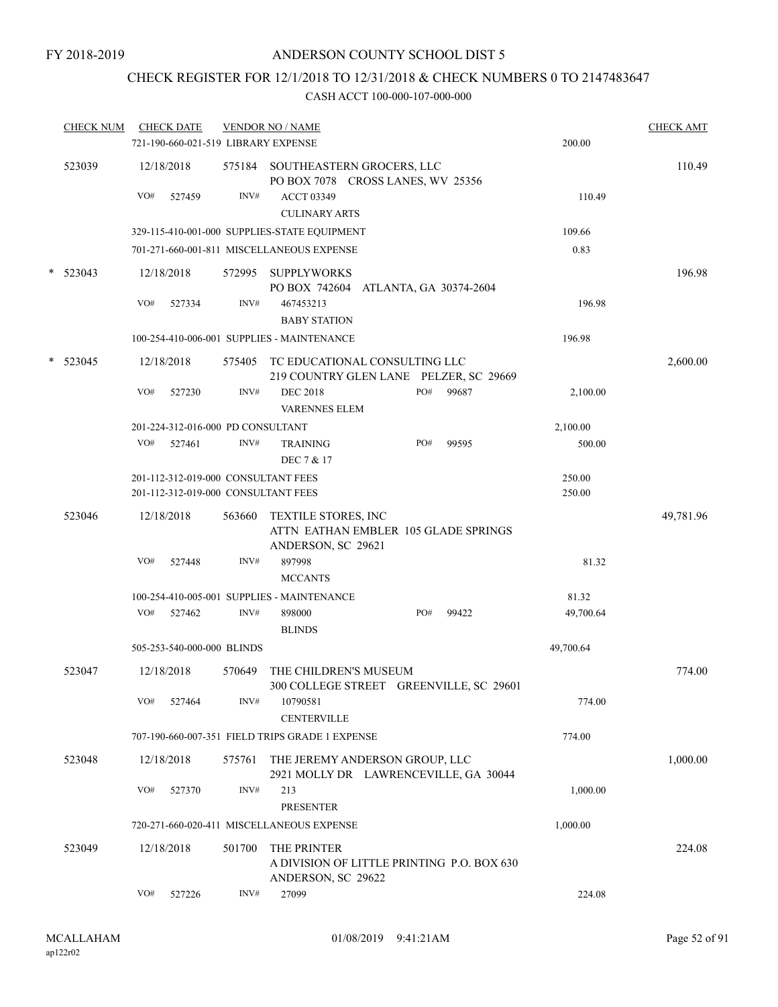# CHECK REGISTER FOR 12/1/2018 TO 12/31/2018 & CHECK NUMBERS 0 TO 2147483647

|        | <b>CHECK NUM</b> |     | <b>CHECK DATE</b><br>721-190-660-021-519 LIBRARY EXPENSE                   |                | <b>VENDOR NO / NAME</b>                                                                  |     |       | 200.00           | <b>CHECK AMT</b> |
|--------|------------------|-----|----------------------------------------------------------------------------|----------------|------------------------------------------------------------------------------------------|-----|-------|------------------|------------------|
|        | 523039           | VO# | 12/18/2018<br>527459                                                       | 575184<br>INV# | SOUTHEASTERN GROCERS, LLC<br>PO BOX 7078 CROSS LANES, WV 25356<br><b>ACCT 03349</b>      |     |       | 110.49           | 110.49           |
|        |                  |     |                                                                            |                | <b>CULINARY ARTS</b>                                                                     |     |       |                  |                  |
|        |                  |     |                                                                            |                | 329-115-410-001-000 SUPPLIES-STATE EQUIPMENT                                             |     |       | 109.66           |                  |
|        |                  |     |                                                                            |                | 701-271-660-001-811 MISCELLANEOUS EXPENSE                                                |     |       | 0.83             |                  |
| $\ast$ | 523043           |     | 12/18/2018                                                                 | 572995         | <b>SUPPLYWORKS</b><br>PO BOX 742604 ATLANTA, GA 30374-2604                               |     |       |                  | 196.98           |
|        |                  | VO# | 527334                                                                     | INV#           | 467453213<br><b>BABY STATION</b>                                                         |     |       | 196.98           |                  |
|        |                  |     |                                                                            |                | 100-254-410-006-001 SUPPLIES - MAINTENANCE                                               |     |       | 196.98           |                  |
|        | $*$ 523045       |     | 12/18/2018                                                                 | 575405         | TC EDUCATIONAL CONSULTING LLC<br>219 COUNTRY GLEN LANE PELZER, SC 29669                  |     |       |                  | 2,600.00         |
|        |                  | VO# | 527230                                                                     | INV#           | <b>DEC 2018</b><br><b>VARENNES ELEM</b>                                                  | PO# | 99687 | 2,100.00         |                  |
|        |                  |     | 201-224-312-016-000 PD CONSULTANT                                          |                |                                                                                          |     |       | 2,100.00         |                  |
|        |                  | VO# | 527461                                                                     | INV#           | <b>TRAINING</b><br>DEC 7 & 17                                                            | PO# | 99595 | 500.00           |                  |
|        |                  |     | 201-112-312-019-000 CONSULTANT FEES<br>201-112-312-019-000 CONSULTANT FEES |                |                                                                                          |     |       | 250.00<br>250.00 |                  |
|        | 523046           |     | 12/18/2018                                                                 | 563660         | <b>TEXTILE STORES, INC</b><br>ATTN EATHAN EMBLER 105 GLADE SPRINGS<br>ANDERSON, SC 29621 |     |       |                  | 49,781.96        |
|        |                  | VO# | 527448                                                                     | INV#           | 897998<br><b>MCCANTS</b>                                                                 |     |       | 81.32            |                  |
|        |                  |     |                                                                            |                | 100-254-410-005-001 SUPPLIES - MAINTENANCE                                               |     |       | 81.32            |                  |
|        |                  | VO# | 527462                                                                     | INV#           | 898000<br><b>BLINDS</b>                                                                  | PO# | 99422 | 49,700.64        |                  |
|        |                  |     | 505-253-540-000-000 BLINDS                                                 |                |                                                                                          |     |       | 49,700.64        |                  |
|        | 523047           |     | 12/18/2018                                                                 | 570649         | THE CHILDREN'S MUSEUM<br>300 COLLEGE STREET GREENVILLE, SC 29601                         |     |       |                  | 774.00           |
|        |                  | VO# | 527464                                                                     | INV#           | 10790581<br><b>CENTERVILLE</b>                                                           |     |       | 774.00           |                  |
|        |                  |     |                                                                            |                | 707-190-660-007-351 FIELD TRIPS GRADE 1 EXPENSE                                          |     |       | 774.00           |                  |
|        | 523048           |     | 12/18/2018                                                                 | 575761         | THE JEREMY ANDERSON GROUP, LLC<br>2921 MOLLY DR LAWRENCEVILLE, GA 30044                  |     |       |                  | 1,000.00         |
|        |                  | VO# | 527370                                                                     | INV#           | 213<br><b>PRESENTER</b>                                                                  |     |       | 1,000.00         |                  |
|        |                  |     |                                                                            |                | 720-271-660-020-411 MISCELLANEOUS EXPENSE                                                |     |       | 1,000.00         |                  |
|        | 523049           |     | 12/18/2018                                                                 | 501700         | THE PRINTER<br>A DIVISION OF LITTLE PRINTING P.O. BOX 630<br>ANDERSON, SC 29622          |     |       |                  | 224.08           |
|        |                  | VO# | 527226                                                                     | INV#           | 27099                                                                                    |     |       | 224.08           |                  |
|        |                  |     |                                                                            |                |                                                                                          |     |       |                  |                  |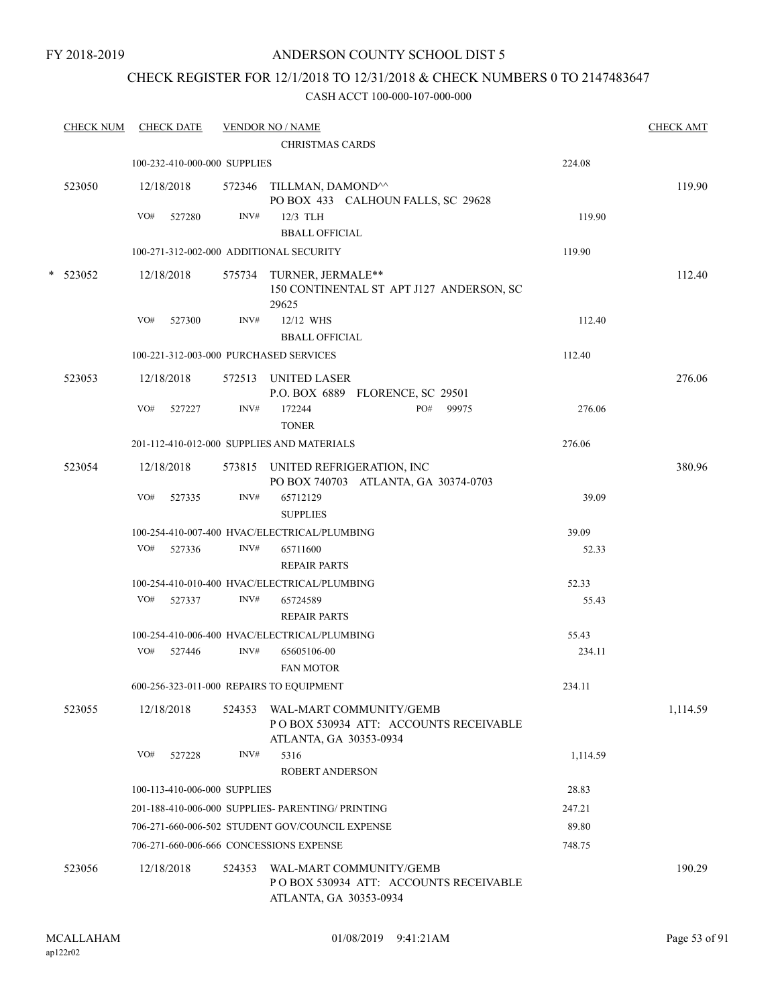## CHECK REGISTER FOR 12/1/2018 TO 12/31/2018 & CHECK NUMBERS 0 TO 2147483647

| <b>CHECK NUM</b> |            | <b>CHECK DATE</b>            |        | <b>VENDOR NO / NAME</b>                                                                     |          | <b>CHECK AMT</b> |
|------------------|------------|------------------------------|--------|---------------------------------------------------------------------------------------------|----------|------------------|
|                  |            |                              |        | <b>CHRISTMAS CARDS</b>                                                                      |          |                  |
|                  |            | 100-232-410-000-000 SUPPLIES |        |                                                                                             | 224.08   |                  |
| 523050           | 12/18/2018 |                              |        | 572346 TILLMAN, DAMOND <sup>^^</sup><br>PO BOX 433 CALHOUN FALLS, SC 29628                  |          | 119.90           |
|                  | VO#        | 527280                       | INV#   | 12/3 TLH                                                                                    | 119.90   |                  |
|                  |            |                              |        | <b>BBALL OFFICIAL</b>                                                                       |          |                  |
|                  |            |                              |        | 100-271-312-002-000 ADDITIONAL SECURITY                                                     | 119.90   |                  |
| $*$ 523052       | 12/18/2018 |                              |        | 575734 TURNER, JERMALE**<br>150 CONTINENTAL ST APT J127 ANDERSON, SC<br>29625               |          | 112.40           |
|                  | VO#        | 527300                       | INV#   | 12/12 WHS                                                                                   | 112.40   |                  |
|                  |            |                              |        | <b>BBALL OFFICIAL</b>                                                                       |          |                  |
|                  |            |                              |        | 100-221-312-003-000 PURCHASED SERVICES                                                      | 112.40   |                  |
| 523053           | 12/18/2018 |                              |        | 572513 UNITED LASER<br>P.O. BOX 6889 FLORENCE, SC 29501                                     |          | 276.06           |
|                  | VO#        | 527227                       | INV#   | PO#<br>172244<br>99975<br><b>TONER</b>                                                      | 276.06   |                  |
|                  |            |                              |        | 201-112-410-012-000 SUPPLIES AND MATERIALS                                                  | 276.06   |                  |
| 523054           | 12/18/2018 |                              |        | 573815 UNITED REFRIGERATION, INC<br>PO BOX 740703 ATLANTA, GA 30374-0703                    |          | 380.96           |
|                  | VO#        | 527335                       | INV#   | 65712129<br><b>SUPPLIES</b>                                                                 | 39.09    |                  |
|                  |            |                              |        | 100-254-410-007-400 HVAC/ELECTRICAL/PLUMBING                                                | 39.09    |                  |
|                  | VO#        | 527336                       | INV#   | 65711600                                                                                    | 52.33    |                  |
|                  |            |                              |        | <b>REPAIR PARTS</b>                                                                         |          |                  |
|                  |            |                              |        | 100-254-410-010-400 HVAC/ELECTRICAL/PLUMBING                                                | 52.33    |                  |
|                  | VO#        | 527337                       | INV#   | 65724589<br><b>REPAIR PARTS</b>                                                             | 55.43    |                  |
|                  |            |                              |        | 100-254-410-006-400 HVAC/ELECTRICAL/PLUMBING                                                | 55.43    |                  |
|                  | VO#        | 527446                       | INV#   | 65605106-00<br><b>FAN MOTOR</b>                                                             | 234.11   |                  |
|                  |            |                              |        | 600-256-323-011-000 REPAIRS TO EQUIPMENT                                                    | 234.11   |                  |
| 523055           | 12/18/2018 |                              | 524353 | WAL-MART COMMUNITY/GEMB<br>PO BOX 530934 ATT: ACCOUNTS RECEIVABLE<br>ATLANTA, GA 30353-0934 |          | 1,114.59         |
|                  | VO#        | 527228                       | INV#   | 5316<br><b>ROBERT ANDERSON</b>                                                              | 1,114.59 |                  |
|                  |            | 100-113-410-006-000 SUPPLIES |        |                                                                                             | 28.83    |                  |
|                  |            |                              |        | 201-188-410-006-000 SUPPLIES- PARENTING/ PRINTING                                           | 247.21   |                  |
|                  |            |                              |        | 706-271-660-006-502 STUDENT GOV/COUNCIL EXPENSE                                             | 89.80    |                  |
|                  |            |                              |        | 706-271-660-006-666 CONCESSIONS EXPENSE                                                     | 748.75   |                  |
| 523056           | 12/18/2018 |                              | 524353 | WAL-MART COMMUNITY/GEMB<br>PO BOX 530934 ATT: ACCOUNTS RECEIVABLE<br>ATLANTA, GA 30353-0934 |          | 190.29           |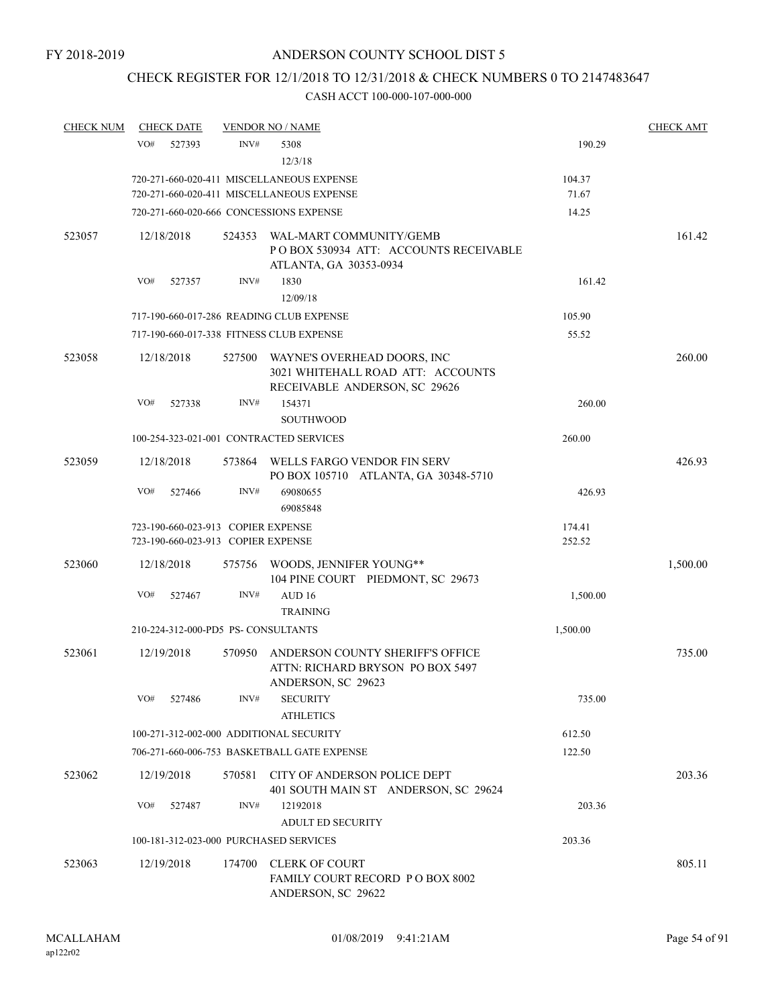# CHECK REGISTER FOR 12/1/2018 TO 12/31/2018 & CHECK NUMBERS 0 TO 2147483647

| <b>CHECK NUM</b> | <b>CHECK DATE</b>                                                        |        | <b>VENDOR NO / NAME</b>                                                                           |                  | <b>CHECK AMT</b> |
|------------------|--------------------------------------------------------------------------|--------|---------------------------------------------------------------------------------------------------|------------------|------------------|
|                  | VO#<br>527393                                                            | INV#   | 5308                                                                                              | 190.29           |                  |
|                  |                                                                          |        | 12/3/18                                                                                           |                  |                  |
|                  |                                                                          |        | 720-271-660-020-411 MISCELLANEOUS EXPENSE                                                         | 104.37           |                  |
|                  |                                                                          |        | 720-271-660-020-411 MISCELLANEOUS EXPENSE                                                         | 71.67            |                  |
|                  |                                                                          |        | 720-271-660-020-666 CONCESSIONS EXPENSE                                                           | 14.25            |                  |
| 523057           | 12/18/2018                                                               | 524353 | WAL-MART COMMUNITY/GEMB<br>PO BOX 530934 ATT: ACCOUNTS RECEIVABLE<br>ATLANTA, GA 30353-0934       |                  | 161.42           |
|                  | VO#<br>527357                                                            | INV#   | 1830<br>12/09/18                                                                                  | 161.42           |                  |
|                  |                                                                          |        | 717-190-660-017-286 READING CLUB EXPENSE                                                          | 105.90           |                  |
|                  |                                                                          |        | 717-190-660-017-338 FITNESS CLUB EXPENSE                                                          | 55.52            |                  |
| 523058           | 12/18/2018                                                               | 527500 | WAYNE'S OVERHEAD DOORS, INC<br>3021 WHITEHALL ROAD ATT: ACCOUNTS<br>RECEIVABLE ANDERSON, SC 29626 |                  | 260.00           |
|                  | VO#<br>527338                                                            | INV#   | 154371<br><b>SOUTHWOOD</b>                                                                        | 260.00           |                  |
|                  |                                                                          |        | 100-254-323-021-001 CONTRACTED SERVICES                                                           | 260.00           |                  |
| 523059           | 12/18/2018                                                               |        | 573864 WELLS FARGO VENDOR FIN SERV<br>PO BOX 105710 ATLANTA, GA 30348-5710                        |                  | 426.93           |
|                  | VO#<br>527466                                                            | INV#   | 69080655<br>69085848                                                                              | 426.93           |                  |
|                  | 723-190-660-023-913 COPIER EXPENSE<br>723-190-660-023-913 COPIER EXPENSE |        |                                                                                                   | 174.41<br>252.52 |                  |
| 523060           | 12/18/2018                                                               |        | 575756 WOODS, JENNIFER YOUNG**<br>104 PINE COURT PIEDMONT, SC 29673                               |                  | 1,500.00         |
|                  | VO#<br>527467                                                            | INV#   | AUD <sub>16</sub>                                                                                 | 1,500.00         |                  |
|                  |                                                                          |        | <b>TRAINING</b>                                                                                   |                  |                  |
|                  | 210-224-312-000-PD5 PS-CONSULTANTS                                       |        |                                                                                                   | 1,500.00         |                  |
| 523061           | 12/19/2018                                                               | 570950 | ANDERSON COUNTY SHERIFF'S OFFICE<br>ATTN: RICHARD BRYSON PO BOX 5497<br>ANDERSON, SC 29623        |                  | 735.00           |
|                  | VO#<br>527486                                                            | INV#   | <b>SECURITY</b>                                                                                   | 735.00           |                  |
|                  |                                                                          |        | <b>ATHLETICS</b>                                                                                  |                  |                  |
|                  | 100-271-312-002-000 ADDITIONAL SECURITY                                  |        |                                                                                                   | 612.50           |                  |
|                  |                                                                          |        | 706-271-660-006-753 BASKETBALL GATE EXPENSE                                                       | 122.50           |                  |
| 523062           | 12/19/2018                                                               | 570581 | CITY OF ANDERSON POLICE DEPT<br>401 SOUTH MAIN ST ANDERSON, SC 29624                              |                  | 203.36           |
|                  | VO#<br>527487                                                            | INV#   | 12192018<br><b>ADULT ED SECURITY</b>                                                              | 203.36           |                  |
|                  | 100-181-312-023-000 PURCHASED SERVICES                                   |        |                                                                                                   | 203.36           |                  |
|                  |                                                                          |        |                                                                                                   |                  |                  |
| 523063           | 12/19/2018                                                               | 174700 | <b>CLERK OF COURT</b><br>FAMILY COURT RECORD P O BOX 8002<br>ANDERSON, SC 29622                   |                  | 805.11           |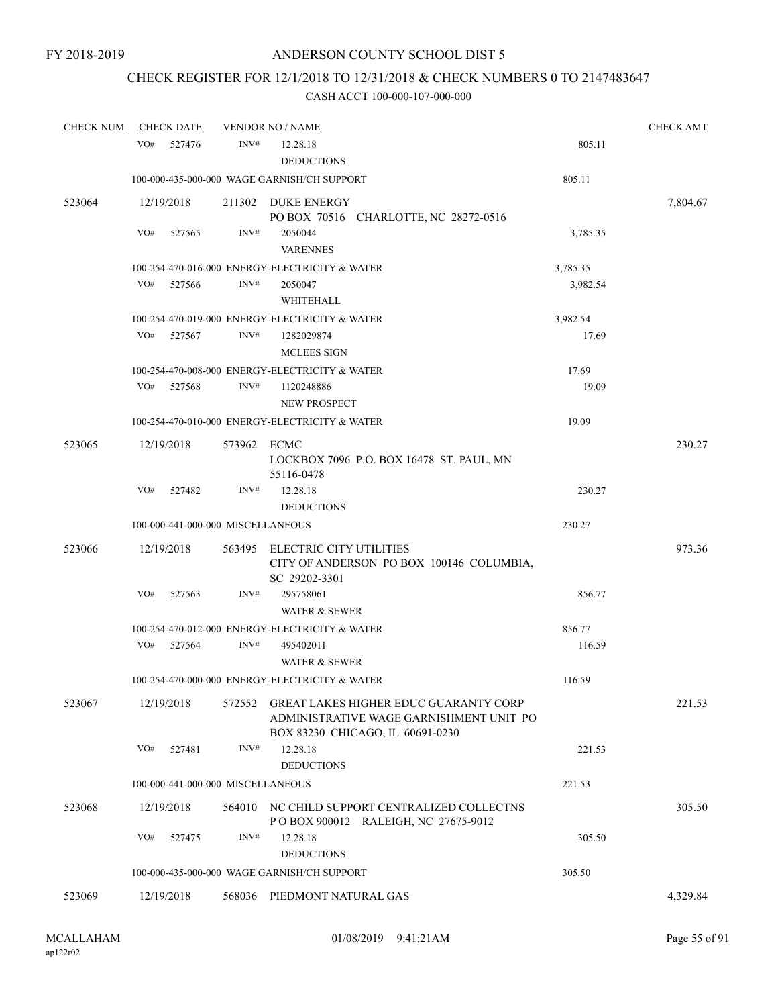## CHECK REGISTER FOR 12/1/2018 TO 12/31/2018 & CHECK NUMBERS 0 TO 2147483647

| <b>CHECK NUM</b> | <b>CHECK DATE</b>                 |             | <b>VENDOR NO / NAME</b>                                                                                                     |                      | <b>CHECK AMT</b> |
|------------------|-----------------------------------|-------------|-----------------------------------------------------------------------------------------------------------------------------|----------------------|------------------|
|                  | VO#<br>527476                     | INV#        | 12.28.18<br><b>DEDUCTIONS</b>                                                                                               | 805.11               |                  |
|                  |                                   |             | 100-000-435-000-000 WAGE GARNISH/CH SUPPORT                                                                                 | 805.11               |                  |
| 523064           | 12/19/2018                        |             | 211302 DUKE ENERGY<br>PO BOX 70516 CHARLOTTE, NC 28272-0516                                                                 |                      | 7,804.67         |
|                  | VO#<br>527565                     | INV#        | 2050044<br><b>VARENNES</b>                                                                                                  | 3,785.35             |                  |
|                  | VO#<br>527566                     | INV#        | 100-254-470-016-000 ENERGY-ELECTRICITY & WATER<br>2050047<br>WHITEHALL                                                      | 3,785.35<br>3,982.54 |                  |
|                  |                                   |             | 100-254-470-019-000 ENERGY-ELECTRICITY & WATER                                                                              | 3,982.54             |                  |
|                  | VO#<br>527567                     | INV#        | 1282029874<br><b>MCLEES SIGN</b>                                                                                            | 17.69                |                  |
|                  |                                   |             | 100-254-470-008-000 ENERGY-ELECTRICITY & WATER                                                                              | 17.69                |                  |
|                  | VO#<br>527568                     | INV#        | 1120248886<br>NEW PROSPECT                                                                                                  | 19.09                |                  |
|                  |                                   |             | 100-254-470-010-000 ENERGY-ELECTRICITY & WATER                                                                              | 19.09                |                  |
| 523065           | 12/19/2018                        | 573962 ECMC | LOCKBOX 7096 P.O. BOX 16478 ST. PAUL, MN<br>55116-0478                                                                      |                      | 230.27           |
|                  | VO#<br>527482                     | INV#        | 12.28.18<br><b>DEDUCTIONS</b>                                                                                               | 230.27               |                  |
|                  | 100-000-441-000-000 MISCELLANEOUS |             |                                                                                                                             | 230.27               |                  |
| 523066           | 12/19/2018                        | 563495      | ELECTRIC CITY UTILITIES<br>CITY OF ANDERSON PO BOX 100146 COLUMBIA,<br>SC 29202-3301                                        |                      | 973.36           |
|                  | VO#<br>527563                     | INV#        | 295758061<br><b>WATER &amp; SEWER</b>                                                                                       | 856.77               |                  |
|                  |                                   |             | 100-254-470-012-000 ENERGY-ELECTRICITY & WATER                                                                              | 856.77               |                  |
|                  | VO#<br>527564                     | INV#        | 495402011<br><b>WATER &amp; SEWER</b>                                                                                       | 116.59               |                  |
|                  |                                   |             | 100-254-470-000-000 ENERGY-ELECTRICITY & WATER                                                                              | 116.59               |                  |
| 523067           | 12/19/2018                        | 572552      | <b>GREAT LAKES HIGHER EDUC GUARANTY CORP</b><br>ADMINISTRATIVE WAGE GARNISHMENT UNIT PO<br>BOX 83230 CHICAGO, IL 60691-0230 |                      | 221.53           |
|                  | VO#<br>527481                     | INV#        | 12.28.18<br><b>DEDUCTIONS</b>                                                                                               | 221.53               |                  |
|                  | 100-000-441-000-000 MISCELLANEOUS |             |                                                                                                                             | 221.53               |                  |
| 523068           | 12/19/2018                        |             | 564010 NC CHILD SUPPORT CENTRALIZED COLLECTNS<br>POBOX 900012 RALEIGH, NC 27675-9012                                        |                      | 305.50           |
|                  | VO#<br>527475                     | INV#        | 12.28.18<br><b>DEDUCTIONS</b>                                                                                               | 305.50               |                  |
|                  |                                   |             | 100-000-435-000-000 WAGE GARNISH/CH SUPPORT                                                                                 | 305.50               |                  |
| 523069           | 12/19/2018                        |             | 568036 PIEDMONT NATURAL GAS                                                                                                 |                      | 4,329.84         |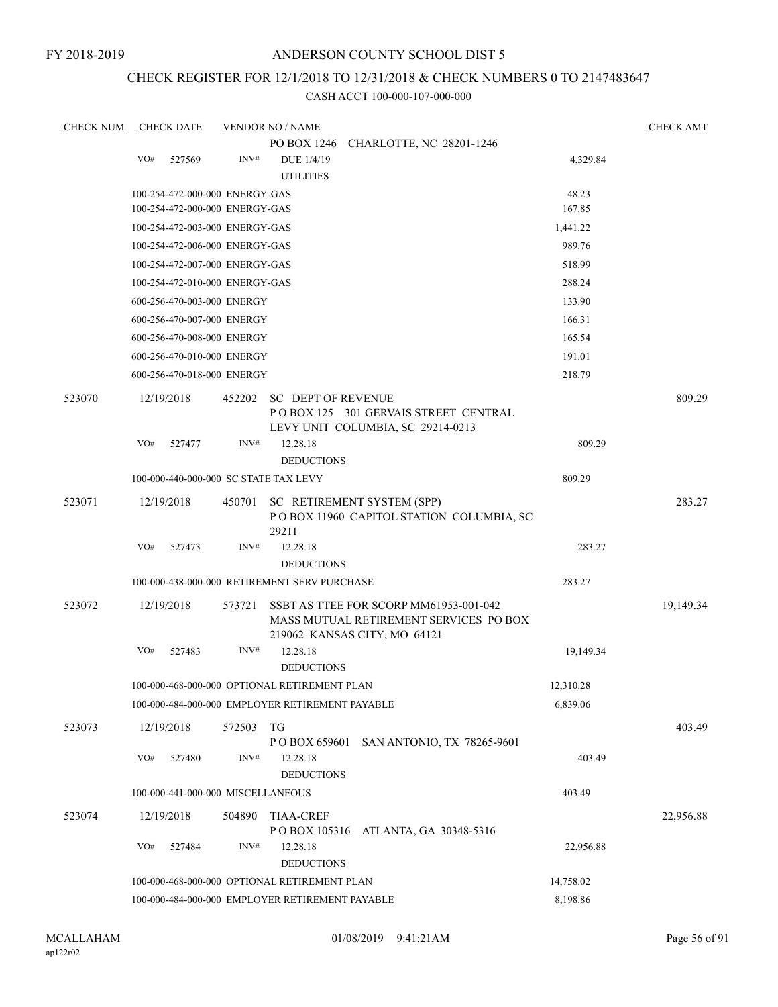## CHECK REGISTER FOR 12/1/2018 TO 12/31/2018 & CHECK NUMBERS 0 TO 2147483647

| <b>CHECK NUM</b> |     | <b>CHECK DATE</b>                 |        | <b>VENDOR NO / NAME</b>                         |                                                                                                                  |           | <b>CHECK AMT</b> |
|------------------|-----|-----------------------------------|--------|-------------------------------------------------|------------------------------------------------------------------------------------------------------------------|-----------|------------------|
|                  |     |                                   |        |                                                 | PO BOX 1246 CHARLOTTE, NC 28201-1246                                                                             |           |                  |
|                  | VO# | 527569                            | INV#   | DUE 1/4/19<br><b>UTILITIES</b>                  |                                                                                                                  | 4,329.84  |                  |
|                  |     | 100-254-472-000-000 ENERGY-GAS    |        |                                                 |                                                                                                                  | 48.23     |                  |
|                  |     | 100-254-472-000-000 ENERGY-GAS    |        |                                                 |                                                                                                                  | 167.85    |                  |
|                  |     | 100-254-472-003-000 ENERGY-GAS    |        |                                                 |                                                                                                                  | 1,441.22  |                  |
|                  |     | 100-254-472-006-000 ENERGY-GAS    |        |                                                 |                                                                                                                  | 989.76    |                  |
|                  |     | 100-254-472-007-000 ENERGY-GAS    |        |                                                 |                                                                                                                  | 518.99    |                  |
|                  |     | 100-254-472-010-000 ENERGY-GAS    |        |                                                 |                                                                                                                  | 288.24    |                  |
|                  |     | 600-256-470-003-000 ENERGY        |        |                                                 |                                                                                                                  | 133.90    |                  |
|                  |     | 600-256-470-007-000 ENERGY        |        |                                                 |                                                                                                                  | 166.31    |                  |
|                  |     | 600-256-470-008-000 ENERGY        |        |                                                 |                                                                                                                  | 165.54    |                  |
|                  |     | 600-256-470-010-000 ENERGY        |        |                                                 |                                                                                                                  | 191.01    |                  |
|                  |     | 600-256-470-018-000 ENERGY        |        |                                                 |                                                                                                                  | 218.79    |                  |
| 523070           |     | 12/19/2018                        | 452202 | <b>SC DEPT OF REVENUE</b>                       | POBOX 125 301 GERVAIS STREET CENTRAL<br>LEVY UNIT COLUMBIA, SC 29214-0213                                        |           | 809.29           |
|                  | VO# | 527477                            | INV#   | 12.28.18<br><b>DEDUCTIONS</b>                   |                                                                                                                  | 809.29    |                  |
|                  |     |                                   |        | 100-000-440-000-000 SC STATE TAX LEVY           |                                                                                                                  | 809.29    |                  |
| 523071           |     | 12/19/2018                        | 450701 | 29211                                           | SC RETIREMENT SYSTEM (SPP)<br>POBOX 11960 CAPITOL STATION COLUMBIA, SC                                           |           | 283.27           |
|                  | VO# | 527473                            | INV#   | 12.28.18                                        |                                                                                                                  | 283.27    |                  |
|                  |     |                                   |        | <b>DEDUCTIONS</b>                               |                                                                                                                  |           |                  |
|                  |     |                                   |        | 100-000-438-000-000 RETIREMENT SERV PURCHASE    |                                                                                                                  | 283.27    |                  |
| 523072           |     | 12/19/2018                        | 573721 |                                                 | SSBT AS TTEE FOR SCORP MM61953-001-042<br>MASS MUTUAL RETIREMENT SERVICES PO BOX<br>219062 KANSAS CITY, MO 64121 |           | 19,149.34        |
|                  | VO# | 527483                            | INV#   | 12.28.18<br><b>DEDUCTIONS</b>                   |                                                                                                                  | 19,149.34 |                  |
|                  |     |                                   |        | 100-000-468-000-000 OPTIONAL RETIREMENT PLAN    |                                                                                                                  | 12,310.28 |                  |
|                  |     |                                   |        | 100-000-484-000-000 EMPLOYER RETIREMENT PAYABLE |                                                                                                                  | 6,839.06  |                  |
| 523073           |     | 12/19/2018                        | 572503 | TG<br>P O BOX 659601                            | SAN ANTONIO, TX 78265-9601                                                                                       |           | 403.49           |
|                  | VO# | 527480                            | INV#   | 12.28.18<br><b>DEDUCTIONS</b>                   |                                                                                                                  | 403.49    |                  |
|                  |     | 100-000-441-000-000 MISCELLANEOUS |        |                                                 |                                                                                                                  | 403.49    |                  |
| 523074           |     | 12/19/2018                        | 504890 | <b>TIAA-CREF</b>                                |                                                                                                                  |           | 22,956.88        |
|                  | VO# | 527484                            | INV#   | 12.28.18<br><b>DEDUCTIONS</b>                   | POBOX 105316 ATLANTA, GA 30348-5316                                                                              | 22,956.88 |                  |
|                  |     |                                   |        | 100-000-468-000-000 OPTIONAL RETIREMENT PLAN    |                                                                                                                  | 14,758.02 |                  |
|                  |     |                                   |        | 100-000-484-000-000 EMPLOYER RETIREMENT PAYABLE |                                                                                                                  | 8,198.86  |                  |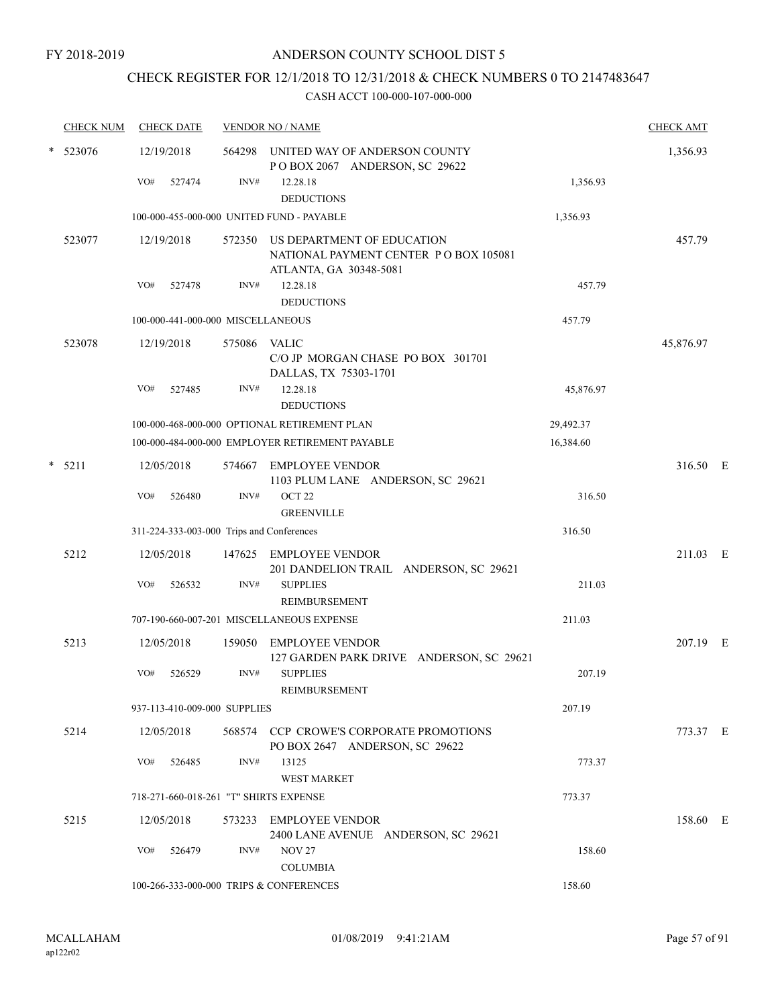# CHECK REGISTER FOR 12/1/2018 TO 12/31/2018 & CHECK NUMBERS 0 TO 2147483647

|        | <b>CHECK NUM</b> |     | <b>CHECK DATE</b>                 |              | <b>VENDOR NO / NAME</b>                                                                              |           | <b>CHECK AMT</b> |  |
|--------|------------------|-----|-----------------------------------|--------------|------------------------------------------------------------------------------------------------------|-----------|------------------|--|
| $\ast$ | 523076           |     | 12/19/2018                        |              | 564298 UNITED WAY OF ANDERSON COUNTY<br>POBOX 2067 ANDERSON, SC 29622                                |           | 1,356.93         |  |
|        |                  | VO# | 527474                            | INV#         | 12.28.18<br><b>DEDUCTIONS</b>                                                                        | 1,356.93  |                  |  |
|        |                  |     |                                   |              | 100-000-455-000-000 UNITED FUND - PAYABLE                                                            | 1,356.93  |                  |  |
|        | 523077           |     | 12/19/2018                        |              | 572350 US DEPARTMENT OF EDUCATION<br>NATIONAL PAYMENT CENTER PO BOX 105081<br>ATLANTA, GA 30348-5081 |           | 457.79           |  |
|        |                  | VO# | 527478                            | INV#         | 12.28.18<br><b>DEDUCTIONS</b>                                                                        | 457.79    |                  |  |
|        |                  |     | 100-000-441-000-000 MISCELLANEOUS |              |                                                                                                      | 457.79    |                  |  |
|        | 523078           |     | 12/19/2018                        | 575086 VALIC | C/O JP MORGAN CHASE PO BOX 301701<br>DALLAS, TX 75303-1701                                           |           | 45,876.97        |  |
|        |                  | VO# | 527485                            | INV#         | 12.28.18<br><b>DEDUCTIONS</b>                                                                        | 45,876.97 |                  |  |
|        |                  |     |                                   |              | 100-000-468-000-000 OPTIONAL RETIREMENT PLAN                                                         | 29,492.37 |                  |  |
|        |                  |     |                                   |              | 100-000-484-000-000 EMPLOYER RETIREMENT PAYABLE                                                      | 16,384.60 |                  |  |
| $\ast$ | 5211             |     | 12/05/2018                        | 574667       | EMPLOYEE VENDOR<br>1103 PLUM LANE ANDERSON, SC 29621                                                 |           | 316.50 E         |  |
|        |                  | VO# | 526480                            | INV#         | OCT <sub>22</sub><br><b>GREENVILLE</b>                                                               | 316.50    |                  |  |
|        |                  |     |                                   |              | 311-224-333-003-000 Trips and Conferences                                                            | 316.50    |                  |  |
|        | 5212             |     | 12/05/2018                        | 147625       | <b>EMPLOYEE VENDOR</b><br>201 DANDELION TRAIL ANDERSON, SC 29621                                     |           | 211.03 E         |  |
|        |                  | VO# | 526532                            | INV#         | <b>SUPPLIES</b><br>REIMBURSEMENT                                                                     | 211.03    |                  |  |
|        |                  |     |                                   |              | 707-190-660-007-201 MISCELLANEOUS EXPENSE                                                            | 211.03    |                  |  |
|        | 5213             |     | 12/05/2018                        | 159050       | EMPLOYEE VENDOR<br>127 GARDEN PARK DRIVE ANDERSON, SC 29621                                          |           | 207.19 E         |  |
|        |                  | VO# | 526529                            | INV#         | <b>SUPPLIES</b><br>REIMBURSEMENT                                                                     | 207.19    |                  |  |
|        |                  |     | 937-113-410-009-000 SUPPLIES      |              |                                                                                                      | 207.19    |                  |  |
|        | 5214             |     | 12/05/2018                        |              | 568574 CCP CROWE'S CORPORATE PROMOTIONS<br>PO BOX 2647 ANDERSON, SC 29622                            |           | 773.37 E         |  |
|        |                  | VO# | 526485                            | INV#         | 13125<br>WEST MARKET                                                                                 | 773.37    |                  |  |
|        |                  |     |                                   |              | 718-271-660-018-261 "T" SHIRTS EXPENSE                                                               | 773.37    |                  |  |
|        | 5215             |     | 12/05/2018                        |              | 573233 EMPLOYEE VENDOR<br>2400 LANE AVENUE ANDERSON, SC 29621                                        |           | 158.60 E         |  |
|        |                  | VO# | 526479                            | INV#         | <b>NOV 27</b><br><b>COLUMBIA</b>                                                                     | 158.60    |                  |  |
|        |                  |     |                                   |              | 100-266-333-000-000 TRIPS & CONFERENCES                                                              | 158.60    |                  |  |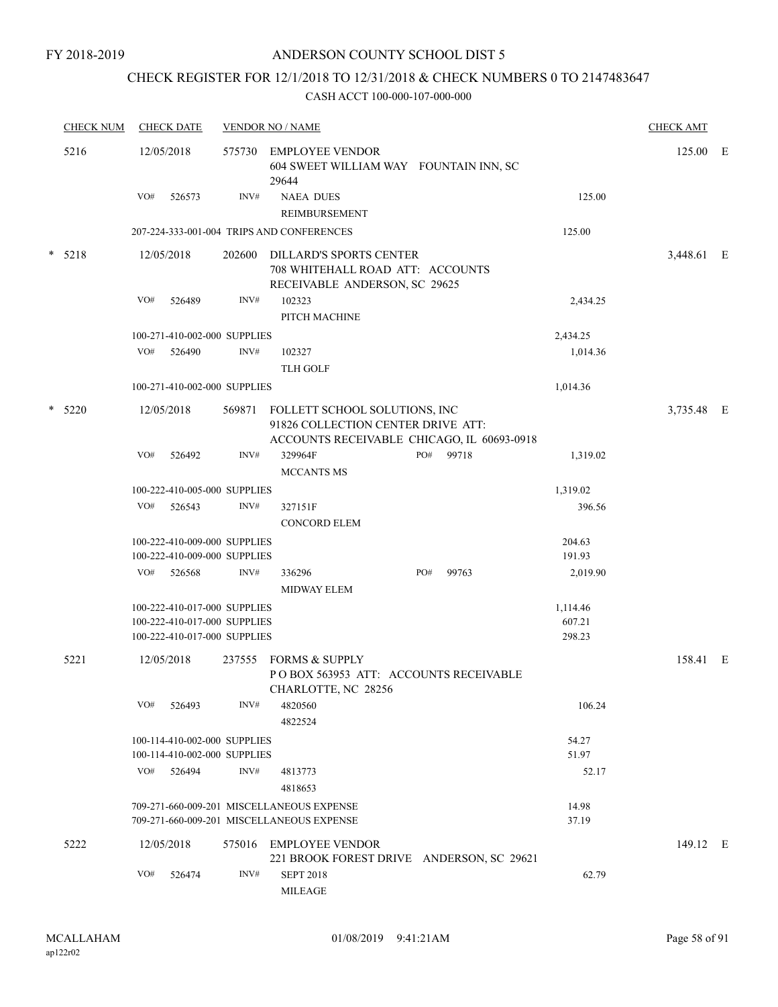## CHECK REGISTER FOR 12/1/2018 TO 12/31/2018 & CHECK NUMBERS 0 TO 2147483647

| <b>CHECK NUM</b> | <b>CHECK DATE</b>                                                                            | <b>VENDOR NO / NAME</b> | <b>CHECK AMT</b>                                                                                                         |     |       |                              |            |  |
|------------------|----------------------------------------------------------------------------------------------|-------------------------|--------------------------------------------------------------------------------------------------------------------------|-----|-------|------------------------------|------------|--|
| 5216             | 12/05/2018                                                                                   | 575730                  | <b>EMPLOYEE VENDOR</b><br>604 SWEET WILLIAM WAY FOUNTAIN INN, SC<br>29644                                                |     |       |                              | 125.00 E   |  |
|                  | VO#<br>526573                                                                                | INV#                    | <b>NAEA DUES</b>                                                                                                         |     |       | 125.00                       |            |  |
|                  |                                                                                              |                         | <b>REIMBURSEMENT</b>                                                                                                     |     |       |                              |            |  |
|                  |                                                                                              |                         | 207-224-333-001-004 TRIPS AND CONFERENCES                                                                                |     |       | 125.00                       |            |  |
| $* 5218$         | 12/05/2018                                                                                   | 202600                  | DILLARD'S SPORTS CENTER<br>708 WHITEHALL ROAD ATT: ACCOUNTS<br>RECEIVABLE ANDERSON, SC 29625                             |     |       |                              | 3,448.61 E |  |
|                  | VO#<br>526489                                                                                | INV#                    | 102323<br>PITCH MACHINE                                                                                                  |     |       | 2,434.25                     |            |  |
|                  | 100-271-410-002-000 SUPPLIES                                                                 |                         |                                                                                                                          |     |       | 2,434.25                     |            |  |
|                  | VO#<br>526490                                                                                | INV#                    | 102327<br><b>TLH GOLF</b>                                                                                                |     |       | 1,014.36                     |            |  |
|                  | 100-271-410-002-000 SUPPLIES                                                                 |                         |                                                                                                                          |     |       | 1,014.36                     |            |  |
| $*$ 5220         | 12/05/2018                                                                                   |                         | 569871 FOLLETT SCHOOL SOLUTIONS, INC<br>91826 COLLECTION CENTER DRIVE ATT:<br>ACCOUNTS RECEIVABLE CHICAGO, IL 60693-0918 |     |       |                              | 3,735.48 E |  |
|                  | VO#<br>526492                                                                                | INV#                    | 329964F<br><b>MCCANTS MS</b>                                                                                             | PO# | 99718 | 1,319.02                     |            |  |
|                  | 100-222-410-005-000 SUPPLIES                                                                 |                         |                                                                                                                          |     |       | 1,319.02                     |            |  |
|                  | VO#<br>526543                                                                                | INV#                    | 327151F                                                                                                                  |     |       | 396.56                       |            |  |
|                  |                                                                                              |                         | <b>CONCORD ELEM</b>                                                                                                      |     |       |                              |            |  |
|                  | 100-222-410-009-000 SUPPLIES<br>100-222-410-009-000 SUPPLIES                                 |                         |                                                                                                                          |     |       | 204.63<br>191.93             |            |  |
|                  | VO# 526568                                                                                   | INV#                    | 336296<br><b>MIDWAY ELEM</b>                                                                                             | PO# | 99763 | 2,019.90                     |            |  |
|                  | 100-222-410-017-000 SUPPLIES<br>100-222-410-017-000 SUPPLIES<br>100-222-410-017-000 SUPPLIES |                         |                                                                                                                          |     |       | 1,114.46<br>607.21<br>298.23 |            |  |
| 5221             | 12/05/2018                                                                                   | 237555                  | FORMS & SUPPLY<br>POBOX 563953 ATT: ACCOUNTS RECEIVABLE<br>CHARLOTTE, NC 28256                                           |     |       |                              | 158.41 E   |  |
|                  | VO#<br>526493                                                                                | INV#                    | 4820560<br>4822524                                                                                                       |     |       | 106.24                       |            |  |
|                  | 100-114-410-002-000 SUPPLIES                                                                 |                         |                                                                                                                          |     |       | 54.27                        |            |  |
|                  | 100-114-410-002-000 SUPPLIES                                                                 |                         |                                                                                                                          |     |       | 51.97                        |            |  |
|                  | VO#<br>526494                                                                                | INV#                    | 4813773<br>4818653                                                                                                       |     |       | 52.17                        |            |  |
|                  |                                                                                              |                         | 709-271-660-009-201 MISCELLANEOUS EXPENSE                                                                                |     |       | 14.98                        |            |  |
|                  |                                                                                              |                         | 709-271-660-009-201 MISCELLANEOUS EXPENSE                                                                                |     |       | 37.19                        |            |  |
| 5222             | 12/05/2018                                                                                   |                         | 575016 EMPLOYEE VENDOR<br>221 BROOK FOREST DRIVE ANDERSON, SC 29621                                                      |     |       |                              | 149.12 E   |  |
|                  | VO#<br>526474                                                                                | INV#                    | <b>SEPT 2018</b><br><b>MILEAGE</b>                                                                                       |     |       | 62.79                        |            |  |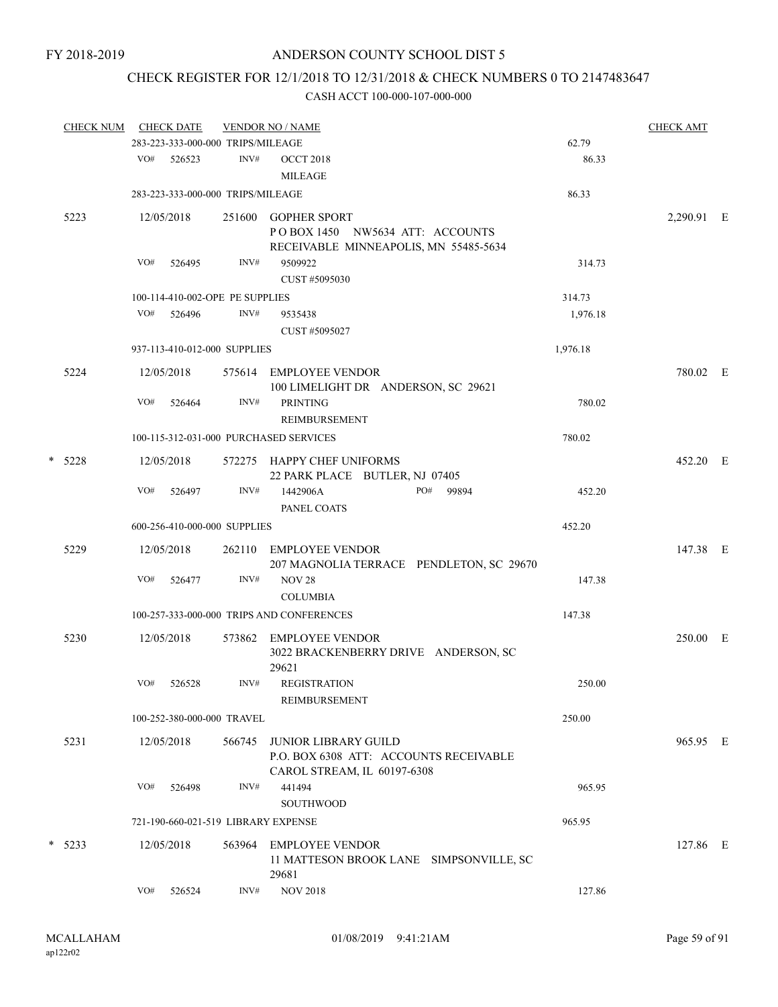# CHECK REGISTER FOR 12/1/2018 TO 12/31/2018 & CHECK NUMBERS 0 TO 2147483647

|   | <b>CHECK NUM</b> |     | <b>CHECK DATE</b> |                                   | <b>VENDOR NO / NAME</b>                                                                              |          | <b>CHECK AMT</b> |  |
|---|------------------|-----|-------------------|-----------------------------------|------------------------------------------------------------------------------------------------------|----------|------------------|--|
|   |                  |     |                   | 283-223-333-000-000 TRIPS/MILEAGE |                                                                                                      | 62.79    |                  |  |
|   |                  | VO# | 526523            | INV#                              | <b>OCCT 2018</b><br><b>MILEAGE</b>                                                                   | 86.33    |                  |  |
|   |                  |     |                   | 283-223-333-000-000 TRIPS/MILEAGE |                                                                                                      | 86.33    |                  |  |
|   | 5223             |     | 12/05/2018        | 251600                            | <b>GOPHER SPORT</b><br>POBOX 1450 NW5634 ATT: ACCOUNTS                                               |          | 2,290.91 E       |  |
|   |                  | VO# | 526495            | INV#                              | RECEIVABLE MINNEAPOLIS, MN 55485-5634<br>9509922<br>CUST #5095030                                    | 314.73   |                  |  |
|   |                  |     |                   | 100-114-410-002-OPE PE SUPPLIES   |                                                                                                      | 314.73   |                  |  |
|   |                  | VO# | 526496            | INV#                              | 9535438                                                                                              | 1,976.18 |                  |  |
|   |                  |     |                   |                                   | CUST #5095027                                                                                        |          |                  |  |
|   |                  |     |                   | 937-113-410-012-000 SUPPLIES      |                                                                                                      | 1,976.18 |                  |  |
|   | 5224             |     | 12/05/2018        |                                   | 575614 EMPLOYEE VENDOR<br>100 LIMELIGHT DR ANDERSON, SC 29621                                        |          | 780.02 E         |  |
|   |                  | VO# | 526464            | INV#                              | <b>PRINTING</b><br><b>REIMBURSEMENT</b>                                                              | 780.02   |                  |  |
|   |                  |     |                   |                                   | 100-115-312-031-000 PURCHASED SERVICES                                                               | 780.02   |                  |  |
| * | 5228             |     | 12/05/2018        |                                   | 572275 HAPPY CHEF UNIFORMS<br>22 PARK PLACE BUTLER, NJ 07405                                         |          | 452.20 E         |  |
|   |                  | VO# | 526497            | INV#                              | 1442906A<br>PO# 99894<br>PANEL COATS                                                                 | 452.20   |                  |  |
|   |                  |     |                   | 600-256-410-000-000 SUPPLIES      |                                                                                                      | 452.20   |                  |  |
|   | 5229             |     | 12/05/2018        | 262110                            | EMPLOYEE VENDOR<br>207 MAGNOLIA TERRACE PENDLETON, SC 29670                                          |          | 147.38 E         |  |
|   |                  | VO# | 526477            | INV#                              | <b>NOV 28</b><br><b>COLUMBIA</b>                                                                     | 147.38   |                  |  |
|   |                  |     |                   |                                   | 100-257-333-000-000 TRIPS AND CONFERENCES                                                            | 147.38   |                  |  |
|   | 5230             |     | 12/05/2018        | 573862                            | EMPLOYEE VENDOR<br>3022 BRACKENBERRY DRIVE ANDERSON, SC<br>29621                                     |          | 250.00 E         |  |
|   |                  | VO# | 526528            | INV#                              | <b>REGISTRATION</b><br>REIMBURSEMENT                                                                 | 250.00   |                  |  |
|   |                  |     |                   | 100-252-380-000-000 TRAVEL        |                                                                                                      | 250.00   |                  |  |
|   | 5231             |     | 12/05/2018        | 566745                            | <b>JUNIOR LIBRARY GUILD</b><br>P.O. BOX 6308 ATT: ACCOUNTS RECEIVABLE<br>CAROL STREAM, IL 60197-6308 |          | 965.95 E         |  |
|   |                  | VO# | 526498            | INV#                              | 441494<br><b>SOUTHWOOD</b>                                                                           | 965.95   |                  |  |
|   |                  |     |                   |                                   | 721-190-660-021-519 LIBRARY EXPENSE                                                                  | 965.95   |                  |  |
|   | $*$ 5233         |     | 12/05/2018        | 563964                            | <b>EMPLOYEE VENDOR</b><br>11 MATTESON BROOK LANE SIMPSONVILLE, SC<br>29681                           |          | 127.86 E         |  |
|   |                  | VO# | 526524            | INV#                              | <b>NOV 2018</b>                                                                                      | 127.86   |                  |  |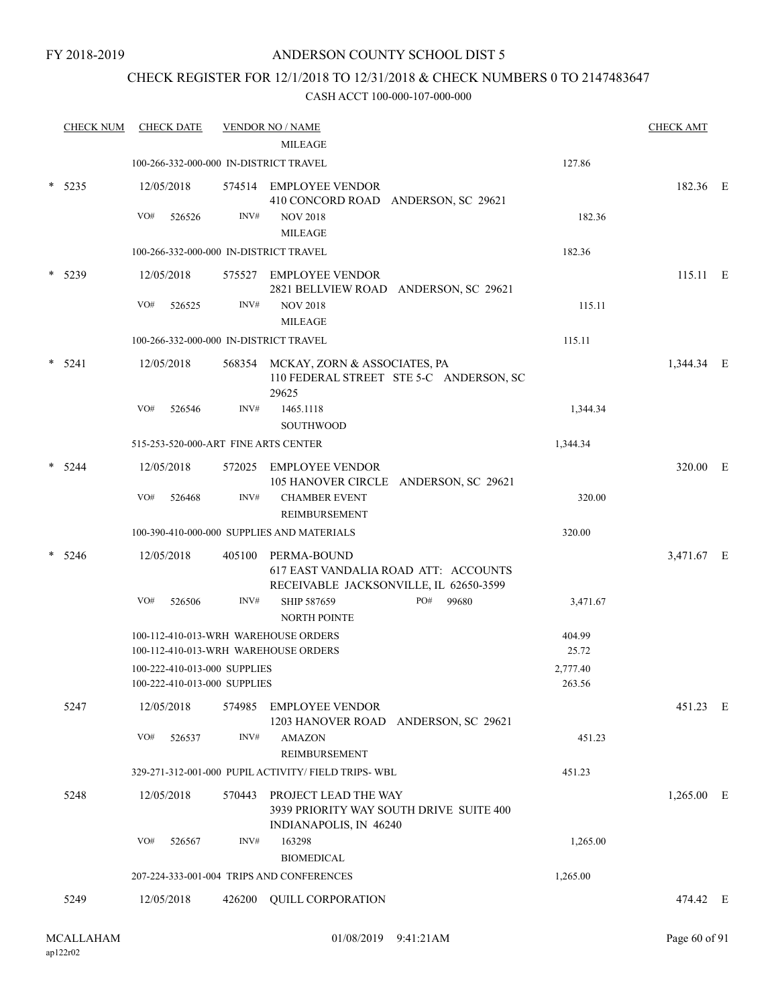## CHECK REGISTER FOR 12/1/2018 TO 12/31/2018 & CHECK NUMBERS 0 TO 2147483647

| <b>CHECK NUM</b> |     | <b>CHECK DATE</b> |                              | <b>VENDOR NO / NAME</b>                                                                          |          | <b>CHECK AMT</b> |  |
|------------------|-----|-------------------|------------------------------|--------------------------------------------------------------------------------------------------|----------|------------------|--|
|                  |     |                   |                              | <b>MILEAGE</b><br>100-266-332-000-000 IN-DISTRICT TRAVEL                                         | 127.86   |                  |  |
|                  |     |                   |                              |                                                                                                  |          |                  |  |
| $*$ 5235         |     | 12/05/2018        |                              | 574514 EMPLOYEE VENDOR<br>410 CONCORD ROAD ANDERSON, SC 29621                                    |          | 182.36 E         |  |
|                  | VO# | 526526            | INV#                         | <b>NOV 2018</b>                                                                                  | 182.36   |                  |  |
|                  |     |                   |                              | <b>MILEAGE</b>                                                                                   |          |                  |  |
|                  |     |                   |                              | 100-266-332-000-000 IN-DISTRICT TRAVEL                                                           | 182.36   |                  |  |
| 5239             |     | 12/05/2018        |                              | 575527 EMPLOYEE VENDOR                                                                           |          | 115.11 E         |  |
|                  |     |                   |                              | 2821 BELLVIEW ROAD ANDERSON, SC 29621                                                            |          |                  |  |
|                  | VO# | 526525            | INV#                         | <b>NOV 2018</b>                                                                                  | 115.11   |                  |  |
|                  |     |                   |                              | <b>MILEAGE</b>                                                                                   |          |                  |  |
|                  |     |                   |                              | 100-266-332-000-000 IN-DISTRICT TRAVEL                                                           | 115.11   |                  |  |
| $*$ 5241         |     | 12/05/2018        |                              | 568354 MCKAY, ZORN & ASSOCIATES, PA<br>110 FEDERAL STREET STE 5-C ANDERSON, SC<br>29625          |          | 1,344.34 E       |  |
|                  | VO# | 526546            | INV#                         | 1465.1118                                                                                        | 1,344.34 |                  |  |
|                  |     |                   |                              | <b>SOUTHWOOD</b>                                                                                 |          |                  |  |
|                  |     |                   |                              | 515-253-520-000-ART FINE ARTS CENTER                                                             | 1,344.34 |                  |  |
| 5244             |     | 12/05/2018        |                              | 572025 EMPLOYEE VENDOR<br>105 HANOVER CIRCLE ANDERSON, SC 29621                                  |          | 320.00 E         |  |
|                  | VO# | 526468            | INV#                         | <b>CHAMBER EVENT</b><br>REIMBURSEMENT                                                            | 320.00   |                  |  |
|                  |     |                   |                              | 100-390-410-000-000 SUPPLIES AND MATERIALS                                                       | 320.00   |                  |  |
| 5246             |     | 12/05/2018        | 405100                       | PERMA-BOUND<br>617 EAST VANDALIA ROAD ATT: ACCOUNTS<br>RECEIVABLE JACKSONVILLE, IL 62650-3599    |          | 3,471.67 E       |  |
|                  | VO# | 526506            | INV#                         | PO#<br>SHIP 587659<br>99680<br>NORTH POINTE                                                      | 3,471.67 |                  |  |
|                  |     |                   |                              | 100-112-410-013-WRH WAREHOUSE ORDERS                                                             | 404.99   |                  |  |
|                  |     |                   |                              | 100-112-410-013-WRH WAREHOUSE ORDERS                                                             | 25.72    |                  |  |
|                  |     |                   | 100-222-410-013-000 SUPPLIES |                                                                                                  | 2,777.40 |                  |  |
|                  |     |                   | 100-222-410-013-000 SUPPLIES |                                                                                                  | 263.56   |                  |  |
| 5247             |     | 12/05/2018        |                              | 574985 EMPLOYEE VENDOR<br>1203 HANOVER ROAD ANDERSON, SC 29621                                   |          | 451.23 E         |  |
|                  | VO# | 526537            | INV#                         | <b>AMAZON</b><br><b>REIMBURSEMENT</b>                                                            | 451.23   |                  |  |
|                  |     |                   |                              | 329-271-312-001-000 PUPIL ACTIVITY/ FIELD TRIPS- WBL                                             | 451.23   |                  |  |
| 5248             |     | 12/05/2018        |                              | 570443 PROJECT LEAD THE WAY<br>3939 PRIORITY WAY SOUTH DRIVE SUITE 400<br>INDIANAPOLIS, IN 46240 |          | $1,265.00$ E     |  |
|                  | VO# | 526567            | INV#                         | 163298<br><b>BIOMEDICAL</b>                                                                      | 1,265.00 |                  |  |
|                  |     |                   |                              | 207-224-333-001-004 TRIPS AND CONFERENCES                                                        | 1,265.00 |                  |  |
| 5249             |     | 12/05/2018        | 426200                       | QUILL CORPORATION                                                                                |          | 474.42 E         |  |
|                  |     |                   |                              |                                                                                                  |          |                  |  |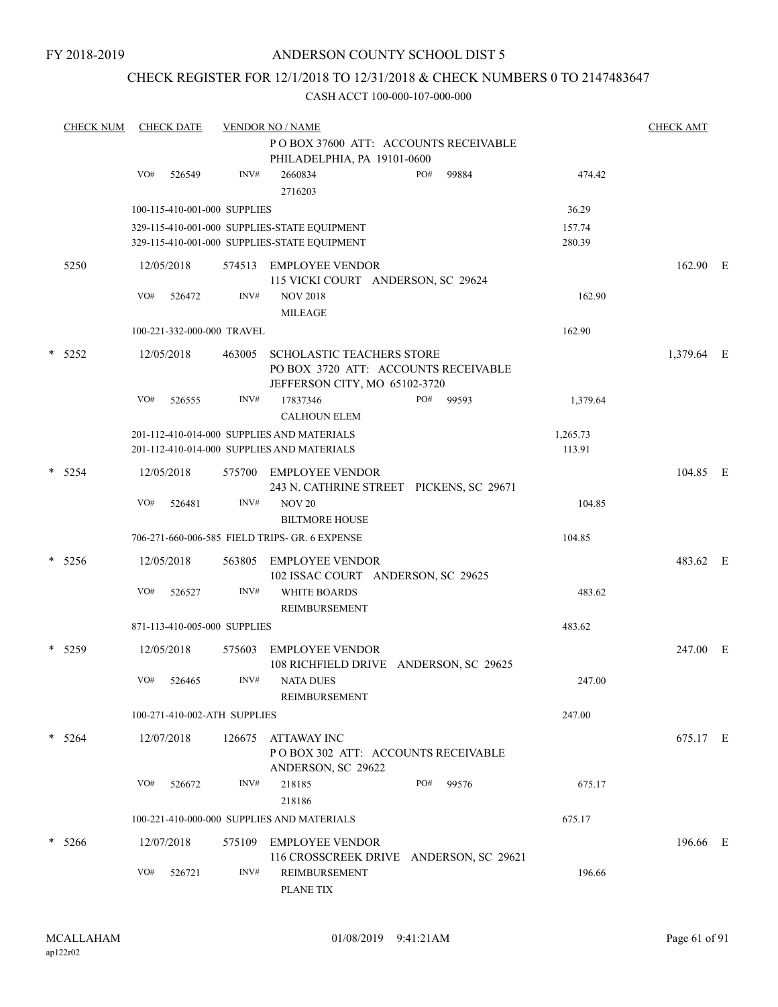## CHECK REGISTER FOR 12/1/2018 TO 12/31/2018 & CHECK NUMBERS 0 TO 2147483647

|        | <b>CHECK NUM</b> | <b>CHECK DATE</b>            |        | <b>VENDOR NO / NAME</b>                                                                                   |     |       |                  | <b>CHECK AMT</b> |  |
|--------|------------------|------------------------------|--------|-----------------------------------------------------------------------------------------------------------|-----|-------|------------------|------------------|--|
|        |                  |                              |        | PO BOX 37600 ATT: ACCOUNTS RECEIVABLE<br>PHILADELPHIA, PA 19101-0600                                      |     |       |                  |                  |  |
|        |                  | VO#<br>526549                | INV#   | 2660834<br>2716203                                                                                        | PO# | 99884 | 474.42           |                  |  |
|        |                  | 100-115-410-001-000 SUPPLIES |        |                                                                                                           |     |       | 36.29            |                  |  |
|        |                  |                              |        | 329-115-410-001-000 SUPPLIES-STATE EQUIPMENT<br>329-115-410-001-000 SUPPLIES-STATE EQUIPMENT              |     |       | 157.74<br>280.39 |                  |  |
|        | 5250             | 12/05/2018                   | 574513 | EMPLOYEE VENDOR<br>115 VICKI COURT ANDERSON, SC 29624                                                     |     |       |                  | 162.90 E         |  |
|        |                  | VO#<br>526472                | INV#   | <b>NOV 2018</b><br><b>MILEAGE</b>                                                                         |     |       | 162.90           |                  |  |
|        |                  | 100-221-332-000-000 TRAVEL   |        |                                                                                                           |     |       | 162.90           |                  |  |
| $\ast$ | 5252             | 12/05/2018                   | 463005 | <b>SCHOLASTIC TEACHERS STORE</b><br>PO BOX 3720 ATT: ACCOUNTS RECEIVABLE<br>JEFFERSON CITY, MO 65102-3720 |     |       |                  | 1,379.64 E       |  |
|        |                  | VO#<br>526555                | INV#   | 17837346<br><b>CALHOUN ELEM</b>                                                                           | PO# | 99593 | 1,379.64         |                  |  |
|        |                  |                              |        | 201-112-410-014-000 SUPPLIES AND MATERIALS                                                                |     |       | 1,265.73         |                  |  |
|        |                  |                              |        | 201-112-410-014-000 SUPPLIES AND MATERIALS                                                                |     |       | 113.91           |                  |  |
|        | $* 5254$         | 12/05/2018                   | 575700 | EMPLOYEE VENDOR<br>243 N. CATHRINE STREET PICKENS, SC 29671                                               |     |       |                  | 104.85 E         |  |
|        |                  | VO#<br>526481                | INV#   | <b>NOV 20</b>                                                                                             |     |       | 104.85           |                  |  |
|        |                  |                              |        | <b>BILTMORE HOUSE</b>                                                                                     |     |       |                  |                  |  |
|        |                  |                              |        | 706-271-660-006-585 FIELD TRIPS- GR. 6 EXPENSE                                                            |     |       | 104.85           |                  |  |
|        | $* 5256$         | 12/05/2018                   | 563805 | <b>EMPLOYEE VENDOR</b><br>102 ISSAC COURT ANDERSON, SC 29625                                              |     |       |                  | 483.62 E         |  |
|        |                  | VO#<br>526527                | INV#   | <b>WHITE BOARDS</b><br>REIMBURSEMENT                                                                      |     |       | 483.62           |                  |  |
|        |                  | 871-113-410-005-000 SUPPLIES |        |                                                                                                           |     |       | 483.62           |                  |  |
|        | $*$ 5259         | 12/05/2018                   | 575603 | <b>EMPLOYEE VENDOR</b><br>108 RICHFIELD DRIVE ANDERSON, SC 29625                                          |     |       |                  | 247.00 E         |  |
|        |                  | VO#<br>526465                | INV#   | <b>NATA DUES</b><br>REIMBURSEMENT                                                                         |     |       | 247.00           |                  |  |
|        |                  | 100-271-410-002-ATH SUPPLIES |        |                                                                                                           |     |       | 247.00           |                  |  |
|        | $* 5264$         | 12/07/2018                   | 126675 | ATTAWAY INC<br>PO BOX 302 ATT: ACCOUNTS RECEIVABLE<br>ANDERSON, SC 29622                                  |     |       |                  | 675.17 E         |  |
|        |                  | VO#<br>526672                | INV#   | 218185<br>218186                                                                                          | PO# | 99576 | 675.17           |                  |  |
|        |                  |                              |        | 100-221-410-000-000 SUPPLIES AND MATERIALS                                                                |     |       | 675.17           |                  |  |
|        | $* 5266$         | 12/07/2018                   | 575109 | <b>EMPLOYEE VENDOR</b><br>116 CROSSCREEK DRIVE ANDERSON, SC 29621                                         |     |       |                  | 196.66 E         |  |
|        |                  | VO#<br>526721                | INV#   | REIMBURSEMENT<br>PLANE TIX                                                                                |     |       | 196.66           |                  |  |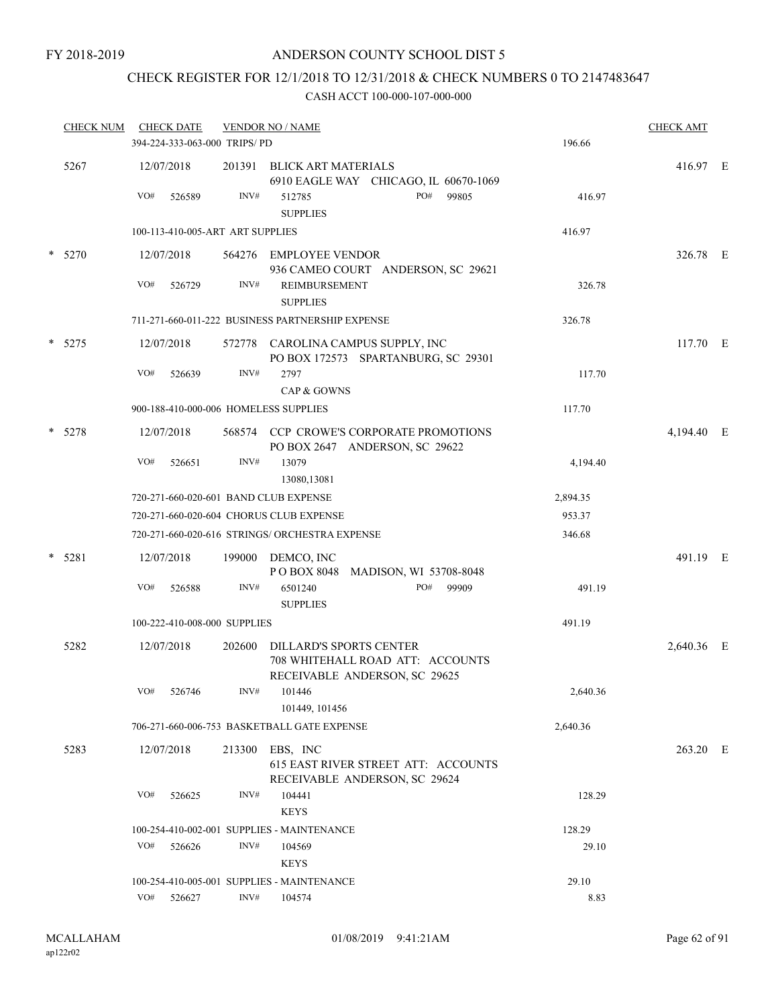# CHECK REGISTER FOR 12/1/2018 TO 12/31/2018 & CHECK NUMBERS 0 TO 2147483647

| <b>CHECK NUM</b> |     | <b>CHECK DATE</b>    | 394-224-333-063-000 TRIPS/PD     | <b>VENDOR NO / NAME</b>                                                                      | <b>CHECK AMT</b><br>196.66 |            |  |
|------------------|-----|----------------------|----------------------------------|----------------------------------------------------------------------------------------------|----------------------------|------------|--|
| 5267             | VO# | 12/07/2018<br>526589 | 201391<br>INV#                   | BLICK ART MATERIALS<br>6910 EAGLE WAY CHICAGO, IL 60670-1069<br>PO#<br>512785<br>99805       | 416.97                     | 416.97 E   |  |
|                  |     |                      |                                  | <b>SUPPLIES</b>                                                                              |                            |            |  |
|                  |     |                      | 100-113-410-005-ART ART SUPPLIES |                                                                                              | 416.97                     |            |  |
| $*$ 5270         |     | 12/07/2018           |                                  | 564276 EMPLOYEE VENDOR<br>936 CAMEO COURT ANDERSON, SC 29621                                 |                            | 326.78 E   |  |
|                  | VO# | 526729               | INV#                             | REIMBURSEMENT<br><b>SUPPLIES</b>                                                             | 326.78                     |            |  |
|                  |     |                      |                                  | 711-271-660-011-222 BUSINESS PARTNERSHIP EXPENSE                                             | 326.78                     |            |  |
| $* 5275$         |     | 12/07/2018           |                                  | 572778 CAROLINA CAMPUS SUPPLY, INC<br>PO BOX 172573 SPARTANBURG, SC 29301                    |                            | 117.70 E   |  |
|                  | VO# | 526639               | INV#                             | 2797<br>CAP & GOWNS                                                                          | 117.70                     |            |  |
|                  |     |                      |                                  | 900-188-410-000-006 HOMELESS SUPPLIES                                                        | 117.70                     |            |  |
| * 5278           |     | 12/07/2018           |                                  | 568574 CCP CROWE'S CORPORATE PROMOTIONS<br>PO BOX 2647 ANDERSON, SC 29622                    |                            | 4,194.40 E |  |
|                  | VO# | 526651               | INV#                             | 13079<br>13080,13081                                                                         | 4,194.40                   |            |  |
|                  |     |                      |                                  | 720-271-660-020-601 BAND CLUB EXPENSE                                                        | 2,894.35                   |            |  |
|                  |     |                      |                                  | 720-271-660-020-604 CHORUS CLUB EXPENSE                                                      | 953.37                     |            |  |
|                  |     |                      |                                  | 720-271-660-020-616 STRINGS/ ORCHESTRA EXPENSE                                               | 346.68                     |            |  |
| $* 5281$         |     | 12/07/2018           | 199000                           | DEMCO, INC<br>POBOX 8048 MADISON, WI 53708-8048                                              |                            | 491.19 E   |  |
|                  | VO# | 526588               | INV#                             | PO#<br>99909<br>6501240<br><b>SUPPLIES</b>                                                   | 491.19                     |            |  |
|                  |     |                      | 100-222-410-008-000 SUPPLIES     |                                                                                              | 491.19                     |            |  |
| 5282             |     | 12/07/2018           | 202600                           | DILLARD'S SPORTS CENTER<br>708 WHITEHALL ROAD ATT: ACCOUNTS<br>RECEIVABLE ANDERSON, SC 29625 |                            | 2,640.36 E |  |
|                  | VO# | 526746               | INV#                             | 101446<br>101449, 101456                                                                     | 2,640.36                   |            |  |
|                  |     |                      |                                  | 706-271-660-006-753 BASKETBALL GATE EXPENSE                                                  | 2,640.36                   |            |  |
| 5283             |     | 12/07/2018           | 213300                           | EBS, INC<br>615 EAST RIVER STREET ATT: ACCOUNTS<br>RECEIVABLE ANDERSON, SC 29624             |                            | 263.20 E   |  |
|                  | VO# | 526625               | INV#                             | 104441<br><b>KEYS</b>                                                                        | 128.29                     |            |  |
|                  |     |                      |                                  | 100-254-410-002-001 SUPPLIES - MAINTENANCE                                                   | 128.29                     |            |  |
|                  | VO# | 526626               | INV#                             | 104569<br><b>KEYS</b>                                                                        | 29.10                      |            |  |
|                  |     |                      |                                  | 100-254-410-005-001 SUPPLIES - MAINTENANCE                                                   | 29.10                      |            |  |
|                  |     | VO# 526627           | INV#                             | 104574                                                                                       | 8.83                       |            |  |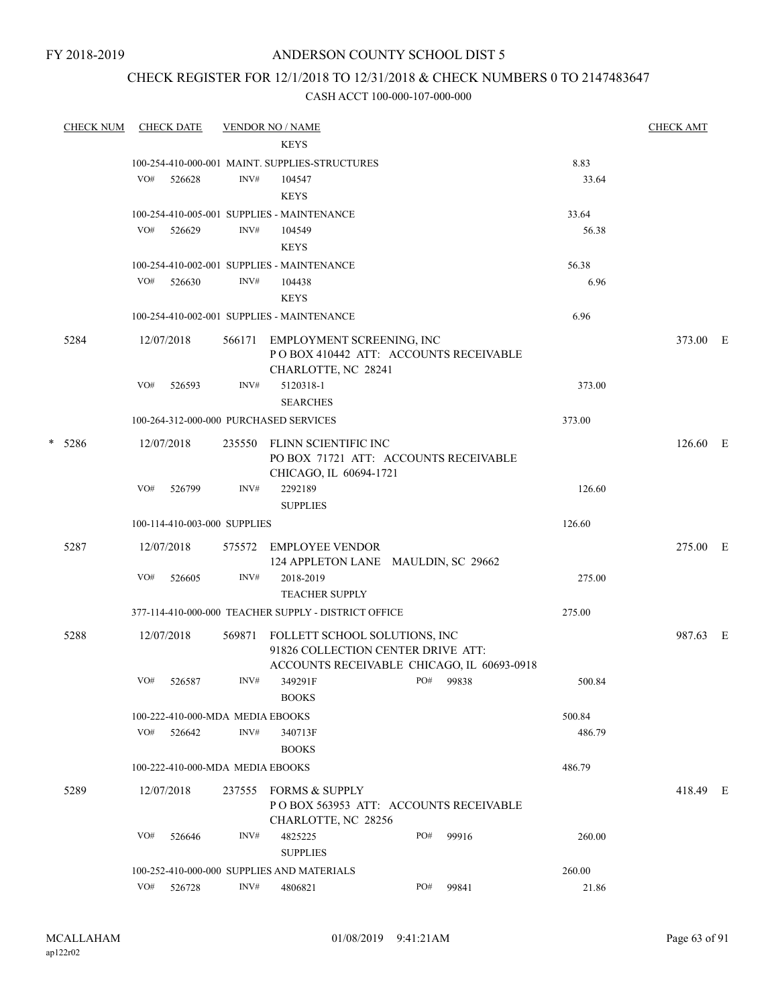## CHECK REGISTER FOR 12/1/2018 TO 12/31/2018 & CHECK NUMBERS 0 TO 2147483647

|        | <b>CHECK NUM</b> |     | <b>CHECK DATE</b>                |        | <b>VENDOR NO / NAME</b>                                                                                           |     |       |        | <b>CHECK AMT</b> |  |
|--------|------------------|-----|----------------------------------|--------|-------------------------------------------------------------------------------------------------------------------|-----|-------|--------|------------------|--|
|        |                  |     |                                  |        | <b>KEYS</b>                                                                                                       |     |       |        |                  |  |
|        |                  |     |                                  |        | 100-254-410-000-001 MAINT. SUPPLIES-STRUCTURES                                                                    |     |       | 8.83   |                  |  |
|        |                  | VO# | 526628                           | INV#   | 104547                                                                                                            |     |       | 33.64  |                  |  |
|        |                  |     |                                  |        | <b>KEYS</b>                                                                                                       |     |       |        |                  |  |
|        |                  |     |                                  |        | 100-254-410-005-001 SUPPLIES - MAINTENANCE                                                                        |     |       | 33.64  |                  |  |
|        |                  | VO# | 526629                           | INV#   | 104549                                                                                                            |     |       | 56.38  |                  |  |
|        |                  |     |                                  |        | <b>KEYS</b>                                                                                                       |     |       |        |                  |  |
|        |                  |     |                                  |        | 100-254-410-002-001 SUPPLIES - MAINTENANCE                                                                        |     |       | 56.38  |                  |  |
|        |                  | VO# | 526630                           | INV#   | 104438                                                                                                            |     |       | 6.96   |                  |  |
|        |                  |     |                                  |        | <b>KEYS</b>                                                                                                       |     |       |        |                  |  |
|        |                  |     |                                  |        | 100-254-410-002-001 SUPPLIES - MAINTENANCE                                                                        |     |       | 6.96   |                  |  |
|        | 5284             |     | 12/07/2018                       | 566171 | EMPLOYMENT SCREENING, INC<br>POBOX 410442 ATT: ACCOUNTS RECEIVABLE<br>CHARLOTTE, NC 28241                         |     |       |        | 373.00 E         |  |
|        |                  | VO# | 526593                           | INV#   | 5120318-1<br><b>SEARCHES</b>                                                                                      |     |       | 373.00 |                  |  |
|        |                  |     |                                  |        | 100-264-312-000-000 PURCHASED SERVICES                                                                            |     |       | 373.00 |                  |  |
| $\ast$ | 5286             |     | 12/07/2018                       | 235550 | FLINN SCIENTIFIC INC<br>PO BOX 71721 ATT: ACCOUNTS RECEIVABLE<br>CHICAGO, IL 60694-1721                           |     |       |        | 126.60 E         |  |
|        |                  | VO# | 526799                           | INV#   | 2292189                                                                                                           |     |       | 126.60 |                  |  |
|        |                  |     |                                  |        | <b>SUPPLIES</b>                                                                                                   |     |       |        |                  |  |
|        |                  |     | 100-114-410-003-000 SUPPLIES     |        |                                                                                                                   |     |       | 126.60 |                  |  |
|        | 5287             |     | 12/07/2018                       | 575572 | EMPLOYEE VENDOR<br>124 APPLETON LANE MAULDIN, SC 29662                                                            |     |       |        | 275.00 E         |  |
|        |                  | VO# | 526605                           | INV#   | 2018-2019<br><b>TEACHER SUPPLY</b>                                                                                |     |       | 275.00 |                  |  |
|        |                  |     |                                  |        | 377-114-410-000-000 TEACHER SUPPLY - DISTRICT OFFICE                                                              |     |       | 275.00 |                  |  |
|        | 5288             |     | 12/07/2018                       | 569871 | FOLLETT SCHOOL SOLUTIONS, INC<br>91826 COLLECTION CENTER DRIVE ATT:<br>ACCOUNTS RECEIVABLE CHICAGO, IL 60693-0918 |     |       |        | 987.63 E         |  |
|        |                  | VO# | 526587                           | INV#   | 349291F<br><b>BOOKS</b>                                                                                           | PO# | 99838 | 500.84 |                  |  |
|        |                  |     | 100-222-410-000-MDA MEDIA EBOOKS |        |                                                                                                                   |     |       | 500.84 |                  |  |
|        |                  | VO# | 526642                           | INV#   | 340713F                                                                                                           |     |       | 486.79 |                  |  |
|        |                  |     |                                  |        | <b>BOOKS</b>                                                                                                      |     |       |        |                  |  |
|        |                  |     | 100-222-410-000-MDA MEDIA EBOOKS |        |                                                                                                                   |     |       | 486.79 |                  |  |
|        | 5289             |     | 12/07/2018                       | 237555 | <b>FORMS &amp; SUPPLY</b>                                                                                         |     |       |        | 418.49 E         |  |
|        |                  |     |                                  |        | POBOX 563953 ATT: ACCOUNTS RECEIVABLE<br>CHARLOTTE, NC 28256                                                      |     |       |        |                  |  |
|        |                  | VO# | 526646                           | INV#   | 4825225<br><b>SUPPLIES</b>                                                                                        | PO# | 99916 | 260.00 |                  |  |
|        |                  |     |                                  |        | 100-252-410-000-000 SUPPLIES AND MATERIALS                                                                        |     |       | 260.00 |                  |  |
|        |                  | VO# | 526728                           | INV#   | 4806821                                                                                                           | PO# | 99841 | 21.86  |                  |  |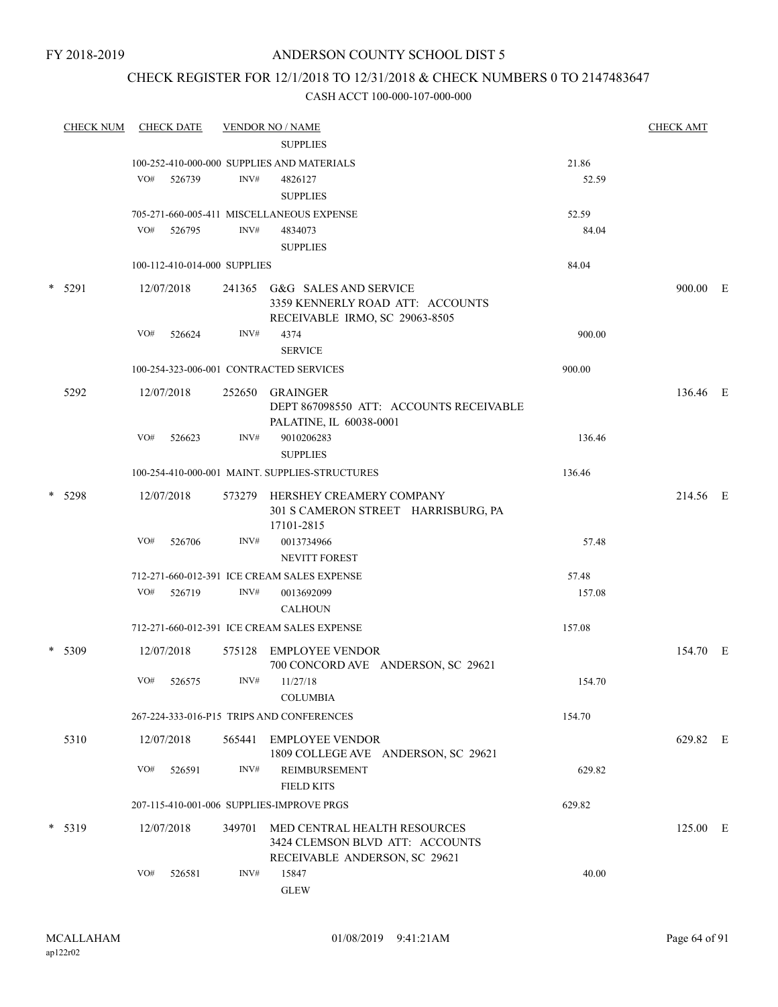## CHECK REGISTER FOR 12/1/2018 TO 12/31/2018 & CHECK NUMBERS 0 TO 2147483647

| <b>CHECK NUM</b> |     | <b>CHECK DATE</b>            |        | <b>VENDOR NO / NAME</b>                                                                            |        | <b>CHECK AMT</b> |  |
|------------------|-----|------------------------------|--------|----------------------------------------------------------------------------------------------------|--------|------------------|--|
|                  |     |                              |        | <b>SUPPLIES</b>                                                                                    |        |                  |  |
|                  |     |                              |        | 100-252-410-000-000 SUPPLIES AND MATERIALS                                                         | 21.86  |                  |  |
|                  | VO# | 526739                       | INV#   | 4826127                                                                                            | 52.59  |                  |  |
|                  |     |                              |        | <b>SUPPLIES</b>                                                                                    |        |                  |  |
|                  |     |                              |        | 705-271-660-005-411 MISCELLANEOUS EXPENSE                                                          | 52.59  |                  |  |
|                  | VO# | 526795                       | INV#   | 4834073                                                                                            | 84.04  |                  |  |
|                  |     |                              |        | <b>SUPPLIES</b>                                                                                    |        |                  |  |
|                  |     | 100-112-410-014-000 SUPPLIES |        |                                                                                                    | 84.04  |                  |  |
| $*$ 5291         |     | 12/07/2018                   |        | 241365 G&G SALES AND SERVICE<br>3359 KENNERLY ROAD ATT: ACCOUNTS<br>RECEIVABLE IRMO, SC 29063-8505 |        | 900.00 E         |  |
|                  | VO# | 526624                       | INV#   | 4374                                                                                               | 900.00 |                  |  |
|                  |     |                              |        | <b>SERVICE</b>                                                                                     |        |                  |  |
|                  |     |                              |        | 100-254-323-006-001 CONTRACTED SERVICES                                                            | 900.00 |                  |  |
| 5292             |     | 12/07/2018                   | 252650 | GRAINGER<br>DEPT 867098550 ATT: ACCOUNTS RECEIVABLE<br>PALATINE, IL 60038-0001                     |        | 136.46 E         |  |
|                  | VO# | 526623                       | INV#   | 9010206283<br><b>SUPPLIES</b>                                                                      | 136.46 |                  |  |
|                  |     |                              |        | 100-254-410-000-001 MAINT. SUPPLIES-STRUCTURES                                                     | 136.46 |                  |  |
| * 5298           |     | 12/07/2018                   |        | 573279 HERSHEY CREAMERY COMPANY<br>301 S CAMERON STREET HARRISBURG, PA                             |        | 214.56 E         |  |
|                  |     |                              |        | 17101-2815                                                                                         |        |                  |  |
|                  | VO# | 526706                       | INV#   | 0013734966                                                                                         | 57.48  |                  |  |
|                  |     |                              |        | NEVITT FOREST                                                                                      |        |                  |  |
|                  |     |                              |        | 712-271-660-012-391 ICE CREAM SALES EXPENSE                                                        | 57.48  |                  |  |
|                  | VO# | 526719                       | INV#   | 0013692099<br><b>CALHOUN</b>                                                                       | 157.08 |                  |  |
|                  |     |                              |        | 712-271-660-012-391 ICE CREAM SALES EXPENSE                                                        | 157.08 |                  |  |
| * 5309           |     | 12/07/2018                   |        | 575128 EMPLOYEE VENDOR<br>700 CONCORD AVE ANDERSON, SC 29621                                       |        | 154.70 E         |  |
|                  | VO# | 526575                       | INV#   | 11/27/18<br><b>COLUMBIA</b>                                                                        | 154.70 |                  |  |
|                  |     |                              |        | 267-224-333-016-P15 TRIPS AND CONFERENCES                                                          | 154.70 |                  |  |
| 5310             |     | 12/07/2018                   | 565441 | <b>EMPLOYEE VENDOR</b><br>1809 COLLEGE AVE ANDERSON, SC 29621                                      |        | 629.82 E         |  |
|                  | VO# | 526591                       | INV#   | REIMBURSEMENT<br><b>FIELD KITS</b>                                                                 | 629.82 |                  |  |
|                  |     |                              |        | 207-115-410-001-006 SUPPLIES-IMPROVE PRGS                                                          | 629.82 |                  |  |
| $* 5319$         |     | 12/07/2018                   | 349701 | MED CENTRAL HEALTH RESOURCES<br>3424 CLEMSON BLVD ATT: ACCOUNTS<br>RECEIVABLE ANDERSON, SC 29621   |        | 125.00 E         |  |
|                  | VO# | 526581                       | INV#   | 15847<br><b>GLEW</b>                                                                               | 40.00  |                  |  |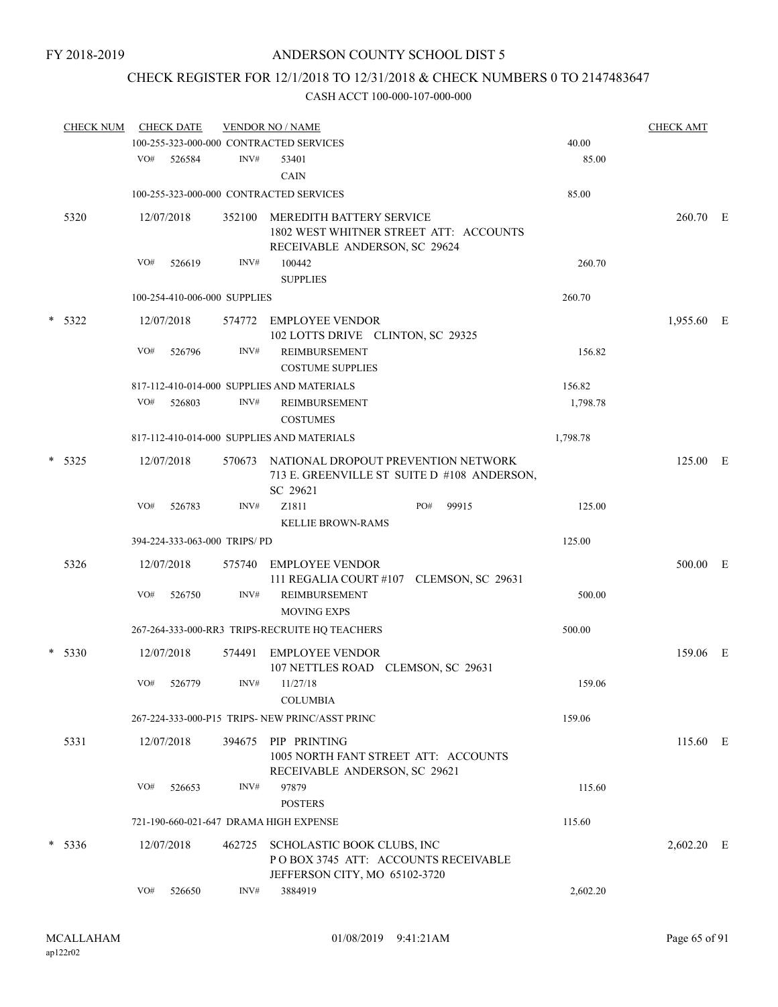# CHECK REGISTER FOR 12/1/2018 TO 12/31/2018 & CHECK NUMBERS 0 TO 2147483647

| <b>CHECK NUM</b> |     | <b>CHECK DATE</b>            |        | <b>VENDOR NO / NAME</b>                                                                                    |       |          | <b>CHECK AMT</b> |   |
|------------------|-----|------------------------------|--------|------------------------------------------------------------------------------------------------------------|-------|----------|------------------|---|
|                  |     |                              |        | 100-255-323-000-000 CONTRACTED SERVICES                                                                    |       | 40.00    |                  |   |
|                  | VO# | 526584                       | INV#   | 53401<br><b>CAIN</b>                                                                                       |       | 85.00    |                  |   |
|                  |     |                              |        | 100-255-323-000-000 CONTRACTED SERVICES                                                                    |       | 85.00    |                  |   |
| 5320             |     | 12/07/2018                   | 352100 | <b>MEREDITH BATTERY SERVICE</b><br>1802 WEST WHITNER STREET ATT: ACCOUNTS<br>RECEIVABLE ANDERSON, SC 29624 |       |          | 260.70 E         |   |
|                  | VO# | 526619                       | INV#   | 100442<br><b>SUPPLIES</b>                                                                                  |       | 260.70   |                  |   |
|                  |     | 100-254-410-006-000 SUPPLIES |        |                                                                                                            |       | 260.70   |                  |   |
| * 5322           |     | 12/07/2018                   | 574772 | EMPLOYEE VENDOR<br>102 LOTTS DRIVE CLINTON, SC 29325                                                       |       |          | 1,955.60 E       |   |
|                  | VO# | 526796                       | INV#   | <b>REIMBURSEMENT</b><br><b>COSTUME SUPPLIES</b>                                                            |       | 156.82   |                  |   |
|                  |     |                              |        | 817-112-410-014-000 SUPPLIES AND MATERIALS                                                                 |       | 156.82   |                  |   |
|                  | VO# | 526803                       | INV#   | REIMBURSEMENT<br><b>COSTUMES</b>                                                                           |       | 1,798.78 |                  |   |
|                  |     |                              |        | 817-112-410-014-000 SUPPLIES AND MATERIALS                                                                 |       | 1,798.78 |                  |   |
| $*$ 5325         |     | 12/07/2018                   | 570673 | NATIONAL DROPOUT PREVENTION NETWORK<br>713 E. GREENVILLE ST SUITE D #108 ANDERSON,<br>SC 29621             |       |          | 125.00 E         |   |
|                  | VO# | 526783                       | INV#   | Z1811<br>PO#<br><b>KELLIE BROWN-RAMS</b>                                                                   | 99915 | 125.00   |                  |   |
|                  |     | 394-224-333-063-000 TRIPS/PD |        |                                                                                                            |       | 125.00   |                  |   |
| 5326             |     | 12/07/2018                   | 575740 | EMPLOYEE VENDOR<br>111 REGALIA COURT #107 CLEMSON, SC 29631                                                |       |          | 500.00           | E |
|                  | VO# | 526750                       | INV#   | <b>REIMBURSEMENT</b><br><b>MOVING EXPS</b>                                                                 |       | 500.00   |                  |   |
|                  |     |                              |        | 267-264-333-000-RR3 TRIPS-RECRUITE HQ TEACHERS                                                             |       | 500.00   |                  |   |
| * 5330           |     | 12/07/2018                   | 574491 | <b>EMPLOYEE VENDOR</b><br>107 NETTLES ROAD CLEMSON, SC 29631                                               |       |          | 159.06 E         |   |
|                  | VO# | 526779                       | INV#   | 11/27/18<br><b>COLUMBIA</b>                                                                                |       | 159.06   |                  |   |
|                  |     |                              |        | 267-224-333-000-P15 TRIPS- NEW PRINC/ASST PRINC                                                            |       | 159.06   |                  |   |
| 5331             |     | 12/07/2018                   | 394675 | PIP PRINTING<br>1005 NORTH FANT STREET ATT: ACCOUNTS<br>RECEIVABLE ANDERSON, SC 29621                      |       |          | 115.60 E         |   |
|                  | VO# | 526653                       | INV#   | 97879<br><b>POSTERS</b>                                                                                    |       | 115.60   |                  |   |
|                  |     |                              |        | 721-190-660-021-647 DRAMA HIGH EXPENSE                                                                     |       | 115.60   |                  |   |
| $* 5336$         |     | 12/07/2018                   | 462725 | SCHOLASTIC BOOK CLUBS, INC<br>POBOX 3745 ATT: ACCOUNTS RECEIVABLE<br>JEFFERSON CITY, MO 65102-3720         |       |          | $2,602.20$ E     |   |
|                  | VO# | 526650                       | INV#   | 3884919                                                                                                    |       | 2,602.20 |                  |   |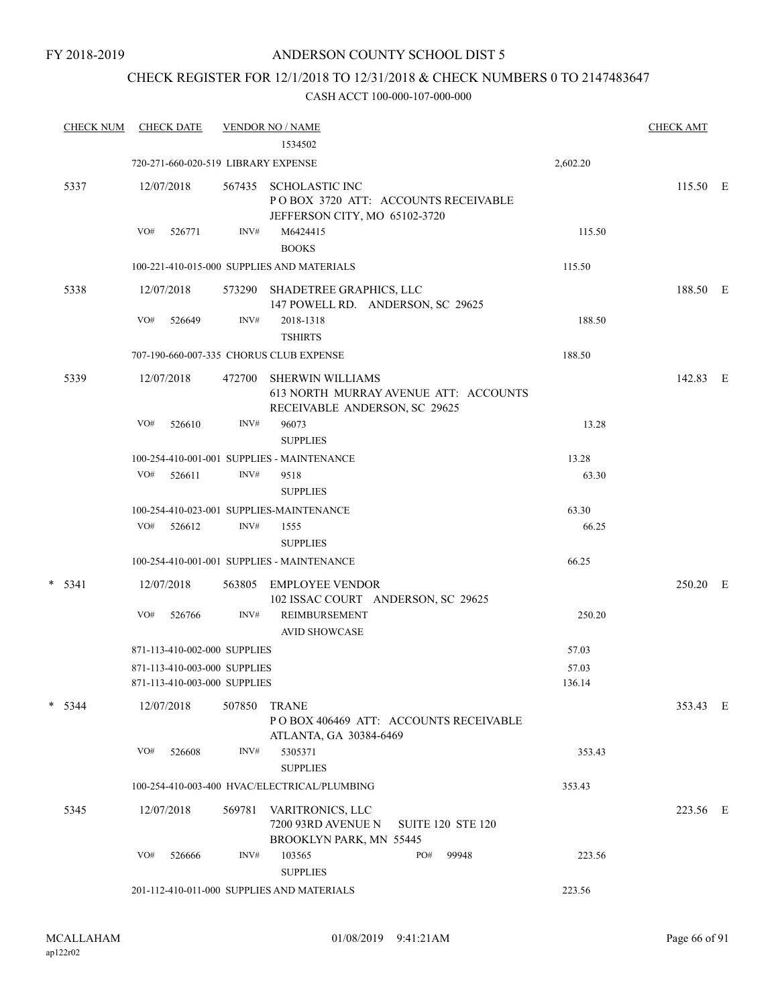## CHECK REGISTER FOR 12/1/2018 TO 12/31/2018 & CHECK NUMBERS 0 TO 2147483647

| <b>CHECK NUM</b> | <b>CHECK DATE</b>                                            |        | <b>VENDOR NO / NAME</b><br>1534502                                                            |     |                          |                 | <b>CHECK AMT</b> |  |
|------------------|--------------------------------------------------------------|--------|-----------------------------------------------------------------------------------------------|-----|--------------------------|-----------------|------------------|--|
|                  | 720-271-660-020-519 LIBRARY EXPENSE                          |        |                                                                                               |     |                          | 2,602.20        |                  |  |
| 5337             | 12/07/2018                                                   | 567435 | <b>SCHOLASTIC INC</b><br>POBOX 3720 ATT: ACCOUNTS RECEIVABLE<br>JEFFERSON CITY, MO 65102-3720 |     |                          |                 | 115.50 E         |  |
|                  | VO#<br>526771                                                | INV#   | M6424415<br><b>BOOKS</b>                                                                      |     |                          | 115.50          |                  |  |
|                  |                                                              |        | 100-221-410-015-000 SUPPLIES AND MATERIALS                                                    |     |                          | 115.50          |                  |  |
| 5338             | 12/07/2018                                                   | 573290 | SHADETREE GRAPHICS, LLC<br>147 POWELL RD. ANDERSON, SC 29625                                  |     |                          |                 | 188.50 E         |  |
|                  | VO#<br>526649                                                | INV#   | 2018-1318<br><b>TSHIRTS</b>                                                                   |     |                          | 188.50          |                  |  |
|                  | 707-190-660-007-335 CHORUS CLUB EXPENSE                      |        |                                                                                               |     |                          | 188.50          |                  |  |
| 5339             | 12/07/2018                                                   | 472700 | SHERWIN WILLIAMS<br>613 NORTH MURRAY AVENUE ATT: ACCOUNTS<br>RECEIVABLE ANDERSON, SC 29625    |     |                          |                 | 142.83 E         |  |
|                  | VO#<br>526610                                                | INV#   | 96073<br><b>SUPPLIES</b>                                                                      |     |                          | 13.28           |                  |  |
|                  |                                                              |        | 100-254-410-001-001 SUPPLIES - MAINTENANCE                                                    |     |                          | 13.28           |                  |  |
|                  | VO#<br>526611                                                | INV#   | 9518<br><b>SUPPLIES</b>                                                                       |     |                          | 63.30           |                  |  |
|                  |                                                              |        | 100-254-410-023-001 SUPPLIES-MAINTENANCE                                                      |     |                          | 63.30           |                  |  |
|                  | VO#<br>526612                                                | INV#   | 1555<br><b>SUPPLIES</b>                                                                       |     |                          | 66.25           |                  |  |
|                  |                                                              |        | 100-254-410-001-001 SUPPLIES - MAINTENANCE                                                    |     |                          | 66.25           |                  |  |
| $* 5341$         | 12/07/2018                                                   | 563805 | EMPLOYEE VENDOR<br>102 ISSAC COURT ANDERSON, SC 29625                                         |     |                          |                 | 250.20 E         |  |
|                  | VO#<br>526766                                                | INV#   | <b>REIMBURSEMENT</b><br><b>AVID SHOWCASE</b>                                                  |     |                          | 250.20          |                  |  |
|                  | 871-113-410-002-000 SUPPLIES                                 |        |                                                                                               |     |                          | 57.03           |                  |  |
|                  | 871-113-410-003-000 SUPPLIES<br>871-113-410-003-000 SUPPLIES |        |                                                                                               |     |                          | 57.03<br>136.14 |                  |  |
| $*$ 5344         | 12/07/2018                                                   | 507850 | <b>TRANE</b><br>POBOX 406469 ATT: ACCOUNTS RECEIVABLE<br>ATLANTA, GA 30384-6469               |     |                          |                 | 353.43 E         |  |
|                  | VO#<br>526608                                                | INV#   | 5305371<br><b>SUPPLIES</b>                                                                    |     |                          | 353.43          |                  |  |
|                  |                                                              |        | 100-254-410-003-400 HVAC/ELECTRICAL/PLUMBING                                                  |     |                          | 353.43          |                  |  |
| 5345             | 12/07/2018                                                   | 569781 | VARITRONICS, LLC<br>7200 93RD AVENUE N<br>BROOKLYN PARK, MN 55445                             |     | <b>SUITE 120 STE 120</b> |                 | 223.56 E         |  |
|                  | VO#<br>526666                                                | INV#   | 103565<br><b>SUPPLIES</b>                                                                     | PO# | 99948                    | 223.56          |                  |  |
|                  |                                                              |        | 201-112-410-011-000 SUPPLIES AND MATERIALS                                                    |     |                          | 223.56          |                  |  |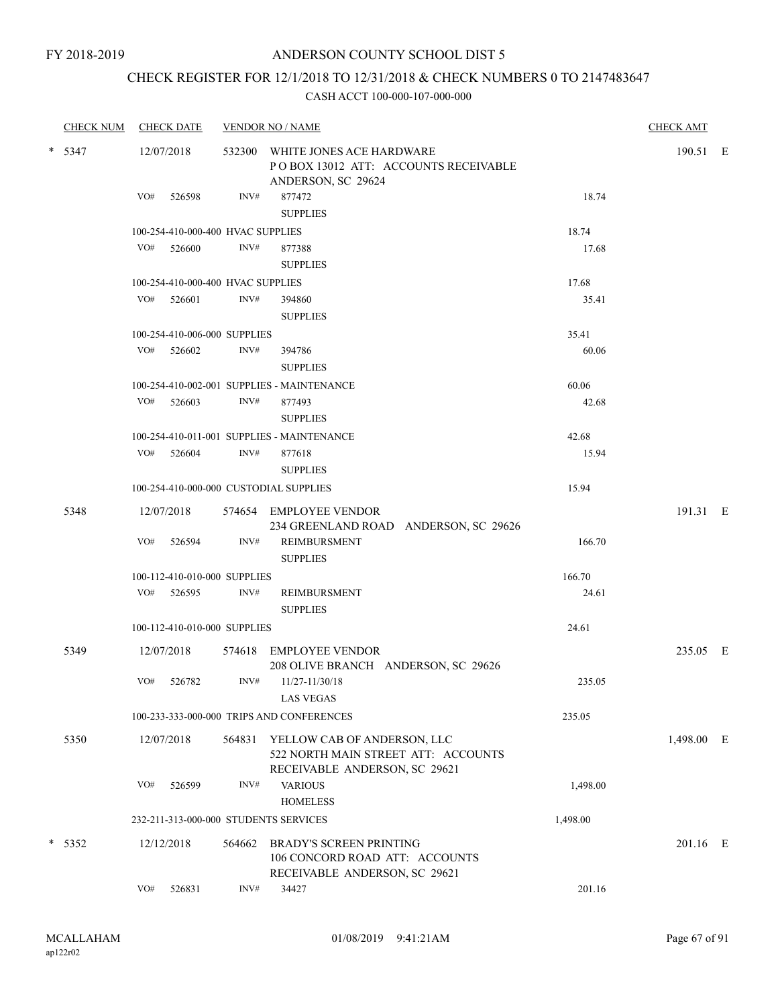# CHECK REGISTER FOR 12/1/2018 TO 12/31/2018 & CHECK NUMBERS 0 TO 2147483647

|          | <b>CHECK NUM</b> |     | <b>CHECK DATE</b>                 |        | <b>VENDOR NO / NAME</b>                                                                             |          | <b>CHECK AMT</b> |  |
|----------|------------------|-----|-----------------------------------|--------|-----------------------------------------------------------------------------------------------------|----------|------------------|--|
| $*$ 5347 |                  |     | 12/07/2018                        |        | 532300 WHITE JONES ACE HARDWARE<br>POBOX 13012 ATT: ACCOUNTS RECEIVABLE<br>ANDERSON, SC 29624       |          | 190.51 E         |  |
|          |                  | VO# | 526598                            | INV#   | 877472<br><b>SUPPLIES</b>                                                                           | 18.74    |                  |  |
|          |                  |     | 100-254-410-000-400 HVAC SUPPLIES |        |                                                                                                     | 18.74    |                  |  |
|          |                  |     | VO# 526600                        | INV#   | 877388<br><b>SUPPLIES</b>                                                                           | 17.68    |                  |  |
|          |                  |     | 100-254-410-000-400 HVAC SUPPLIES |        |                                                                                                     | 17.68    |                  |  |
|          |                  |     | $VO#$ 526601                      | INV#   | 394860<br><b>SUPPLIES</b>                                                                           | 35.41    |                  |  |
|          |                  |     | 100-254-410-006-000 SUPPLIES      |        |                                                                                                     | 35.41    |                  |  |
|          |                  | VO# | 526602                            | INV#   | 394786<br><b>SUPPLIES</b>                                                                           | 60.06    |                  |  |
|          |                  |     |                                   |        | 100-254-410-002-001 SUPPLIES - MAINTENANCE                                                          | 60.06    |                  |  |
|          |                  |     | VO# 526603                        | INV#   | 877493<br><b>SUPPLIES</b>                                                                           | 42.68    |                  |  |
|          |                  |     |                                   |        | 100-254-410-011-001 SUPPLIES - MAINTENANCE                                                          | 42.68    |                  |  |
|          |                  | VO# | 526604                            | INV#   | 877618<br><b>SUPPLIES</b>                                                                           | 15.94    |                  |  |
|          |                  |     |                                   |        | 100-254-410-000-000 CUSTODIAL SUPPLIES                                                              | 15.94    |                  |  |
|          | 5348             |     | 12/07/2018                        |        | 574654 EMPLOYEE VENDOR<br>234 GREENLAND ROAD ANDERSON, SC 29626                                     |          | 191.31 E         |  |
|          |                  | VO# | 526594                            | INV#   | <b>REIMBURSMENT</b><br><b>SUPPLIES</b>                                                              | 166.70   |                  |  |
|          |                  |     | 100-112-410-010-000 SUPPLIES      |        |                                                                                                     | 166.70   |                  |  |
|          |                  |     | VO# 526595                        | INV#   | REIMBURSMENT<br><b>SUPPLIES</b>                                                                     | 24.61    |                  |  |
|          |                  |     | 100-112-410-010-000 SUPPLIES      |        |                                                                                                     | 24.61    |                  |  |
|          | 5349             |     | 12/07/2018                        |        | 574618 EMPLOYEE VENDOR<br>208 OLIVE BRANCH ANDERSON, SC 29626                                       |          | 235.05 E         |  |
|          |                  | VO# | 526782                            | INV#   | 11/27-11/30/18<br><b>LAS VEGAS</b>                                                                  | 235.05   |                  |  |
|          |                  |     |                                   |        | 100-233-333-000-000 TRIPS AND CONFERENCES                                                           | 235.05   |                  |  |
|          | 5350             |     | 12/07/2018                        | 564831 | YELLOW CAB OF ANDERSON, LLC<br>522 NORTH MAIN STREET ATT: ACCOUNTS<br>RECEIVABLE ANDERSON, SC 29621 |          | 1,498.00 E       |  |
|          |                  | VO# | 526599                            | INV#   | <b>VARIOUS</b><br><b>HOMELESS</b>                                                                   | 1,498.00 |                  |  |
|          |                  |     |                                   |        | 232-211-313-000-000 STUDENTS SERVICES                                                               | 1,498.00 |                  |  |
|          | $* 5352$         |     | 12/12/2018                        | 564662 | BRADY'S SCREEN PRINTING<br>106 CONCORD ROAD ATT: ACCOUNTS<br>RECEIVABLE ANDERSON, SC 29621          |          | 201.16 E         |  |
|          |                  | VO# | 526831                            | INV#   | 34427                                                                                               | 201.16   |                  |  |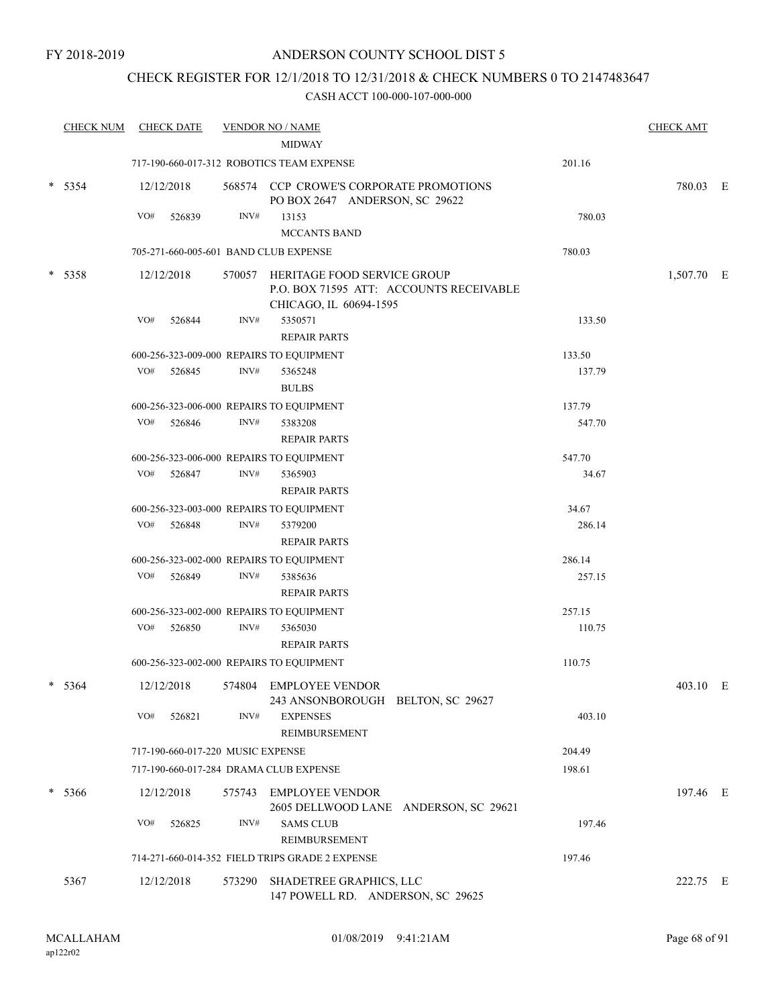## CHECK REGISTER FOR 12/1/2018 TO 12/31/2018 & CHECK NUMBERS 0 TO 2147483647

| <b>CHECK NUM</b> |     | <b>CHECK DATE</b>                 |        | <b>VENDOR NO / NAME</b>                                                                                 |        | <b>CHECK AMT</b> |   |
|------------------|-----|-----------------------------------|--------|---------------------------------------------------------------------------------------------------------|--------|------------------|---|
|                  |     |                                   |        | <b>MIDWAY</b>                                                                                           |        |                  |   |
|                  |     |                                   |        | 717-190-660-017-312 ROBOTICS TEAM EXPENSE                                                               | 201.16 |                  |   |
| $* 5354$         |     | 12/12/2018                        |        | 568574 CCP CROWE'S CORPORATE PROMOTIONS<br>PO BOX 2647 ANDERSON, SC 29622                               |        | 780.03 E         |   |
|                  | VO# | 526839                            | INV#   | 13153                                                                                                   | 780.03 |                  |   |
|                  |     |                                   |        | <b>MCCANTS BAND</b>                                                                                     |        |                  |   |
|                  |     |                                   |        | 705-271-660-005-601 BAND CLUB EXPENSE                                                                   | 780.03 |                  |   |
| $* 5358$         |     | 12/12/2018                        |        | 570057 HERITAGE FOOD SERVICE GROUP<br>P.O. BOX 71595 ATT: ACCOUNTS RECEIVABLE<br>CHICAGO, IL 60694-1595 |        | 1,507.70 E       |   |
|                  | VO# | 526844                            | INV#   | 5350571<br><b>REPAIR PARTS</b>                                                                          | 133.50 |                  |   |
|                  |     |                                   |        | 600-256-323-009-000 REPAIRS TO EQUIPMENT                                                                | 133.50 |                  |   |
|                  | VO# | 526845                            | INV#   | 5365248                                                                                                 | 137.79 |                  |   |
|                  |     |                                   |        | <b>BULBS</b>                                                                                            |        |                  |   |
|                  |     |                                   |        | 600-256-323-006-000 REPAIRS TO EQUIPMENT                                                                | 137.79 |                  |   |
|                  | VO# | 526846                            | INV#   | 5383208                                                                                                 | 547.70 |                  |   |
|                  |     |                                   |        | <b>REPAIR PARTS</b>                                                                                     |        |                  |   |
|                  |     |                                   |        | 600-256-323-006-000 REPAIRS TO EQUIPMENT                                                                | 547.70 |                  |   |
|                  | VO# | 526847                            | INV#   | 5365903                                                                                                 | 34.67  |                  |   |
|                  |     |                                   |        | <b>REPAIR PARTS</b>                                                                                     |        |                  |   |
|                  |     |                                   |        | 600-256-323-003-000 REPAIRS TO EQUIPMENT                                                                | 34.67  |                  |   |
|                  | VO# | 526848                            | INV#   | 5379200                                                                                                 | 286.14 |                  |   |
|                  |     |                                   |        | <b>REPAIR PARTS</b>                                                                                     |        |                  |   |
|                  |     |                                   |        | 600-256-323-002-000 REPAIRS TO EQUIPMENT                                                                | 286.14 |                  |   |
|                  | VO# | 526849                            | INV#   | 5385636                                                                                                 | 257.15 |                  |   |
|                  |     |                                   |        | <b>REPAIR PARTS</b>                                                                                     |        |                  |   |
|                  |     |                                   |        | 600-256-323-002-000 REPAIRS TO EQUIPMENT                                                                | 257.15 |                  |   |
|                  | VO# | 526850                            | INV#   | 5365030                                                                                                 | 110.75 |                  |   |
|                  |     |                                   |        | <b>REPAIR PARTS</b>                                                                                     |        |                  |   |
|                  |     |                                   |        | 600-256-323-002-000 REPAIRS TO EQUIPMENT                                                                | 110.75 |                  |   |
| $* 5364$         |     | 12/12/2018                        |        | 574804 EMPLOYEE VENDOR<br>243 ANSONBOROUGH BELTON, SC 29627                                             |        | 403.10           | E |
|                  | VO# | 526821                            | INV#   | <b>EXPENSES</b><br><b>REIMBURSEMENT</b>                                                                 | 403.10 |                  |   |
|                  |     | 717-190-660-017-220 MUSIC EXPENSE |        |                                                                                                         | 204.49 |                  |   |
|                  |     |                                   |        | 717-190-660-017-284 DRAMA CLUB EXPENSE                                                                  | 198.61 |                  |   |
| $* 5366$         |     | 12/12/2018                        |        | 575743 EMPLOYEE VENDOR<br>2605 DELLWOOD LANE ANDERSON, SC 29621                                         |        | 197.46 E         |   |
|                  | VO# | 526825                            | INV#   | <b>SAMS CLUB</b><br>REIMBURSEMENT                                                                       | 197.46 |                  |   |
|                  |     |                                   |        | 714-271-660-014-352 FIELD TRIPS GRADE 2 EXPENSE                                                         | 197.46 |                  |   |
|                  |     |                                   |        |                                                                                                         |        |                  |   |
| 5367             |     | 12/12/2018                        | 573290 | SHADETREE GRAPHICS, LLC<br>147 POWELL RD. ANDERSON, SC 29625                                            |        | 222.75 E         |   |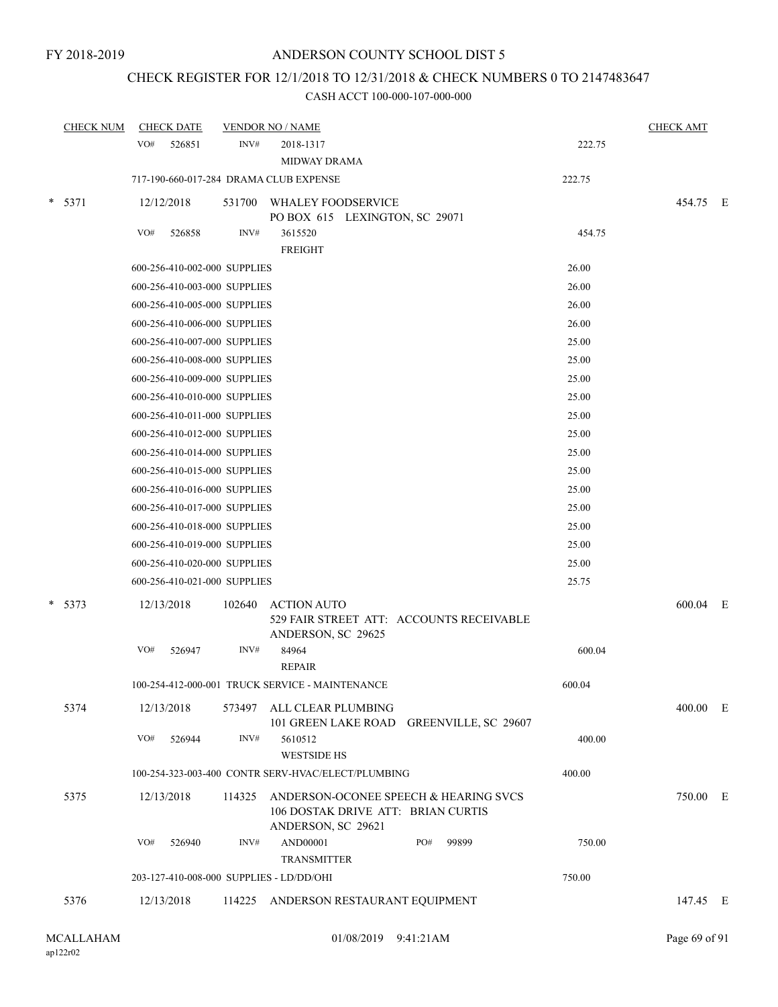## CHECK REGISTER FOR 12/1/2018 TO 12/31/2018 & CHECK NUMBERS 0 TO 2147483647

|        | <b>CHECK NUM</b> | <b>CHECK DATE</b>                        |        | <b>VENDOR NO / NAME</b>                                                                                  |        | <b>CHECK AMT</b> |  |
|--------|------------------|------------------------------------------|--------|----------------------------------------------------------------------------------------------------------|--------|------------------|--|
|        |                  | VO#<br>526851                            | INV#   | 2018-1317<br><b>MIDWAY DRAMA</b>                                                                         | 222.75 |                  |  |
|        |                  | 717-190-660-017-284 DRAMA CLUB EXPENSE   |        |                                                                                                          | 222.75 |                  |  |
| $\ast$ | 5371             | 12/12/2018                               |        | 531700 WHALEY FOODSERVICE<br>PO BOX 615 LEXINGTON, SC 29071                                              |        | 454.75 E         |  |
|        |                  | VO#<br>526858                            | INV#   | 3615520<br><b>FREIGHT</b>                                                                                | 454.75 |                  |  |
|        |                  | 600-256-410-002-000 SUPPLIES             |        |                                                                                                          | 26.00  |                  |  |
|        |                  | 600-256-410-003-000 SUPPLIES             |        |                                                                                                          | 26.00  |                  |  |
|        |                  | 600-256-410-005-000 SUPPLIES             |        |                                                                                                          | 26.00  |                  |  |
|        |                  | 600-256-410-006-000 SUPPLIES             |        |                                                                                                          | 26.00  |                  |  |
|        |                  | 600-256-410-007-000 SUPPLIES             |        |                                                                                                          | 25.00  |                  |  |
|        |                  | 600-256-410-008-000 SUPPLIES             |        |                                                                                                          | 25.00  |                  |  |
|        |                  | 600-256-410-009-000 SUPPLIES             |        |                                                                                                          | 25.00  |                  |  |
|        |                  | 600-256-410-010-000 SUPPLIES             |        |                                                                                                          | 25.00  |                  |  |
|        |                  | 600-256-410-011-000 SUPPLIES             |        |                                                                                                          | 25.00  |                  |  |
|        |                  | 600-256-410-012-000 SUPPLIES             |        |                                                                                                          | 25.00  |                  |  |
|        |                  | 600-256-410-014-000 SUPPLIES             |        |                                                                                                          | 25.00  |                  |  |
|        |                  | 600-256-410-015-000 SUPPLIES             |        |                                                                                                          | 25.00  |                  |  |
|        |                  | 600-256-410-016-000 SUPPLIES             |        |                                                                                                          | 25.00  |                  |  |
|        |                  | 600-256-410-017-000 SUPPLIES             |        |                                                                                                          | 25.00  |                  |  |
|        |                  | 600-256-410-018-000 SUPPLIES             |        |                                                                                                          | 25.00  |                  |  |
|        |                  | 600-256-410-019-000 SUPPLIES             |        |                                                                                                          | 25.00  |                  |  |
|        |                  | 600-256-410-020-000 SUPPLIES             |        |                                                                                                          | 25.00  |                  |  |
|        |                  | 600-256-410-021-000 SUPPLIES             |        |                                                                                                          | 25.75  |                  |  |
|        | $* 5373$         | 12/13/2018                               | 102640 | <b>ACTION AUTO</b><br>529 FAIR STREET ATT: ACCOUNTS RECEIVABLE<br>ANDERSON, SC 29625                     |        | 600.04 E         |  |
|        |                  | VO#<br>526947                            | INV#   | 84964<br><b>REPAIR</b>                                                                                   | 600.04 |                  |  |
|        |                  |                                          |        | 100-254-412-000-001 TRUCK SERVICE - MAINTENANCE                                                          | 600.04 |                  |  |
|        | 5374             | 12/13/2018                               |        | 573497 ALL CLEAR PLUMBING<br>101 GREEN LAKE ROAD GREENVILLE, SC 29607                                    |        | 400.00 E         |  |
|        |                  | VO#<br>526944                            | INV#   | 5610512<br><b>WESTSIDE HS</b>                                                                            | 400.00 |                  |  |
|        |                  |                                          |        | 100-254-323-003-400 CONTR SERV-HVAC/ELECT/PLUMBING                                                       | 400.00 |                  |  |
|        | 5375             | 12/13/2018                               |        | 114325 ANDERSON-OCONEE SPEECH & HEARING SVCS<br>106 DOSTAK DRIVE ATT: BRIAN CURTIS<br>ANDERSON, SC 29621 |        | 750.00 E         |  |
|        |                  | VO#<br>526940                            | INV#   | PO#<br>AND00001<br>99899<br><b>TRANSMITTER</b>                                                           | 750.00 |                  |  |
|        |                  | 203-127-410-008-000 SUPPLIES - LD/DD/OHI |        |                                                                                                          | 750.00 |                  |  |
|        | 5376             | 12/13/2018                               |        | 114225 ANDERSON RESTAURANT EQUIPMENT                                                                     |        | 147.45 E         |  |
|        |                  |                                          |        |                                                                                                          |        |                  |  |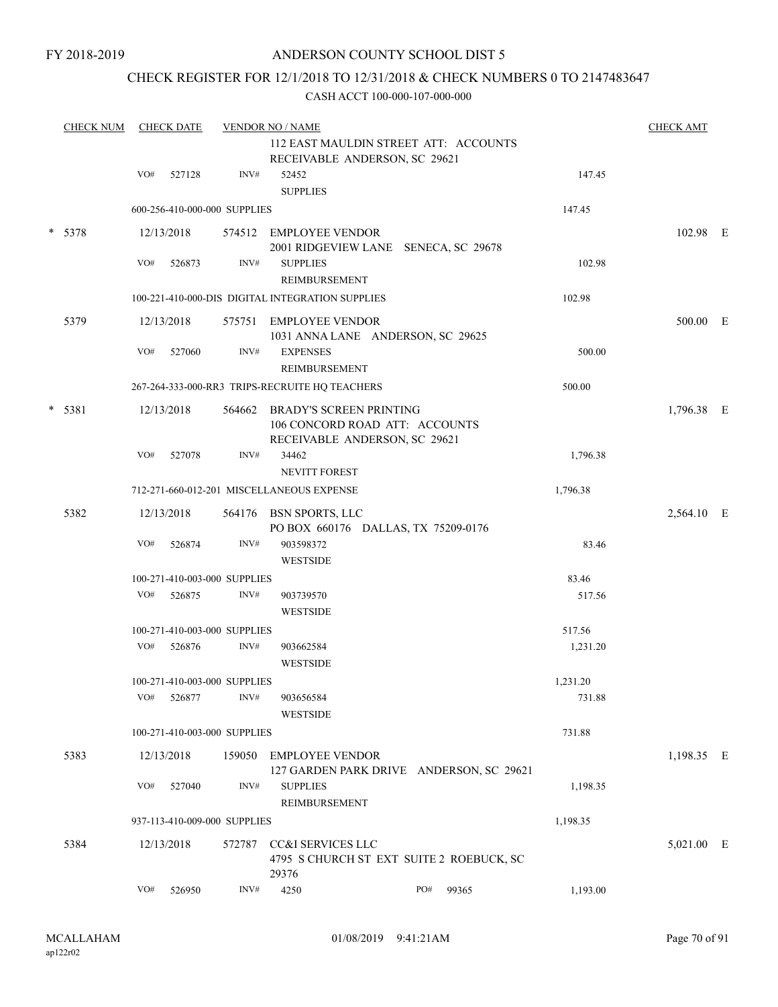## CHECK REGISTER FOR 12/1/2018 TO 12/31/2018 & CHECK NUMBERS 0 TO 2147483647

| <b>CHECK NUM</b> |     | <b>CHECK DATE</b> |                              | <b>VENDOR NO / NAME</b>                                                                           |              |          | <b>CHECK AMT</b> |  |
|------------------|-----|-------------------|------------------------------|---------------------------------------------------------------------------------------------------|--------------|----------|------------------|--|
|                  |     |                   |                              | 112 EAST MAULDIN STREET ATT: ACCOUNTS<br>RECEIVABLE ANDERSON, SC 29621                            |              |          |                  |  |
|                  | VO# | 527128            | INV#                         | 52452<br><b>SUPPLIES</b>                                                                          |              | 147.45   |                  |  |
|                  |     |                   | 600-256-410-000-000 SUPPLIES |                                                                                                   |              | 147.45   |                  |  |
| $* 5378$         |     | 12/13/2018        |                              | 574512 EMPLOYEE VENDOR<br>2001 RIDGEVIEW LANE SENECA, SC 29678                                    |              |          | 102.98 E         |  |
|                  | VO# | 526873            | INV#                         | <b>SUPPLIES</b><br>REIMBURSEMENT                                                                  |              | 102.98   |                  |  |
|                  |     |                   |                              | 100-221-410-000-DIS DIGITAL INTEGRATION SUPPLIES                                                  |              | 102.98   |                  |  |
| 5379             |     | 12/13/2018        | 575751                       | EMPLOYEE VENDOR<br>1031 ANNA LANE ANDERSON, SC 29625                                              |              |          | 500.00 E         |  |
|                  | VO# | 527060            | INV#                         | <b>EXPENSES</b><br>REIMBURSEMENT                                                                  |              | 500.00   |                  |  |
|                  |     |                   |                              | 267-264-333-000-RR3 TRIPS-RECRUITE HQ TEACHERS                                                    |              | 500.00   |                  |  |
| $* 5381$         |     | 12/13/2018        | 564662                       | <b>BRADY'S SCREEN PRINTING</b><br>106 CONCORD ROAD ATT: ACCOUNTS<br>RECEIVABLE ANDERSON, SC 29621 |              |          | 1,796.38 E       |  |
|                  | VO# | 527078            | INV#                         | 34462<br><b>NEVITT FOREST</b>                                                                     |              | 1,796.38 |                  |  |
|                  |     |                   |                              | 712-271-660-012-201 MISCELLANEOUS EXPENSE                                                         |              | 1,796.38 |                  |  |
| 5382             |     | 12/13/2018        |                              | 564176 BSN SPORTS, LLC<br>PO BOX 660176 DALLAS, TX 75209-0176                                     |              |          | 2,564.10 E       |  |
|                  | VO# | 526874            | INV#                         | 903598372<br><b>WESTSIDE</b>                                                                      |              | 83.46    |                  |  |
|                  |     |                   | 100-271-410-003-000 SUPPLIES |                                                                                                   |              | 83.46    |                  |  |
|                  | VO# | 526875            | INV#                         | 903739570<br><b>WESTSIDE</b>                                                                      |              | 517.56   |                  |  |
|                  |     |                   | 100-271-410-003-000 SUPPLIES |                                                                                                   |              | 517.56   |                  |  |
|                  | VO# | 526876            | INV#                         | 903662584<br><b>WESTSIDE</b>                                                                      |              | 1,231.20 |                  |  |
|                  |     |                   | 100-271-410-003-000 SUPPLIES |                                                                                                   |              | 1,231.20 |                  |  |
|                  | VO# | 526877            | INV#                         | 903656584<br><b>WESTSIDE</b>                                                                      |              | 731.88   |                  |  |
|                  |     |                   | 100-271-410-003-000 SUPPLIES |                                                                                                   |              | 731.88   |                  |  |
| 5383             |     | 12/13/2018        | 159050                       | <b>EMPLOYEE VENDOR</b><br>127 GARDEN PARK DRIVE ANDERSON, SC 29621                                |              |          | 1,198.35 E       |  |
|                  | VO# | 527040            | INV#                         | <b>SUPPLIES</b><br>REIMBURSEMENT                                                                  |              | 1,198.35 |                  |  |
|                  |     |                   | 937-113-410-009-000 SUPPLIES |                                                                                                   |              | 1,198.35 |                  |  |
| 5384             |     | 12/13/2018        | 572787                       | CC&I SERVICES LLC<br>4795 S CHURCH ST EXT SUITE 2 ROEBUCK, SC<br>29376                            |              |          | 5,021.00 E       |  |
|                  | VO# | 526950            | INV#                         | 4250                                                                                              | PO#<br>99365 | 1,193.00 |                  |  |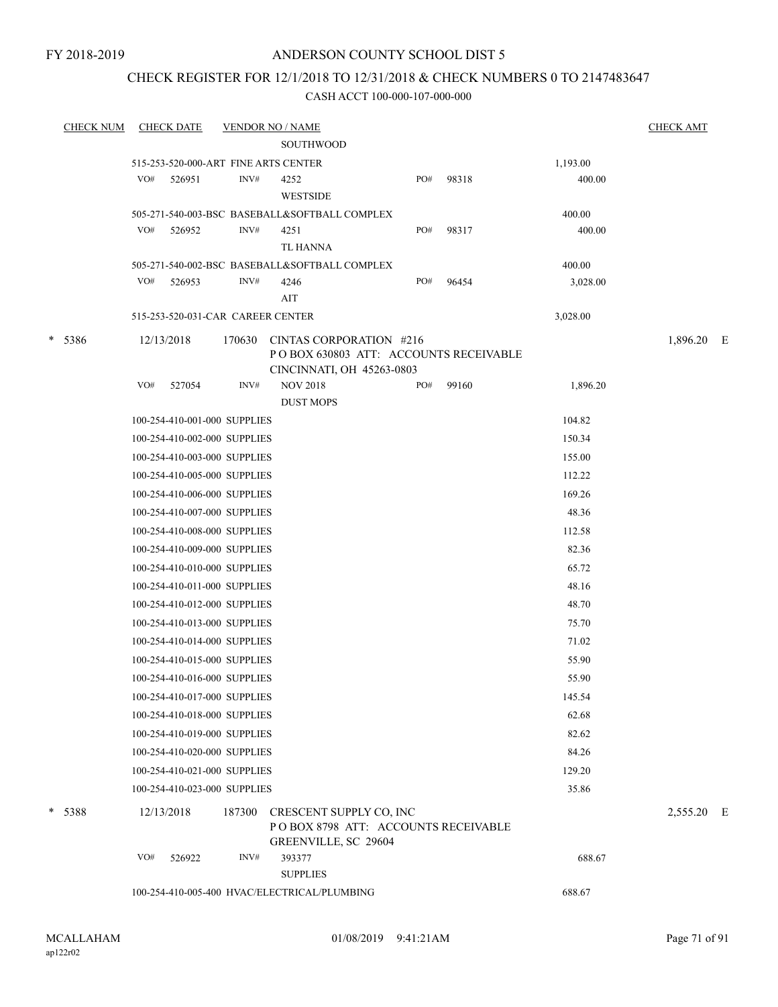## CHECK REGISTER FOR 12/1/2018 TO 12/31/2018 & CHECK NUMBERS 0 TO 2147483647

| <b>CHECK NUM</b> | <b>CHECK DATE</b>                    | <b>VENDOR NO / NAME</b> |                                                                                               |     |       |          | <b>CHECK AMT</b> |  |
|------------------|--------------------------------------|-------------------------|-----------------------------------------------------------------------------------------------|-----|-------|----------|------------------|--|
|                  |                                      |                         | <b>SOUTHWOOD</b>                                                                              |     |       |          |                  |  |
|                  | 515-253-520-000-ART FINE ARTS CENTER |                         |                                                                                               |     |       | 1,193.00 |                  |  |
|                  | VO#<br>526951                        | INV#                    | 4252<br><b>WESTSIDE</b>                                                                       | PO# | 98318 | 400.00   |                  |  |
|                  |                                      |                         | 505-271-540-003-BSC BASEBALL&SOFTBALL COMPLEX                                                 |     |       | 400.00   |                  |  |
|                  | VO#<br>526952                        | INV#                    | 4251<br><b>TL HANNA</b>                                                                       | PO# | 98317 | 400.00   |                  |  |
|                  |                                      |                         | 505-271-540-002-BSC BASEBALL&SOFTBALL COMPLEX                                                 |     |       | 400.00   |                  |  |
|                  | VO#<br>526953                        | INV#                    | 4246<br>AIT                                                                                   | PO# | 96454 | 3,028.00 |                  |  |
|                  | 515-253-520-031-CAR CAREER CENTER    |                         |                                                                                               |     |       | 3,028.00 |                  |  |
| * 5386           | 12/13/2018                           | 170630                  | CINTAS CORPORATION #216<br>POBOX 630803 ATT: ACCOUNTS RECEIVABLE                              |     |       |          | 1,896.20 E       |  |
|                  | VO#                                  | INV#                    | CINCINNATI, OH 45263-0803<br><b>NOV 2018</b>                                                  | PO# | 99160 |          |                  |  |
|                  | 527054                               |                         | <b>DUST MOPS</b>                                                                              |     |       | 1,896.20 |                  |  |
|                  | 100-254-410-001-000 SUPPLIES         |                         |                                                                                               |     |       | 104.82   |                  |  |
|                  | 100-254-410-002-000 SUPPLIES         |                         |                                                                                               |     |       | 150.34   |                  |  |
|                  | 100-254-410-003-000 SUPPLIES         |                         |                                                                                               |     |       | 155.00   |                  |  |
|                  | 100-254-410-005-000 SUPPLIES         |                         |                                                                                               |     |       | 112.22   |                  |  |
|                  | 100-254-410-006-000 SUPPLIES         |                         |                                                                                               |     |       | 169.26   |                  |  |
|                  | 100-254-410-007-000 SUPPLIES         |                         |                                                                                               |     |       | 48.36    |                  |  |
|                  | 100-254-410-008-000 SUPPLIES         |                         |                                                                                               |     |       | 112.58   |                  |  |
|                  | 100-254-410-009-000 SUPPLIES         |                         |                                                                                               |     |       | 82.36    |                  |  |
|                  | 100-254-410-010-000 SUPPLIES         |                         |                                                                                               |     |       | 65.72    |                  |  |
|                  | 100-254-410-011-000 SUPPLIES         |                         |                                                                                               |     |       | 48.16    |                  |  |
|                  | 100-254-410-012-000 SUPPLIES         |                         |                                                                                               |     |       | 48.70    |                  |  |
|                  | 100-254-410-013-000 SUPPLIES         |                         |                                                                                               |     |       | 75.70    |                  |  |
|                  | 100-254-410-014-000 SUPPLIES         |                         |                                                                                               |     |       | 71.02    |                  |  |
|                  | 100-254-410-015-000 SUPPLIES         |                         |                                                                                               |     |       | 55.90    |                  |  |
|                  | 100-254-410-016-000 SUPPLIES         |                         |                                                                                               |     |       | 55.90    |                  |  |
|                  | 100-254-410-017-000 SUPPLIES         |                         |                                                                                               |     |       | 145.54   |                  |  |
|                  | 100-254-410-018-000 SUPPLIES         |                         |                                                                                               |     |       | 62.68    |                  |  |
|                  | 100-254-410-019-000 SUPPLIES         |                         |                                                                                               |     |       | 82.62    |                  |  |
|                  | 100-254-410-020-000 SUPPLIES         |                         |                                                                                               |     |       | 84.26    |                  |  |
|                  | 100-254-410-021-000 SUPPLIES         |                         |                                                                                               |     |       | 129.20   |                  |  |
|                  | 100-254-410-023-000 SUPPLIES         |                         |                                                                                               |     |       | 35.86    |                  |  |
| * 5388           | 12/13/2018                           | 187300                  | CRESCENT SUPPLY CO, INC<br>POBOX 8798 ATT: ACCOUNTS RECEIVABLE<br><b>GREENVILLE, SC 29604</b> |     |       |          | 2,555.20 E       |  |
|                  | VO#<br>526922                        | INV#                    | 393377                                                                                        |     |       | 688.67   |                  |  |
|                  |                                      |                         | <b>SUPPLIES</b>                                                                               |     |       |          |                  |  |
|                  |                                      |                         | 100-254-410-005-400 HVAC/ELECTRICAL/PLUMBING                                                  |     |       | 688.67   |                  |  |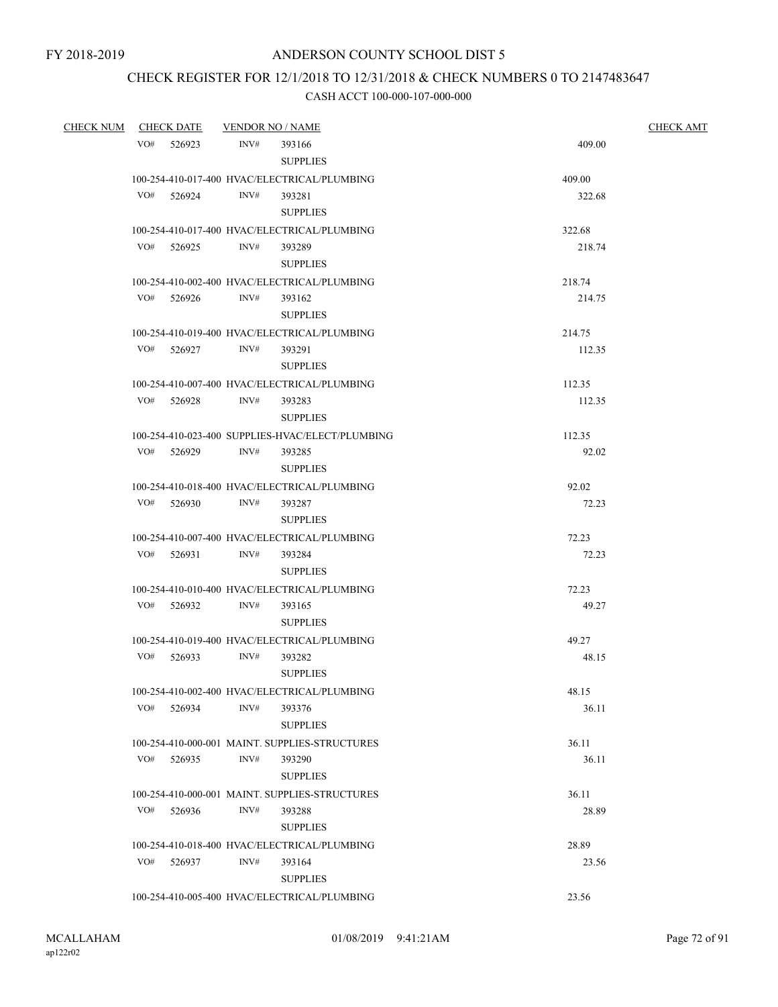## CHECK REGISTER FOR 12/1/2018 TO 12/31/2018 & CHECK NUMBERS 0 TO 2147483647

| CHECK NUM CHECK DATE | VENDOR NO / NAME |                                                          | <b>CHECK AMT</b> |  |  |
|----------------------|------------------|----------------------------------------------------------|------------------|--|--|
| VO# 526923           | INV#             | 393166                                                   | 409.00           |  |  |
|                      |                  | <b>SUPPLIES</b>                                          |                  |  |  |
|                      |                  | 100-254-410-017-400 HVAC/ELECTRICAL/PLUMBING             | 409.00           |  |  |
| VO# 526924           | INV#             | 393281                                                   | 322.68           |  |  |
|                      |                  | <b>SUPPLIES</b>                                          |                  |  |  |
|                      |                  | 100-254-410-017-400 HVAC/ELECTRICAL/PLUMBING             | 322.68           |  |  |
| VO# 526925           | INV#             | 393289                                                   | 218.74           |  |  |
|                      |                  | <b>SUPPLIES</b>                                          |                  |  |  |
|                      |                  | 100-254-410-002-400 HVAC/ELECTRICAL/PLUMBING             | 218.74           |  |  |
| VO# 526926           | INV#             | 393162                                                   | 214.75           |  |  |
|                      |                  | <b>SUPPLIES</b>                                          |                  |  |  |
|                      |                  | 100-254-410-019-400 HVAC/ELECTRICAL/PLUMBING             | 214.75           |  |  |
| VO# 526927           | INV#             | 393291                                                   | 112.35           |  |  |
|                      |                  | <b>SUPPLIES</b>                                          |                  |  |  |
| VO# 526928           | INV#             | 100-254-410-007-400 HVAC/ELECTRICAL/PLUMBING<br>393283   | 112.35<br>112.35 |  |  |
|                      |                  | <b>SUPPLIES</b>                                          |                  |  |  |
|                      |                  | 100-254-410-023-400 SUPPLIES-HVAC/ELECT/PLUMBING         | 112.35           |  |  |
| VO# 526929           | INV#             | 393285                                                   | 92.02            |  |  |
|                      |                  | <b>SUPPLIES</b>                                          |                  |  |  |
|                      |                  | 100-254-410-018-400 HVAC/ELECTRICAL/PLUMBING             | 92.02            |  |  |
| VO# 526930           | INV#             | 393287                                                   | 72.23            |  |  |
|                      |                  | <b>SUPPLIES</b>                                          |                  |  |  |
|                      |                  | 100-254-410-007-400 HVAC/ELECTRICAL/PLUMBING             | 72.23            |  |  |
| VO# 526931           | INV#             | 393284                                                   | 72.23            |  |  |
|                      |                  | <b>SUPPLIES</b>                                          |                  |  |  |
|                      |                  | 100-254-410-010-400 HVAC/ELECTRICAL/PLUMBING             | 72.23            |  |  |
| VO# 526932           | INV#             | 393165                                                   | 49.27            |  |  |
|                      |                  | <b>SUPPLIES</b>                                          |                  |  |  |
|                      |                  | 100-254-410-019-400 HVAC/ELECTRICAL/PLUMBING             | 49.27            |  |  |
| VO# 526933           | INV#             | 393282                                                   | 48.15            |  |  |
|                      |                  | <b>SUPPLIES</b>                                          |                  |  |  |
|                      |                  | 100-254-410-002-400 HVAC/ELECTRICAL/PLUMBING             | 48.15            |  |  |
| VO#<br>526934        | INV#             | 393376                                                   | 36.11            |  |  |
|                      |                  | <b>SUPPLIES</b>                                          |                  |  |  |
|                      |                  | 100-254-410-000-001 MAINT. SUPPLIES-STRUCTURES           | 36.11            |  |  |
| VO#<br>526935        | INV#             | 393290                                                   | 36.11            |  |  |
|                      |                  | <b>SUPPLIES</b>                                          |                  |  |  |
| VO#<br>526936        | INV#             | 100-254-410-000-001 MAINT. SUPPLIES-STRUCTURES<br>393288 | 36.11<br>28.89   |  |  |
|                      |                  | <b>SUPPLIES</b>                                          |                  |  |  |
|                      |                  | 100-254-410-018-400 HVAC/ELECTRICAL/PLUMBING             | 28.89            |  |  |
| VO#<br>526937        | INV#             | 393164                                                   | 23.56            |  |  |
|                      |                  | <b>SUPPLIES</b>                                          |                  |  |  |
|                      |                  | 100-254-410-005-400 HVAC/ELECTRICAL/PLUMBING             | 23.56            |  |  |
|                      |                  |                                                          |                  |  |  |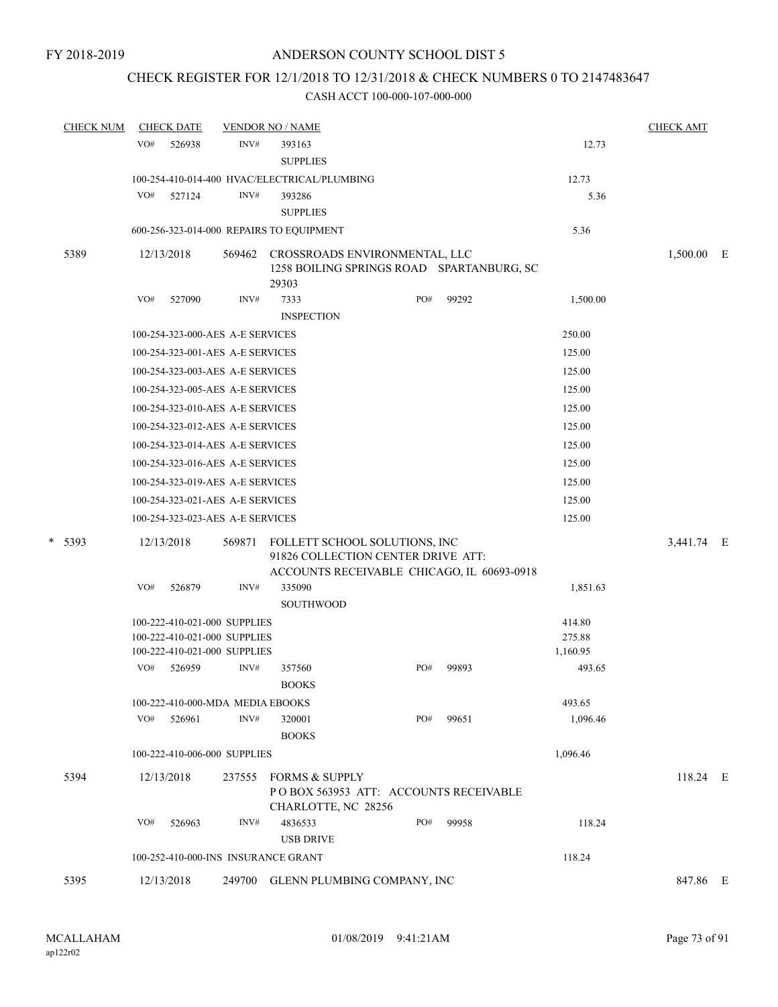### CHECK REGISTER FOR 12/1/2018 TO 12/31/2018 & CHECK NUMBERS 0 TO 2147483647

| <b>CHECK NUM</b> | <b>CHECK DATE</b>                          |        |                                      | <b>VENDOR NO / NAME</b>                                                                                           |     |  |       |          | <b>CHECK AMT</b> |          |  |
|------------------|--------------------------------------------|--------|--------------------------------------|-------------------------------------------------------------------------------------------------------------------|-----|--|-------|----------|------------------|----------|--|
|                  | VO#                                        | 526938 | INV#                                 | 393163<br><b>SUPPLIES</b>                                                                                         |     |  |       | 12.73    |                  |          |  |
|                  |                                            |        |                                      | 100-254-410-014-400 HVAC/ELECTRICAL/PLUMBING                                                                      |     |  |       | 12.73    |                  |          |  |
|                  | VO#                                        | 527124 | INV#                                 | 393286<br><b>SUPPLIES</b>                                                                                         |     |  |       | 5.36     |                  |          |  |
|                  |                                            |        |                                      | 600-256-323-014-000 REPAIRS TO EQUIPMENT                                                                          |     |  |       | 5.36     |                  |          |  |
| 5389             | 12/13/2018                                 |        | 569462                               | CROSSROADS ENVIRONMENTAL, LLC<br>1258 BOILING SPRINGS ROAD SPARTANBURG, SC<br>29303                               |     |  |       |          | 1,500.00 E       |          |  |
|                  | VO#                                        | 527090 | INV#                                 | 7333<br><b>INSPECTION</b>                                                                                         | PO# |  | 99292 | 1,500.00 |                  |          |  |
|                  |                                            |        | 100-254-323-000-AES A-E SERVICES     |                                                                                                                   |     |  |       | 250.00   |                  |          |  |
|                  | 100-254-323-001-AES A-E SERVICES<br>125.00 |        |                                      |                                                                                                                   |     |  |       |          |                  |          |  |
|                  |                                            |        | 100-254-323-003-AES A-E SERVICES     |                                                                                                                   |     |  |       | 125.00   |                  |          |  |
|                  |                                            |        | 100-254-323-005-AES A-E SERVICES     |                                                                                                                   |     |  |       | 125.00   |                  |          |  |
|                  | 100-254-323-010-AES A-E SERVICES<br>125.00 |        |                                      |                                                                                                                   |     |  |       |          |                  |          |  |
|                  | 125.00<br>100-254-323-012-AES A-E SERVICES |        |                                      |                                                                                                                   |     |  |       |          |                  |          |  |
|                  | 100-254-323-014-AES A-E SERVICES<br>125.00 |        |                                      |                                                                                                                   |     |  |       |          |                  |          |  |
|                  |                                            |        | 100-254-323-016-AES A-E SERVICES     |                                                                                                                   |     |  |       | 125.00   |                  |          |  |
|                  |                                            |        | 100-254-323-019-AES A-E SERVICES     |                                                                                                                   |     |  |       | 125.00   |                  |          |  |
|                  |                                            |        | 100-254-323-021-AES A-E SERVICES     |                                                                                                                   |     |  |       | 125.00   |                  |          |  |
|                  |                                            |        | 100-254-323-023-AES A-E SERVICES     |                                                                                                                   |     |  |       | 125.00   |                  |          |  |
| $*$ 5393         | 12/13/2018                                 |        | 569871                               | FOLLETT SCHOOL SOLUTIONS, INC<br>91826 COLLECTION CENTER DRIVE ATT:<br>ACCOUNTS RECEIVABLE CHICAGO, IL 60693-0918 |     |  |       |          | 3,441.74 E       |          |  |
|                  | VO#                                        | 526879 | INV#                                 | 335090<br><b>SOUTHWOOD</b>                                                                                        |     |  |       | 1,851.63 |                  |          |  |
|                  |                                            |        | 100-222-410-021-000 SUPPLIES         |                                                                                                                   |     |  |       | 414.80   |                  |          |  |
|                  |                                            |        | 100-222-410-021-000 SUPPLIES         |                                                                                                                   |     |  |       | 275.88   |                  |          |  |
|                  | VO#                                        |        | 100-222-410-021-000 SUPPLIES<br>INV# |                                                                                                                   | PO# |  |       | 1,160.95 |                  |          |  |
|                  |                                            | 526959 |                                      | 357560<br><b>BOOKS</b>                                                                                            |     |  | 99893 | 493.65   |                  |          |  |
|                  |                                            |        | 100-222-410-000-MDA MEDIA EBOOKS     |                                                                                                                   |     |  |       | 493.65   |                  |          |  |
|                  | VO#                                        | 526961 | INV#                                 | 320001<br><b>BOOKS</b>                                                                                            | PO# |  | 99651 | 1,096.46 |                  |          |  |
|                  |                                            |        | 100-222-410-006-000 SUPPLIES         |                                                                                                                   |     |  |       | 1,096.46 |                  |          |  |
| 5394             | 12/13/2018                                 |        | 237555                               | FORMS & SUPPLY<br>PO BOX 563953 ATT: ACCOUNTS RECEIVABLE<br>CHARLOTTE, NC 28256                                   |     |  |       |          |                  | 118.24 E |  |
|                  | VO#                                        | 526963 | INV#                                 | 4836533<br><b>USB DRIVE</b>                                                                                       | PO# |  | 99958 | 118.24   |                  |          |  |
|                  |                                            |        |                                      | 100-252-410-000-INS INSURANCE GRANT                                                                               |     |  |       | 118.24   |                  |          |  |
| 5395             | 12/13/2018                                 |        |                                      | 249700 GLENN PLUMBING COMPANY, INC                                                                                |     |  |       |          |                  | 847.86 E |  |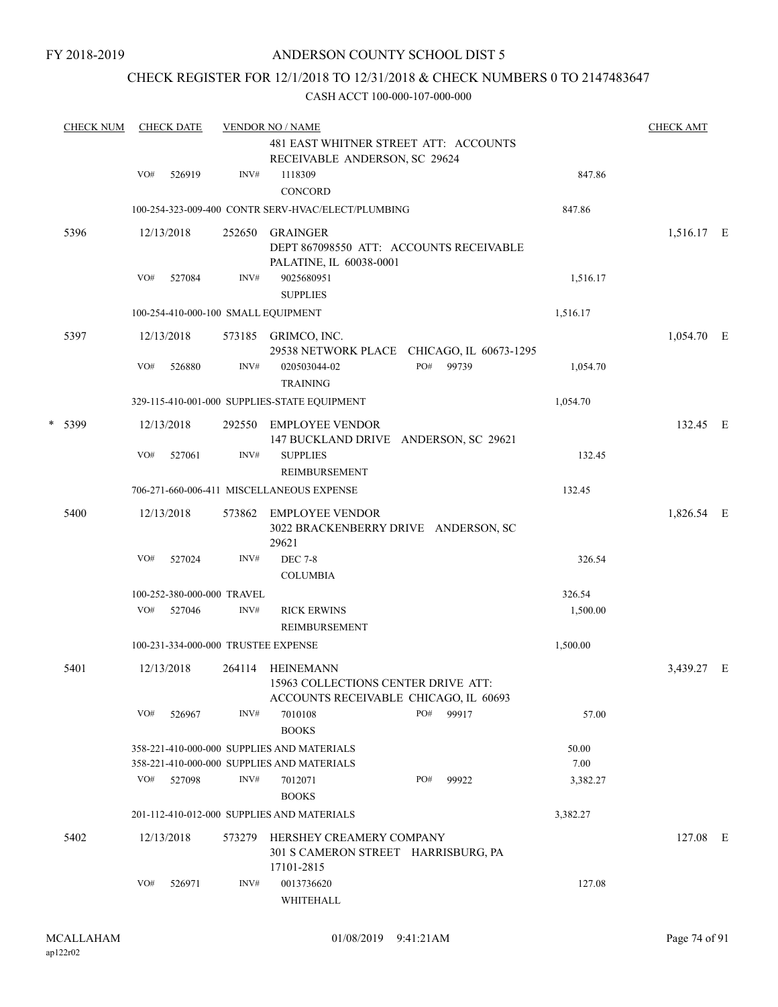### CHECK REGISTER FOR 12/1/2018 TO 12/31/2018 & CHECK NUMBERS 0 TO 2147483647

| <b>CHECK NUM</b> |     | <b>CHECK DATE</b> |                            | <b>VENDOR NO / NAME</b>                                                                          | <b>CHECK AMT</b> |       |          |            |  |
|------------------|-----|-------------------|----------------------------|--------------------------------------------------------------------------------------------------|------------------|-------|----------|------------|--|
|                  |     |                   |                            | 481 EAST WHITNER STREET ATT: ACCOUNTS<br>RECEIVABLE ANDERSON, SC 29624                           |                  |       |          |            |  |
|                  | VO# | 526919            | INV#                       | 1118309<br><b>CONCORD</b>                                                                        |                  |       | 847.86   |            |  |
|                  |     |                   |                            | 100-254-323-009-400 CONTR SERV-HVAC/ELECT/PLUMBING                                               |                  |       | 847.86   |            |  |
| 5396             |     | 12/13/2018        | 252650                     | <b>GRAINGER</b><br>DEPT 867098550 ATT: ACCOUNTS RECEIVABLE<br>PALATINE, IL 60038-0001            |                  |       |          | 1,516.17 E |  |
|                  | VO# | 527084            | INV#                       | 9025680951<br><b>SUPPLIES</b>                                                                    |                  |       | 1,516.17 |            |  |
|                  |     |                   |                            | 100-254-410-000-100 SMALL EQUIPMENT                                                              |                  |       | 1,516.17 |            |  |
| 5397             |     | 12/13/2018        |                            | 573185 GRIMCO, INC.<br>29538 NETWORK PLACE CHICAGO, IL 60673-1295                                |                  |       |          | 1,054.70 E |  |
|                  | VO# | 526880            | INV#                       | 020503044-02<br><b>TRAINING</b>                                                                  | PO#              | 99739 | 1,054.70 |            |  |
|                  |     |                   |                            | 329-115-410-001-000 SUPPLIES-STATE EQUIPMENT                                                     |                  |       | 1,054.70 |            |  |
| * 5399           |     | 12/13/2018        | 292550                     | <b>EMPLOYEE VENDOR</b><br>147 BUCKLAND DRIVE ANDERSON, SC 29621                                  |                  |       |          | 132.45 E   |  |
|                  | VO# | 527061            | INV#                       | <b>SUPPLIES</b><br><b>REIMBURSEMENT</b>                                                          |                  |       | 132.45   |            |  |
|                  |     |                   |                            | 706-271-660-006-411 MISCELLANEOUS EXPENSE                                                        |                  |       | 132.45   |            |  |
| 5400             |     | 12/13/2018        | 573862                     | EMPLOYEE VENDOR<br>3022 BRACKENBERRY DRIVE ANDERSON, SC<br>29621                                 |                  |       |          | 1,826.54 E |  |
|                  | VO# | 527024            | INV#                       | <b>DEC 7-8</b><br><b>COLUMBIA</b>                                                                |                  |       | 326.54   |            |  |
|                  |     |                   | 100-252-380-000-000 TRAVEL |                                                                                                  |                  |       | 326.54   |            |  |
|                  | VO# | 527046            | INV#                       | <b>RICK ERWINS</b>                                                                               |                  |       | 1,500.00 |            |  |
|                  |     |                   |                            | <b>REIMBURSEMENT</b>                                                                             |                  |       |          |            |  |
|                  |     |                   |                            | 100-231-334-000-000 TRUSTEE EXPENSE                                                              |                  |       | 1,500.00 |            |  |
| 5401             |     | 12/13/2018        | 264114                     | <b>HEINEMANN</b><br>15963 COLLECTIONS CENTER DRIVE ATT:<br>ACCOUNTS RECEIVABLE CHICAGO, IL 60693 |                  |       |          | 3,439.27 E |  |
|                  | VO# | 526967            | INV#                       | 7010108<br><b>BOOKS</b>                                                                          | PO#              | 99917 | 57.00    |            |  |
|                  |     |                   |                            | 358-221-410-000-000 SUPPLIES AND MATERIALS                                                       |                  |       | 50.00    |            |  |
|                  |     |                   |                            | 358-221-410-000-000 SUPPLIES AND MATERIALS                                                       |                  |       | 7.00     |            |  |
|                  | VO# | 527098            | INV#                       | 7012071<br><b>BOOKS</b>                                                                          | PO#              | 99922 | 3,382.27 |            |  |
|                  |     |                   |                            | 201-112-410-012-000 SUPPLIES AND MATERIALS                                                       |                  |       | 3,382.27 |            |  |
| 5402             |     | 12/13/2018        | 573279                     | HERSHEY CREAMERY COMPANY<br>301 S CAMERON STREET HARRISBURG, PA<br>17101-2815                    |                  |       |          | 127.08 E   |  |
|                  | VO# | 526971            | INV#                       | 0013736620<br>WHITEHALL                                                                          |                  |       | 127.08   |            |  |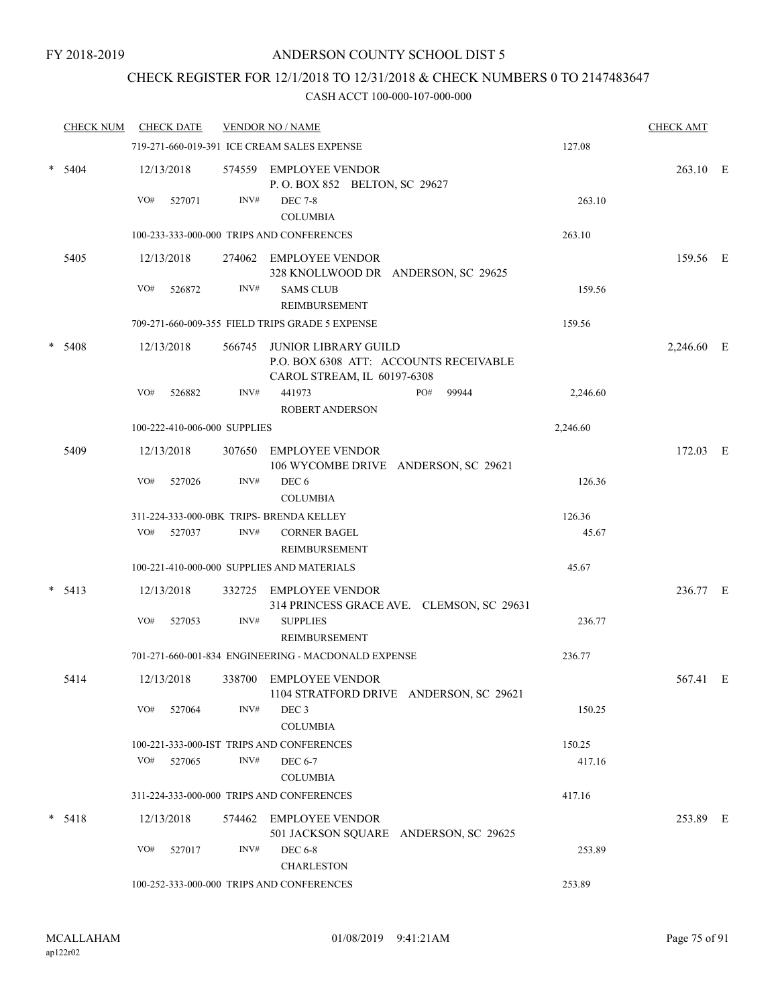### CHECK REGISTER FOR 12/1/2018 TO 12/31/2018 & CHECK NUMBERS 0 TO 2147483647

|   | <b>CHECK NUM</b> |     | <b>CHECK DATE</b>            |      | <b>VENDOR NO / NAME</b>                                                                              |          | <b>CHECK AMT</b> |  |
|---|------------------|-----|------------------------------|------|------------------------------------------------------------------------------------------------------|----------|------------------|--|
|   |                  |     |                              |      | 719-271-660-019-391 ICE CREAM SALES EXPENSE                                                          | 127.08   |                  |  |
| * | 5404             |     | 12/13/2018                   |      | 574559 EMPLOYEE VENDOR<br>P.O. BOX 852 BELTON, SC 29627                                              |          | 263.10 E         |  |
|   |                  | VO# | 527071                       | INV# | <b>DEC 7-8</b><br><b>COLUMBIA</b>                                                                    | 263.10   |                  |  |
|   |                  |     |                              |      | 100-233-333-000-000 TRIPS AND CONFERENCES                                                            | 263.10   |                  |  |
|   | 5405             |     | 12/13/2018                   |      | 274062 EMPLOYEE VENDOR<br>328 KNOLLWOOD DR ANDERSON, SC 29625                                        |          | 159.56 E         |  |
|   |                  | VO# | 526872                       | INV# | <b>SAMS CLUB</b><br><b>REIMBURSEMENT</b>                                                             | 159.56   |                  |  |
|   |                  |     |                              |      | 709-271-660-009-355 FIELD TRIPS GRADE 5 EXPENSE                                                      | 159.56   |                  |  |
|   | 5408             |     | 12/13/2018                   |      | 566745 JUNIOR LIBRARY GUILD<br>P.O. BOX 6308 ATT: ACCOUNTS RECEIVABLE<br>CAROL STREAM, IL 60197-6308 |          | 2,246.60 E       |  |
|   |                  | VO# | 526882                       | INV# | 441973<br>PO#<br>99944<br>ROBERT ANDERSON                                                            | 2,246.60 |                  |  |
|   |                  |     | 100-222-410-006-000 SUPPLIES |      |                                                                                                      | 2,246.60 |                  |  |
|   | 5409             |     | 12/13/2018                   |      | 307650 EMPLOYEE VENDOR<br>106 WYCOMBE DRIVE ANDERSON, SC 29621                                       |          | 172.03 E         |  |
|   |                  | VO# | 527026                       | INV# | DEC 6<br><b>COLUMBIA</b>                                                                             | 126.36   |                  |  |
|   |                  |     |                              |      | 311-224-333-000-0BK TRIPS- BRENDA KELLEY                                                             | 126.36   |                  |  |
|   |                  | VO# | 527037                       | INV# | <b>CORNER BAGEL</b><br>REIMBURSEMENT                                                                 | 45.67    |                  |  |
|   |                  |     |                              |      | 100-221-410-000-000 SUPPLIES AND MATERIALS                                                           | 45.67    |                  |  |
|   | 5413             |     | 12/13/2018                   |      | 332725 EMPLOYEE VENDOR<br>314 PRINCESS GRACE AVE. CLEMSON, SC 29631                                  |          | 236.77 E         |  |
|   |                  | VO# | 527053                       | INV# | <b>SUPPLIES</b><br>REIMBURSEMENT                                                                     | 236.77   |                  |  |
|   |                  |     |                              |      | 701-271-660-001-834 ENGINEERING - MACDONALD EXPENSE                                                  | 236.77   |                  |  |
|   | 5414             |     | 12/13/2018                   |      | 338700 EMPLOYEE VENDOR<br>1104 STRATFORD DRIVE ANDERSON, SC 29621                                    |          | 567.41 E         |  |
|   |                  | VO# | 527064                       | INV# | DEC <sub>3</sub><br><b>COLUMBIA</b>                                                                  | 150.25   |                  |  |
|   |                  |     |                              |      | 100-221-333-000-IST TRIPS AND CONFERENCES                                                            | 150.25   |                  |  |
|   |                  | VO# | 527065                       | INV# | <b>DEC 6-7</b><br><b>COLUMBIA</b>                                                                    | 417.16   |                  |  |
|   |                  |     |                              |      | 311-224-333-000-000 TRIPS AND CONFERENCES                                                            | 417.16   |                  |  |
|   | $* 5418$         |     | 12/13/2018                   |      | 574462 EMPLOYEE VENDOR<br>501 JACKSON SQUARE ANDERSON, SC 29625                                      |          | 253.89 E         |  |
|   |                  | VO# | 527017                       | INV# | <b>DEC 6-8</b><br><b>CHARLESTON</b>                                                                  | 253.89   |                  |  |
|   |                  |     |                              |      | 100-252-333-000-000 TRIPS AND CONFERENCES                                                            | 253.89   |                  |  |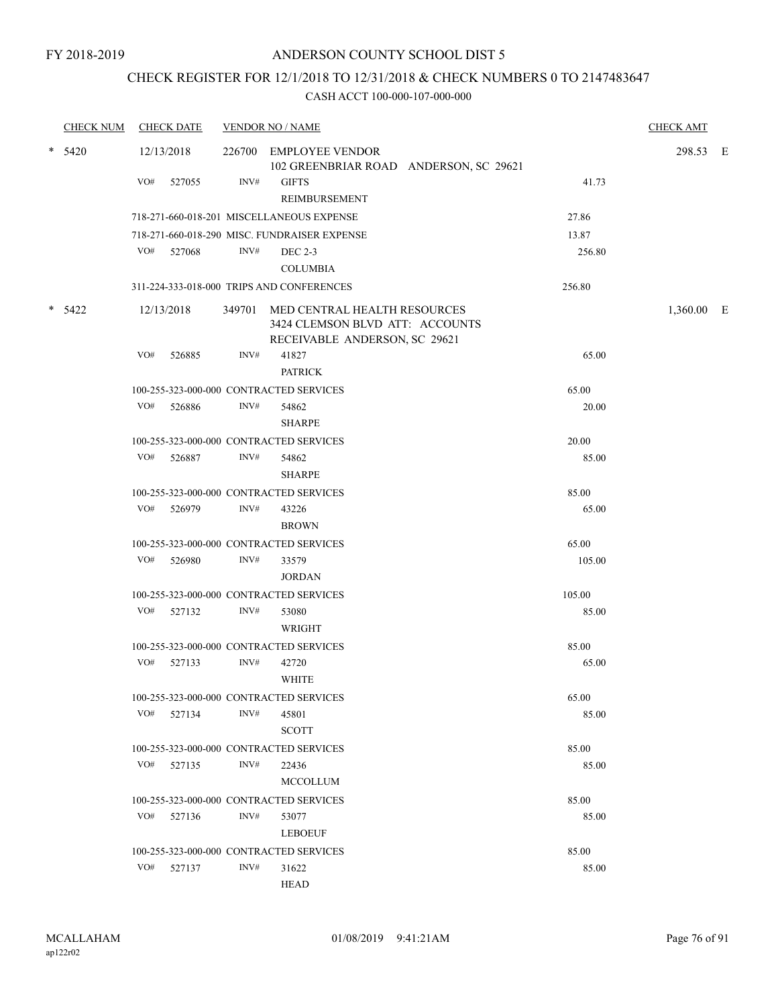### CHECK REGISTER FOR 12/1/2018 TO 12/31/2018 & CHECK NUMBERS 0 TO 2147483647

|        | <b>CHECK NUM</b> |     | <b>CHECK DATE</b> |      | <b>VENDOR NO / NAME</b>                                                                                 |        | <b>CHECK AMT</b> |  |
|--------|------------------|-----|-------------------|------|---------------------------------------------------------------------------------------------------------|--------|------------------|--|
| $\ast$ | 5420             |     | 12/13/2018        |      | 226700 EMPLOYEE VENDOR<br>102 GREENBRIAR ROAD ANDERSON, SC 29621                                        |        | 298.53 E         |  |
|        |                  | VO# | 527055            | INV# | <b>GIFTS</b><br>REIMBURSEMENT                                                                           | 41.73  |                  |  |
|        |                  |     |                   |      | 718-271-660-018-201 MISCELLANEOUS EXPENSE                                                               | 27.86  |                  |  |
|        |                  |     |                   |      | 718-271-660-018-290 MISC. FUNDRAISER EXPENSE                                                            | 13.87  |                  |  |
|        |                  |     | VO# 527068        | INV# | <b>DEC 2-3</b><br><b>COLUMBIA</b>                                                                       | 256.80 |                  |  |
|        |                  |     |                   |      | 311-224-333-018-000 TRIPS AND CONFERENCES                                                               | 256.80 |                  |  |
|        | $* 5422$         |     | 12/13/2018        |      | 349701 MED CENTRAL HEALTH RESOURCES<br>3424 CLEMSON BLVD ATT: ACCOUNTS<br>RECEIVABLE ANDERSON, SC 29621 |        | 1,360.00 E       |  |
|        |                  | VO# | 526885            | INV# | 41827<br><b>PATRICK</b>                                                                                 | 65.00  |                  |  |
|        |                  |     |                   |      | 100-255-323-000-000 CONTRACTED SERVICES                                                                 | 65.00  |                  |  |
|        |                  | VO# | 526886            | INV# | 54862<br><b>SHARPE</b>                                                                                  | 20.00  |                  |  |
|        |                  |     |                   |      | 100-255-323-000-000 CONTRACTED SERVICES                                                                 | 20.00  |                  |  |
|        |                  | VO# | 526887            | INV# | 54862<br><b>SHARPE</b>                                                                                  | 85.00  |                  |  |
|        |                  |     |                   |      | 100-255-323-000-000 CONTRACTED SERVICES                                                                 | 85.00  |                  |  |
|        |                  |     | VO# 526979        | INV# | 43226<br><b>BROWN</b>                                                                                   | 65.00  |                  |  |
|        |                  |     |                   |      | 100-255-323-000-000 CONTRACTED SERVICES                                                                 | 65.00  |                  |  |
|        |                  | VO# | 526980            | INV# | 33579<br><b>JORDAN</b>                                                                                  | 105.00 |                  |  |
|        |                  |     |                   |      | 100-255-323-000-000 CONTRACTED SERVICES                                                                 | 105.00 |                  |  |
|        |                  |     | VO# 527132        | INV# | 53080<br>WRIGHT                                                                                         | 85.00  |                  |  |
|        |                  |     |                   |      | 100-255-323-000-000 CONTRACTED SERVICES                                                                 | 85.00  |                  |  |
|        |                  |     | VO# 527133        | INV# | 42720<br><b>WHITE</b>                                                                                   | 65.00  |                  |  |
|        |                  |     |                   |      | 100-255-323-000-000 CONTRACTED SERVICES                                                                 | 65.00  |                  |  |
|        |                  | VO# | 527134            | INV# | 45801<br><b>SCOTT</b>                                                                                   | 85.00  |                  |  |
|        |                  |     |                   |      | 100-255-323-000-000 CONTRACTED SERVICES                                                                 | 85.00  |                  |  |
|        |                  |     | VO# 527135        | INV# | 22436<br><b>MCCOLLUM</b>                                                                                | 85.00  |                  |  |
|        |                  |     |                   |      | 100-255-323-000-000 CONTRACTED SERVICES                                                                 | 85.00  |                  |  |
|        |                  | VO# | 527136            | INV# | 53077<br><b>LEBOEUF</b>                                                                                 | 85.00  |                  |  |
|        |                  |     |                   |      | 100-255-323-000-000 CONTRACTED SERVICES                                                                 | 85.00  |                  |  |
|        |                  |     | VO# 527137        | INV# | 31622<br>HEAD                                                                                           | 85.00  |                  |  |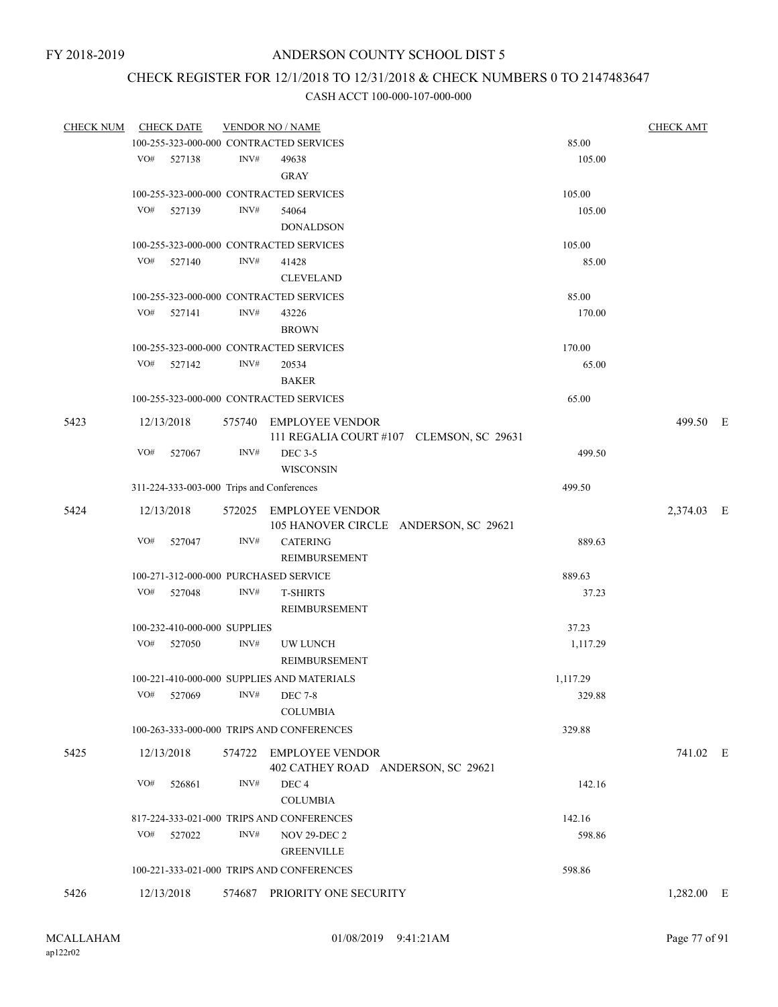## CHECK REGISTER FOR 12/1/2018 TO 12/31/2018 & CHECK NUMBERS 0 TO 2147483647

CASH ACCT 100-000-107-000-000

| <b>CHECK NUM</b> | <b>CHECK DATE</b> |                              |                | <b>VENDOR NO / NAME</b>                                            |          | <b>CHECK AMT</b> |  |
|------------------|-------------------|------------------------------|----------------|--------------------------------------------------------------------|----------|------------------|--|
|                  |                   |                              |                | 100-255-323-000-000 CONTRACTED SERVICES                            | 85.00    |                  |  |
|                  | VO# 527138        |                              | INV#           | 49638<br><b>GRAY</b>                                               | 105.00   |                  |  |
|                  |                   |                              |                | 100-255-323-000-000 CONTRACTED SERVICES                            | 105.00   |                  |  |
|                  | VO#               | 527139                       | INV#           | 54064                                                              | 105.00   |                  |  |
|                  |                   |                              |                | <b>DONALDSON</b>                                                   |          |                  |  |
|                  |                   |                              |                |                                                                    |          |                  |  |
|                  |                   |                              |                | 100-255-323-000-000 CONTRACTED SERVICES                            | 105.00   |                  |  |
|                  | VO#               | 527140                       | INV#           | 41428<br><b>CLEVELAND</b>                                          | 85.00    |                  |  |
|                  |                   |                              |                | 100-255-323-000-000 CONTRACTED SERVICES                            | 85.00    |                  |  |
|                  | VO#               | 527141                       | INV#           | 43226<br><b>BROWN</b>                                              | 170.00   |                  |  |
|                  |                   |                              |                | 100-255-323-000-000 CONTRACTED SERVICES                            | 170.00   |                  |  |
|                  | VO# 527142        |                              | INV#           | 20534                                                              | 65.00    |                  |  |
|                  |                   |                              |                | <b>BAKER</b>                                                       |          |                  |  |
|                  |                   |                              |                | 100-255-323-000-000 CONTRACTED SERVICES                            | 65.00    |                  |  |
| 5423             | 12/13/2018        |                              |                | 575740 EMPLOYEE VENDOR<br>111 REGALIA COURT #107 CLEMSON, SC 29631 |          | 499.50 E         |  |
|                  | VO#               | 527067                       | INV#           | <b>DEC 3-5</b><br><b>WISCONSIN</b>                                 | 499.50   |                  |  |
|                  |                   |                              |                | 311-224-333-003-000 Trips and Conferences                          | 499.50   |                  |  |
| 5424             | 12/13/2018        |                              |                | 572025 EMPLOYEE VENDOR<br>105 HANOVER CIRCLE ANDERSON, SC 29621    |          | 2,374.03 E       |  |
|                  | VO#               | 527047                       | INV#           | <b>CATERING</b><br>REIMBURSEMENT                                   | 889.63   |                  |  |
|                  |                   |                              |                | 100-271-312-000-000 PURCHASED SERVICE                              | 889.63   |                  |  |
|                  | VO#               | 527048                       | $\text{INV}\#$ | <b>T-SHIRTS</b>                                                    | 37.23    |                  |  |
|                  |                   |                              |                | REIMBURSEMENT                                                      |          |                  |  |
|                  |                   | 100-232-410-000-000 SUPPLIES |                |                                                                    | 37.23    |                  |  |
|                  | VO#               | 527050                       | INV#           | UW LUNCH                                                           | 1,117.29 |                  |  |
|                  |                   |                              |                | REIMBURSEMENT                                                      |          |                  |  |
|                  |                   |                              |                | 100-221-410-000-000 SUPPLIES AND MATERIALS                         | 1,117.29 |                  |  |
|                  | VO#               | 527069                       |                | INV# DEC 7-8                                                       | 329.88   |                  |  |
|                  |                   |                              |                | <b>COLUMBIA</b>                                                    |          |                  |  |
|                  |                   |                              |                | 100-263-333-000-000 TRIPS AND CONFERENCES                          | 329.88   |                  |  |
| 5425             | 12/13/2018        |                              |                | 574722 EMPLOYEE VENDOR<br>402 CATHEY ROAD ANDERSON, SC 29621       |          | 741.02 E         |  |
|                  | VO#               | 526861                       | INV#           | DEC <sub>4</sub><br><b>COLUMBIA</b>                                | 142.16   |                  |  |
|                  |                   |                              |                | 817-224-333-021-000 TRIPS AND CONFERENCES                          | 142.16   |                  |  |
|                  | VO#               | 527022                       | INV#           | <b>NOV 29-DEC 2</b>                                                | 598.86   |                  |  |
|                  |                   |                              |                | <b>GREENVILLE</b>                                                  |          |                  |  |
|                  |                   |                              |                | 100-221-333-021-000 TRIPS AND CONFERENCES                          | 598.86   |                  |  |
|                  |                   |                              |                |                                                                    |          |                  |  |
| 5426             | 12/13/2018        |                              |                | 574687 PRIORITY ONE SECURITY                                       |          | $1,282.00$ E     |  |

ap122r02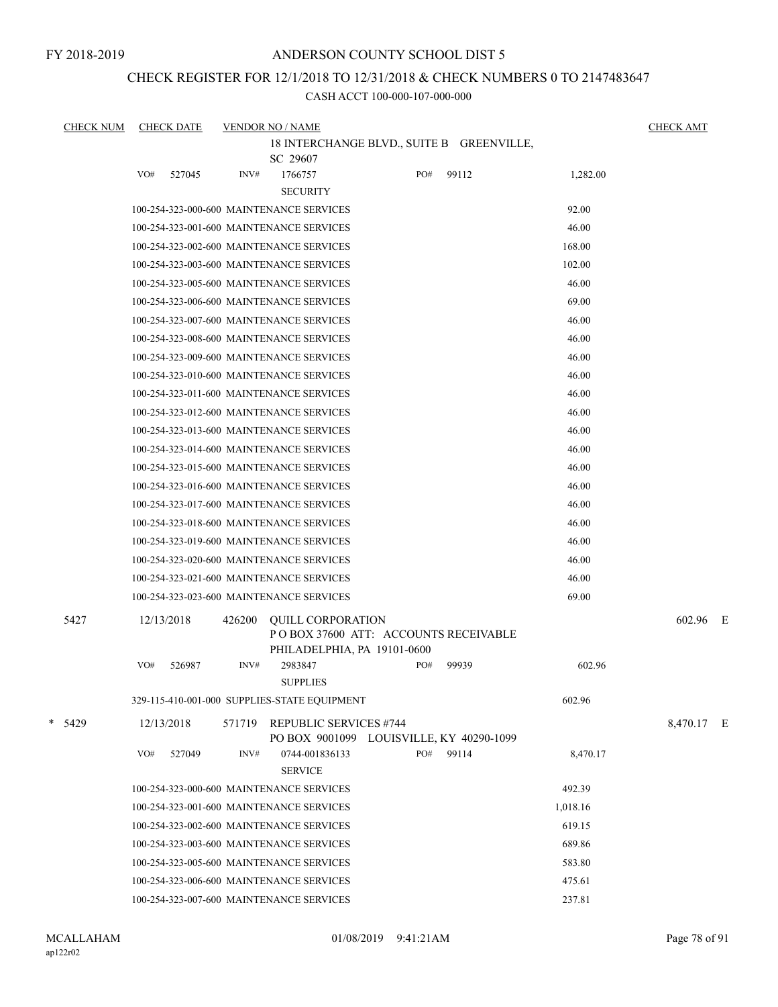FY 2018-2019

### ANDERSON COUNTY SCHOOL DIST 5

# CHECK REGISTER FOR 12/1/2018 TO 12/31/2018 & CHECK NUMBERS 0 TO 2147483647

| <b>CHECK NUM</b> |            | <b>CHECK DATE</b> |        | <b>VENDOR NO / NAME</b>                      |     |       |          | <b>CHECK AMT</b> |  |
|------------------|------------|-------------------|--------|----------------------------------------------|-----|-------|----------|------------------|--|
|                  |            |                   |        | 18 INTERCHANGE BLVD., SUITE B GREENVILLE,    |     |       |          |                  |  |
|                  |            |                   |        | SC 29607                                     |     |       |          |                  |  |
|                  | VO#        | 527045            | INV#   | 1766757                                      | PO# | 99112 | 1,282.00 |                  |  |
|                  |            |                   |        | <b>SECURITY</b>                              |     |       |          |                  |  |
|                  |            |                   |        | 100-254-323-000-600 MAINTENANCE SERVICES     |     |       | 92.00    |                  |  |
|                  |            |                   |        | 100-254-323-001-600 MAINTENANCE SERVICES     |     |       | 46.00    |                  |  |
|                  |            |                   |        | 100-254-323-002-600 MAINTENANCE SERVICES     |     |       | 168.00   |                  |  |
|                  |            |                   |        | 100-254-323-003-600 MAINTENANCE SERVICES     |     |       | 102.00   |                  |  |
|                  |            |                   |        | 100-254-323-005-600 MAINTENANCE SERVICES     |     |       | 46.00    |                  |  |
|                  |            |                   |        | 100-254-323-006-600 MAINTENANCE SERVICES     |     |       | 69.00    |                  |  |
|                  |            |                   |        | 100-254-323-007-600 MAINTENANCE SERVICES     |     |       | 46.00    |                  |  |
|                  |            |                   |        | 100-254-323-008-600 MAINTENANCE SERVICES     |     |       | 46.00    |                  |  |
|                  |            |                   |        | 100-254-323-009-600 MAINTENANCE SERVICES     |     |       | 46.00    |                  |  |
|                  |            |                   |        | 100-254-323-010-600 MAINTENANCE SERVICES     |     |       | 46.00    |                  |  |
|                  |            |                   |        | 100-254-323-011-600 MAINTENANCE SERVICES     |     |       | 46.00    |                  |  |
|                  |            |                   |        | 100-254-323-012-600 MAINTENANCE SERVICES     |     |       | 46.00    |                  |  |
|                  |            |                   |        | 100-254-323-013-600 MAINTENANCE SERVICES     |     |       | 46.00    |                  |  |
|                  |            |                   |        | 100-254-323-014-600 MAINTENANCE SERVICES     |     |       | 46.00    |                  |  |
|                  |            |                   |        | 100-254-323-015-600 MAINTENANCE SERVICES     |     |       | 46.00    |                  |  |
|                  |            |                   |        | 100-254-323-016-600 MAINTENANCE SERVICES     |     |       | 46.00    |                  |  |
|                  |            |                   |        | 100-254-323-017-600 MAINTENANCE SERVICES     |     |       | 46.00    |                  |  |
|                  |            |                   |        | 100-254-323-018-600 MAINTENANCE SERVICES     |     |       | 46.00    |                  |  |
|                  |            |                   |        | 100-254-323-019-600 MAINTENANCE SERVICES     |     |       | 46.00    |                  |  |
|                  |            |                   |        | 100-254-323-020-600 MAINTENANCE SERVICES     |     |       | 46.00    |                  |  |
|                  |            |                   |        | 100-254-323-021-600 MAINTENANCE SERVICES     |     |       | 46.00    |                  |  |
|                  |            |                   |        | 100-254-323-023-600 MAINTENANCE SERVICES     |     |       | 69.00    |                  |  |
| 5427             | 12/13/2018 |                   | 426200 | <b>OUILL CORPORATION</b>                     |     |       |          | 602.96 E         |  |
|                  |            |                   |        | PO BOX 37600 ATT: ACCOUNTS RECEIVABLE        |     |       |          |                  |  |
|                  |            |                   |        | PHILADELPHIA, PA 19101-0600                  |     |       |          |                  |  |
|                  | VO#        | 526987            | INV#   | 2983847                                      | PO# | 99939 | 602.96   |                  |  |
|                  |            |                   |        | <b>SUPPLIES</b>                              |     |       |          |                  |  |
|                  |            |                   |        | 329-115-410-001-000 SUPPLIES-STATE EQUIPMENT |     |       | 602.96   |                  |  |
| $*$ 5429         | 12/13/2018 |                   | 571719 | <b>REPUBLIC SERVICES #744</b>                |     |       |          | 8,470.17 E       |  |
|                  |            |                   |        | PO BOX 9001099 LOUISVILLE, KY 40290-1099     |     |       |          |                  |  |
|                  | VO#        | 527049            | INV#   | 0744-001836133                               | PO# | 99114 | 8,470.17 |                  |  |
|                  |            |                   |        | <b>SERVICE</b>                               |     |       |          |                  |  |
|                  |            |                   |        | 100-254-323-000-600 MAINTENANCE SERVICES     |     |       | 492.39   |                  |  |
|                  |            |                   |        | 100-254-323-001-600 MAINTENANCE SERVICES     |     |       | 1,018.16 |                  |  |
|                  |            |                   |        | 100-254-323-002-600 MAINTENANCE SERVICES     |     |       | 619.15   |                  |  |
|                  |            |                   |        | 100-254-323-003-600 MAINTENANCE SERVICES     |     |       | 689.86   |                  |  |
|                  |            |                   |        | 100-254-323-005-600 MAINTENANCE SERVICES     |     |       | 583.80   |                  |  |
|                  |            |                   |        | 100-254-323-006-600 MAINTENANCE SERVICES     |     |       | 475.61   |                  |  |
|                  |            |                   |        | 100-254-323-007-600 MAINTENANCE SERVICES     |     |       | 237.81   |                  |  |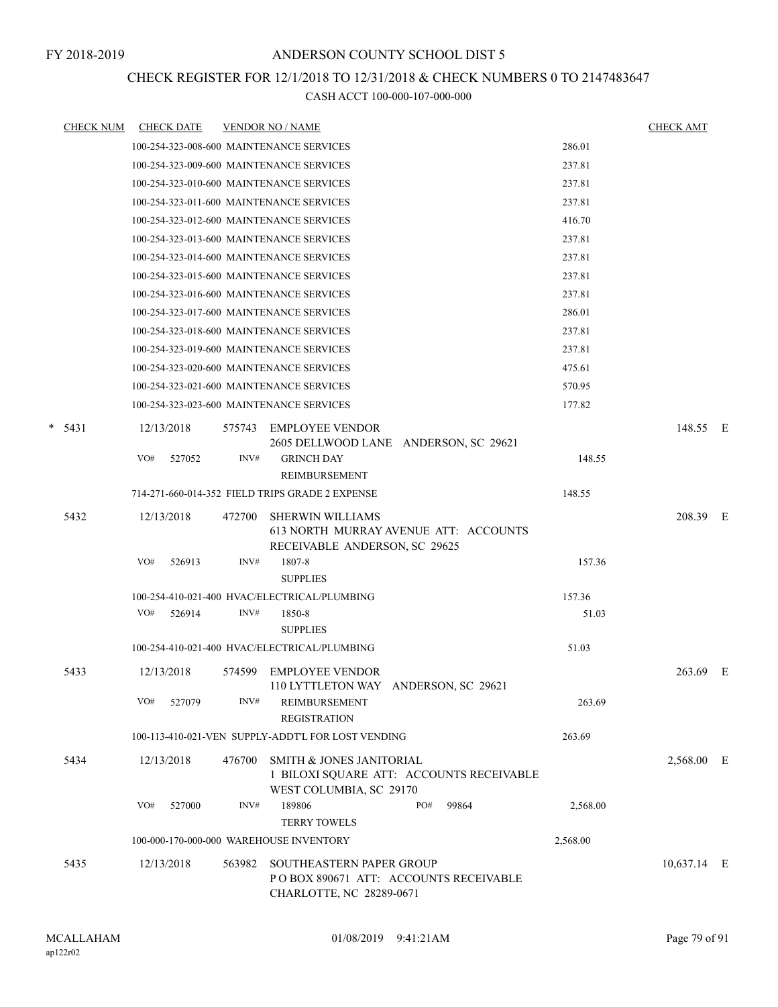### CHECK REGISTER FOR 12/1/2018 TO 12/31/2018 & CHECK NUMBERS 0 TO 2147483647

| <b>CHECK NUM</b> | <b>CHECK DATE</b>                        |        | <b>VENDOR NO / NAME</b>                                                                           |       |          | <b>CHECK AMT</b> |     |
|------------------|------------------------------------------|--------|---------------------------------------------------------------------------------------------------|-------|----------|------------------|-----|
|                  | 100-254-323-008-600 MAINTENANCE SERVICES |        |                                                                                                   |       | 286.01   |                  |     |
|                  | 100-254-323-009-600 MAINTENANCE SERVICES |        |                                                                                                   |       | 237.81   |                  |     |
|                  | 100-254-323-010-600 MAINTENANCE SERVICES |        |                                                                                                   |       | 237.81   |                  |     |
|                  | 100-254-323-011-600 MAINTENANCE SERVICES |        |                                                                                                   |       | 237.81   |                  |     |
|                  | 100-254-323-012-600 MAINTENANCE SERVICES |        |                                                                                                   |       | 416.70   |                  |     |
|                  | 100-254-323-013-600 MAINTENANCE SERVICES |        |                                                                                                   |       | 237.81   |                  |     |
|                  | 100-254-323-014-600 MAINTENANCE SERVICES |        |                                                                                                   |       | 237.81   |                  |     |
|                  | 100-254-323-015-600 MAINTENANCE SERVICES |        |                                                                                                   |       | 237.81   |                  |     |
|                  | 100-254-323-016-600 MAINTENANCE SERVICES |        |                                                                                                   |       | 237.81   |                  |     |
|                  | 100-254-323-017-600 MAINTENANCE SERVICES |        |                                                                                                   |       | 286.01   |                  |     |
|                  | 100-254-323-018-600 MAINTENANCE SERVICES |        |                                                                                                   |       | 237.81   |                  |     |
|                  | 100-254-323-019-600 MAINTENANCE SERVICES |        |                                                                                                   |       | 237.81   |                  |     |
|                  | 100-254-323-020-600 MAINTENANCE SERVICES |        |                                                                                                   |       | 475.61   |                  |     |
|                  | 100-254-323-021-600 MAINTENANCE SERVICES |        |                                                                                                   |       | 570.95   |                  |     |
|                  | 100-254-323-023-600 MAINTENANCE SERVICES |        |                                                                                                   |       | 177.82   |                  |     |
| $*$ 5431         | 12/13/2018                               | 575743 | EMPLOYEE VENDOR<br>2605 DELLWOOD LANE ANDERSON, SC 29621                                          |       |          | 148.55 E         |     |
|                  | VO#<br>527052                            | INV#   | <b>GRINCH DAY</b><br>REIMBURSEMENT                                                                |       | 148.55   |                  |     |
|                  |                                          |        | 714-271-660-014-352 FIELD TRIPS GRADE 2 EXPENSE                                                   |       | 148.55   |                  |     |
| 5432             | 12/13/2018                               | 472700 | <b>SHERWIN WILLIAMS</b><br>613 NORTH MURRAY AVENUE ATT: ACCOUNTS<br>RECEIVABLE ANDERSON, SC 29625 |       |          | 208.39           | – E |
|                  | VO#<br>526913                            | INV#   | 1807-8<br><b>SUPPLIES</b>                                                                         |       | 157.36   |                  |     |
|                  |                                          |        | 100-254-410-021-400 HVAC/ELECTRICAL/PLUMBING                                                      |       | 157.36   |                  |     |
|                  | VO#<br>526914                            | INV#   | 1850-8<br><b>SUPPLIES</b>                                                                         |       | 51.03    |                  |     |
|                  |                                          |        | 100-254-410-021-400 HVAC/ELECTRICAL/PLUMBING                                                      |       | 51.03    |                  |     |
| 5433             | 12/13/2018                               | 574599 | EMPLOYEE VENDOR<br>110 LYTTLETON WAY ANDERSON, SC 29621                                           |       |          | 263.69 E         |     |
|                  | VO#<br>527079                            | INV#   | REIMBURSEMENT<br><b>REGISTRATION</b>                                                              |       | 263.69   |                  |     |
|                  |                                          |        | 100-113-410-021-VEN SUPPLY-ADDT'L FOR LOST VENDING                                                |       | 263.69   |                  |     |
| 5434             | 12/13/2018                               | 476700 | SMITH & JONES JANITORIAL<br>1 BILOXI SQUARE ATT: ACCOUNTS RECEIVABLE<br>WEST COLUMBIA, SC 29170   |       |          | 2,568.00 E       |     |
|                  | VO#<br>527000                            | INV#   | 189806<br>PO#<br><b>TERRY TOWELS</b>                                                              | 99864 | 2,568.00 |                  |     |
|                  | 100-000-170-000-000 WAREHOUSE INVENTORY  |        |                                                                                                   |       | 2,568.00 |                  |     |
| 5435             | 12/13/2018                               | 563982 | SOUTHEASTERN PAPER GROUP<br>PO BOX 890671 ATT: ACCOUNTS RECEIVABLE<br>CHARLOTTE, NC 28289-0671    |       |          | 10,637.14 E      |     |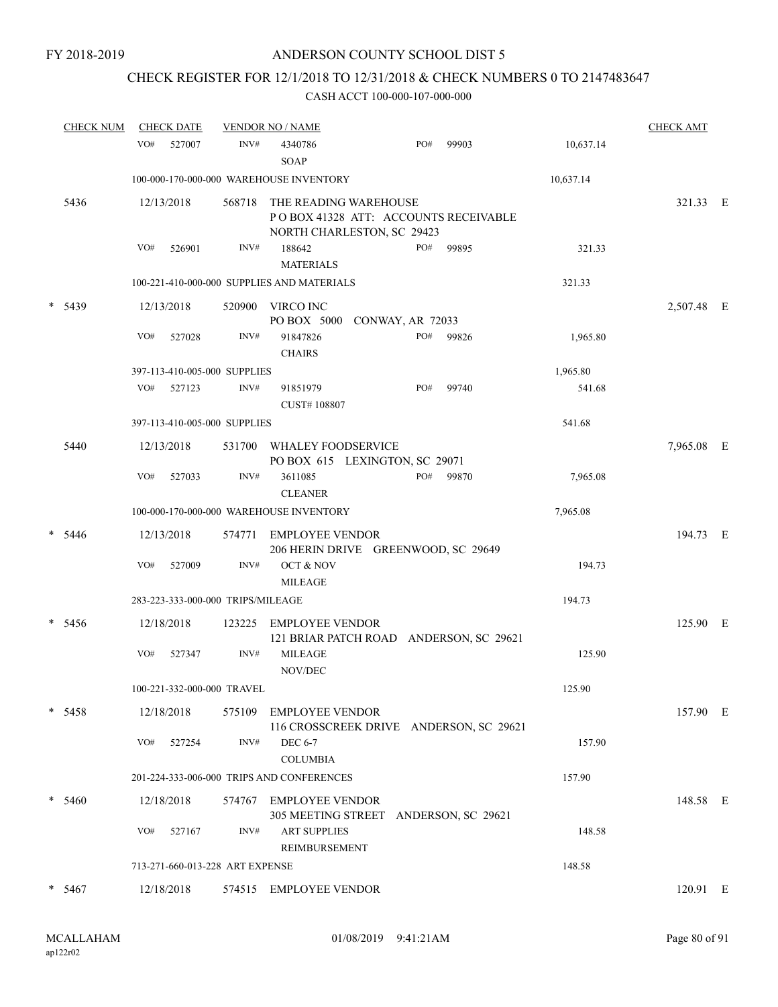# CHECK REGISTER FOR 12/1/2018 TO 12/31/2018 & CHECK NUMBERS 0 TO 2147483647

| <b>CHECK NUM</b> | <b>CHECK DATE</b>                 |        | <b>VENDOR NO / NAME</b>                                                                     |     |       |           | <b>CHECK AMT</b> |  |
|------------------|-----------------------------------|--------|---------------------------------------------------------------------------------------------|-----|-------|-----------|------------------|--|
|                  | VO#<br>527007                     | INV#   | 4340786<br><b>SOAP</b>                                                                      | PO# | 99903 | 10,637.14 |                  |  |
|                  |                                   |        | 100-000-170-000-000 WAREHOUSE INVENTORY                                                     |     |       | 10,637.14 |                  |  |
| 5436             | 12/13/2018                        | 568718 | THE READING WAREHOUSE<br>POBOX 41328 ATT: ACCOUNTS RECEIVABLE<br>NORTH CHARLESTON, SC 29423 |     |       |           | 321.33 E         |  |
|                  | VO#<br>526901                     | INV#   | 188642<br><b>MATERIALS</b>                                                                  | PO# | 99895 | 321.33    |                  |  |
|                  |                                   |        | 100-221-410-000-000 SUPPLIES AND MATERIALS                                                  |     |       | 321.33    |                  |  |
| * 5439           | 12/13/2018                        | 520900 | VIRCO INC<br>PO BOX 5000<br>CONWAY, AR 72033                                                |     |       |           | 2,507.48 E       |  |
|                  | VO#<br>527028                     | INV#   | 91847826<br><b>CHAIRS</b>                                                                   | PO# | 99826 | 1,965.80  |                  |  |
|                  | 397-113-410-005-000 SUPPLIES      |        |                                                                                             |     |       | 1,965.80  |                  |  |
|                  | VO#<br>527123                     | INV#   | 91851979<br>CUST#108807                                                                     | PO# | 99740 | 541.68    |                  |  |
|                  | 397-113-410-005-000 SUPPLIES      |        |                                                                                             |     |       | 541.68    |                  |  |
| 5440             | 12/13/2018                        | 531700 | WHALEY FOODSERVICE<br>PO BOX 615 LEXINGTON, SC 29071                                        |     |       |           | 7,965.08 E       |  |
|                  | VO#<br>527033                     | INV#   | 3611085<br><b>CLEANER</b>                                                                   | PO# | 99870 | 7,965.08  |                  |  |
|                  |                                   |        | 100-000-170-000-000 WAREHOUSE INVENTORY                                                     |     |       | 7,965.08  |                  |  |
| $* 5446$         | 12/13/2018                        | 574771 | EMPLOYEE VENDOR<br>206 HERIN DRIVE GREENWOOD, SC 29649                                      |     |       |           | 194.73 E         |  |
|                  | VO#<br>527009                     | INV#   | OCT & NOV<br><b>MILEAGE</b>                                                                 |     |       | 194.73    |                  |  |
|                  | 283-223-333-000-000 TRIPS/MILEAGE |        |                                                                                             |     |       | 194.73    |                  |  |
| $* 5456$         | 12/18/2018                        | 123225 | <b>EMPLOYEE VENDOR</b><br>121 BRIAR PATCH ROAD ANDERSON, SC 29621                           |     |       |           | 125.90 E         |  |
|                  | VO#<br>527347                     | INV#   | <b>MILEAGE</b><br>NOV/DEC                                                                   |     |       | 125.90    |                  |  |
|                  | 100-221-332-000-000 TRAVEL        |        |                                                                                             |     |       | 125.90    |                  |  |
| $* 5458$         | 12/18/2018                        |        | 575109 EMPLOYEE VENDOR<br>116 CROSSCREEK DRIVE ANDERSON, SC 29621                           |     |       |           | 157.90 E         |  |
|                  | VO#<br>527254                     | INV#   | <b>DEC 6-7</b><br><b>COLUMBIA</b>                                                           |     |       | 157.90    |                  |  |
|                  |                                   |        | 201-224-333-006-000 TRIPS AND CONFERENCES                                                   |     |       | 157.90    |                  |  |
| * 5460           | 12/18/2018                        |        | 574767 EMPLOYEE VENDOR<br>305 MEETING STREET ANDERSON, SC 29621                             |     |       |           | 148.58 E         |  |
|                  | VO#<br>527167                     | INV#   | <b>ART SUPPLIES</b><br>REIMBURSEMENT                                                        |     |       | 148.58    |                  |  |
|                  | 713-271-660-013-228 ART EXPENSE   |        |                                                                                             |     |       | 148.58    |                  |  |
| $* 5467$         | 12/18/2018                        |        | 574515 EMPLOYEE VENDOR                                                                      |     |       |           | 120.91 E         |  |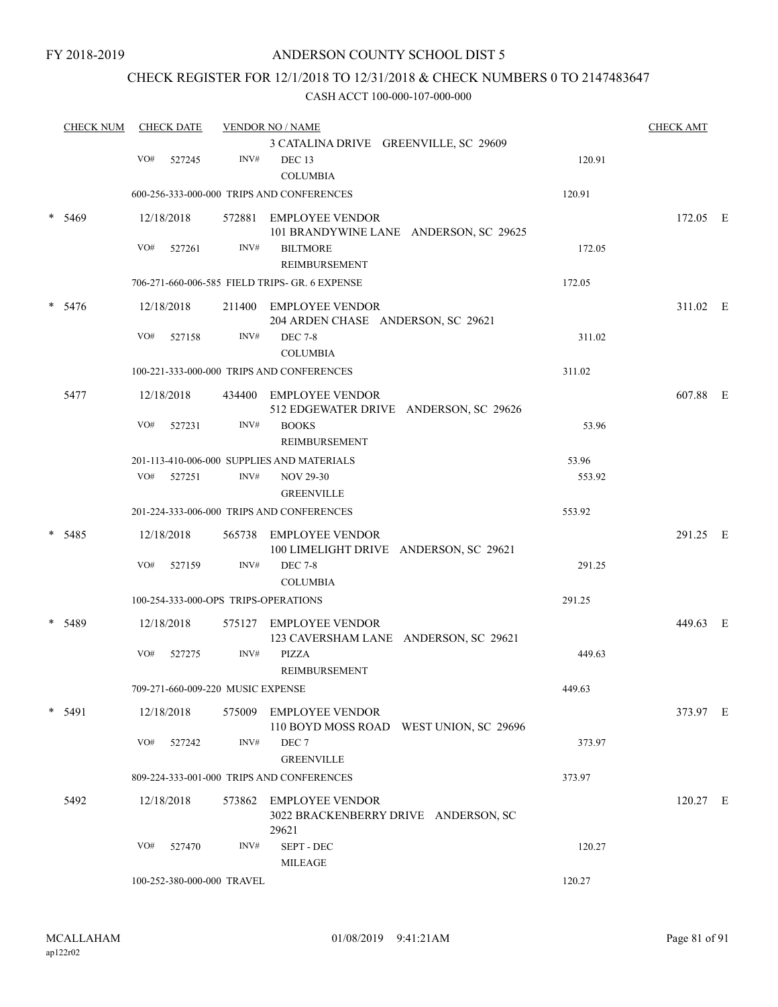### CHECK REGISTER FOR 12/1/2018 TO 12/31/2018 & CHECK NUMBERS 0 TO 2147483647

| <b>CHECK NUM</b> | <b>CHECK DATE</b> |     |            | <b>VENDOR NO / NAME</b><br>3 CATALINA DRIVE GREENVILLE, SC 29609 |                                                                         | <b>CHECK AMT</b> |            |  |
|------------------|-------------------|-----|------------|------------------------------------------------------------------|-------------------------------------------------------------------------|------------------|------------|--|
|                  |                   | VO# | 527245     | INV#                                                             | DEC <sub>13</sub><br><b>COLUMBIA</b>                                    | 120.91           |            |  |
|                  |                   |     |            |                                                                  | 600-256-333-000-000 TRIPS AND CONFERENCES                               | 120.91           |            |  |
| $\ast$           | 5469              |     | 12/18/2018 |                                                                  | 572881 EMPLOYEE VENDOR<br>101 BRANDYWINE LANE ANDERSON, SC 29625        |                  | 172.05 E   |  |
|                  |                   | VO# | 527261     | INV#                                                             | <b>BILTMORE</b><br>REIMBURSEMENT                                        | 172.05           |            |  |
|                  |                   |     |            |                                                                  | 706-271-660-006-585 FIELD TRIPS- GR. 6 EXPENSE                          | 172.05           |            |  |
|                  | $* 5476$          |     | 12/18/2018 |                                                                  | 211400 EMPLOYEE VENDOR<br>204 ARDEN CHASE ANDERSON, SC 29621            |                  | 311.02 E   |  |
|                  |                   | VO# | 527158     | INV#                                                             | <b>DEC 7-8</b><br><b>COLUMBIA</b>                                       | 311.02           |            |  |
|                  |                   |     |            |                                                                  | 100-221-333-000-000 TRIPS AND CONFERENCES                               | 311.02           |            |  |
|                  | 5477              |     | 12/18/2018 |                                                                  | 434400 EMPLOYEE VENDOR<br>512 EDGEWATER DRIVE ANDERSON, SC 29626        |                  | 607.88 E   |  |
|                  |                   | VO# | 527231     | INV#                                                             | <b>BOOKS</b><br>REIMBURSEMENT                                           | 53.96            |            |  |
|                  |                   |     |            |                                                                  | 201-113-410-006-000 SUPPLIES AND MATERIALS                              | 53.96            |            |  |
|                  |                   |     | VO# 527251 | INV#                                                             | <b>NOV 29-30</b><br><b>GREENVILLE</b>                                   | 553.92           |            |  |
|                  |                   |     |            |                                                                  | 201-224-333-006-000 TRIPS AND CONFERENCES                               | 553.92           |            |  |
|                  | $* 5485$          |     | 12/18/2018 | 565738                                                           | EMPLOYEE VENDOR<br>100 LIMELIGHT DRIVE ANDERSON, SC 29621               |                  | 291.25 E   |  |
|                  |                   | VO# | 527159     | INV#                                                             | <b>DEC 7-8</b><br><b>COLUMBIA</b>                                       | 291.25           |            |  |
|                  |                   |     |            |                                                                  | 100-254-333-000-OPS TRIPS-OPERATIONS                                    | 291.25           |            |  |
|                  | 5489              |     | 12/18/2018 |                                                                  | 575127 EMPLOYEE VENDOR<br>123 CAVERSHAM LANE ANDERSON, SC 29621         |                  | 449.63 E   |  |
|                  |                   | VO# | 527275     | INV#                                                             | <b>PIZZA</b><br>REIMBURSEMENT                                           | 449.63           |            |  |
|                  |                   |     |            | 709-271-660-009-220 MUSIC EXPENSE                                |                                                                         | 449.63           |            |  |
|                  | $*$ 5491          |     | 12/18/2018 |                                                                  | 575009 EMPLOYEE VENDOR<br>110 BOYD MOSS ROAD WEST UNION, SC 29696       |                  | 373.97 E   |  |
|                  |                   | VO# | 527242     | INV#                                                             | DEC <sub>7</sub><br><b>GREENVILLE</b>                                   | 373.97           |            |  |
|                  |                   |     |            |                                                                  | 809-224-333-001-000 TRIPS AND CONFERENCES                               | 373.97           |            |  |
|                  | 5492              |     | 12/18/2018 |                                                                  | 573862 EMPLOYEE VENDOR<br>3022 BRACKENBERRY DRIVE ANDERSON, SC<br>29621 |                  | $120.27$ E |  |
|                  |                   | VO# | 527470     | INV#                                                             | SEPT - DEC<br><b>MILEAGE</b>                                            | 120.27           |            |  |
|                  |                   |     |            | 100-252-380-000-000 TRAVEL                                       |                                                                         | 120.27           |            |  |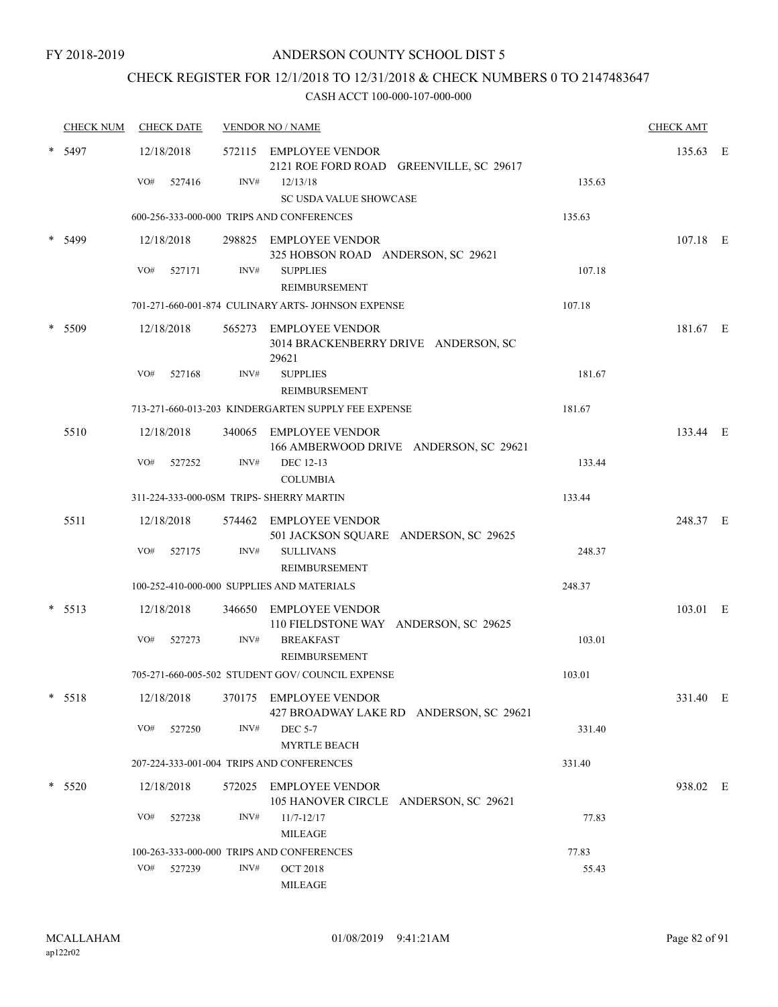FY 2018-2019

#### ANDERSON COUNTY SCHOOL DIST 5

# CHECK REGISTER FOR 12/1/2018 TO 12/31/2018 & CHECK NUMBERS 0 TO 2147483647

|        | <b>CHECK NUM</b> |     | <b>CHECK DATE</b> |        | <b>VENDOR NO / NAME</b>                                                 |        | <b>CHECK AMT</b> |  |
|--------|------------------|-----|-------------------|--------|-------------------------------------------------------------------------|--------|------------------|--|
|        | 5497             |     | 12/18/2018        |        | 572115 EMPLOYEE VENDOR<br>2121 ROE FORD ROAD GREENVILLE, SC 29617       |        | 135.63 E         |  |
|        |                  | VO# | 527416            | INV#   | 12/13/18<br>SC USDA VALUE SHOWCASE                                      | 135.63 |                  |  |
|        |                  |     |                   |        | 600-256-333-000-000 TRIPS AND CONFERENCES                               | 135.63 |                  |  |
|        | 5499             |     | 12/18/2018        |        | 298825 EMPLOYEE VENDOR                                                  |        | 107.18 E         |  |
|        |                  | VO# | 527171            | INV#   | 325 HOBSON ROAD ANDERSON, SC 29621<br><b>SUPPLIES</b><br>REIMBURSEMENT  | 107.18 |                  |  |
|        |                  |     |                   |        | 701-271-660-001-874 CULINARY ARTS- JOHNSON EXPENSE                      | 107.18 |                  |  |
|        | 5509             |     | 12/18/2018        |        | 565273 EMPLOYEE VENDOR<br>3014 BRACKENBERRY DRIVE ANDERSON, SC<br>29621 |        | 181.67 E         |  |
|        |                  | VO# | 527168            | INV#   | <b>SUPPLIES</b><br>REIMBURSEMENT                                        | 181.67 |                  |  |
|        |                  |     |                   |        | 713-271-660-013-203 KINDERGARTEN SUPPLY FEE EXPENSE                     | 181.67 |                  |  |
|        | 5510             |     | 12/18/2018        |        | 340065 EMPLOYEE VENDOR<br>166 AMBERWOOD DRIVE ANDERSON, SC 29621        |        | 133.44 E         |  |
|        |                  | VO# | 527252            | INV#   | DEC 12-13<br><b>COLUMBIA</b>                                            | 133.44 |                  |  |
|        |                  |     |                   |        | 311-224-333-000-0SM TRIPS- SHERRY MARTIN                                | 133.44 |                  |  |
|        | 5511             |     | 12/18/2018        |        | 574462 EMPLOYEE VENDOR<br>501 JACKSON SQUARE ANDERSON, SC 29625         |        | 248.37 E         |  |
|        |                  | VO# | 527175            | INV#   | <b>SULLIVANS</b><br>REIMBURSEMENT                                       | 248.37 |                  |  |
|        |                  |     |                   |        | 100-252-410-000-000 SUPPLIES AND MATERIALS                              | 248.37 |                  |  |
|        | $* 5513$         |     | 12/18/2018        |        | 346650 EMPLOYEE VENDOR<br>110 FIELDSTONE WAY ANDERSON, SC 29625         |        | 103.01 E         |  |
|        |                  | VO# | 527273            | INV#   | <b>BREAKFAST</b><br>REIMBURSEMENT                                       | 103.01 |                  |  |
|        |                  |     |                   |        | 705-271-660-005-502 STUDENT GOV/COUNCIL EXPENSE                         | 103.01 |                  |  |
|        | $* 5518$         |     | 12/18/2018        |        | 370175 EMPLOYEE VENDOR<br>427 BROADWAY LAKE RD ANDERSON, SC 29621       |        | 331.40 E         |  |
|        |                  | VO# | 527250            | INV#   | <b>DEC 5-7</b><br><b>MYRTLE BEACH</b>                                   | 331.40 |                  |  |
|        |                  |     |                   |        | 207-224-333-001-004 TRIPS AND CONFERENCES                               | 331.40 |                  |  |
| $\ast$ | 5520             |     | 12/18/2018        | 572025 | <b>EMPLOYEE VENDOR</b><br>105 HANOVER CIRCLE ANDERSON, SC 29621         |        | 938.02 E         |  |
|        |                  | VO# | 527238            | INV#   | $11/7 - 12/17$<br>MILEAGE                                               | 77.83  |                  |  |
|        |                  |     |                   |        | 100-263-333-000-000 TRIPS AND CONFERENCES                               | 77.83  |                  |  |
|        |                  | VO# | 527239            | INV#   | <b>OCT 2018</b><br><b>MILEAGE</b>                                       | 55.43  |                  |  |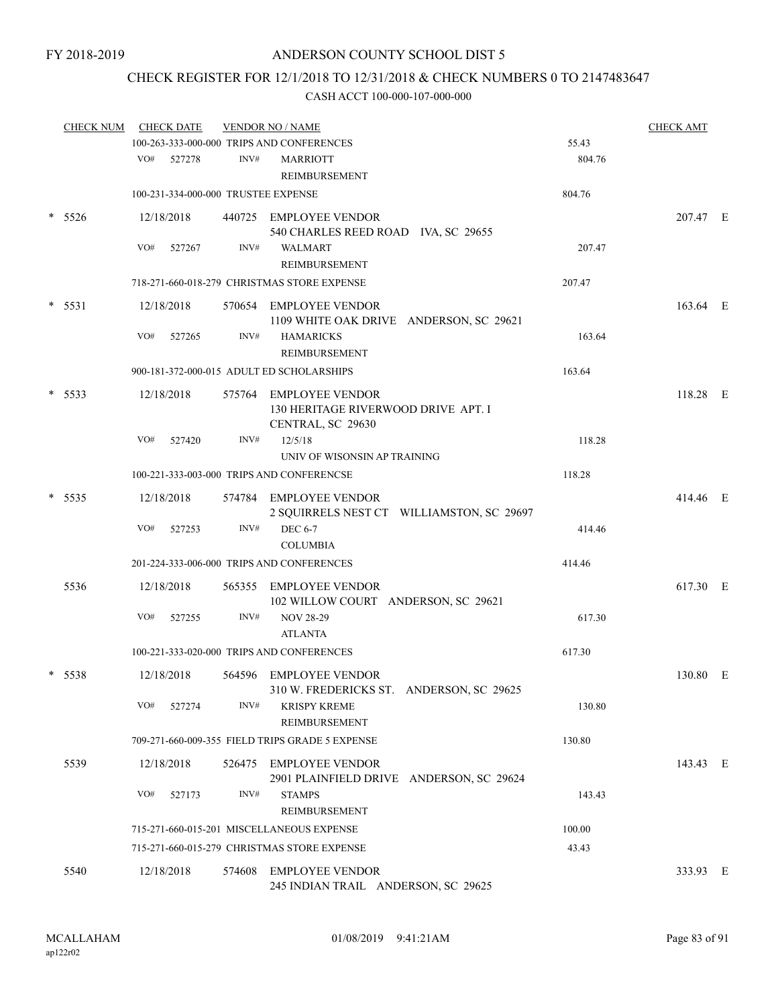### CHECK REGISTER FOR 12/1/2018 TO 12/31/2018 & CHECK NUMBERS 0 TO 2147483647

| <b>CHECK NUM</b> |          | <b>CHECK DATE</b> |            | <b>VENDOR NO / NAME</b> |                                                                                    | <b>CHECK AMT</b> |          |  |
|------------------|----------|-------------------|------------|-------------------------|------------------------------------------------------------------------------------|------------------|----------|--|
|                  |          |                   |            |                         | 100-263-333-000-000 TRIPS AND CONFERENCES                                          | 55.43            |          |  |
|                  |          | VO#               | 527278     | INV#                    | <b>MARRIOTT</b><br>REIMBURSEMENT                                                   | 804.76           |          |  |
|                  |          |                   |            |                         | 100-231-334-000-000 TRUSTEE EXPENSE                                                | 804.76           |          |  |
|                  | $*$ 5526 |                   | 12/18/2018 |                         | 440725 EMPLOYEE VENDOR<br>540 CHARLES REED ROAD IVA, SC 29655                      |                  | 207.47 E |  |
|                  |          | VO#               | 527267     | INV#                    | <b>WALMART</b><br>REIMBURSEMENT                                                    | 207.47           |          |  |
|                  |          |                   |            |                         | 718-271-660-018-279 CHRISTMAS STORE EXPENSE                                        | 207.47           |          |  |
|                  | $* 5531$ |                   | 12/18/2018 |                         | 570654 EMPLOYEE VENDOR<br>1109 WHITE OAK DRIVE ANDERSON, SC 29621                  |                  | 163.64 E |  |
|                  |          | VO#               | 527265     | INV#                    | <b>HAMARICKS</b><br>REIMBURSEMENT                                                  | 163.64           |          |  |
|                  |          |                   |            |                         | 900-181-372-000-015 ADULT ED SCHOLARSHIPS                                          | 163.64           |          |  |
|                  | $*$ 5533 |                   | 12/18/2018 |                         | 575764 EMPLOYEE VENDOR<br>130 HERITAGE RIVERWOOD DRIVE APT. I<br>CENTRAL, SC 29630 |                  | 118.28 E |  |
|                  |          | VO#               | 527420     | INV#                    | 12/5/18                                                                            | 118.28           |          |  |
|                  |          |                   |            |                         | UNIV OF WISONSIN AP TRAINING                                                       |                  |          |  |
|                  |          |                   |            |                         | 100-221-333-003-000 TRIPS AND CONFERENCSE                                          | 118.28           |          |  |
|                  | 5535     |                   | 12/18/2018 |                         | 574784 EMPLOYEE VENDOR<br>2 SQUIRRELS NEST CT WILLIAMSTON, SC 29697                |                  | 414.46 E |  |
|                  |          | VO#               | 527253     | INV#                    | <b>DEC 6-7</b><br><b>COLUMBIA</b>                                                  | 414.46           |          |  |
|                  |          |                   |            |                         | 201-224-333-006-000 TRIPS AND CONFERENCES                                          | 414.46           |          |  |
|                  | 5536     |                   | 12/18/2018 |                         | 565355 EMPLOYEE VENDOR                                                             |                  | 617.30 E |  |
|                  |          | VO#               | 527255     | INV#                    | 102 WILLOW COURT ANDERSON, SC 29621<br><b>NOV 28-29</b><br><b>ATLANTA</b>          | 617.30           |          |  |
|                  |          |                   |            |                         | 100-221-333-020-000 TRIPS AND CONFERENCES                                          | 617.30           |          |  |
|                  |          |                   |            |                         |                                                                                    |                  |          |  |
|                  | $*$ 5538 |                   | 12/18/2018 |                         | 564596 EMPLOYEE VENDOR<br>310 W. FREDERICKS ST. ANDERSON, SC 29625                 |                  | 130.80 E |  |
|                  |          | VO#               | 527274     | INV#                    | <b>KRISPY KREME</b><br>REIMBURSEMENT                                               | 130.80           |          |  |
|                  |          |                   |            |                         | 709-271-660-009-355 FIELD TRIPS GRADE 5 EXPENSE                                    | 130.80           |          |  |
|                  | 5539     |                   | 12/18/2018 |                         | 526475 EMPLOYEE VENDOR<br>2901 PLAINFIELD DRIVE ANDERSON, SC 29624                 |                  | 143.43 E |  |
|                  |          | VO#               | 527173     | INV#                    | <b>STAMPS</b><br>REIMBURSEMENT                                                     | 143.43           |          |  |
|                  |          |                   |            |                         | 715-271-660-015-201 MISCELLANEOUS EXPENSE                                          | 100.00           |          |  |
|                  |          |                   |            |                         | 715-271-660-015-279 CHRISTMAS STORE EXPENSE                                        | 43.43            |          |  |
|                  | 5540     |                   | 12/18/2018 |                         | 574608 EMPLOYEE VENDOR                                                             |                  | 333.93 E |  |
|                  |          |                   |            |                         | 245 INDIAN TRAIL ANDERSON, SC 29625                                                |                  |          |  |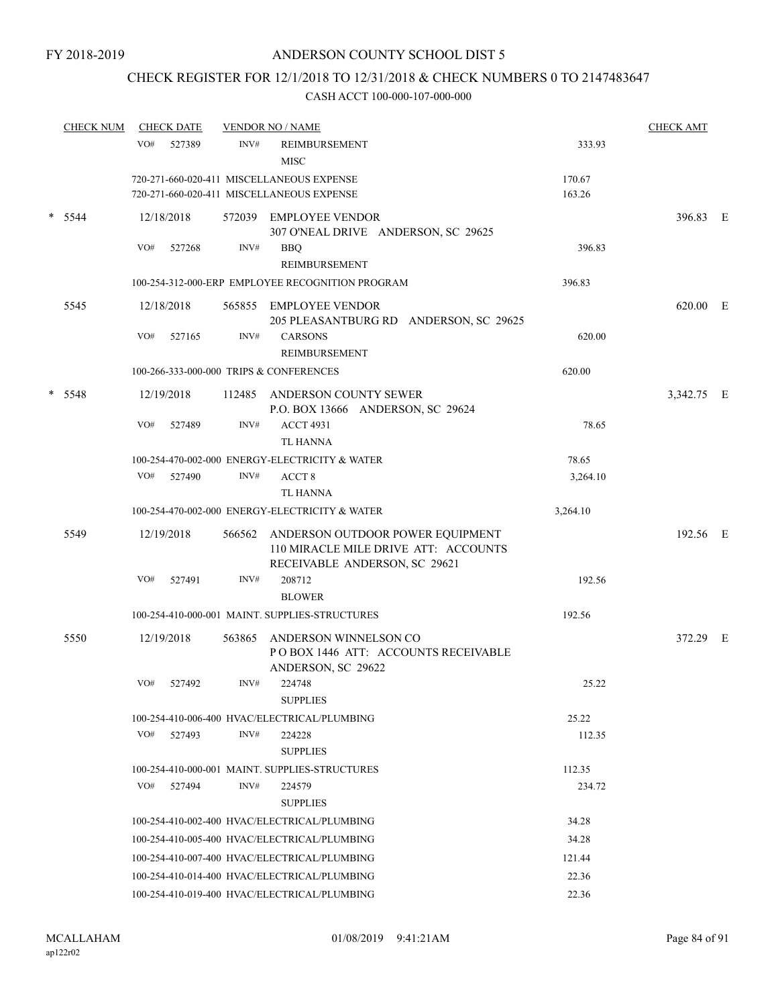# CHECK REGISTER FOR 12/1/2018 TO 12/31/2018 & CHECK NUMBERS 0 TO 2147483647

| <b>CHECK NUM</b> |            | <b>CHECK DATE</b> |        | <b>VENDOR NO / NAME</b>                                                                                   |          | <b>CHECK AMT</b> |  |
|------------------|------------|-------------------|--------|-----------------------------------------------------------------------------------------------------------|----------|------------------|--|
|                  | VO#        | 527389            | INV#   | REIMBURSEMENT<br><b>MISC</b>                                                                              | 333.93   |                  |  |
|                  |            |                   |        | 720-271-660-020-411 MISCELLANEOUS EXPENSE                                                                 | 170.67   |                  |  |
|                  |            |                   |        | 720-271-660-020-411 MISCELLANEOUS EXPENSE                                                                 | 163.26   |                  |  |
| $*$ 5544         | 12/18/2018 |                   |        | 572039 EMPLOYEE VENDOR<br>307 O'NEAL DRIVE ANDERSON, SC 29625                                             |          | 396.83 E         |  |
|                  | VO#        | 527268            | INV#   | <b>BBQ</b>                                                                                                | 396.83   |                  |  |
|                  |            |                   |        | REIMBURSEMENT                                                                                             |          |                  |  |
|                  |            |                   |        | 100-254-312-000-ERP EMPLOYEE RECOGNITION PROGRAM                                                          | 396.83   |                  |  |
| 5545             | 12/18/2018 |                   |        | 565855 EMPLOYEE VENDOR<br>205 PLEASANTBURG RD ANDERSON, SC 29625                                          |          | 620.00 E         |  |
|                  | VO#        | 527165            | INV#   | <b>CARSONS</b>                                                                                            | 620.00   |                  |  |
|                  |            |                   |        | REIMBURSEMENT                                                                                             |          |                  |  |
|                  |            |                   |        | 100-266-333-000-000 TRIPS & CONFERENCES                                                                   | 620.00   |                  |  |
| $* 5548$         | 12/19/2018 |                   | 112485 | ANDERSON COUNTY SEWER<br>P.O. BOX 13666 ANDERSON, SC 29624                                                |          | 3,342.75 E       |  |
|                  | VO#        | 527489            | INV#   | <b>ACCT 4931</b>                                                                                          | 78.65    |                  |  |
|                  |            |                   |        | <b>TL HANNA</b>                                                                                           |          |                  |  |
|                  |            |                   |        | 100-254-470-002-000 ENERGY-ELECTRICITY & WATER                                                            | 78.65    |                  |  |
|                  |            | VO# 527490        | INV#   | ACCT <sub>8</sub>                                                                                         | 3,264.10 |                  |  |
|                  |            |                   |        | TL HANNA                                                                                                  |          |                  |  |
|                  |            |                   |        | 100-254-470-002-000 ENERGY-ELECTRICITY & WATER                                                            | 3,264.10 |                  |  |
| 5549             | 12/19/2018 |                   | 566562 | ANDERSON OUTDOOR POWER EQUIPMENT<br>110 MIRACLE MILE DRIVE ATT: ACCOUNTS<br>RECEIVABLE ANDERSON, SC 29621 |          | 192.56 E         |  |
|                  | VO#        | 527491            | INV#   | 208712<br><b>BLOWER</b>                                                                                   | 192.56   |                  |  |
|                  |            |                   |        | 100-254-410-000-001 MAINT. SUPPLIES-STRUCTURES                                                            | 192.56   |                  |  |
| 5550             | 12/19/2018 |                   | 563865 | ANDERSON WINNELSON CO<br>POBOX 1446 ATT: ACCOUNTS RECEIVABLE<br>ANDERSON, SC 29622                        |          | 372.29 E         |  |
|                  | VO#        | 527492            | INV#   | 224748<br><b>SUPPLIES</b>                                                                                 | 25.22    |                  |  |
|                  |            |                   |        | 100-254-410-006-400 HVAC/ELECTRICAL/PLUMBING                                                              | 25.22    |                  |  |
|                  | VO#        | 527493            | INV#   | 224228<br><b>SUPPLIES</b>                                                                                 | 112.35   |                  |  |
|                  |            |                   |        | 100-254-410-000-001 MAINT SUPPLIES-STRUCTURES                                                             | 112.35   |                  |  |
|                  | VO#        | 527494            | INV#   | 224579                                                                                                    | 234.72   |                  |  |
|                  |            |                   |        | <b>SUPPLIES</b>                                                                                           |          |                  |  |
|                  |            |                   |        | 100-254-410-002-400 HVAC/ELECTRICAL/PLUMBING                                                              | 34.28    |                  |  |
|                  |            |                   |        | 100-254-410-005-400 HVAC/ELECTRICAL/PLUMBING                                                              | 34.28    |                  |  |
|                  |            |                   |        | 100-254-410-007-400 HVAC/ELECTRICAL/PLUMBING                                                              | 121.44   |                  |  |
|                  |            |                   |        | 100-254-410-014-400 HVAC/ELECTRICAL/PLUMBING                                                              | 22.36    |                  |  |
|                  |            |                   |        | 100-254-410-019-400 HVAC/ELECTRICAL/PLUMBING                                                              | 22.36    |                  |  |
|                  |            |                   |        |                                                                                                           |          |                  |  |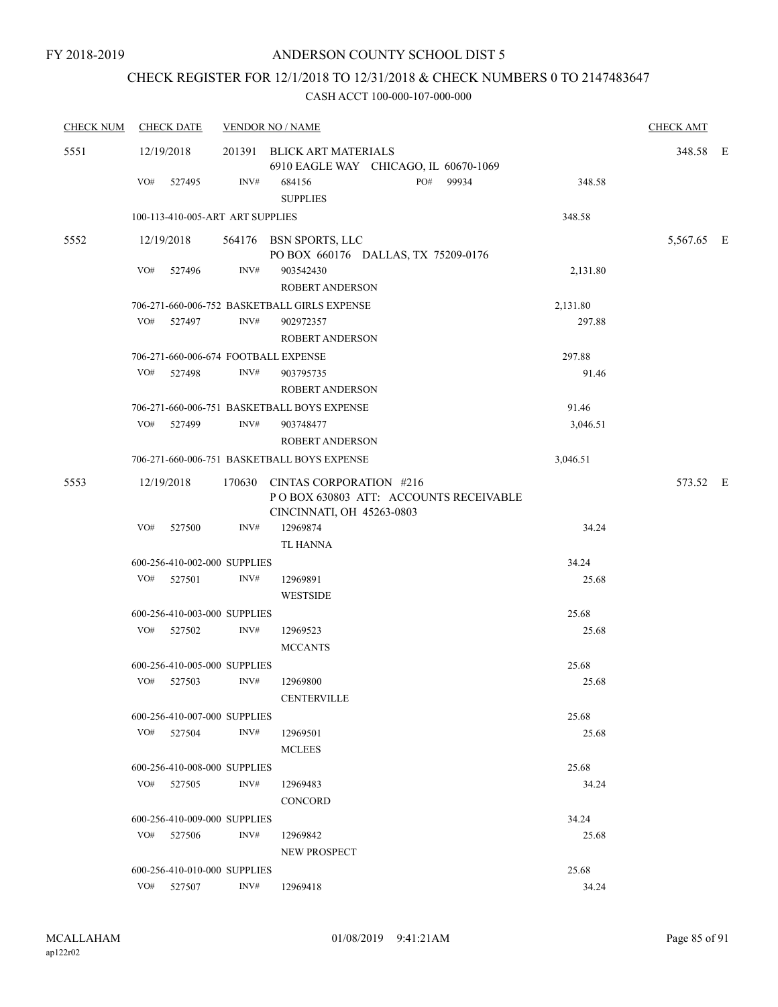# CHECK REGISTER FOR 12/1/2018 TO 12/31/2018 & CHECK NUMBERS 0 TO 2147483647

| <b>CHECK NUM</b> | <b>CHECK DATE</b>                    |      | <b>VENDOR NO / NAME</b>                                                                               |          | <b>CHECK AMT</b> |  |
|------------------|--------------------------------------|------|-------------------------------------------------------------------------------------------------------|----------|------------------|--|
| 5551             | 12/19/2018                           |      | 201391 BLICK ART MATERIALS<br>6910 EAGLE WAY CHICAGO, IL 60670-1069                                   |          | 348.58 E         |  |
|                  | VO#<br>527495                        | INV# | PO#<br>99934<br>684156<br><b>SUPPLIES</b>                                                             | 348.58   |                  |  |
|                  | 100-113-410-005-ART ART SUPPLIES     |      |                                                                                                       | 348.58   |                  |  |
| 5552             | 12/19/2018                           |      | 564176 BSN SPORTS, LLC<br>PO BOX 660176 DALLAS, TX 75209-0176                                         |          | 5,567.65 E       |  |
|                  | VO#<br>527496                        | INV# | 903542430<br><b>ROBERT ANDERSON</b>                                                                   | 2,131.80 |                  |  |
|                  |                                      |      | 706-271-660-006-752 BASKETBALL GIRLS EXPENSE                                                          | 2,131.80 |                  |  |
|                  | VO# 527497                           | INV# | 902972357<br>ROBERT ANDERSON                                                                          | 297.88   |                  |  |
|                  | 706-271-660-006-674 FOOTBALL EXPENSE |      |                                                                                                       | 297.88   |                  |  |
|                  | VO# 527498                           | INV# | 903795735<br>ROBERT ANDERSON                                                                          | 91.46    |                  |  |
|                  |                                      |      | 706-271-660-006-751 BASKETBALL BOYS EXPENSE                                                           | 91.46    |                  |  |
|                  | VO#<br>527499                        | INV# | 903748477<br><b>ROBERT ANDERSON</b>                                                                   | 3,046.51 |                  |  |
|                  |                                      |      | 706-271-660-006-751 BASKETBALL BOYS EXPENSE                                                           | 3,046.51 |                  |  |
| 5553             | 12/19/2018                           |      | 170630 CINTAS CORPORATION #216<br>PO BOX 630803 ATT: ACCOUNTS RECEIVABLE<br>CINCINNATI, OH 45263-0803 |          | 573.52 E         |  |
|                  | VO#<br>527500                        | INV# | 12969874<br><b>TL HANNA</b>                                                                           | 34.24    |                  |  |
|                  | 600-256-410-002-000 SUPPLIES         |      |                                                                                                       | 34.24    |                  |  |
|                  | VO# 527501                           | INV# | 12969891<br><b>WESTSIDE</b>                                                                           | 25.68    |                  |  |
|                  | 600-256-410-003-000 SUPPLIES         |      |                                                                                                       | 25.68    |                  |  |
|                  | VO# 527502                           | INV# | 12969523<br><b>MCCANTS</b>                                                                            | 25.68    |                  |  |
|                  | 600-256-410-005-000 SUPPLIES         |      |                                                                                                       | 25.68    |                  |  |
|                  | VO# 527503                           | INV# | 12969800<br><b>CENTERVILLE</b>                                                                        | 25.68    |                  |  |
|                  | 600-256-410-007-000 SUPPLIES         |      |                                                                                                       | 25.68    |                  |  |
|                  | VO# 527504                           | INV# | 12969501<br><b>MCLEES</b>                                                                             | 25.68    |                  |  |
|                  | 600-256-410-008-000 SUPPLIES         |      |                                                                                                       | 25.68    |                  |  |
|                  | VO# 527505                           | INV# | 12969483<br><b>CONCORD</b>                                                                            | 34.24    |                  |  |
|                  | 600-256-410-009-000 SUPPLIES         |      |                                                                                                       | 34.24    |                  |  |
|                  | VO# 527506                           | INV# | 12969842<br>NEW PROSPECT                                                                              | 25.68    |                  |  |
|                  | 600-256-410-010-000 SUPPLIES         |      |                                                                                                       | 25.68    |                  |  |
|                  | VO# 527507                           | INV# | 12969418                                                                                              | 34.24    |                  |  |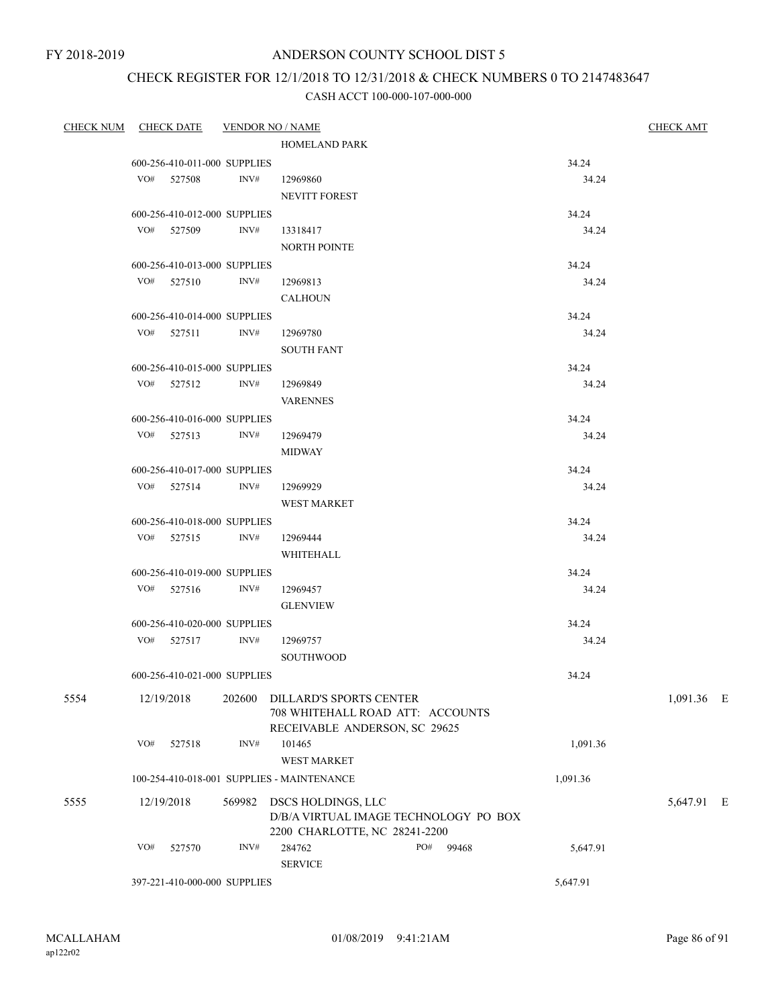FY 2018-2019

### ANDERSON COUNTY SCHOOL DIST 5

## CHECK REGISTER FOR 12/1/2018 TO 12/31/2018 & CHECK NUMBERS 0 TO 2147483647

| CHECK NUM CHECK DATE VENDOR NO / NAME |     |                              |        |                                                                                              |          | <b>CHECK AMT</b> |  |  |  |
|---------------------------------------|-----|------------------------------|--------|----------------------------------------------------------------------------------------------|----------|------------------|--|--|--|
|                                       |     |                              |        | <b>HOMELAND PARK</b>                                                                         |          |                  |  |  |  |
|                                       |     | 600-256-410-011-000 SUPPLIES |        |                                                                                              | 34.24    |                  |  |  |  |
|                                       |     | VO# 527508 INV#              |        | 12969860                                                                                     | 34.24    |                  |  |  |  |
|                                       |     |                              |        | <b>NEVITT FOREST</b>                                                                         |          |                  |  |  |  |
|                                       |     | 600-256-410-012-000 SUPPLIES |        |                                                                                              | 34.24    |                  |  |  |  |
|                                       |     | VO# 527509 INV#              |        | 13318417                                                                                     | 34.24    |                  |  |  |  |
|                                       |     |                              |        | <b>NORTH POINTE</b>                                                                          |          |                  |  |  |  |
|                                       |     | 600-256-410-013-000 SUPPLIES |        |                                                                                              | 34.24    |                  |  |  |  |
|                                       |     | VO# 527510 INV#              |        | 12969813                                                                                     | 34.24    |                  |  |  |  |
|                                       |     |                              |        | <b>CALHOUN</b>                                                                               |          |                  |  |  |  |
|                                       |     | 600-256-410-014-000 SUPPLIES |        |                                                                                              | 34.24    |                  |  |  |  |
|                                       |     | VO# 527511 INV#              |        | 12969780                                                                                     | 34.24    |                  |  |  |  |
|                                       |     |                              |        | <b>SOUTH FANT</b>                                                                            |          |                  |  |  |  |
|                                       |     | 600-256-410-015-000 SUPPLIES |        |                                                                                              | 34.24    |                  |  |  |  |
|                                       |     | VO# 527512 INV#              |        | 12969849                                                                                     | 34.24    |                  |  |  |  |
|                                       |     |                              |        | <b>VARENNES</b>                                                                              |          |                  |  |  |  |
|                                       |     | 600-256-410-016-000 SUPPLIES |        |                                                                                              | 34.24    |                  |  |  |  |
|                                       |     | VO# 527513 INV#              |        | 12969479                                                                                     | 34.24    |                  |  |  |  |
|                                       |     |                              |        | <b>MIDWAY</b>                                                                                |          |                  |  |  |  |
|                                       |     | 600-256-410-017-000 SUPPLIES |        |                                                                                              | 34.24    |                  |  |  |  |
|                                       |     |                              |        | VO# 527514 INV# 12969929                                                                     | 34.24    |                  |  |  |  |
|                                       |     |                              |        | <b>WEST MARKET</b>                                                                           |          |                  |  |  |  |
|                                       |     | 600-256-410-018-000 SUPPLIES |        |                                                                                              | 34.24    |                  |  |  |  |
|                                       |     | VO# 527515 INV#              |        | 12969444                                                                                     | 34.24    |                  |  |  |  |
|                                       |     |                              |        | WHITEHALL                                                                                    |          |                  |  |  |  |
|                                       |     | 600-256-410-019-000 SUPPLIES |        |                                                                                              | 34.24    |                  |  |  |  |
|                                       |     | VO# 527516 INV#              |        | 12969457                                                                                     | 34.24    |                  |  |  |  |
|                                       |     |                              |        | <b>GLENVIEW</b>                                                                              |          |                  |  |  |  |
|                                       |     | 600-256-410-020-000 SUPPLIES |        |                                                                                              | 34.24    |                  |  |  |  |
|                                       |     | VO# 527517 INV#              |        | 12969757                                                                                     | 34.24    |                  |  |  |  |
|                                       |     |                              |        | <b>SOUTHWOOD</b>                                                                             |          |                  |  |  |  |
|                                       |     | 600-256-410-021-000 SUPPLIES |        |                                                                                              | 34.24    |                  |  |  |  |
| 5554                                  |     | 12/19/2018                   | 202600 | DILLARD'S SPORTS CENTER<br>708 WHITEHALL ROAD ATT: ACCOUNTS                                  |          | 1,091.36 E       |  |  |  |
|                                       |     |                              |        | RECEIVABLE ANDERSON, SC 29625                                                                |          |                  |  |  |  |
|                                       | VO# | 527518                       | INV#   | 101465                                                                                       | 1,091.36 |                  |  |  |  |
|                                       |     |                              |        | WEST MARKET                                                                                  |          |                  |  |  |  |
|                                       |     |                              |        | 100-254-410-018-001 SUPPLIES - MAINTENANCE                                                   | 1,091.36 |                  |  |  |  |
| 5555                                  |     | 12/19/2018                   | 569982 | DSCS HOLDINGS, LLC<br>D/B/A VIRTUAL IMAGE TECHNOLOGY PO BOX<br>2200 CHARLOTTE, NC 28241-2200 |          | 5,647.91 E       |  |  |  |
|                                       | VO# | 527570                       | INV#   | 284762<br>PO#<br>99468                                                                       | 5,647.91 |                  |  |  |  |
|                                       |     |                              |        | <b>SERVICE</b>                                                                               |          |                  |  |  |  |
|                                       |     | 397-221-410-000-000 SUPPLIES |        |                                                                                              | 5,647.91 |                  |  |  |  |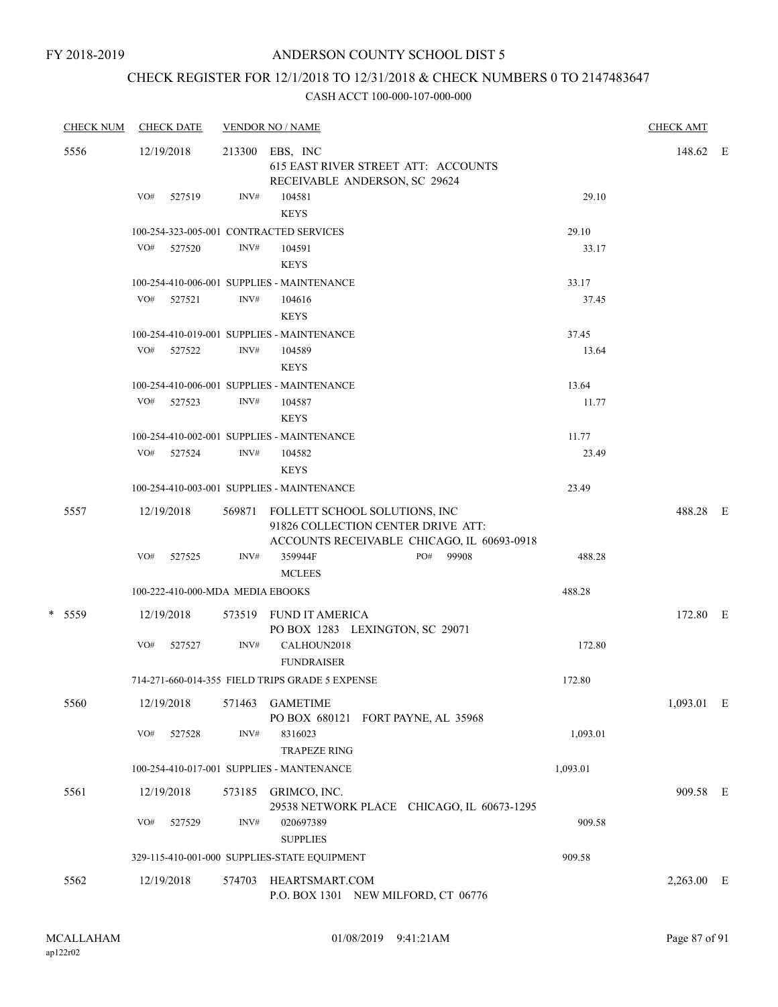# CHECK REGISTER FOR 12/1/2018 TO 12/31/2018 & CHECK NUMBERS 0 TO 2147483647

|      | <b>CHECK NUM</b> |            | <b>CHECK DATE</b>                |                                                                                                | <b>VENDOR NO / NAME</b>                                                                                           |  |           |          |          | <b>CHECK AMT</b> |  |
|------|------------------|------------|----------------------------------|------------------------------------------------------------------------------------------------|-------------------------------------------------------------------------------------------------------------------|--|-----------|----------|----------|------------------|--|
| 5556 |                  | 12/19/2018 |                                  | 213300 EBS, INC<br><b>615 EAST RIVER STREET ATT: ACCOUNTS</b><br>RECEIVABLE ANDERSON, SC 29624 |                                                                                                                   |  |           |          | 148.62 E |                  |  |
|      |                  | VO#        | 527519                           | INV#                                                                                           | 104581<br><b>KEYS</b>                                                                                             |  |           |          | 29.10    |                  |  |
|      |                  |            |                                  |                                                                                                | 100-254-323-005-001 CONTRACTED SERVICES                                                                           |  |           |          | 29.10    |                  |  |
|      |                  |            | VO# 527520                       | INV#                                                                                           | 104591<br><b>KEYS</b>                                                                                             |  |           |          | 33.17    |                  |  |
|      |                  |            |                                  |                                                                                                | 100-254-410-006-001 SUPPLIES - MAINTENANCE                                                                        |  |           |          | 33.17    |                  |  |
|      |                  |            | VO# 527521                       | INV#                                                                                           | 104616<br><b>KEYS</b>                                                                                             |  |           |          | 37.45    |                  |  |
|      |                  |            |                                  |                                                                                                | 100-254-410-019-001 SUPPLIES - MAINTENANCE                                                                        |  |           |          | 37.45    |                  |  |
|      |                  | VO#        | 527522                           | INV#                                                                                           | 104589<br><b>KEYS</b>                                                                                             |  |           |          | 13.64    |                  |  |
|      |                  |            |                                  |                                                                                                | 100-254-410-006-001 SUPPLIES - MAINTENANCE                                                                        |  |           |          | 13.64    |                  |  |
|      |                  |            | VO# 527523                       | INV#                                                                                           | 104587<br><b>KEYS</b>                                                                                             |  |           |          | 11.77    |                  |  |
|      |                  |            |                                  |                                                                                                | 100-254-410-002-001 SUPPLIES - MAINTENANCE                                                                        |  |           |          | 11.77    |                  |  |
|      |                  |            | VO# 527524                       | INV#                                                                                           | 104582<br><b>KEYS</b>                                                                                             |  |           |          | 23.49    |                  |  |
|      |                  |            |                                  |                                                                                                | 100-254-410-003-001 SUPPLIES - MAINTENANCE                                                                        |  |           |          | 23.49    |                  |  |
|      | 5557             |            | 12/19/2018                       | 569871                                                                                         | FOLLETT SCHOOL SOLUTIONS, INC<br>91826 COLLECTION CENTER DRIVE ATT:<br>ACCOUNTS RECEIVABLE CHICAGO, IL 60693-0918 |  |           |          |          | 488.28 E         |  |
|      |                  |            | VO# 527525                       | INV#                                                                                           | 359944F<br><b>MCLEES</b>                                                                                          |  | PO# 99908 |          | 488.28   |                  |  |
|      |                  |            | 100-222-410-000-MDA MEDIA EBOOKS |                                                                                                |                                                                                                                   |  |           | 488.28   |          |                  |  |
|      | * 5559           |            | 12/19/2018                       |                                                                                                | 573519 FUND IT AMERICA<br>PO BOX 1283 LEXINGTON, SC 29071                                                         |  |           |          |          | 172.80 E         |  |
|      |                  | VO#        | 527527                           | INV#                                                                                           | CALHOUN2018<br><b>FUNDRAISER</b>                                                                                  |  |           |          | 172.80   |                  |  |
|      |                  |            |                                  |                                                                                                | 714-271-660-014-355 FIELD TRIPS GRADE 5 EXPENSE                                                                   |  |           | 172.80   |          |                  |  |
|      | 5560             |            | 12/19/2018                       | 571463                                                                                         | <b>GAMETIME</b><br>PO BOX 680121 FORT PAYNE, AL 35968                                                             |  |           |          |          | 1,093.01 E       |  |
|      |                  | VO#        | 527528                           | INV#                                                                                           | 8316023<br><b>TRAPEZE RING</b>                                                                                    |  |           |          | 1,093.01 |                  |  |
|      |                  |            |                                  |                                                                                                | 100-254-410-017-001 SUPPLIES - MANTENANCE                                                                         |  |           | 1,093.01 |          |                  |  |
|      | 5561             |            | 12/19/2018                       |                                                                                                | 573185 GRIMCO, INC.<br>29538 NETWORK PLACE CHICAGO, IL 60673-1295                                                 |  |           |          |          | 909.58 E         |  |
|      |                  | VO#        | 527529                           | INV#                                                                                           | 020697389<br><b>SUPPLIES</b>                                                                                      |  |           |          | 909.58   |                  |  |
|      |                  |            |                                  |                                                                                                | 329-115-410-001-000 SUPPLIES-STATE EQUIPMENT                                                                      |  |           | 909.58   |          |                  |  |
|      | 5562             |            | 12/19/2018                       | 574703                                                                                         | HEARTSMART.COM<br>P.O. BOX 1301 NEW MILFORD, CT 06776                                                             |  |           |          |          | 2,263.00 E       |  |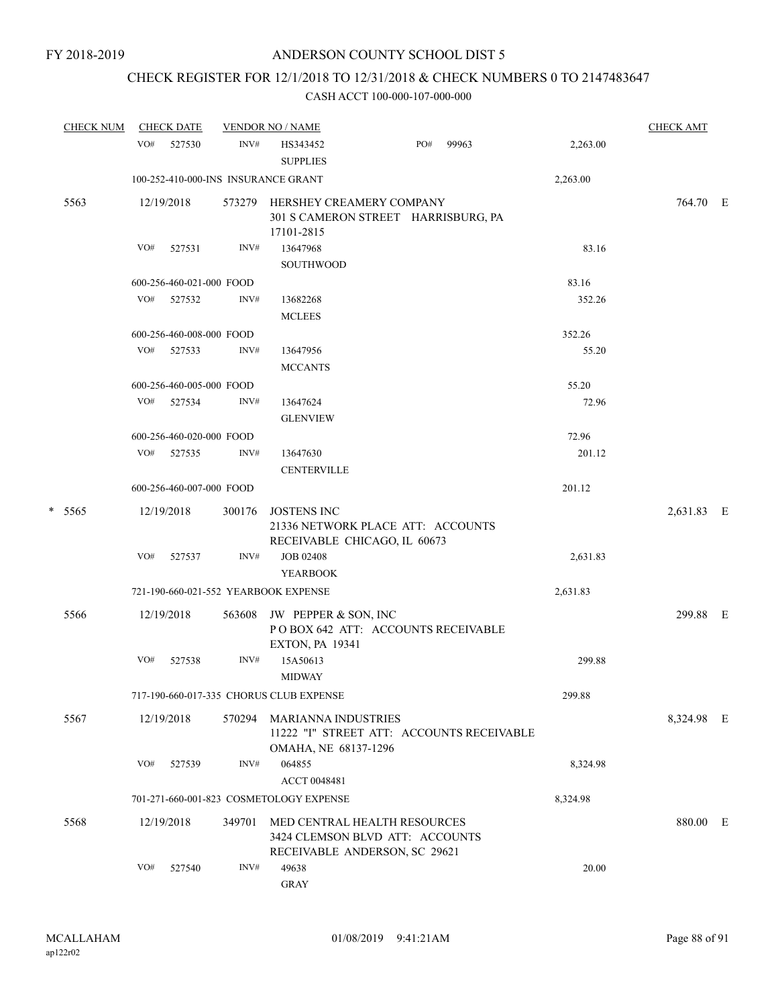# CHECK REGISTER FOR 12/1/2018 TO 12/31/2018 & CHECK NUMBERS 0 TO 2147483647

| <b>CHECK NUM</b> |        | <b>CHECK DATE</b> |                          | <b>VENDOR NO / NAME</b> |                                                                                                  |          | <b>CHECK AMT</b> |  |
|------------------|--------|-------------------|--------------------------|-------------------------|--------------------------------------------------------------------------------------------------|----------|------------------|--|
|                  |        | VO#               | 527530                   | INV#                    | PO#<br>99963<br>HS343452<br><b>SUPPLIES</b>                                                      | 2,263.00 |                  |  |
|                  |        |                   |                          |                         | 100-252-410-000-INS INSURANCE GRANT                                                              | 2,263.00 |                  |  |
|                  | 5563   |                   | 12/19/2018               | 573279                  | HERSHEY CREAMERY COMPANY<br>301 S CAMERON STREET HARRISBURG, PA<br>17101-2815                    |          | 764.70 E         |  |
|                  |        | VO#               | 527531                   | INV#                    | 13647968<br>SOUTHWOOD                                                                            | 83.16    |                  |  |
|                  |        |                   | 600-256-460-021-000 FOOD |                         |                                                                                                  | 83.16    |                  |  |
|                  |        | VO#               | 527532                   | INV#                    | 13682268<br><b>MCLEES</b>                                                                        | 352.26   |                  |  |
|                  |        |                   | 600-256-460-008-000 FOOD |                         |                                                                                                  | 352.26   |                  |  |
|                  |        | VO#               | 527533                   | INV#                    | 13647956<br><b>MCCANTS</b>                                                                       | 55.20    |                  |  |
|                  |        |                   | 600-256-460-005-000 FOOD |                         |                                                                                                  | 55.20    |                  |  |
|                  |        |                   | VO# 527534               | INV#                    | 13647624<br><b>GLENVIEW</b>                                                                      | 72.96    |                  |  |
|                  |        |                   | 600-256-460-020-000 FOOD |                         |                                                                                                  | 72.96    |                  |  |
|                  |        | VO#               | 527535                   | INV#                    | 13647630<br><b>CENTERVILLE</b>                                                                   | 201.12   |                  |  |
|                  |        |                   | 600-256-460-007-000 FOOD |                         |                                                                                                  | 201.12   |                  |  |
|                  | * 5565 |                   | 12/19/2018               | 300176                  | <b>JOSTENS INC</b><br>21336 NETWORK PLACE ATT: ACCOUNTS<br>RECEIVABLE CHICAGO, IL 60673          |          | 2,631.83 E       |  |
|                  |        | VO#               | 527537                   | INV#                    | <b>JOB 02408</b><br><b>YEARBOOK</b>                                                              | 2,631.83 |                  |  |
|                  |        |                   |                          |                         | 721-190-660-021-552 YEARBOOK EXPENSE                                                             | 2,631.83 |                  |  |
|                  | 5566   |                   | 12/19/2018               | 563608                  | JW PEPPER & SON, INC<br>POBOX 642 ATT: ACCOUNTS RECEIVABLE<br><b>EXTON, PA 19341</b>             |          | 299.88 E         |  |
|                  |        | VO#               | 527538                   | INV#                    | 15A50613<br><b>MIDWAY</b>                                                                        | 299.88   |                  |  |
|                  |        |                   |                          |                         | 717-190-660-017-335 CHORUS CLUB EXPENSE                                                          | 299.88   |                  |  |
|                  | 5567   |                   | 12/19/2018               | 570294                  | <b>MARIANNA INDUSTRIES</b><br>11222 "I" STREET ATT: ACCOUNTS RECEIVABLE<br>OMAHA, NE 68137-1296  |          | 8,324.98 E       |  |
|                  |        | VO#               | 527539                   | INV#                    | 064855<br>ACCT 0048481                                                                           | 8,324.98 |                  |  |
|                  |        |                   |                          |                         | 701-271-660-001-823 COSMETOLOGY EXPENSE                                                          | 8,324.98 |                  |  |
|                  | 5568   |                   | 12/19/2018               | 349701                  | MED CENTRAL HEALTH RESOURCES<br>3424 CLEMSON BLVD ATT: ACCOUNTS<br>RECEIVABLE ANDERSON, SC 29621 |          | 880.00 E         |  |
|                  |        | VO#               | 527540                   | INV#                    | 49638<br>${\rm GRAY}$                                                                            | 20.00    |                  |  |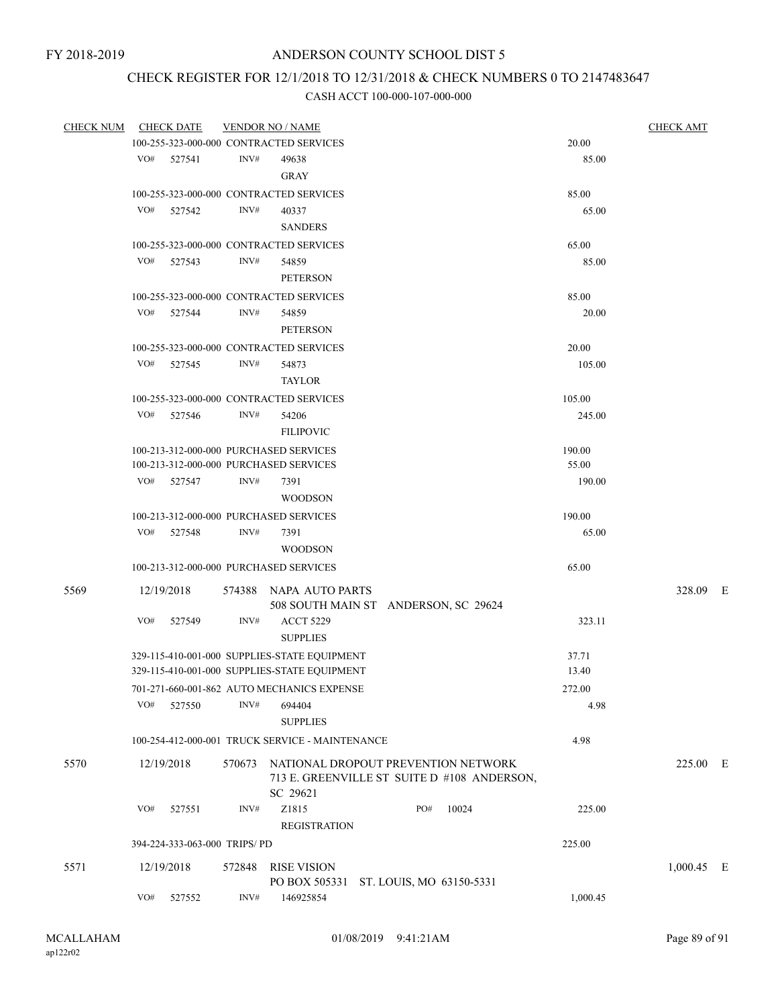## CHECK REGISTER FOR 12/1/2018 TO 12/31/2018 & CHECK NUMBERS 0 TO 2147483647

| <b>CHECK NUM</b> | <b>CHECK DATE</b>                       |      | <b>VENDOR NO / NAME</b>                                                                               |     |       | <b>CHECK AMT</b> |              |
|------------------|-----------------------------------------|------|-------------------------------------------------------------------------------------------------------|-----|-------|------------------|--------------|
|                  | 100-255-323-000-000 CONTRACTED SERVICES |      |                                                                                                       |     |       | 20.00            |              |
|                  | VO# 527541                              | INV# | 49638                                                                                                 |     |       | 85.00            |              |
|                  |                                         |      | <b>GRAY</b>                                                                                           |     |       |                  |              |
|                  | 100-255-323-000-000 CONTRACTED SERVICES |      |                                                                                                       |     |       | 85.00            |              |
|                  | VO#<br>527542                           | INV# | 40337                                                                                                 |     |       | 65.00            |              |
|                  |                                         |      | <b>SANDERS</b>                                                                                        |     |       |                  |              |
|                  | 100-255-323-000-000 CONTRACTED SERVICES |      |                                                                                                       |     |       | 65.00            |              |
|                  |                                         | INV# |                                                                                                       |     |       |                  |              |
|                  | VO# 527543                              |      | 54859                                                                                                 |     |       | 85.00            |              |
|                  |                                         |      | <b>PETERSON</b>                                                                                       |     |       |                  |              |
|                  | 100-255-323-000-000 CONTRACTED SERVICES |      |                                                                                                       |     |       | 85.00            |              |
|                  | VO# 527544                              | INV# | 54859                                                                                                 |     |       | 20.00            |              |
|                  |                                         |      | <b>PETERSON</b>                                                                                       |     |       |                  |              |
|                  | 100-255-323-000-000 CONTRACTED SERVICES |      |                                                                                                       |     |       | 20.00            |              |
|                  | VO# 527545                              | INV# | 54873                                                                                                 |     |       | 105.00           |              |
|                  |                                         |      | <b>TAYLOR</b>                                                                                         |     |       |                  |              |
|                  | 100-255-323-000-000 CONTRACTED SERVICES |      |                                                                                                       |     |       | 105.00           |              |
|                  | VO# 527546                              | INV# | 54206                                                                                                 |     |       | 245.00           |              |
|                  |                                         |      | <b>FILIPOVIC</b>                                                                                      |     |       |                  |              |
|                  | 100-213-312-000-000 PURCHASED SERVICES  |      |                                                                                                       |     |       | 190.00           |              |
|                  | 100-213-312-000-000 PURCHASED SERVICES  |      |                                                                                                       |     |       | 55.00            |              |
|                  | VO# 527547                              | INV# | 7391                                                                                                  |     |       | 190.00           |              |
|                  |                                         |      | <b>WOODSON</b>                                                                                        |     |       |                  |              |
|                  | 100-213-312-000-000 PURCHASED SERVICES  |      |                                                                                                       |     |       | 190.00           |              |
|                  | VO# 527548                              | INV# | 7391                                                                                                  |     |       | 65.00            |              |
|                  |                                         |      | <b>WOODSON</b>                                                                                        |     |       |                  |              |
|                  | 100-213-312-000-000 PURCHASED SERVICES  |      |                                                                                                       |     |       | 65.00            |              |
|                  |                                         |      |                                                                                                       |     |       |                  |              |
| 5569             | 12/19/2018                              |      | 574388 NAPA AUTO PARTS<br>508 SOUTH MAIN ST ANDERSON, SC 29624                                        |     |       |                  | 328.09 E     |
|                  | VO#<br>527549                           | INV# | <b>ACCT 5229</b>                                                                                      |     |       | 323.11           |              |
|                  |                                         |      | <b>SUPPLIES</b>                                                                                       |     |       |                  |              |
|                  |                                         |      |                                                                                                       |     |       |                  |              |
|                  |                                         |      | 329-115-410-001-000 SUPPLIES-STATE EQUIPMENT                                                          |     |       | 37.71            |              |
|                  |                                         |      | 329-115-410-001-000 SUPPLIES-STATE EQUIPMENT                                                          |     |       | 13.40            |              |
|                  |                                         |      | 701-271-660-001-862 AUTO MECHANICS EXPENSE                                                            |     |       | 272.00           |              |
|                  | $VO#$ 527550                            | INV# | 694404                                                                                                |     |       | 4.98             |              |
|                  |                                         |      | <b>SUPPLIES</b>                                                                                       |     |       |                  |              |
|                  |                                         |      | 100-254-412-000-001 TRUCK SERVICE - MAINTENANCE                                                       |     |       | 4.98             |              |
| 5570             | 12/19/2018                              |      | 570673 NATIONAL DROPOUT PREVENTION NETWORK<br>713 E. GREENVILLE ST SUITE D #108 ANDERSON,<br>SC 29621 |     |       |                  | 225.00 E     |
|                  | VO#<br>527551                           | INV# | Z1815<br><b>REGISTRATION</b>                                                                          | PO# | 10024 | 225.00           |              |
|                  | 394-224-333-063-000 TRIPS/PD            |      |                                                                                                       |     |       | 225.00           |              |
|                  |                                         |      |                                                                                                       |     |       |                  |              |
| 5571             | 12/19/2018                              |      | 572848 RISE VISION                                                                                    |     |       |                  | $1,000.45$ E |
|                  | VO#<br>527552                           | INV# | PO BOX 505331 ST. LOUIS, MO 63150-5331<br>146925854                                                   |     |       | 1,000.45         |              |
|                  |                                         |      |                                                                                                       |     |       |                  |              |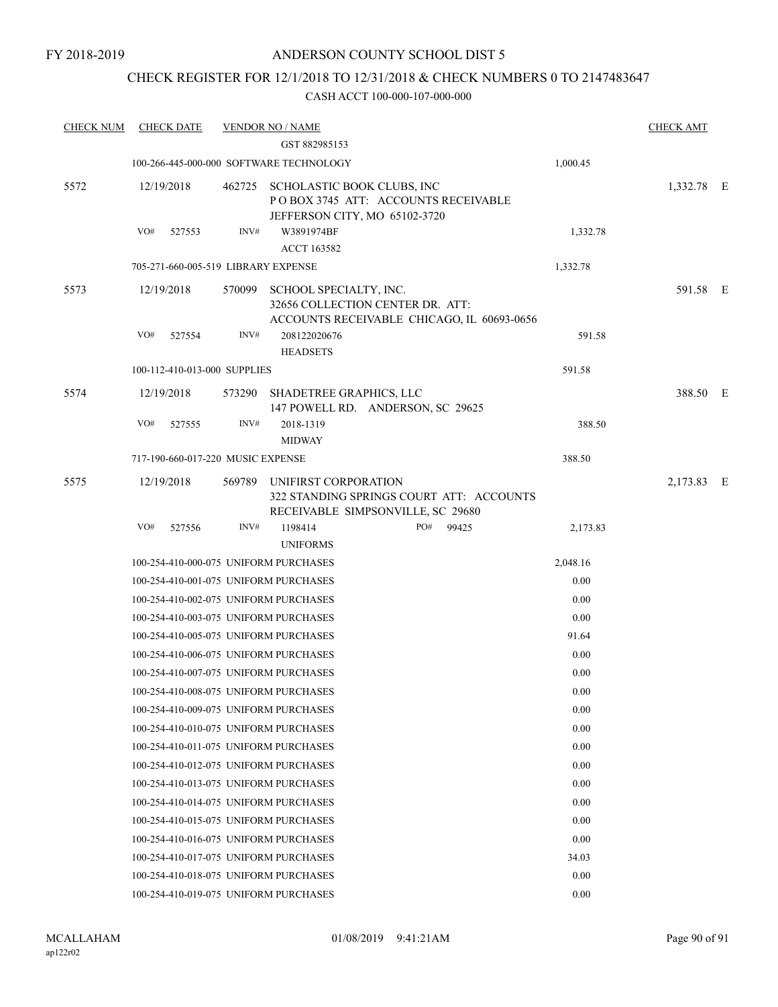### CHECK REGISTER FOR 12/1/2018 TO 12/31/2018 & CHECK NUMBERS 0 TO 2147483647

| <b>CHECK NUM</b> | <b>CHECK DATE</b> |                                     | <b>VENDOR NO / NAME</b>                 |                                                                                |          | <b>CHECK AMT</b> |  |
|------------------|-------------------|-------------------------------------|-----------------------------------------|--------------------------------------------------------------------------------|----------|------------------|--|
|                  |                   |                                     | GST 882985153                           |                                                                                |          |                  |  |
|                  |                   |                                     | 100-266-445-000-000 SOFTWARE TECHNOLOGY |                                                                                | 1,000.45 |                  |  |
| 5572             | 12/19/2018        |                                     | 462725 SCHOLASTIC BOOK CLUBS, INC       | POBOX 3745 ATT: ACCOUNTS RECEIVABLE<br>JEFFERSON CITY, MO 65102-3720           |          | 1,332.78 E       |  |
|                  | VO#               | 527553<br>INV#                      | W3891974BF<br><b>ACCT 163582</b>        |                                                                                | 1,332.78 |                  |  |
|                  |                   | 705-271-660-005-519 LIBRARY EXPENSE |                                         |                                                                                | 1,332.78 |                  |  |
| 5573             | 12/19/2018        | 570099                              | SCHOOL SPECIALTY, INC.                  | 32656 COLLECTION CENTER DR. ATT:<br>ACCOUNTS RECEIVABLE CHICAGO, IL 60693-0656 |          | 591.58 E         |  |
|                  | VO#               | 527554<br>INV#                      | 208122020676<br><b>HEADSETS</b>         |                                                                                | 591.58   |                  |  |
|                  |                   | 100-112-410-013-000 SUPPLIES        |                                         |                                                                                | 591.58   |                  |  |
| 5574             | 12/19/2018        |                                     | 573290 SHADETREE GRAPHICS, LLC          | 147 POWELL RD. ANDERSON, SC 29625                                              |          | 388.50 E         |  |
|                  | VO#               | INV#<br>527555                      | 2018-1319<br><b>MIDWAY</b>              |                                                                                | 388.50   |                  |  |
|                  |                   | 717-190-660-017-220 MUSIC EXPENSE   |                                         |                                                                                | 388.50   |                  |  |
| 5575             | 12/19/2018        |                                     | 569789 UNIFIRST CORPORATION             | 322 STANDING SPRINGS COURT ATT: ACCOUNTS<br>RECEIVABLE SIMPSONVILLE, SC 29680  |          | 2,173.83 E       |  |
|                  | VO#               | 527556<br>INV#                      | 1198414                                 | PO#<br>99425                                                                   | 2,173.83 |                  |  |
|                  |                   |                                     | <b>UNIFORMS</b>                         |                                                                                |          |                  |  |
|                  |                   |                                     | 100-254-410-000-075 UNIFORM PURCHASES   |                                                                                | 2,048.16 |                  |  |
|                  |                   |                                     | 100-254-410-001-075 UNIFORM PURCHASES   |                                                                                | 0.00     |                  |  |
|                  |                   |                                     | 100-254-410-002-075 UNIFORM PURCHASES   |                                                                                | 0.00     |                  |  |
|                  |                   |                                     | 100-254-410-003-075 UNIFORM PURCHASES   |                                                                                | 0.00     |                  |  |
|                  |                   |                                     | 100-254-410-005-075 UNIFORM PURCHASES   |                                                                                | 91.64    |                  |  |
|                  |                   |                                     | 100-254-410-006-075 UNIFORM PURCHASES   |                                                                                | 0.00     |                  |  |
|                  |                   |                                     | 100-254-410-007-075 UNIFORM PURCHASES   |                                                                                | 0.00     |                  |  |
|                  |                   |                                     | 100-254-410-008-075 UNIFORM PURCHASES   |                                                                                | $0.00\,$ |                  |  |
|                  |                   |                                     | 100-254-410-009-075 UNIFORM PURCHASES   |                                                                                | 0.00     |                  |  |
|                  |                   |                                     | 100-254-410-010-075 UNIFORM PURCHASES   |                                                                                | 0.00     |                  |  |
|                  |                   |                                     | 100-254-410-011-075 UNIFORM PURCHASES   |                                                                                | 0.00     |                  |  |
|                  |                   |                                     | 100-254-410-012-075 UNIFORM PURCHASES   |                                                                                | 0.00     |                  |  |
|                  |                   |                                     | 100-254-410-013-075 UNIFORM PURCHASES   |                                                                                | 0.00     |                  |  |
|                  |                   |                                     | 100-254-410-014-075 UNIFORM PURCHASES   |                                                                                | 0.00     |                  |  |
|                  |                   |                                     | 100-254-410-015-075 UNIFORM PURCHASES   |                                                                                | 0.00     |                  |  |
|                  |                   |                                     | 100-254-410-016-075 UNIFORM PURCHASES   |                                                                                | 0.00     |                  |  |
|                  |                   |                                     | 100-254-410-017-075 UNIFORM PURCHASES   |                                                                                | 34.03    |                  |  |
|                  |                   |                                     | 100-254-410-018-075 UNIFORM PURCHASES   |                                                                                | 0.00     |                  |  |
|                  |                   |                                     | 100-254-410-019-075 UNIFORM PURCHASES   |                                                                                | 0.00     |                  |  |